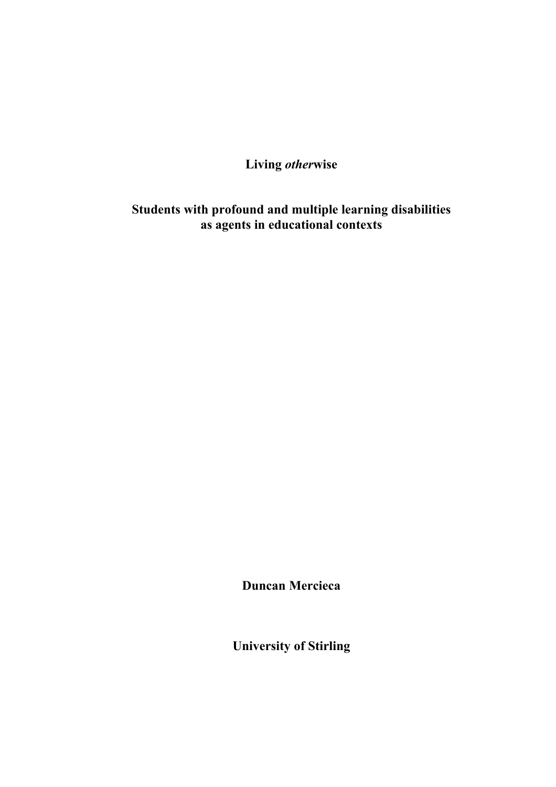**Living** *other***wise**

**Students with profound and multiple learning disabilities as agents in educational contexts**

**Duncan Mercieca**

**University of Stirling**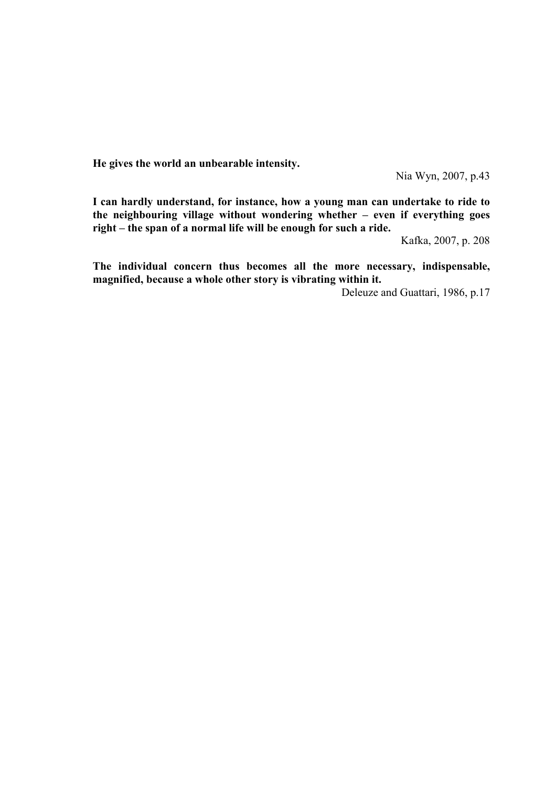**He gives the world an unbearable intensity.**

Nia Wyn, 2007, p.43

**I can hardly understand, for instance, how a young man can undertake to ride to the neighbouring village without wondering whether – even if everything goes right – the span of a normal life will be enough for such a ride.**

Kafka, 2007, p. 208

**The individual concern thus becomes all the more necessary, indispensable, magnified, because a whole other story is vibrating within it.**

Deleuze and Guattari, 1986, p.17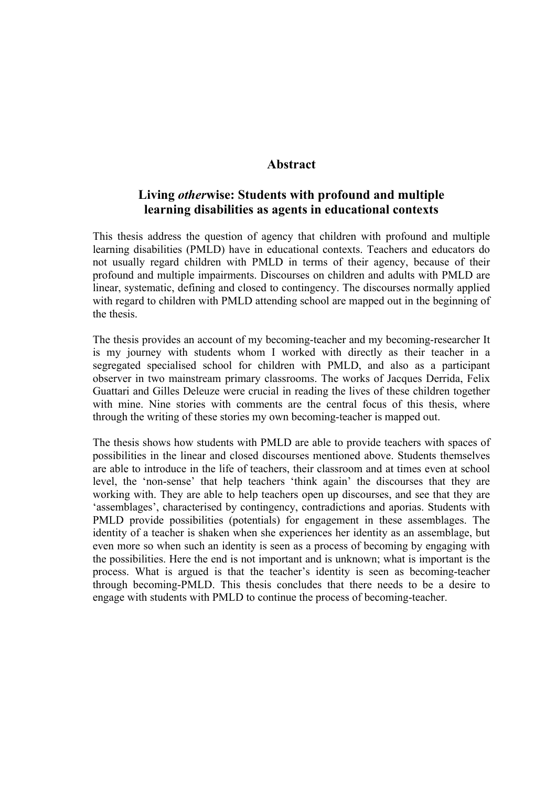# **Abstract**

# **Living** *other***wise: Students with profound and multiple learning disabilities as agents in educational contexts**

This thesis address the question of agency that children with profound and multiple learning disabilities (PMLD) have in educational contexts. Teachers and educators do not usually regard children with PMLD in terms of their agency, because of their profound and multiple impairments. Discourses on children and adults with PMLD are linear, systematic, defining and closed to contingency. The discourses normally applied with regard to children with PMLD attending school are mapped out in the beginning of the thesis.

The thesis provides an account of my becoming-teacher and my becoming-researcher It is my journey with students whom I worked with directly as their teacher in a segregated specialised school for children with PMLD, and also as a participant observer in two mainstream primary classrooms. The works of Jacques Derrida, Felix Guattari and Gilles Deleuze were crucial in reading the lives of these children together with mine. Nine stories with comments are the central focus of this thesis, where through the writing of these stories my own becoming-teacher is mapped out.

The thesis shows how students with PMLD are able to provide teachers with spaces of possibilities in the linear and closed discourses mentioned above. Students themselves are able to introduce in the life of teachers, their classroom and at times even at school level, the 'non-sense' that help teachers 'think again' the discourses that they are working with. They are able to help teachers open up discourses, and see that they are 'assemblages', characterised by contingency, contradictions and aporias. Students with PMLD provide possibilities (potentials) for engagement in these assemblages. The identity of a teacher is shaken when she experiences her identity as an assemblage, but even more so when such an identity is seen as a process of becoming by engaging with the possibilities. Here the end is not important and is unknown; what is important is the process. What is argued is that the teacher's identity is seen as becoming-teacher through becoming-PMLD. This thesis concludes that there needs to be a desire to engage with students with PMLD to continue the process of becoming-teacher.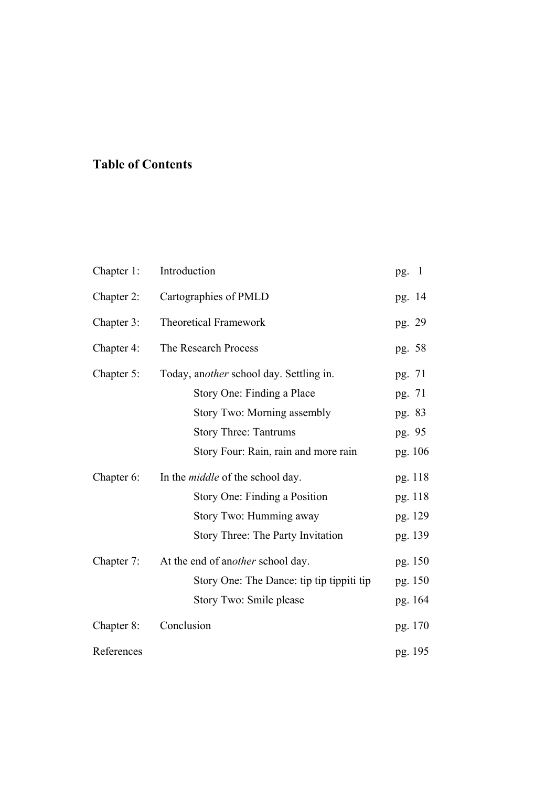# **Table of Contents**

| Chapter 1: | Introduction                              | pg. $1$ |
|------------|-------------------------------------------|---------|
| Chapter 2: | Cartographies of PMLD                     | pg. 14  |
| Chapter 3: | <b>Theoretical Framework</b>              | pg. 29  |
| Chapter 4: | The Research Process                      | pg. 58  |
| Chapter 5: | Today, another school day. Settling in.   | pg. 71  |
|            | Story One: Finding a Place                | pg. 71  |
|            | Story Two: Morning assembly               | pg. 83  |
|            | <b>Story Three: Tantrums</b>              | pg. 95  |
|            | Story Four: Rain, rain and more rain      | pg. 106 |
| Chapter 6: | In the <i>middle</i> of the school day.   | pg. 118 |
|            | Story One: Finding a Position             | pg. 118 |
|            | Story Two: Humming away                   | pg. 129 |
|            | Story Three: The Party Invitation         | pg. 139 |
| Chapter 7: | At the end of another school day.         | pg. 150 |
|            | Story One: The Dance: tip tip tippiti tip | pg. 150 |
|            | Story Two: Smile please                   | pg. 164 |
| Chapter 8: | Conclusion                                | pg. 170 |
| References |                                           | pg. 195 |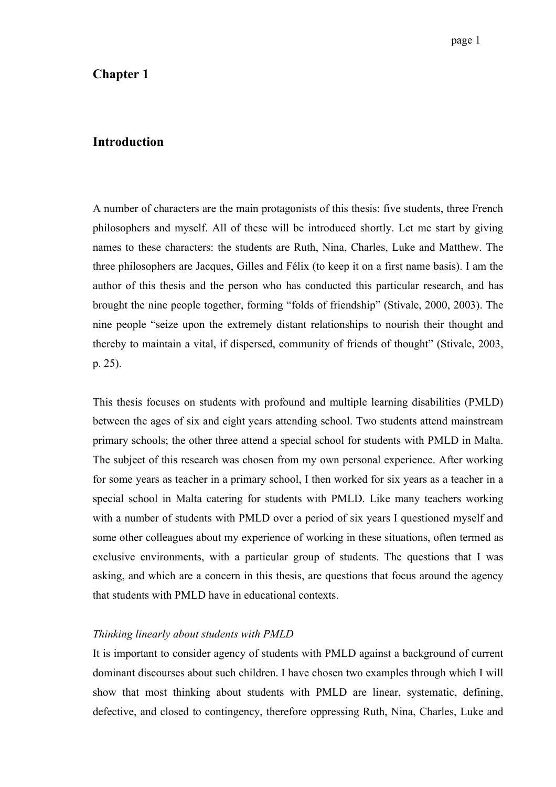# **Chapter 1**

# **Introduction**

A number of characters are the main protagonists of this thesis: five students, three French philosophers and myself. All of these will be introduced shortly. Let me start by giving names to these characters: the students are Ruth, Nina, Charles, Luke and Matthew. The three philosophers are Jacques, Gilles and Félix (to keep it on a first name basis). I am the author of this thesis and the person who has conducted this particular research, and has brought the nine people together, forming "folds of friendship" (Stivale, 2000, 2003). The nine people "seize upon the extremely distant relationships to nourish their thought and thereby to maintain a vital, if dispersed, community of friends of thought" (Stivale, 2003, p. 25).

This thesis focuses on students with profound and multiple learning disabilities (PMLD) between the ages of six and eight years attending school. Two students attend mainstream primary schools; the other three attend a special school for students with PMLD in Malta. The subject of this research was chosen from my own personal experience. After working for some years as teacher in a primary school, I then worked for six years as a teacher in a special school in Malta catering for students with PMLD. Like many teachers working with a number of students with PMLD over a period of six years I questioned myself and some other colleagues about my experience of working in these situations, often termed as exclusive environments, with a particular group of students. The questions that I was asking, and which are a concern in this thesis, are questions that focus around the agency that students with PMLD have in educational contexts.

#### *Thinking linearly about students with PMLD*

It is important to consider agency of students with PMLD against a background of current dominant discourses about such children. I have chosen two examples through which I will show that most thinking about students with PMLD are linear, systematic, defining, defective, and closed to contingency, therefore oppressing Ruth, Nina, Charles, Luke and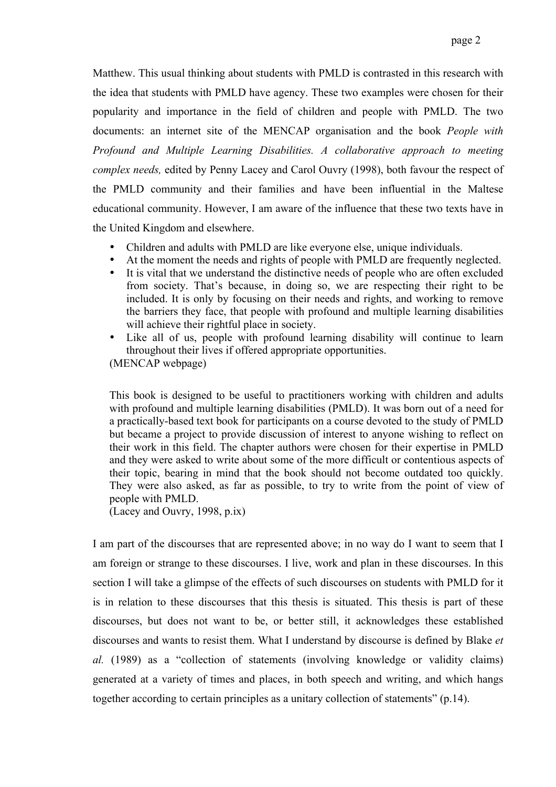Matthew. This usual thinking about students with PMLD is contrasted in this research with the idea that students with PMLD have agency. These two examples were chosen for their popularity and importance in the field of children and people with PMLD. The two documents: an internet site of the MENCAP organisation and the book *People with Profound and Multiple Learning Disabilities. A collaborative approach to meeting complex needs,* edited by Penny Lacey and Carol Ouvry (1998), both favour the respect of the PMLD community and their families and have been influential in the Maltese educational community. However, I am aware of the influence that these two texts have in the United Kingdom and elsewhere.

- Children and adults with PMLD are like everyone else, unique individuals.
- At the moment the needs and rights of people with PMLD are frequently neglected.
- It is vital that we understand the distinctive needs of people who are often excluded from society. That's because, in doing so, we are respecting their right to be included. It is only by focusing on their needs and rights, and working to remove the barriers they face, that people with profound and multiple learning disabilities will achieve their rightful place in society.
- Like all of us, people with profound learning disability will continue to learn throughout their lives if offered appropriate opportunities.

(MENCAP webpage)

This book is designed to be useful to practitioners working with children and adults with profound and multiple learning disabilities (PMLD). It was born out of a need for a practically-based text book for participants on a course devoted to the study of PMLD but became a project to provide discussion of interest to anyone wishing to reflect on their work in this field. The chapter authors were chosen for their expertise in PMLD and they were asked to write about some of the more difficult or contentious aspects of their topic, bearing in mind that the book should not become outdated too quickly. They were also asked, as far as possible, to try to write from the point of view of people with PMLD.

(Lacey and Ouvry, 1998, p.ix)

I am part of the discourses that are represented above; in no way do I want to seem that I am foreign or strange to these discourses. I live, work and plan in these discourses. In this section I will take a glimpse of the effects of such discourses on students with PMLD for it is in relation to these discourses that this thesis is situated. This thesis is part of these discourses, but does not want to be, or better still, it acknowledges these established discourses and wants to resist them. What I understand by discourse is defined by Blake *et al.* (1989) as a "collection of statements (involving knowledge or validity claims) generated at a variety of times and places, in both speech and writing, and which hangs together according to certain principles as a unitary collection of statements" (p.14).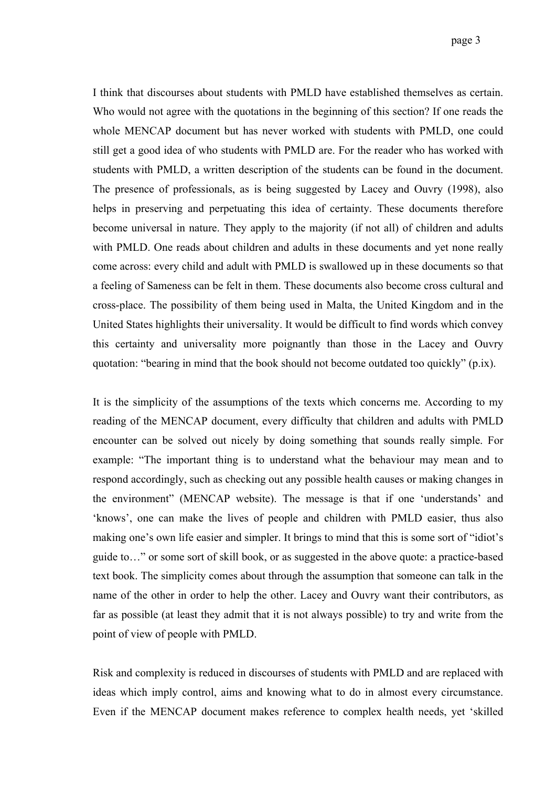I think that discourses about students with PMLD have established themselves as certain. Who would not agree with the quotations in the beginning of this section? If one reads the whole MENCAP document but has never worked with students with PMLD, one could still get a good idea of who students with PMLD are. For the reader who has worked with students with PMLD, a written description of the students can be found in the document. The presence of professionals, as is being suggested by Lacey and Ouvry (1998), also helps in preserving and perpetuating this idea of certainty. These documents therefore become universal in nature. They apply to the majority (if not all) of children and adults with PMLD. One reads about children and adults in these documents and yet none really come across: every child and adult with PMLD is swallowed up in these documents so that a feeling of Sameness can be felt in them. These documents also become cross cultural and cross-place. The possibility of them being used in Malta, the United Kingdom and in the United States highlights their universality. It would be difficult to find words which convey this certainty and universality more poignantly than those in the Lacey and Ouvry quotation: "bearing in mind that the book should not become outdated too quickly" (p.ix).

It is the simplicity of the assumptions of the texts which concerns me. According to my reading of the MENCAP document, every difficulty that children and adults with PMLD encounter can be solved out nicely by doing something that sounds really simple. For example: "The important thing is to understand what the behaviour may mean and to respond accordingly, such as checking out any possible health causes or making changes in the environment" (MENCAP website). The message is that if one 'understands' and 'knows', one can make the lives of people and children with PMLD easier, thus also making one's own life easier and simpler. It brings to mind that this is some sort of "idiot's guide to…" or some sort of skill book, or as suggested in the above quote: a practice-based text book. The simplicity comes about through the assumption that someone can talk in the name of the other in order to help the other. Lacey and Ouvry want their contributors, as far as possible (at least they admit that it is not always possible) to try and write from the point of view of people with PMLD.

Risk and complexity is reduced in discourses of students with PMLD and are replaced with ideas which imply control, aims and knowing what to do in almost every circumstance. Even if the MENCAP document makes reference to complex health needs, yet 'skilled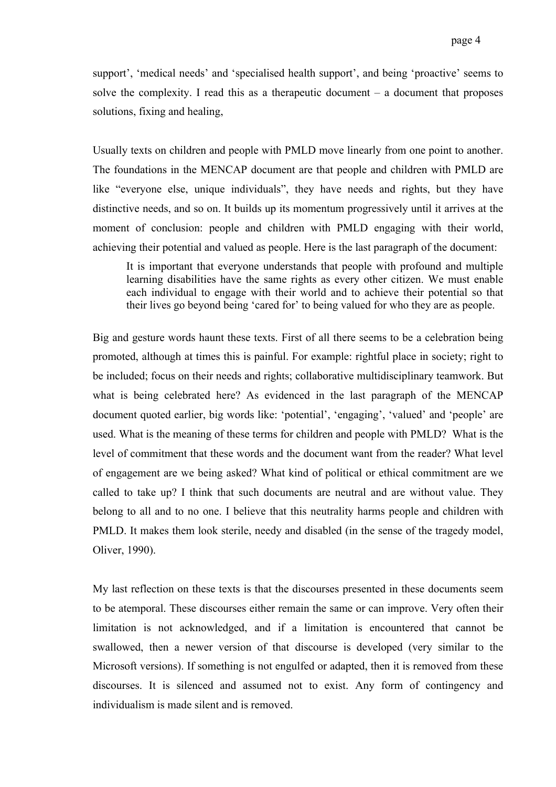support', 'medical needs' and 'specialised health support', and being 'proactive' seems to solve the complexity. I read this as a therapeutic document – a document that proposes solutions, fixing and healing,

Usually texts on children and people with PMLD move linearly from one point to another. The foundations in the MENCAP document are that people and children with PMLD are like "everyone else, unique individuals", they have needs and rights, but they have distinctive needs, and so on. It builds up its momentum progressively until it arrives at the moment of conclusion: people and children with PMLD engaging with their world, achieving their potential and valued as people. Here is the last paragraph of the document:

It is important that everyone understands that people with profound and multiple learning disabilities have the same rights as every other citizen. We must enable each individual to engage with their world and to achieve their potential so that their lives go beyond being 'cared for' to being valued for who they are as people.

Big and gesture words haunt these texts. First of all there seems to be a celebration being promoted, although at times this is painful. For example: rightful place in society; right to be included; focus on their needs and rights; collaborative multidisciplinary teamwork. But what is being celebrated here? As evidenced in the last paragraph of the MENCAP document quoted earlier, big words like: 'potential', 'engaging', 'valued' and 'people' are used. What is the meaning of these terms for children and people with PMLD? What is the level of commitment that these words and the document want from the reader? What level of engagement are we being asked? What kind of political or ethical commitment are we called to take up? I think that such documents are neutral and are without value. They belong to all and to no one. I believe that this neutrality harms people and children with PMLD. It makes them look sterile, needy and disabled (in the sense of the tragedy model, Oliver, 1990).

My last reflection on these texts is that the discourses presented in these documents seem to be atemporal. These discourses either remain the same or can improve. Very often their limitation is not acknowledged, and if a limitation is encountered that cannot be swallowed, then a newer version of that discourse is developed (very similar to the Microsoft versions). If something is not engulfed or adapted, then it is removed from these discourses. It is silenced and assumed not to exist. Any form of contingency and individualism is made silent and is removed.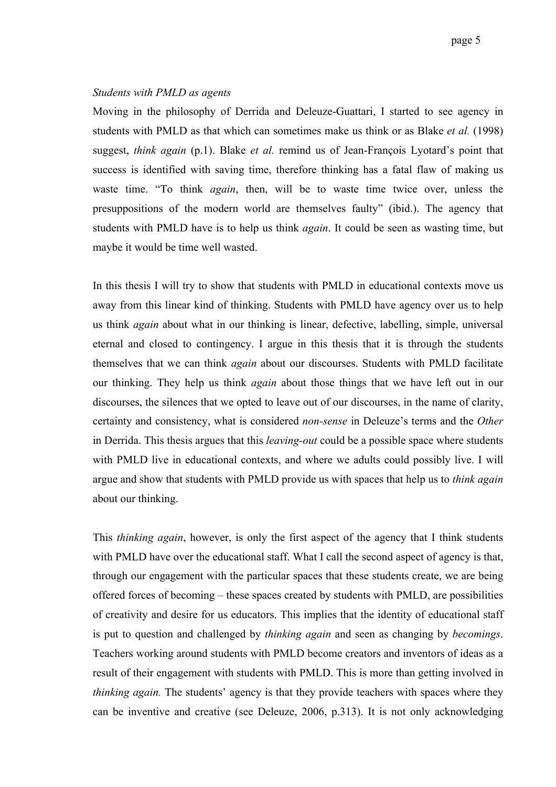## *Students with PMLD as agents*

Moving in the philosophy of Derrida and Deleuze-Guattari, I started to see agency in students with PMLD as that which can sometimes make us think or as Blake *et al.* (1998) suggest, *think again* (p.1). Blake *et al.* remind us of Jean-François Lyotard's point that success is identified with saving time, therefore thinking has a fatal flaw of making us waste time. "To think *again*, then, will be to waste time twice over, unless the presuppositions of the modern world are themselves faulty" (ibid.). The agency that students with PMLD have is to help us think *again*. It could be seen as wasting time, but maybe it would be time well wasted.

In this thesis I will try to show that students with PMLD in educational contexts move us away from this linear kind of thinking. Students with PMLD have agency over us to help us think *again* about what in our thinking is linear, defective, labelling, simple, universal eternal and closed to contingency. I argue in this thesis that it is through the students themselves that we can think *again* about our discourses. Students with PMLD facilitate our thinking. They help us think *again* about those things that we have left out in our discourses, the silences that we opted to leave out of our discourses, in the name of clarity, certainty and consistency, what is considered *non-sense* in Deleuze's terms and the *Other*  in Derrida. This thesis argues that this *leaving-out* could be a possible space where students with PMLD live in educational contexts, and where we adults could possibly live. I will argue and show that students with PMLD provide us with spaces that help us to *think again* about our thinking.

This *thinking again*, however, is only the first aspect of the agency that I think students with PMLD have over the educational staff. What I call the second aspect of agency is that, through our engagement with the particular spaces that these students create, we are being offered forces of becoming – these spaces created by students with PMLD, are possibilities of creativity and desire for us educators. This implies that the identity of educational staff is put to question and challenged by *thinking again* and seen as changing by *becomings*. Teachers working around students with PMLD become creators and inventors of ideas as a result of their engagement with students with PMLD. This is more than getting involved in *thinking again.* The students' agency is that they provide teachers with spaces where they can be inventive and creative (see Deleuze, 2006, p.313). It is not only acknowledging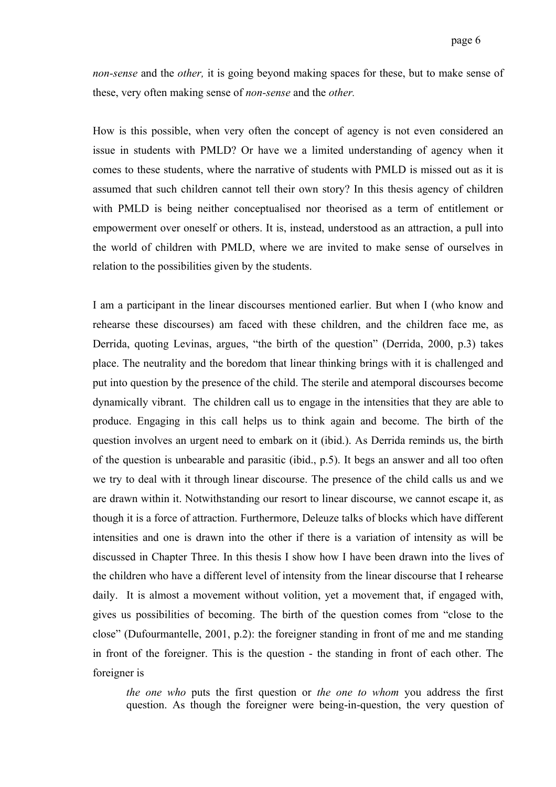*non-sense* and the *other,* it is going beyond making spaces for these, but to make sense of these, very often making sense of *non-sense* and the *other.*

How is this possible, when very often the concept of agency is not even considered an issue in students with PMLD? Or have we a limited understanding of agency when it comes to these students, where the narrative of students with PMLD is missed out as it is assumed that such children cannot tell their own story? In this thesis agency of children with PMLD is being neither conceptualised nor theorised as a term of entitlement or empowerment over oneself or others. It is, instead, understood as an attraction, a pull into the world of children with PMLD, where we are invited to make sense of ourselves in relation to the possibilities given by the students.

I am a participant in the linear discourses mentioned earlier. But when I (who know and rehearse these discourses) am faced with these children, and the children face me, as Derrida, quoting Levinas, argues, "the birth of the question" (Derrida, 2000, p.3) takes place. The neutrality and the boredom that linear thinking brings with it is challenged and put into question by the presence of the child. The sterile and atemporal discourses become dynamically vibrant. The children call us to engage in the intensities that they are able to produce. Engaging in this call helps us to think again and become. The birth of the question involves an urgent need to embark on it (ibid.). As Derrida reminds us, the birth of the question is unbearable and parasitic (ibid., p.5). It begs an answer and all too often we try to deal with it through linear discourse. The presence of the child calls us and we are drawn within it. Notwithstanding our resort to linear discourse, we cannot escape it, as though it is a force of attraction. Furthermore, Deleuze talks of blocks which have different intensities and one is drawn into the other if there is a variation of intensity as will be discussed in Chapter Three. In this thesis I show how I have been drawn into the lives of the children who have a different level of intensity from the linear discourse that I rehearse daily. It is almost a movement without volition, yet a movement that, if engaged with, gives us possibilities of becoming. The birth of the question comes from "close to the close" (Dufourmantelle, 2001, p.2): the foreigner standing in front of me and me standing in front of the foreigner. This is the question - the standing in front of each other. The foreigner is

*the one who* puts the first question or *the one to whom* you address the first question. As though the foreigner were being-in-question, the very question of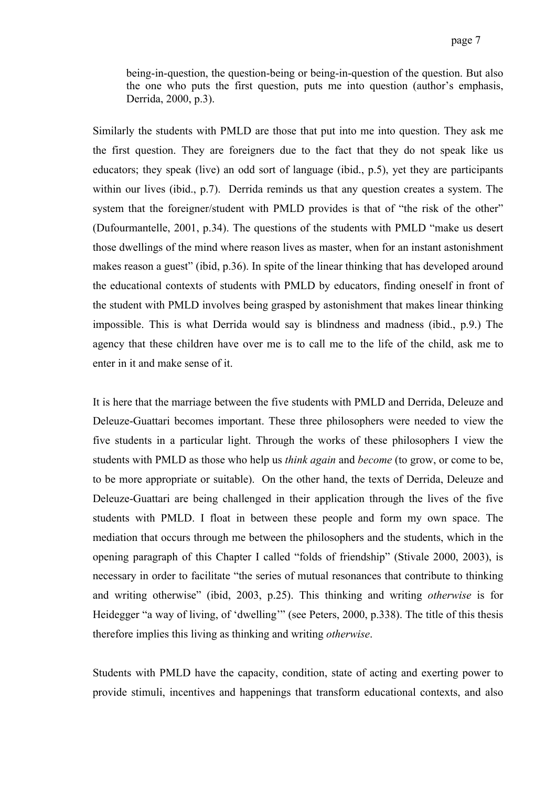being-in-question, the question-being or being-in-question of the question. But also the one who puts the first question, puts me into question (author's emphasis, Derrida, 2000, p.3).

Similarly the students with PMLD are those that put into me into question. They ask me the first question. They are foreigners due to the fact that they do not speak like us educators; they speak (live) an odd sort of language (ibid., p.5), yet they are participants within our lives (ibid., p.7). Derrida reminds us that any question creates a system. The system that the foreigner/student with PMLD provides is that of "the risk of the other" (Dufourmantelle, 2001, p.34). The questions of the students with PMLD "make us desert those dwellings of the mind where reason lives as master, when for an instant astonishment makes reason a guest" (ibid, p.36). In spite of the linear thinking that has developed around the educational contexts of students with PMLD by educators, finding oneself in front of the student with PMLD involves being grasped by astonishment that makes linear thinking impossible. This is what Derrida would say is blindness and madness (ibid., p.9.) The agency that these children have over me is to call me to the life of the child, ask me to enter in it and make sense of it.

It is here that the marriage between the five students with PMLD and Derrida, Deleuze and Deleuze-Guattari becomes important. These three philosophers were needed to view the five students in a particular light. Through the works of these philosophers I view the students with PMLD as those who help us *think again* and *become* (to grow, or come to be, to be more appropriate or suitable). On the other hand, the texts of Derrida, Deleuze and Deleuze-Guattari are being challenged in their application through the lives of the five students with PMLD. I float in between these people and form my own space. The mediation that occurs through me between the philosophers and the students, which in the opening paragraph of this Chapter I called "folds of friendship" (Stivale 2000, 2003), is necessary in order to facilitate "the series of mutual resonances that contribute to thinking and writing otherwise" (ibid, 2003, p.25). This thinking and writing *otherwise* is for Heidegger "a way of living, of 'dwelling'" (see Peters, 2000, p.338). The title of this thesis therefore implies this living as thinking and writing *otherwise*.

Students with PMLD have the capacity, condition, state of acting and exerting power to provide stimuli, incentives and happenings that transform educational contexts, and also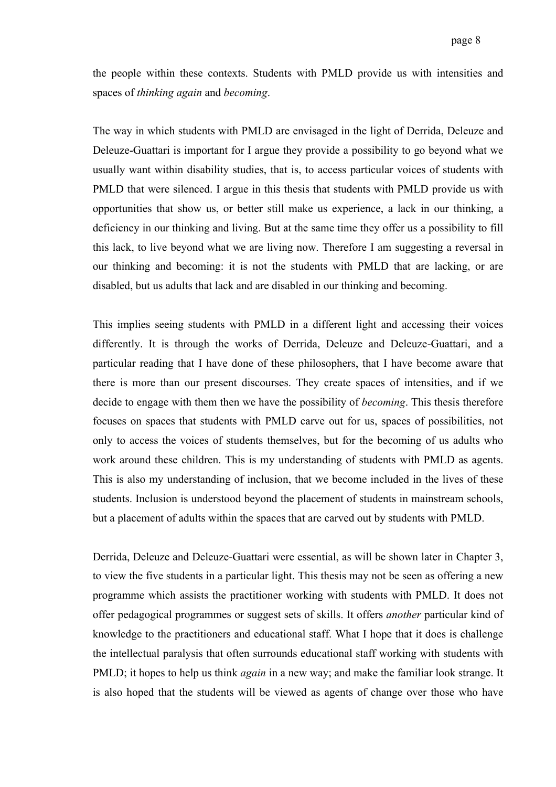the people within these contexts. Students with PMLD provide us with intensities and spaces of *thinking again* and *becoming*.

The way in which students with PMLD are envisaged in the light of Derrida, Deleuze and Deleuze-Guattari is important for I argue they provide a possibility to go beyond what we usually want within disability studies, that is, to access particular voices of students with PMLD that were silenced. I argue in this thesis that students with PMLD provide us with opportunities that show us, or better still make us experience, a lack in our thinking, a deficiency in our thinking and living. But at the same time they offer us a possibility to fill this lack, to live beyond what we are living now. Therefore I am suggesting a reversal in our thinking and becoming: it is not the students with PMLD that are lacking, or are disabled, but us adults that lack and are disabled in our thinking and becoming.

This implies seeing students with PMLD in a different light and accessing their voices differently. It is through the works of Derrida, Deleuze and Deleuze-Guattari, and a particular reading that I have done of these philosophers, that I have become aware that there is more than our present discourses. They create spaces of intensities, and if we decide to engage with them then we have the possibility of *becoming*. This thesis therefore focuses on spaces that students with PMLD carve out for us, spaces of possibilities, not only to access the voices of students themselves, but for the becoming of us adults who work around these children. This is my understanding of students with PMLD as agents. This is also my understanding of inclusion, that we become included in the lives of these students. Inclusion is understood beyond the placement of students in mainstream schools, but a placement of adults within the spaces that are carved out by students with PMLD.

Derrida, Deleuze and Deleuze-Guattari were essential, as will be shown later in Chapter 3, to view the five students in a particular light. This thesis may not be seen as offering a new programme which assists the practitioner working with students with PMLD. It does not offer pedagogical programmes or suggest sets of skills. It offers *another* particular kind of knowledge to the practitioners and educational staff. What I hope that it does is challenge the intellectual paralysis that often surrounds educational staff working with students with PMLD; it hopes to help us think *again* in a new way; and make the familiar look strange. It is also hoped that the students will be viewed as agents of change over those who have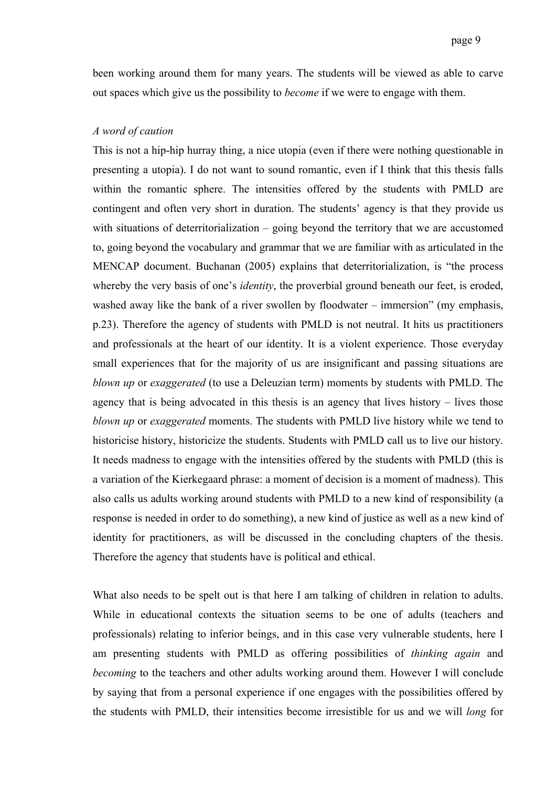been working around them for many years. The students will be viewed as able to carve out spaces which give us the possibility to *become* if we were to engage with them.

## *A word of caution*

This is not a hip-hip hurray thing, a nice utopia (even if there were nothing questionable in presenting a utopia). I do not want to sound romantic, even if I think that this thesis falls within the romantic sphere. The intensities offered by the students with PMLD are contingent and often very short in duration. The students' agency is that they provide us with situations of deterritorialization – going beyond the territory that we are accustomed to, going beyond the vocabulary and grammar that we are familiar with as articulated in the MENCAP document. Buchanan (2005) explains that deterritorialization, is "the process whereby the very basis of one's *identity*, the proverbial ground beneath our feet, is eroded, washed away like the bank of a river swollen by floodwater – immersion" (my emphasis, p.23). Therefore the agency of students with PMLD is not neutral. It hits us practitioners and professionals at the heart of our identity. It is a violent experience. Those everyday small experiences that for the majority of us are insignificant and passing situations are *blown up* or *exaggerated* (to use a Deleuzian term) moments by students with PMLD. The agency that is being advocated in this thesis is an agency that lives history – lives those *blown up* or *exaggerated* moments. The students with PMLD live history while we tend to historicise history, historicize the students. Students with PMLD call us to live our history. It needs madness to engage with the intensities offered by the students with PMLD (this is a variation of the Kierkegaard phrase: a moment of decision is a moment of madness). This also calls us adults working around students with PMLD to a new kind of responsibility (a response is needed in order to do something), a new kind of justice as well as a new kind of identity for practitioners, as will be discussed in the concluding chapters of the thesis. Therefore the agency that students have is political and ethical.

What also needs to be spelt out is that here I am talking of children in relation to adults. While in educational contexts the situation seems to be one of adults (teachers and professionals) relating to inferior beings, and in this case very vulnerable students, here I am presenting students with PMLD as offering possibilities of *thinking again* and *becoming* to the teachers and other adults working around them. However I will conclude by saying that from a personal experience if one engages with the possibilities offered by the students with PMLD, their intensities become irresistible for us and we will *long* for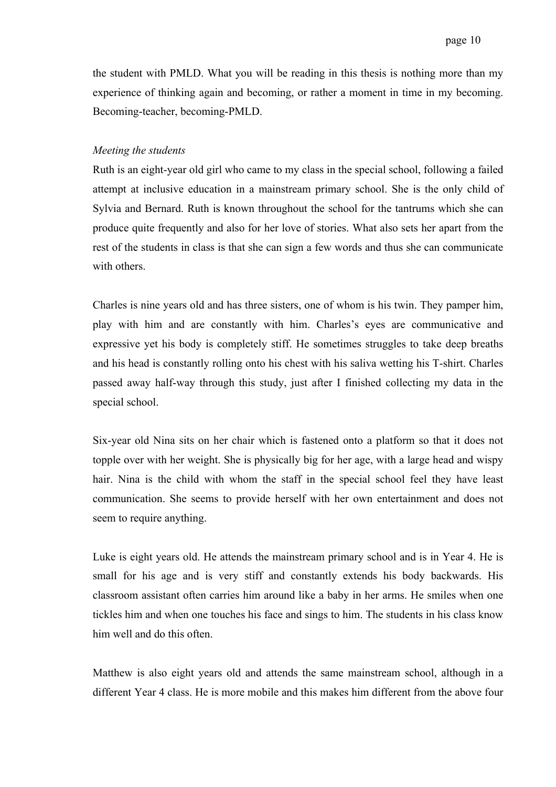the student with PMLD. What you will be reading in this thesis is nothing more than my experience of thinking again and becoming, or rather a moment in time in my becoming. Becoming-teacher, becoming-PMLD.

#### *Meeting the students*

Ruth is an eight-year old girl who came to my class in the special school, following a failed attempt at inclusive education in a mainstream primary school. She is the only child of Sylvia and Bernard. Ruth is known throughout the school for the tantrums which she can produce quite frequently and also for her love of stories. What also sets her apart from the rest of the students in class is that she can sign a few words and thus she can communicate with others.

Charles is nine years old and has three sisters, one of whom is his twin. They pamper him, play with him and are constantly with him. Charles's eyes are communicative and expressive yet his body is completely stiff. He sometimes struggles to take deep breaths and his head is constantly rolling onto his chest with his saliva wetting his T-shirt. Charles passed away half-way through this study, just after I finished collecting my data in the special school.

Six-year old Nina sits on her chair which is fastened onto a platform so that it does not topple over with her weight. She is physically big for her age, with a large head and wispy hair. Nina is the child with whom the staff in the special school feel they have least communication. She seems to provide herself with her own entertainment and does not seem to require anything.

Luke is eight years old. He attends the mainstream primary school and is in Year 4. He is small for his age and is very stiff and constantly extends his body backwards. His classroom assistant often carries him around like a baby in her arms. He smiles when one tickles him and when one touches his face and sings to him. The students in his class know him well and do this often.

Matthew is also eight years old and attends the same mainstream school, although in a different Year 4 class. He is more mobile and this makes him different from the above four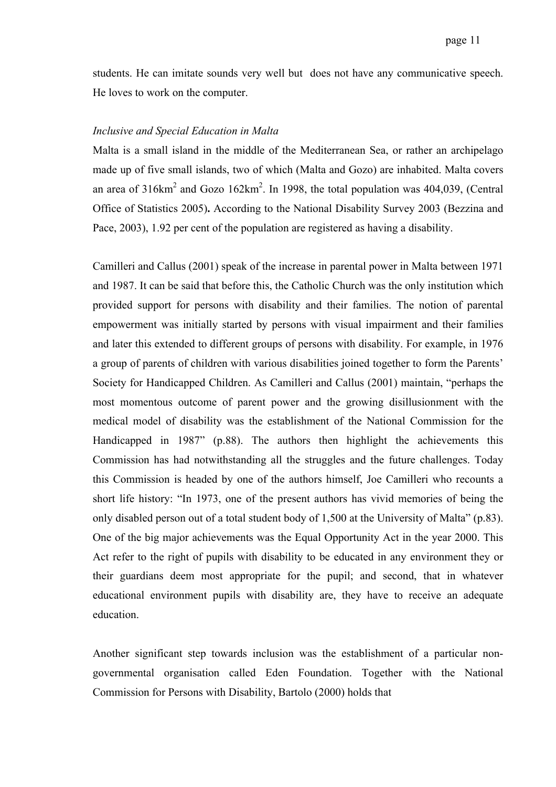students. He can imitate sounds very well but does not have any communicative speech. He loves to work on the computer.

## *Inclusive and Special Education in Malta*

Malta is a small island in the middle of the Mediterranean Sea, or rather an archipelago made up of five small islands, two of which (Malta and Gozo) are inhabited. Malta covers an area of  $316 \text{km}^2$  and Gozo  $162 \text{km}^2$ . In 1998, the total population was 404,039, (Central Office of Statistics 2005)**.** According to the National Disability Survey 2003 (Bezzina and Pace, 2003), 1.92 per cent of the population are registered as having a disability.

Camilleri and Callus (2001) speak of the increase in parental power in Malta between 1971 and 1987. It can be said that before this, the Catholic Church was the only institution which provided support for persons with disability and their families. The notion of parental empowerment was initially started by persons with visual impairment and their families and later this extended to different groups of persons with disability. For example, in 1976 a group of parents of children with various disabilities joined together to form the Parents' Society for Handicapped Children. As Camilleri and Callus (2001) maintain, "perhaps the most momentous outcome of parent power and the growing disillusionment with the medical model of disability was the establishment of the National Commission for the Handicapped in 1987" (p.88). The authors then highlight the achievements this Commission has had notwithstanding all the struggles and the future challenges. Today this Commission is headed by one of the authors himself, Joe Camilleri who recounts a short life history: "In 1973, one of the present authors has vivid memories of being the only disabled person out of a total student body of 1,500 at the University of Malta" (p.83). One of the big major achievements was the Equal Opportunity Act in the year 2000. This Act refer to the right of pupils with disability to be educated in any environment they or their guardians deem most appropriate for the pupil; and second, that in whatever educational environment pupils with disability are, they have to receive an adequate education.

Another significant step towards inclusion was the establishment of a particular nongovernmental organisation called Eden Foundation. Together with the National Commission for Persons with Disability, Bartolo (2000) holds that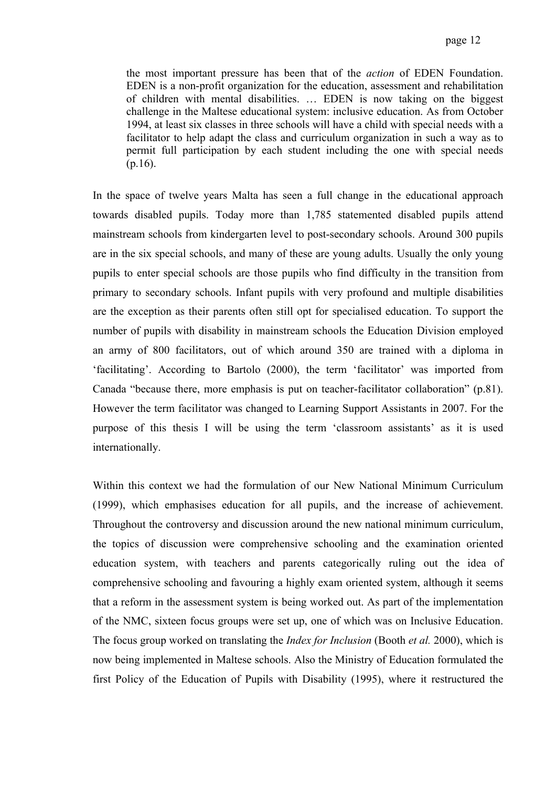the most important pressure has been that of the *action* of EDEN Foundation. EDEN is a non-profit organization for the education, assessment and rehabilitation of children with mental disabilities. … EDEN is now taking on the biggest challenge in the Maltese educational system: inclusive education. As from October 1994, at least six classes in three schools will have a child with special needs with a facilitator to help adapt the class and curriculum organization in such a way as to permit full participation by each student including the one with special needs (p.16).

In the space of twelve years Malta has seen a full change in the educational approach towards disabled pupils. Today more than 1,785 statemented disabled pupils attend mainstream schools from kindergarten level to post-secondary schools. Around 300 pupils are in the six special schools, and many of these are young adults. Usually the only young pupils to enter special schools are those pupils who find difficulty in the transition from primary to secondary schools. Infant pupils with very profound and multiple disabilities are the exception as their parents often still opt for specialised education. To support the number of pupils with disability in mainstream schools the Education Division employed an army of 800 facilitators, out of which around 350 are trained with a diploma in 'facilitating'. According to Bartolo (2000), the term 'facilitator' was imported from Canada "because there, more emphasis is put on teacher-facilitator collaboration" (p.81). However the term facilitator was changed to Learning Support Assistants in 2007. For the purpose of this thesis I will be using the term 'classroom assistants' as it is used internationally.

Within this context we had the formulation of our New National Minimum Curriculum (1999), which emphasises education for all pupils, and the increase of achievement. Throughout the controversy and discussion around the new national minimum curriculum, the topics of discussion were comprehensive schooling and the examination oriented education system, with teachers and parents categorically ruling out the idea of comprehensive schooling and favouring a highly exam oriented system, although it seems that a reform in the assessment system is being worked out. As part of the implementation of the NMC, sixteen focus groups were set up, one of which was on Inclusive Education. The focus group worked on translating the *Index for Inclusion* (Booth *et al.* 2000), which is now being implemented in Maltese schools. Also the Ministry of Education formulated the first Policy of the Education of Pupils with Disability (1995), where it restructured the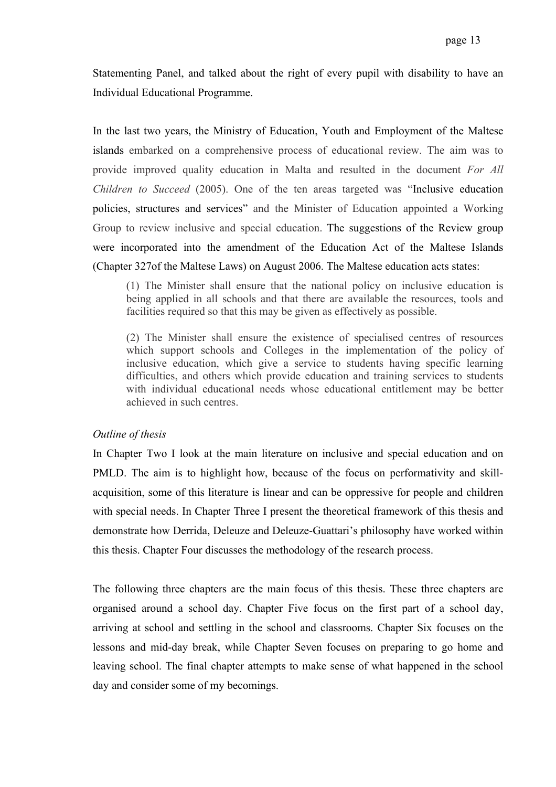Statementing Panel, and talked about the right of every pupil with disability to have an Individual Educational Programme.

In the last two years, the Ministry of Education, Youth and Employment of the Maltese islands embarked on a comprehensive process of educational review. The aim was to provide improved quality education in Malta and resulted in the document *For All Children to Succeed* (2005). One of the ten areas targeted was "Inclusive education policies, structures and services" and the Minister of Education appointed a Working Group to review inclusive and special education. The suggestions of the Review group were incorporated into the amendment of the Education Act of the Maltese Islands (Chapter 327of the Maltese Laws) on August 2006. The Maltese education acts states:

(1) The Minister shall ensure that the national policy on inclusive education is being applied in all schools and that there are available the resources, tools and facilities required so that this may be given as effectively as possible.

(2) The Minister shall ensure the existence of specialised centres of resources which support schools and Colleges in the implementation of the policy of inclusive education, which give a service to students having specific learning difficulties, and others which provide education and training services to students with individual educational needs whose educational entitlement may be better achieved in such centres.

## *Outline of thesis*

In Chapter Two I look at the main literature on inclusive and special education and on PMLD. The aim is to highlight how, because of the focus on performativity and skillacquisition, some of this literature is linear and can be oppressive for people and children with special needs. In Chapter Three I present the theoretical framework of this thesis and demonstrate how Derrida, Deleuze and Deleuze-Guattari's philosophy have worked within this thesis. Chapter Four discusses the methodology of the research process.

The following three chapters are the main focus of this thesis. These three chapters are organised around a school day. Chapter Five focus on the first part of a school day, arriving at school and settling in the school and classrooms. Chapter Six focuses on the lessons and mid-day break, while Chapter Seven focuses on preparing to go home and leaving school. The final chapter attempts to make sense of what happened in the school day and consider some of my becomings.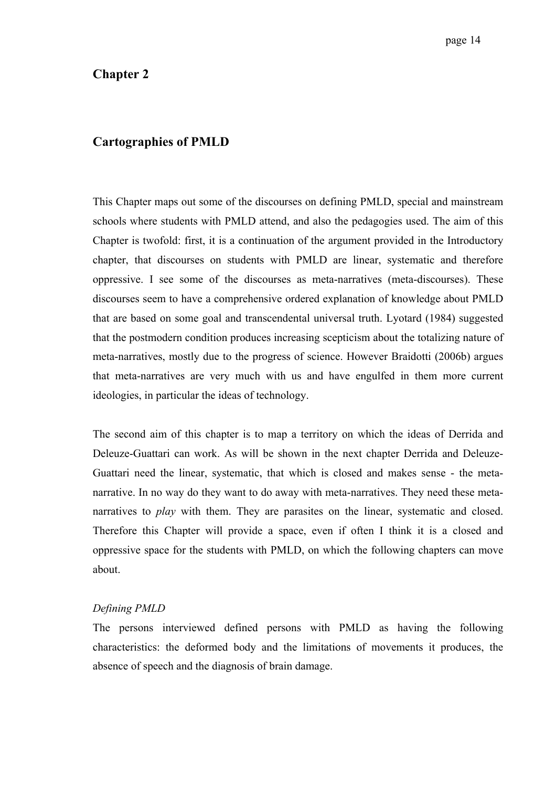# **Chapter 2**

# **Cartographies of PMLD**

This Chapter maps out some of the discourses on defining PMLD, special and mainstream schools where students with PMLD attend, and also the pedagogies used. The aim of this Chapter is twofold: first, it is a continuation of the argument provided in the Introductory chapter, that discourses on students with PMLD are linear, systematic and therefore oppressive. I see some of the discourses as meta-narratives (meta-discourses). These discourses seem to have a comprehensive ordered explanation of knowledge about PMLD that are based on some goal and transcendental universal truth. Lyotard (1984) suggested that the postmodern condition produces increasing scepticism about the totalizing nature of meta-narratives, mostly due to the progress of science. However Braidotti (2006b) argues that meta-narratives are very much with us and have engulfed in them more current ideologies, in particular the ideas of technology.

The second aim of this chapter is to map a territory on which the ideas of Derrida and Deleuze-Guattari can work. As will be shown in the next chapter Derrida and Deleuze-Guattari need the linear, systematic, that which is closed and makes sense - the metanarrative. In no way do they want to do away with meta-narratives. They need these metanarratives to *play* with them. They are parasites on the linear, systematic and closed. Therefore this Chapter will provide a space, even if often I think it is a closed and oppressive space for the students with PMLD, on which the following chapters can move about.

## *Defining PMLD*

The persons interviewed defined persons with PMLD as having the following characteristics: the deformed body and the limitations of movements it produces, the absence of speech and the diagnosis of brain damage.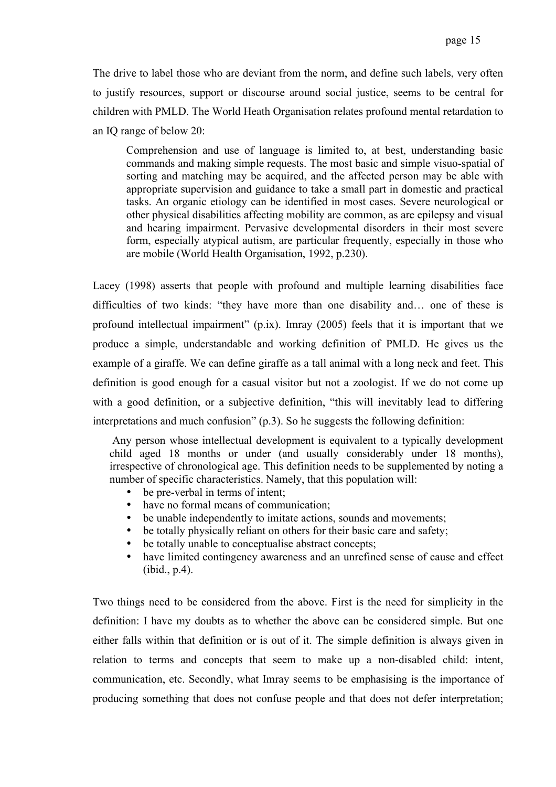The drive to label those who are deviant from the norm, and define such labels, very often to justify resources, support or discourse around social justice, seems to be central for children with PMLD. The World Heath Organisation relates profound mental retardation to an IQ range of below 20:

Comprehension and use of language is limited to, at best, understanding basic commands and making simple requests. The most basic and simple visuo-spatial of sorting and matching may be acquired, and the affected person may be able with appropriate supervision and guidance to take a small part in domestic and practical tasks. An organic etiology can be identified in most cases. Severe neurological or other physical disabilities affecting mobility are common, as are epilepsy and visual and hearing impairment. Pervasive developmental disorders in their most severe form, especially atypical autism, are particular frequently, especially in those who are mobile (World Health Organisation, 1992, p.230).

Lacey (1998) asserts that people with profound and multiple learning disabilities face difficulties of two kinds: "they have more than one disability and… one of these is profound intellectual impairment" (p.ix). Imray (2005) feels that it is important that we produce a simple, understandable and working definition of PMLD. He gives us the example of a giraffe. We can define giraffe as a tall animal with a long neck and feet. This definition is good enough for a casual visitor but not a zoologist. If we do not come up with a good definition, or a subjective definition, "this will inevitably lead to differing interpretations and much confusion" (p.3). So he suggests the following definition:

Any person whose intellectual development is equivalent to a typically development child aged 18 months or under (and usually considerably under 18 months), irrespective of chronological age. This definition needs to be supplemented by noting a number of specific characteristics. Namely, that this population will:

- be pre-verbal in terms of intent;
- have no formal means of communication;
- be unable independently to imitate actions, sounds and movements;
- be totally physically reliant on others for their basic care and safety;
- be totally unable to conceptualise abstract concepts;
- have limited contingency awareness and an unrefined sense of cause and effect (ibid., p.4).

Two things need to be considered from the above. First is the need for simplicity in the definition: I have my doubts as to whether the above can be considered simple. But one either falls within that definition or is out of it. The simple definition is always given in relation to terms and concepts that seem to make up a non-disabled child: intent, communication, etc. Secondly, what Imray seems to be emphasising is the importance of producing something that does not confuse people and that does not defer interpretation;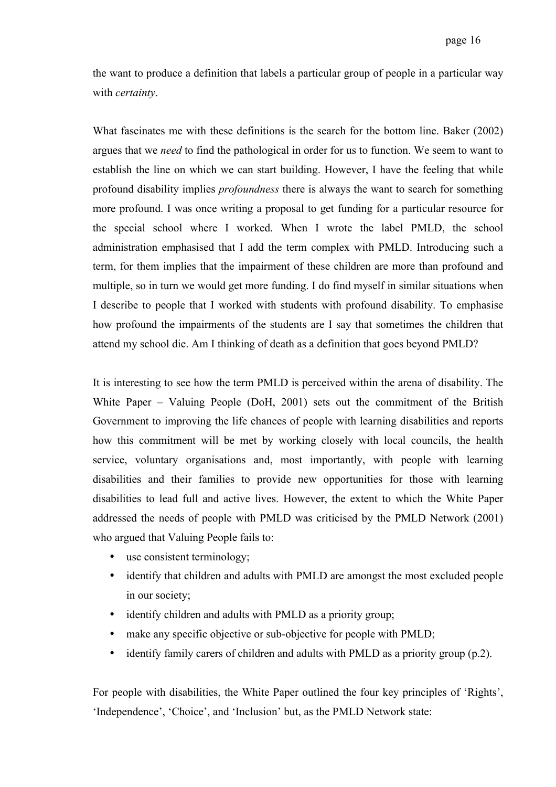the want to produce a definition that labels a particular group of people in a particular way with *certainty*.

What fascinates me with these definitions is the search for the bottom line. Baker (2002) argues that we *need* to find the pathological in order for us to function. We seem to want to establish the line on which we can start building. However, I have the feeling that while profound disability implies *profoundness* there is always the want to search for something more profound. I was once writing a proposal to get funding for a particular resource for the special school where I worked. When I wrote the label PMLD, the school administration emphasised that I add the term complex with PMLD. Introducing such a term, for them implies that the impairment of these children are more than profound and multiple, so in turn we would get more funding. I do find myself in similar situations when I describe to people that I worked with students with profound disability. To emphasise how profound the impairments of the students are I say that sometimes the children that attend my school die. Am I thinking of death as a definition that goes beyond PMLD?

It is interesting to see how the term PMLD is perceived within the arena of disability. The White Paper – Valuing People (DoH, 2001) sets out the commitment of the British Government to improving the life chances of people with learning disabilities and reports how this commitment will be met by working closely with local councils, the health service, voluntary organisations and, most importantly, with people with learning disabilities and their families to provide new opportunities for those with learning disabilities to lead full and active lives. However, the extent to which the White Paper addressed the needs of people with PMLD was criticised by the PMLD Network (2001) who argued that Valuing People fails to:

- use consistent terminology;
- identify that children and adults with PMLD are amongst the most excluded people in our society;
- identify children and adults with PMLD as a priority group;
- make any specific objective or sub-objective for people with PMLD;
- identify family carers of children and adults with PMLD as a priority group (p.2).

For people with disabilities, the White Paper outlined the four key principles of 'Rights', 'Independence', 'Choice', and 'Inclusion' but, as the PMLD Network state: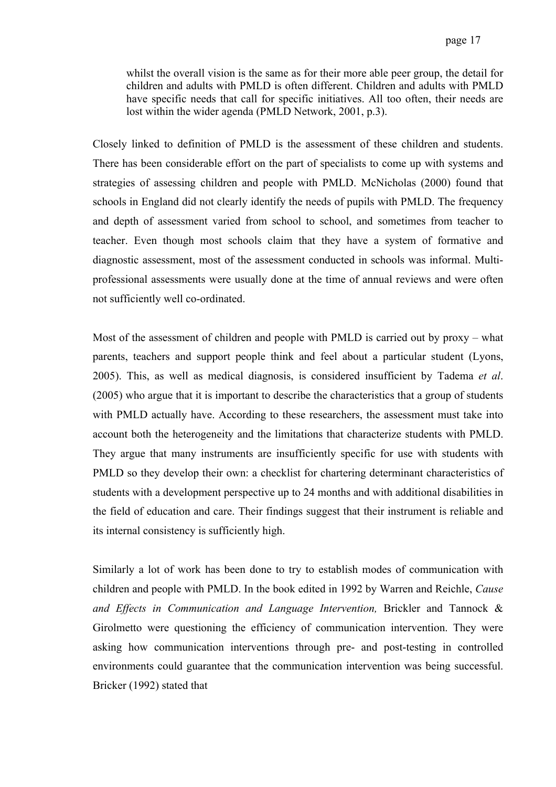whilst the overall vision is the same as for their more able peer group, the detail for children and adults with PMLD is often different. Children and adults with PMLD have specific needs that call for specific initiatives. All too often, their needs are lost within the wider agenda (PMLD Network, 2001, p.3).

Closely linked to definition of PMLD is the assessment of these children and students. There has been considerable effort on the part of specialists to come up with systems and strategies of assessing children and people with PMLD. McNicholas (2000) found that schools in England did not clearly identify the needs of pupils with PMLD. The frequency and depth of assessment varied from school to school, and sometimes from teacher to teacher. Even though most schools claim that they have a system of formative and diagnostic assessment, most of the assessment conducted in schools was informal. Multiprofessional assessments were usually done at the time of annual reviews and were often not sufficiently well co-ordinated.

Most of the assessment of children and people with PMLD is carried out by proxy – what parents, teachers and support people think and feel about a particular student (Lyons, 2005). This, as well as medical diagnosis, is considered insufficient by Tadema *et al*. (2005) who argue that it is important to describe the characteristics that a group of students with PMLD actually have. According to these researchers, the assessment must take into account both the heterogeneity and the limitations that characterize students with PMLD. They argue that many instruments are insufficiently specific for use with students with PMLD so they develop their own: a checklist for chartering determinant characteristics of students with a development perspective up to 24 months and with additional disabilities in the field of education and care. Their findings suggest that their instrument is reliable and its internal consistency is sufficiently high.

Similarly a lot of work has been done to try to establish modes of communication with children and people with PMLD. In the book edited in 1992 by Warren and Reichle, *Cause and Effects in Communication and Language Intervention,* Brickler and Tannock & Girolmetto were questioning the efficiency of communication intervention. They were asking how communication interventions through pre- and post-testing in controlled environments could guarantee that the communication intervention was being successful. Bricker (1992) stated that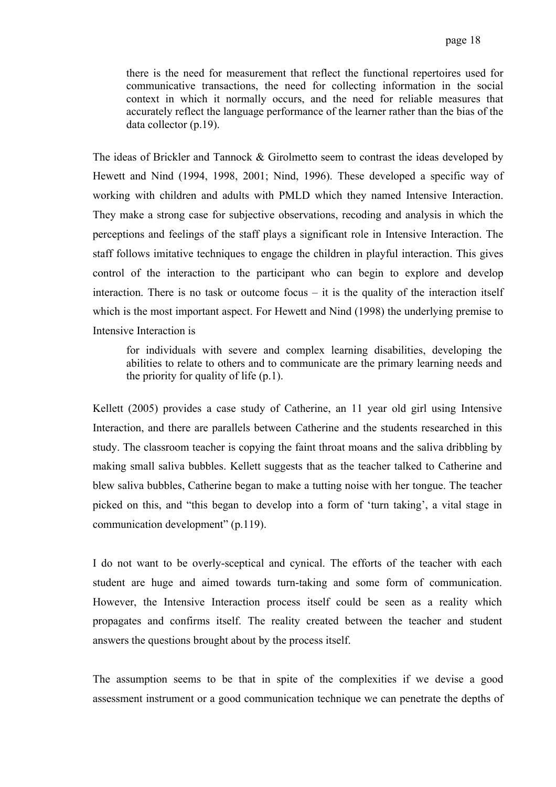there is the need for measurement that reflect the functional repertoires used for communicative transactions, the need for collecting information in the social context in which it normally occurs, and the need for reliable measures that accurately reflect the language performance of the learner rather than the bias of the data collector (p.19).

The ideas of Brickler and Tannock & Girolmetto seem to contrast the ideas developed by Hewett and Nind (1994, 1998, 2001; Nind, 1996). These developed a specific way of working with children and adults with PMLD which they named Intensive Interaction. They make a strong case for subjective observations, recoding and analysis in which the perceptions and feelings of the staff plays a significant role in Intensive Interaction. The staff follows imitative techniques to engage the children in playful interaction. This gives control of the interaction to the participant who can begin to explore and develop interaction. There is no task or outcome focus  $-$  it is the quality of the interaction itself which is the most important aspect. For Hewett and Nind (1998) the underlying premise to Intensive Interaction is

for individuals with severe and complex learning disabilities, developing the abilities to relate to others and to communicate are the primary learning needs and the priority for quality of life (p.1).

Kellett (2005) provides a case study of Catherine, an 11 year old girl using Intensive Interaction, and there are parallels between Catherine and the students researched in this study. The classroom teacher is copying the faint throat moans and the saliva dribbling by making small saliva bubbles. Kellett suggests that as the teacher talked to Catherine and blew saliva bubbles, Catherine began to make a tutting noise with her tongue. The teacher picked on this, and "this began to develop into a form of 'turn taking', a vital stage in communication development" (p.119).

I do not want to be overly-sceptical and cynical. The efforts of the teacher with each student are huge and aimed towards turn-taking and some form of communication. However, the Intensive Interaction process itself could be seen as a reality which propagates and confirms itself. The reality created between the teacher and student answers the questions brought about by the process itself.

The assumption seems to be that in spite of the complexities if we devise a good assessment instrument or a good communication technique we can penetrate the depths of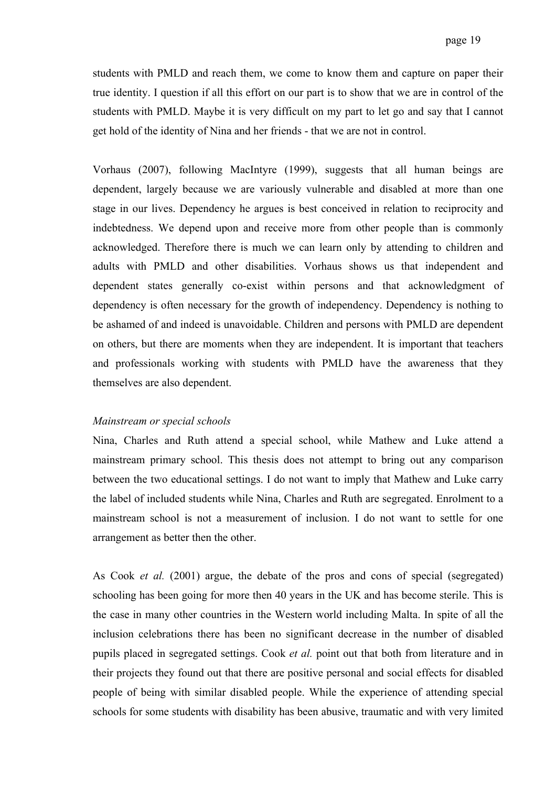students with PMLD and reach them, we come to know them and capture on paper their true identity. I question if all this effort on our part is to show that we are in control of the students with PMLD. Maybe it is very difficult on my part to let go and say that I cannot get hold of the identity of Nina and her friends - that we are not in control.

Vorhaus (2007), following MacIntyre (1999), suggests that all human beings are dependent, largely because we are variously vulnerable and disabled at more than one stage in our lives. Dependency he argues is best conceived in relation to reciprocity and indebtedness. We depend upon and receive more from other people than is commonly acknowledged. Therefore there is much we can learn only by attending to children and adults with PMLD and other disabilities. Vorhaus shows us that independent and dependent states generally co-exist within persons and that acknowledgment of dependency is often necessary for the growth of independency. Dependency is nothing to be ashamed of and indeed is unavoidable. Children and persons with PMLD are dependent on others, but there are moments when they are independent. It is important that teachers and professionals working with students with PMLD have the awareness that they themselves are also dependent.

### *Mainstream or special schools*

Nina, Charles and Ruth attend a special school, while Mathew and Luke attend a mainstream primary school. This thesis does not attempt to bring out any comparison between the two educational settings. I do not want to imply that Mathew and Luke carry the label of included students while Nina, Charles and Ruth are segregated. Enrolment to a mainstream school is not a measurement of inclusion. I do not want to settle for one arrangement as better then the other.

As Cook *et al.* (2001) argue, the debate of the pros and cons of special (segregated) schooling has been going for more then 40 years in the UK and has become sterile. This is the case in many other countries in the Western world including Malta. In spite of all the inclusion celebrations there has been no significant decrease in the number of disabled pupils placed in segregated settings. Cook *et al.* point out that both from literature and in their projects they found out that there are positive personal and social effects for disabled people of being with similar disabled people. While the experience of attending special schools for some students with disability has been abusive, traumatic and with very limited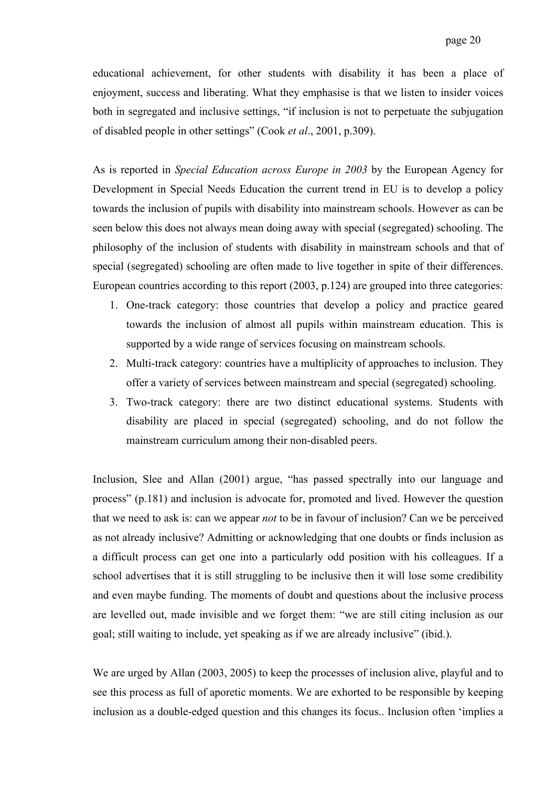educational achievement, for other students with disability it has been a place of enjoyment, success and liberating. What they emphasise is that we listen to insider voices both in segregated and inclusive settings, "if inclusion is not to perpetuate the subjugation of disabled people in other settings" (Cook *et al*., 2001, p.309).

As is reported in *Special Education across Europe in 2003* by the European Agency for Development in Special Needs Education the current trend in EU is to develop a policy towards the inclusion of pupils with disability into mainstream schools. However as can be seen below this does not always mean doing away with special (segregated) schooling. The philosophy of the inclusion of students with disability in mainstream schools and that of special (segregated) schooling are often made to live together in spite of their differences. European countries according to this report (2003, p.124) are grouped into three categories:

- 1. One-track category: those countries that develop a policy and practice geared towards the inclusion of almost all pupils within mainstream education. This is supported by a wide range of services focusing on mainstream schools.
- 2. Multi-track category: countries have a multiplicity of approaches to inclusion. They offer a variety of services between mainstream and special (segregated) schooling.
- 3. Two-track category: there are two distinct educational systems. Students with disability are placed in special (segregated) schooling, and do not follow the mainstream curriculum among their non-disabled peers.

Inclusion, Slee and Allan (2001) argue, "has passed spectrally into our language and process" (p.181) and inclusion is advocate for, promoted and lived. However the question that we need to ask is: can we appear *not* to be in favour of inclusion? Can we be perceived as not already inclusive? Admitting or acknowledging that one doubts or finds inclusion as a difficult process can get one into a particularly odd position with his colleagues. If a school advertises that it is still struggling to be inclusive then it will lose some credibility and even maybe funding. The moments of doubt and questions about the inclusive process are levelled out, made invisible and we forget them: "we are still citing inclusion as our goal; still waiting to include, yet speaking as if we are already inclusive" (ibid.).

We are urged by Allan (2003, 2005) to keep the processes of inclusion alive, playful and to see this process as full of aporetic moments. We are exhorted to be responsible by keeping inclusion as a double-edged question and this changes its focus.. Inclusion often 'implies a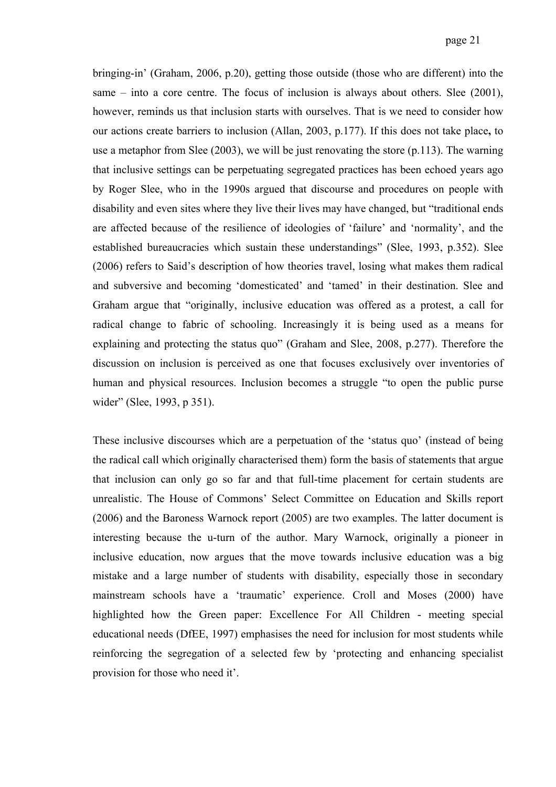bringing-in' (Graham, 2006, p.20), getting those outside (those who are different) into the same – into a core centre. The focus of inclusion is always about others. Slee (2001), however, reminds us that inclusion starts with ourselves. That is we need to consider how our actions create barriers to inclusion (Allan, 2003, p.177). If this does not take place**,** to use a metaphor from Slee (2003), we will be just renovating the store (p.113). The warning that inclusive settings can be perpetuating segregated practices has been echoed years ago by Roger Slee, who in the 1990s argued that discourse and procedures on people with disability and even sites where they live their lives may have changed, but "traditional ends are affected because of the resilience of ideologies of 'failure' and 'normality', and the established bureaucracies which sustain these understandings" (Slee, 1993, p.352). Slee (2006) refers to Said's description of how theories travel, losing what makes them radical and subversive and becoming 'domesticated' and 'tamed' in their destination. Slee and Graham argue that "originally, inclusive education was offered as a protest, a call for radical change to fabric of schooling. Increasingly it is being used as a means for explaining and protecting the status quo" (Graham and Slee, 2008, p.277). Therefore the discussion on inclusion is perceived as one that focuses exclusively over inventories of human and physical resources. Inclusion becomes a struggle "to open the public purse wider" (Slee, 1993, p 351).

These inclusive discourses which are a perpetuation of the 'status quo' (instead of being the radical call which originally characterised them) form the basis of statements that argue that inclusion can only go so far and that full-time placement for certain students are unrealistic. The House of Commons' Select Committee on Education and Skills report (2006) and the Baroness Warnock report (2005) are two examples. The latter document is interesting because the u-turn of the author. Mary Warnock, originally a pioneer in inclusive education, now argues that the move towards inclusive education was a big mistake and a large number of students with disability, especially those in secondary mainstream schools have a 'traumatic' experience. Croll and Moses (2000) have highlighted how the Green paper: Excellence For All Children - meeting special educational needs (DfEE, 1997) emphasises the need for inclusion for most students while reinforcing the segregation of a selected few by 'protecting and enhancing specialist provision for those who need it'.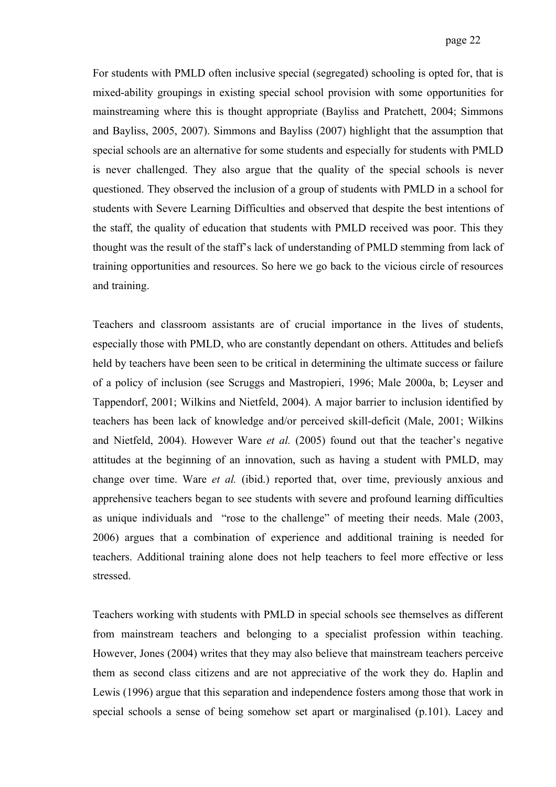For students with PMLD often inclusive special (segregated) schooling is opted for, that is mixed-ability groupings in existing special school provision with some opportunities for mainstreaming where this is thought appropriate (Bayliss and Pratchett, 2004; Simmons and Bayliss, 2005, 2007). Simmons and Bayliss (2007) highlight that the assumption that special schools are an alternative for some students and especially for students with PMLD is never challenged. They also argue that the quality of the special schools is never questioned. They observed the inclusion of a group of students with PMLD in a school for students with Severe Learning Difficulties and observed that despite the best intentions of the staff, the quality of education that students with PMLD received was poor. This they thought was the result of the staff's lack of understanding of PMLD stemming from lack of training opportunities and resources. So here we go back to the vicious circle of resources and training.

Teachers and classroom assistants are of crucial importance in the lives of students, especially those with PMLD, who are constantly dependant on others. Attitudes and beliefs held by teachers have been seen to be critical in determining the ultimate success or failure of a policy of inclusion (see Scruggs and Mastropieri, 1996; Male 2000a, b; Leyser and Tappendorf, 2001; Wilkins and Nietfeld, 2004). A major barrier to inclusion identified by teachers has been lack of knowledge and/or perceived skill-deficit (Male, 2001; Wilkins and Nietfeld, 2004). However Ware *et al.* (2005) found out that the teacher's negative attitudes at the beginning of an innovation, such as having a student with PMLD, may change over time. Ware *et al.* (ibid.) reported that, over time, previously anxious and apprehensive teachers began to see students with severe and profound learning difficulties as unique individuals and "rose to the challenge" of meeting their needs. Male (2003, 2006) argues that a combination of experience and additional training is needed for teachers. Additional training alone does not help teachers to feel more effective or less stressed.

Teachers working with students with PMLD in special schools see themselves as different from mainstream teachers and belonging to a specialist profession within teaching. However, Jones (2004) writes that they may also believe that mainstream teachers perceive them as second class citizens and are not appreciative of the work they do. Haplin and Lewis (1996) argue that this separation and independence fosters among those that work in special schools a sense of being somehow set apart or marginalised (p.101). Lacey and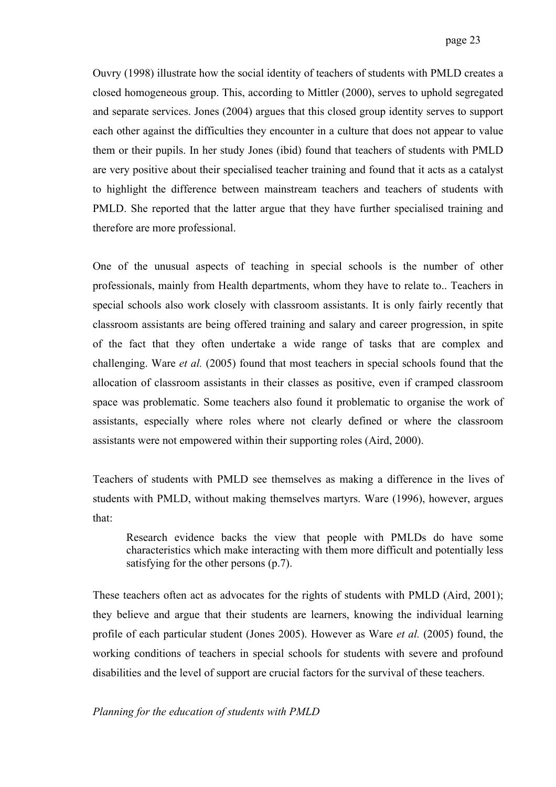Ouvry (1998) illustrate how the social identity of teachers of students with PMLD creates a closed homogeneous group. This, according to Mittler (2000), serves to uphold segregated and separate services. Jones (2004) argues that this closed group identity serves to support each other against the difficulties they encounter in a culture that does not appear to value them or their pupils. In her study Jones (ibid) found that teachers of students with PMLD are very positive about their specialised teacher training and found that it acts as a catalyst to highlight the difference between mainstream teachers and teachers of students with PMLD. She reported that the latter argue that they have further specialised training and therefore are more professional.

One of the unusual aspects of teaching in special schools is the number of other professionals, mainly from Health departments, whom they have to relate to.. Teachers in special schools also work closely with classroom assistants. It is only fairly recently that classroom assistants are being offered training and salary and career progression, in spite of the fact that they often undertake a wide range of tasks that are complex and challenging. Ware *et al.* (2005) found that most teachers in special schools found that the allocation of classroom assistants in their classes as positive, even if cramped classroom space was problematic. Some teachers also found it problematic to organise the work of assistants, especially where roles where not clearly defined or where the classroom assistants were not empowered within their supporting roles (Aird, 2000).

Teachers of students with PMLD see themselves as making a difference in the lives of students with PMLD, without making themselves martyrs. Ware (1996), however, argues that:

Research evidence backs the view that people with PMLDs do have some characteristics which make interacting with them more difficult and potentially less satisfying for the other persons (p.7).

These teachers often act as advocates for the rights of students with PMLD (Aird, 2001); they believe and argue that their students are learners, knowing the individual learning profile of each particular student (Jones 2005). However as Ware *et al.* (2005) found, the working conditions of teachers in special schools for students with severe and profound disabilities and the level of support are crucial factors for the survival of these teachers.

## *Planning for the education of students with PMLD*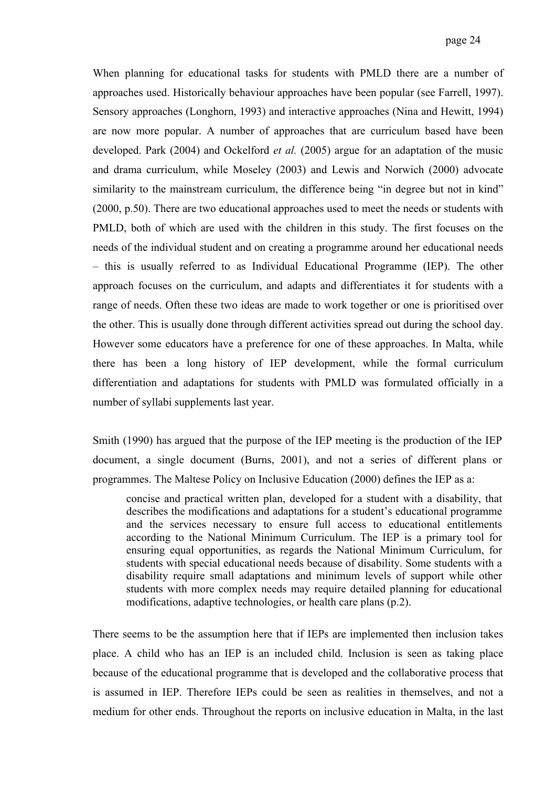When planning for educational tasks for students with PMLD there are a number of approaches used. Historically behaviour approaches have been popular (see Farrell, 1997). Sensory approaches (Longhorn, 1993) and interactive approaches (Nina and Hewitt, 1994) are now more popular. A number of approaches that are curriculum based have been developed. Park (2004) and Ockelford *et al.* (2005) argue for an adaptation of the music and drama curriculum, while Moseley (2003) and Lewis and Norwich (2000) advocate similarity to the mainstream curriculum, the difference being "in degree but not in kind" (2000, p.50). There are two educational approaches used to meet the needs or students with PMLD, both of which are used with the children in this study. The first focuses on the needs of the individual student and on creating a programme around her educational needs – this is usually referred to as Individual Educational Programme (IEP). The other approach focuses on the curriculum, and adapts and differentiates it for students with a range of needs. Often these two ideas are made to work together or one is prioritised over the other. This is usually done through different activities spread out during the school day. However some educators have a preference for one of these approaches. In Malta, while there has been a long history of IEP development, while the formal curriculum differentiation and adaptations for students with PMLD was formulated officially in a number of syllabi supplements last year.

Smith (1990) has argued that the purpose of the IEP meeting is the production of the IEP document, a single document (Burns, 2001), and not a series of different plans or programmes. The Maltese Policy on Inclusive Education (2000) defines the IEP as a:

concise and practical written plan, developed for a student with a disability, that describes the modifications and adaptations for a student's educational programme and the services necessary to ensure full access to educational entitlements according to the National Minimum Curriculum. The IEP is a primary tool for ensuring equal opportunities, as regards the National Minimum Curriculum, for students with special educational needs because of disability. Some students with a disability require small adaptations and minimum levels of support while other students with more complex needs may require detailed planning for educational modifications, adaptive technologies, or health care plans (p.2).

There seems to be the assumption here that if IEPs are implemented then inclusion takes place. A child who has an IEP is an included child. Inclusion is seen as taking place because of the educational programme that is developed and the collaborative process that is assumed in IEP. Therefore IEPs could be seen as realities in themselves, and not a medium for other ends. Throughout the reports on inclusive education in Malta, in the last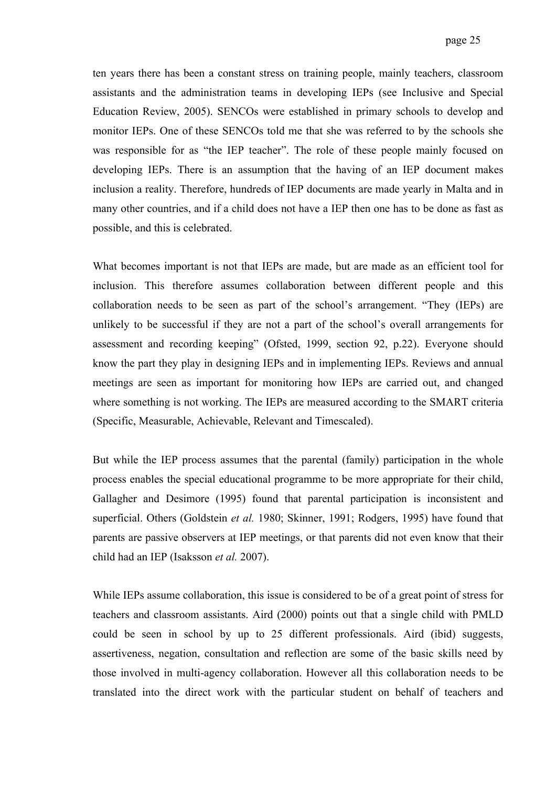ten years there has been a constant stress on training people, mainly teachers, classroom assistants and the administration teams in developing IEPs (see Inclusive and Special Education Review, 2005). SENCOs were established in primary schools to develop and monitor IEPs. One of these SENCOs told me that she was referred to by the schools she was responsible for as "the IEP teacher". The role of these people mainly focused on developing IEPs. There is an assumption that the having of an IEP document makes inclusion a reality. Therefore, hundreds of IEP documents are made yearly in Malta and in many other countries, and if a child does not have a IEP then one has to be done as fast as possible, and this is celebrated.

What becomes important is not that IEPs are made, but are made as an efficient tool for inclusion. This therefore assumes collaboration between different people and this collaboration needs to be seen as part of the school's arrangement. "They (IEPs) are unlikely to be successful if they are not a part of the school's overall arrangements for assessment and recording keeping" (Ofsted, 1999, section 92, p.22). Everyone should know the part they play in designing IEPs and in implementing IEPs. Reviews and annual meetings are seen as important for monitoring how IEPs are carried out, and changed where something is not working. The IEPs are measured according to the SMART criteria (Specific, Measurable, Achievable, Relevant and Timescaled).

But while the IEP process assumes that the parental (family) participation in the whole process enables the special educational programme to be more appropriate for their child, Gallagher and Desimore (1995) found that parental participation is inconsistent and superficial. Others (Goldstein *et al.* 1980; Skinner, 1991; Rodgers, 1995) have found that parents are passive observers at IEP meetings, or that parents did not even know that their child had an IEP (Isaksson *et al.* 2007).

While IEPs assume collaboration, this issue is considered to be of a great point of stress for teachers and classroom assistants. Aird (2000) points out that a single child with PMLD could be seen in school by up to 25 different professionals. Aird (ibid) suggests, assertiveness, negation, consultation and reflection are some of the basic skills need by those involved in multi-agency collaboration. However all this collaboration needs to be translated into the direct work with the particular student on behalf of teachers and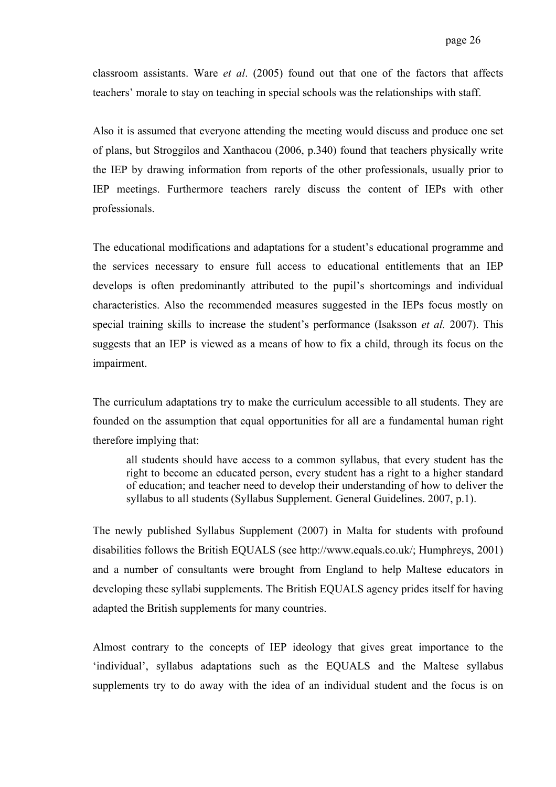classroom assistants. Ware *et al*. (2005) found out that one of the factors that affects teachers' morale to stay on teaching in special schools was the relationships with staff.

Also it is assumed that everyone attending the meeting would discuss and produce one set of plans, but Stroggilos and Xanthacou (2006, p.340) found that teachers physically write the IEP by drawing information from reports of the other professionals, usually prior to IEP meetings. Furthermore teachers rarely discuss the content of IEPs with other professionals.

The educational modifications and adaptations for a student's educational programme and the services necessary to ensure full access to educational entitlements that an IEP develops is often predominantly attributed to the pupil's shortcomings and individual characteristics. Also the recommended measures suggested in the IEPs focus mostly on special training skills to increase the student's performance (Isaksson *et al.* 2007). This suggests that an IEP is viewed as a means of how to fix a child, through its focus on the impairment.

The curriculum adaptations try to make the curriculum accessible to all students. They are founded on the assumption that equal opportunities for all are a fundamental human right therefore implying that:

all students should have access to a common syllabus, that every student has the right to become an educated person, every student has a right to a higher standard of education; and teacher need to develop their understanding of how to deliver the syllabus to all students (Syllabus Supplement. General Guidelines. 2007, p.1).

The newly published Syllabus Supplement (2007) in Malta for students with profound disabilities follows the British EQUALS (see http://www.equals.co.uk/; Humphreys, 2001) and a number of consultants were brought from England to help Maltese educators in developing these syllabi supplements. The British EQUALS agency prides itself for having adapted the British supplements for many countries.

Almost contrary to the concepts of IEP ideology that gives great importance to the 'individual', syllabus adaptations such as the EQUALS and the Maltese syllabus supplements try to do away with the idea of an individual student and the focus is on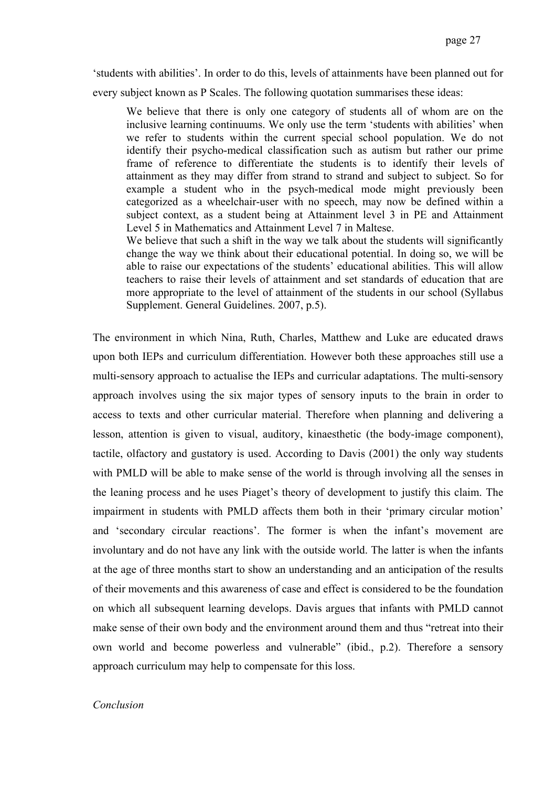'students with abilities'. In order to do this, levels of attainments have been planned out for

every subject known as P Scales. The following quotation summarises these ideas:

We believe that there is only one category of students all of whom are on the inclusive learning continuums. We only use the term 'students with abilities' when we refer to students within the current special school population. We do not identify their psycho-medical classification such as autism but rather our prime frame of reference to differentiate the students is to identify their levels of attainment as they may differ from strand to strand and subject to subject. So for example a student who in the psych-medical mode might previously been categorized as a wheelchair-user with no speech, may now be defined within a subject context, as a student being at Attainment level 3 in PE and Attainment Level 5 in Mathematics and Attainment Level 7 in Maltese.

We believe that such a shift in the way we talk about the students will significantly change the way we think about their educational potential. In doing so, we will be able to raise our expectations of the students' educational abilities. This will allow teachers to raise their levels of attainment and set standards of education that are more appropriate to the level of attainment of the students in our school (Syllabus Supplement. General Guidelines. 2007, p.5).

The environment in which Nina, Ruth, Charles, Matthew and Luke are educated draws upon both IEPs and curriculum differentiation. However both these approaches still use a multi-sensory approach to actualise the IEPs and curricular adaptations. The multi-sensory approach involves using the six major types of sensory inputs to the brain in order to access to texts and other curricular material. Therefore when planning and delivering a lesson, attention is given to visual, auditory, kinaesthetic (the body-image component), tactile, olfactory and gustatory is used. According to Davis (2001) the only way students with PMLD will be able to make sense of the world is through involving all the senses in the leaning process and he uses Piaget's theory of development to justify this claim. The impairment in students with PMLD affects them both in their 'primary circular motion' and 'secondary circular reactions'. The former is when the infant's movement are involuntary and do not have any link with the outside world. The latter is when the infants at the age of three months start to show an understanding and an anticipation of the results of their movements and this awareness of case and effect is considered to be the foundation on which all subsequent learning develops. Davis argues that infants with PMLD cannot make sense of their own body and the environment around them and thus "retreat into their own world and become powerless and vulnerable" (ibid., p.2). Therefore a sensory approach curriculum may help to compensate for this loss.

## *Conclusion*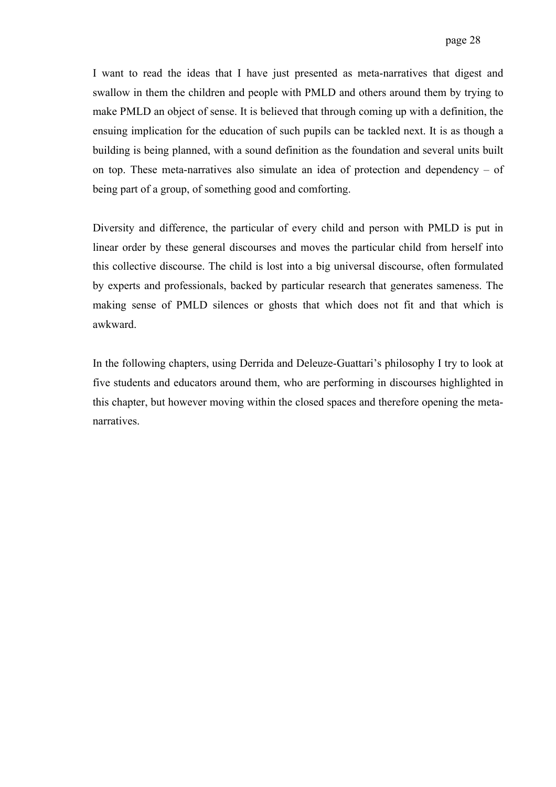I want to read the ideas that I have just presented as meta-narratives that digest and swallow in them the children and people with PMLD and others around them by trying to make PMLD an object of sense. It is believed that through coming up with a definition, the ensuing implication for the education of such pupils can be tackled next. It is as though a building is being planned, with a sound definition as the foundation and several units built on top. These meta-narratives also simulate an idea of protection and dependency – of being part of a group, of something good and comforting.

Diversity and difference, the particular of every child and person with PMLD is put in linear order by these general discourses and moves the particular child from herself into this collective discourse. The child is lost into a big universal discourse, often formulated by experts and professionals, backed by particular research that generates sameness. The making sense of PMLD silences or ghosts that which does not fit and that which is awkward.

In the following chapters, using Derrida and Deleuze-Guattari's philosophy I try to look at five students and educators around them, who are performing in discourses highlighted in this chapter, but however moving within the closed spaces and therefore opening the metanarratives.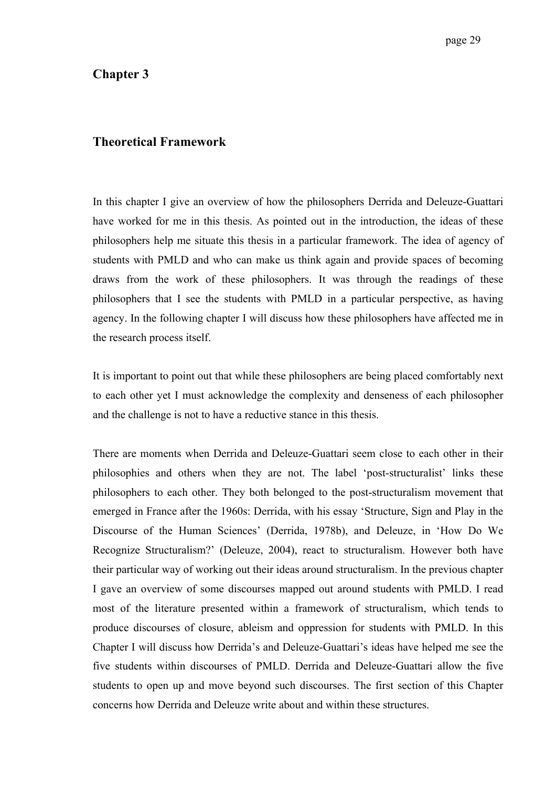# **Chapter 3**

# **Theoretical Framework**

In this chapter I give an overview of how the philosophers Derrida and Deleuze-Guattari have worked for me in this thesis. As pointed out in the introduction, the ideas of these philosophers help me situate this thesis in a particular framework. The idea of agency of students with PMLD and who can make us think again and provide spaces of becoming draws from the work of these philosophers. It was through the readings of these philosophers that I see the students with PMLD in a particular perspective, as having agency. In the following chapter I will discuss how these philosophers have affected me in the research process itself.

It is important to point out that while these philosophers are being placed comfortably next to each other yet I must acknowledge the complexity and denseness of each philosopher and the challenge is not to have a reductive stance in this thesis.

There are moments when Derrida and Deleuze-Guattari seem close to each other in their philosophies and others when they are not. The label 'post-structuralist' links these philosophers to each other. They both belonged to the post-structuralism movement that emerged in France after the 1960s: Derrida, with his essay 'Structure, Sign and Play in the Discourse of the Human Sciences' (Derrida, 1978b), and Deleuze, in 'How Do We Recognize Structuralism?' (Deleuze, 2004), react to structuralism. However both have their particular way of working out their ideas around structuralism. In the previous chapter I gave an overview of some discourses mapped out around students with PMLD. I read most of the literature presented within a framework of structuralism, which tends to produce discourses of closure, ableism and oppression for students with PMLD. In this Chapter I will discuss how Derrida's and Deleuze-Guattari's ideas have helped me see the five students within discourses of PMLD. Derrida and Deleuze-Guattari allow the five students to open up and move beyond such discourses. The first section of this Chapter concerns how Derrida and Deleuze write about and within these structures.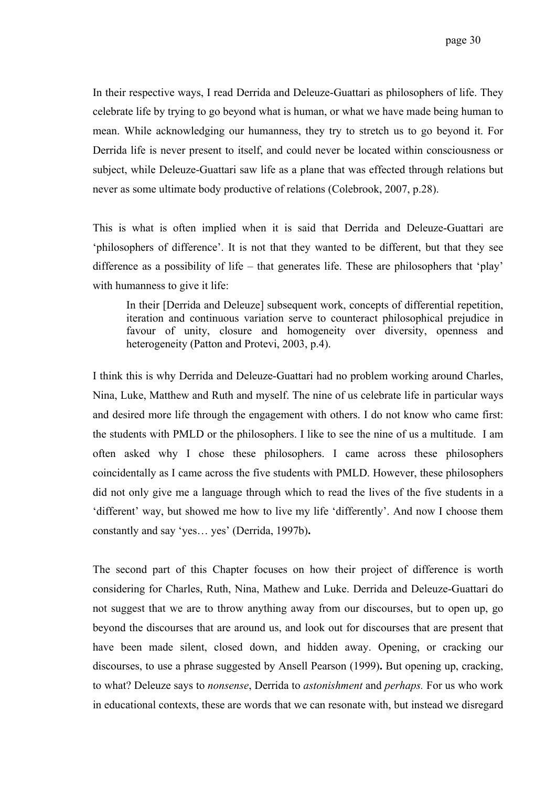In their respective ways, I read Derrida and Deleuze-Guattari as philosophers of life. They celebrate life by trying to go beyond what is human, or what we have made being human to mean. While acknowledging our humanness, they try to stretch us to go beyond it. For Derrida life is never present to itself, and could never be located within consciousness or subject, while Deleuze-Guattari saw life as a plane that was effected through relations but never as some ultimate body productive of relations (Colebrook, 2007, p.28).

This is what is often implied when it is said that Derrida and Deleuze-Guattari are 'philosophers of difference'. It is not that they wanted to be different, but that they see difference as a possibility of life – that generates life. These are philosophers that 'play' with humanness to give it life:

In their [Derrida and Deleuze] subsequent work, concepts of differential repetition, iteration and continuous variation serve to counteract philosophical prejudice in favour of unity, closure and homogeneity over diversity, openness and heterogeneity (Patton and Protevi, 2003, p.4).

I think this is why Derrida and Deleuze-Guattari had no problem working around Charles, Nina, Luke, Matthew and Ruth and myself. The nine of us celebrate life in particular ways and desired more life through the engagement with others. I do not know who came first: the students with PMLD or the philosophers. I like to see the nine of us a multitude. I am often asked why I chose these philosophers. I came across these philosophers coincidentally as I came across the five students with PMLD. However, these philosophers did not only give me a language through which to read the lives of the five students in a 'different' way, but showed me how to live my life 'differently'. And now I choose them constantly and say 'yes… yes' (Derrida, 1997b)**.**

The second part of this Chapter focuses on how their project of difference is worth considering for Charles, Ruth, Nina, Mathew and Luke. Derrida and Deleuze-Guattari do not suggest that we are to throw anything away from our discourses, but to open up, go beyond the discourses that are around us, and look out for discourses that are present that have been made silent, closed down, and hidden away. Opening, or cracking our discourses, to use a phrase suggested by Ansell Pearson (1999)**.** But opening up, cracking, to what? Deleuze says to *nonsense*, Derrida to *astonishment* and *perhaps.* For us who work in educational contexts, these are words that we can resonate with, but instead we disregard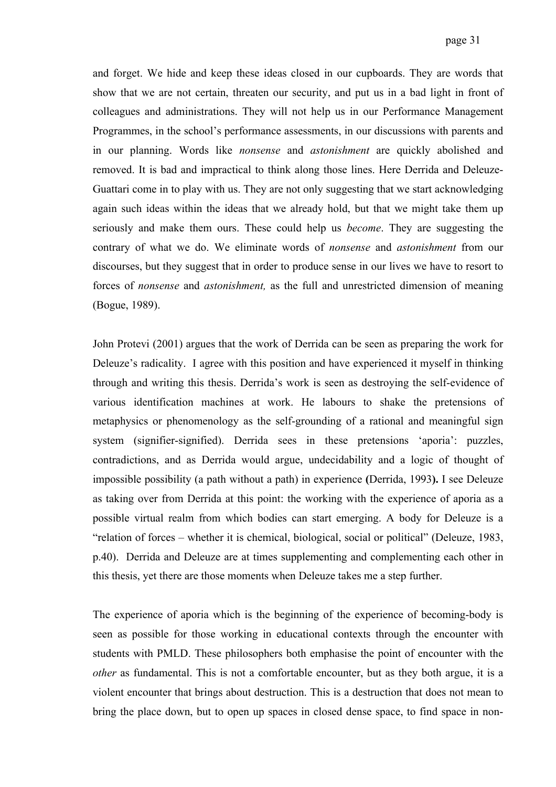and forget. We hide and keep these ideas closed in our cupboards. They are words that show that we are not certain, threaten our security, and put us in a bad light in front of colleagues and administrations. They will not help us in our Performance Management Programmes, in the school's performance assessments, in our discussions with parents and in our planning. Words like *nonsense* and *astonishment* are quickly abolished and removed. It is bad and impractical to think along those lines. Here Derrida and Deleuze-Guattari come in to play with us. They are not only suggesting that we start acknowledging again such ideas within the ideas that we already hold, but that we might take them up seriously and make them ours. These could help us *become*. They are suggesting the contrary of what we do. We eliminate words of *nonsense* and *astonishment* from our discourses, but they suggest that in order to produce sense in our lives we have to resort to forces of *nonsense* and *astonishment,* as the full and unrestricted dimension of meaning (Bogue, 1989).

John Protevi (2001) argues that the work of Derrida can be seen as preparing the work for Deleuze's radicality. I agree with this position and have experienced it myself in thinking through and writing this thesis. Derrida's work is seen as destroying the self-evidence of various identification machines at work. He labours to shake the pretensions of metaphysics or phenomenology as the self-grounding of a rational and meaningful sign system (signifier-signified). Derrida sees in these pretensions 'aporia': puzzles, contradictions, and as Derrida would argue, undecidability and a logic of thought of impossible possibility (a path without a path) in experience **(**Derrida, 1993**).** I see Deleuze as taking over from Derrida at this point: the working with the experience of aporia as a possible virtual realm from which bodies can start emerging. A body for Deleuze is a "relation of forces – whether it is chemical, biological, social or political" (Deleuze, 1983, p.40). Derrida and Deleuze are at times supplementing and complementing each other in this thesis, yet there are those moments when Deleuze takes me a step further.

The experience of aporia which is the beginning of the experience of becoming-body is seen as possible for those working in educational contexts through the encounter with students with PMLD. These philosophers both emphasise the point of encounter with the *other* as fundamental. This is not a comfortable encounter, but as they both argue, it is a violent encounter that brings about destruction. This is a destruction that does not mean to bring the place down, but to open up spaces in closed dense space, to find space in non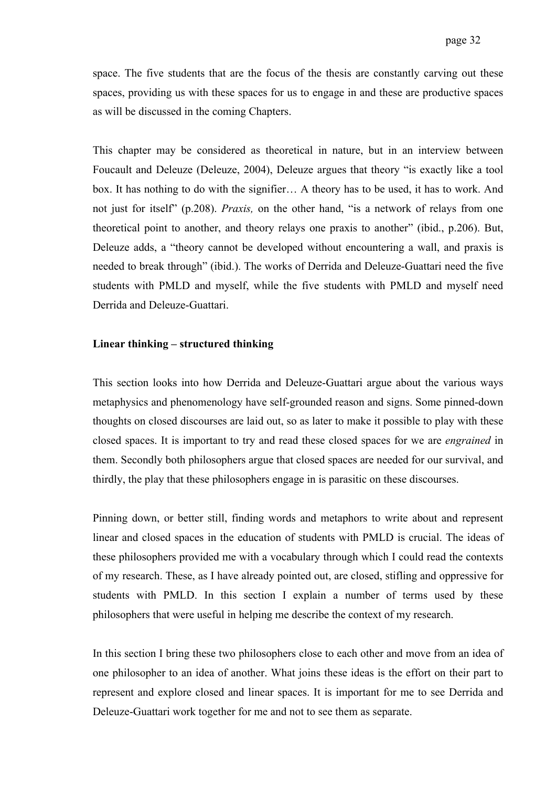space. The five students that are the focus of the thesis are constantly carving out these spaces, providing us with these spaces for us to engage in and these are productive spaces as will be discussed in the coming Chapters.

This chapter may be considered as theoretical in nature, but in an interview between Foucault and Deleuze (Deleuze, 2004), Deleuze argues that theory "is exactly like a tool box. It has nothing to do with the signifier… A theory has to be used, it has to work. And not just for itself" (p.208). *Praxis,* on the other hand, "is a network of relays from one theoretical point to another, and theory relays one praxis to another" (ibid., p.206). But, Deleuze adds, a "theory cannot be developed without encountering a wall, and praxis is needed to break through" (ibid.). The works of Derrida and Deleuze-Guattari need the five students with PMLD and myself, while the five students with PMLD and myself need Derrida and Deleuze-Guattari.

## **Linear thinking – structured thinking**

This section looks into how Derrida and Deleuze-Guattari argue about the various ways metaphysics and phenomenology have self-grounded reason and signs. Some pinned-down thoughts on closed discourses are laid out, so as later to make it possible to play with these closed spaces. It is important to try and read these closed spaces for we are *engrained* in them. Secondly both philosophers argue that closed spaces are needed for our survival, and thirdly, the play that these philosophers engage in is parasitic on these discourses.

Pinning down, or better still, finding words and metaphors to write about and represent linear and closed spaces in the education of students with PMLD is crucial. The ideas of these philosophers provided me with a vocabulary through which I could read the contexts of my research. These, as I have already pointed out, are closed, stifling and oppressive for students with PMLD. In this section I explain a number of terms used by these philosophers that were useful in helping me describe the context of my research.

In this section I bring these two philosophers close to each other and move from an idea of one philosopher to an idea of another. What joins these ideas is the effort on their part to represent and explore closed and linear spaces. It is important for me to see Derrida and Deleuze-Guattari work together for me and not to see them as separate.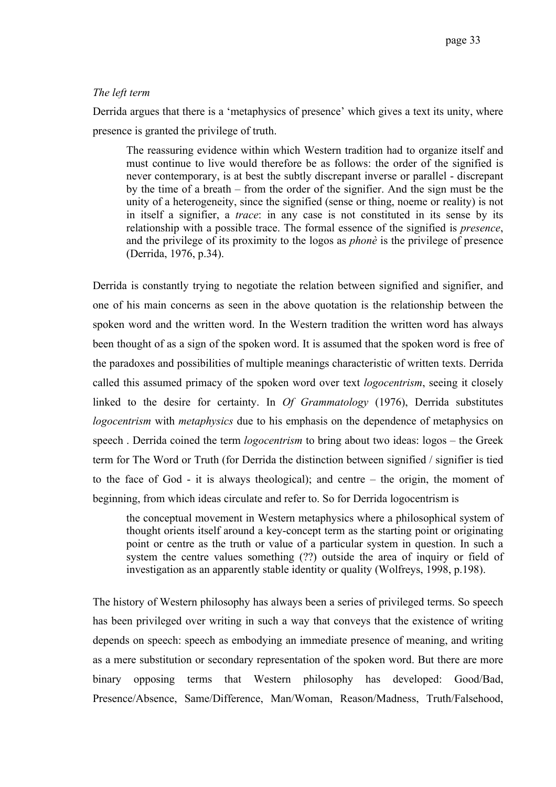# *The left term*

Derrida argues that there is a 'metaphysics of presence' which gives a text its unity, where presence is granted the privilege of truth.

The reassuring evidence within which Western tradition had to organize itself and must continue to live would therefore be as follows: the order of the signified is never contemporary, is at best the subtly discrepant inverse or parallel - discrepant by the time of a breath – from the order of the signifier. And the sign must be the unity of a heterogeneity, since the signified (sense or thing, noeme or reality) is not in itself a signifier, a *trace*: in any case is not constituted in its sense by its relationship with a possible trace. The formal essence of the signified is *presence*, and the privilege of its proximity to the logos as *phonè* is the privilege of presence (Derrida, 1976, p.34).

Derrida is constantly trying to negotiate the relation between signified and signifier, and one of his main concerns as seen in the above quotation is the relationship between the spoken word and the written word. In the Western tradition the written word has always been thought of as a sign of the spoken word. It is assumed that the spoken word is free of the paradoxes and possibilities of multiple meanings characteristic of written texts. Derrida called this assumed primacy of the spoken word over text *logocentrism*, seeing it closely linked to the desire for certainty. In *Of Grammatology* (1976), Derrida substitutes *logocentrism* with *metaphysics* due to his emphasis on the dependence of metaphysics on speech . Derrida coined the term *logocentrism* to bring about two ideas: logos – the Greek term for The Word or Truth (for Derrida the distinction between signified / signifier is tied to the face of God - it is always theological); and centre – the origin, the moment of beginning, from which ideas circulate and refer to. So for Derrida logocentrism is

the conceptual movement in Western metaphysics where a philosophical system of thought orients itself around a key-concept term as the starting point or originating point or centre as the truth or value of a particular system in question. In such a system the centre values something (??) outside the area of inquiry or field of investigation as an apparently stable identity or quality (Wolfreys, 1998, p.198).

The history of Western philosophy has always been a series of privileged terms. So speech has been privileged over writing in such a way that conveys that the existence of writing depends on speech: speech as embodying an immediate presence of meaning, and writing as a mere substitution or secondary representation of the spoken word. But there are more binary opposing terms that Western philosophy has developed: Good/Bad, Presence/Absence, Same/Difference, Man/Woman, Reason/Madness, Truth/Falsehood,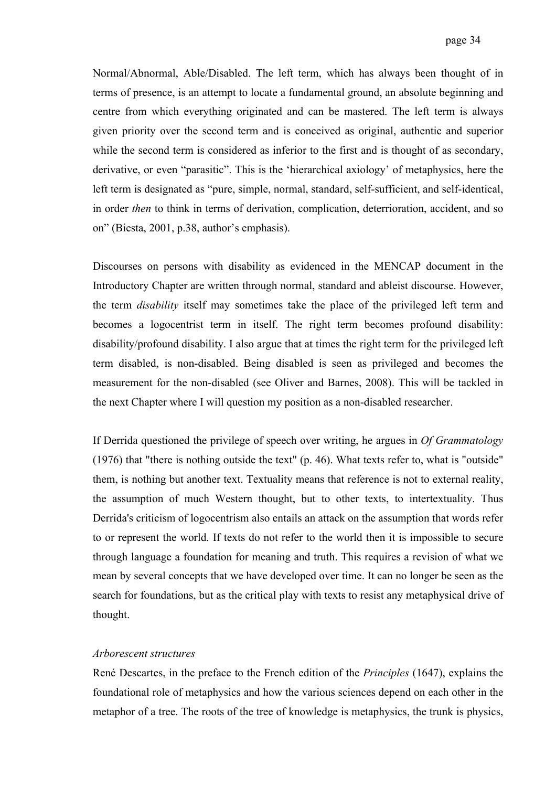Normal/Abnormal, Able/Disabled. The left term, which has always been thought of in terms of presence, is an attempt to locate a fundamental ground, an absolute beginning and centre from which everything originated and can be mastered. The left term is always given priority over the second term and is conceived as original, authentic and superior while the second term is considered as inferior to the first and is thought of as secondary, derivative, or even "parasitic". This is the 'hierarchical axiology' of metaphysics, here the left term is designated as "pure, simple, normal, standard, self-sufficient, and self-identical, in order *then* to think in terms of derivation, complication, deterrioration, accident, and so on" (Biesta, 2001, p.38, author's emphasis).

Discourses on persons with disability as evidenced in the MENCAP document in the Introductory Chapter are written through normal, standard and ableist discourse. However, the term *disability* itself may sometimes take the place of the privileged left term and becomes a logocentrist term in itself. The right term becomes profound disability: disability/profound disability. I also argue that at times the right term for the privileged left term disabled, is non-disabled. Being disabled is seen as privileged and becomes the measurement for the non-disabled (see Oliver and Barnes, 2008). This will be tackled in the next Chapter where I will question my position as a non-disabled researcher.

If Derrida questioned the privilege of speech over writing, he argues in *Of Grammatology* (1976) that "there is nothing outside the text" (p. 46). What texts refer to, what is "outside" them, is nothing but another text. Textuality means that reference is not to external reality, the assumption of much Western thought, but to other texts, to intertextuality. Thus Derrida's criticism of logocentrism also entails an attack on the assumption that words refer to or represent the world. If texts do not refer to the world then it is impossible to secure through language a foundation for meaning and truth. This requires a revision of what we mean by several concepts that we have developed over time. It can no longer be seen as the search for foundations, but as the critical play with texts to resist any metaphysical drive of thought.

## *Arborescent structures*

René Descartes, in the preface to the French edition of the *Principles* (1647), explains the foundational role of metaphysics and how the various sciences depend on each other in the metaphor of a tree. The roots of the tree of knowledge is metaphysics, the trunk is physics,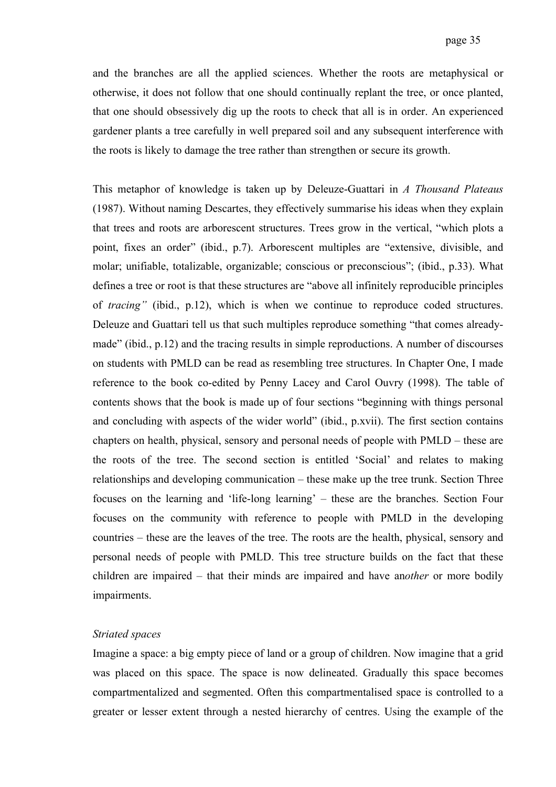and the branches are all the applied sciences. Whether the roots are metaphysical or otherwise, it does not follow that one should continually replant the tree, or once planted, that one should obsessively dig up the roots to check that all is in order. An experienced gardener plants a tree carefully in well prepared soil and any subsequent interference with the roots is likely to damage the tree rather than strengthen or secure its growth.

This metaphor of knowledge is taken up by Deleuze-Guattari in *A Thousand Plateaus* (1987). Without naming Descartes, they effectively summarise his ideas when they explain that trees and roots are arborescent structures. Trees grow in the vertical, "which plots a point, fixes an order" (ibid., p.7). Arborescent multiples are "extensive, divisible, and molar; unifiable, totalizable, organizable; conscious or preconscious"; (ibid., p.33). What defines a tree or root is that these structures are "above all infinitely reproducible principles of *tracing"* (ibid., p.12), which is when we continue to reproduce coded structures. Deleuze and Guattari tell us that such multiples reproduce something "that comes alreadymade" (ibid., p.12) and the tracing results in simple reproductions. A number of discourses on students with PMLD can be read as resembling tree structures. In Chapter One, I made reference to the book co-edited by Penny Lacey and Carol Ouvry (1998). The table of contents shows that the book is made up of four sections "beginning with things personal and concluding with aspects of the wider world" (ibid., p.xvii). The first section contains chapters on health, physical, sensory and personal needs of people with PMLD – these are the roots of the tree. The second section is entitled 'Social' and relates to making relationships and developing communication – these make up the tree trunk. Section Three focuses on the learning and 'life-long learning' – these are the branches. Section Four focuses on the community with reference to people with PMLD in the developing countries – these are the leaves of the tree. The roots are the health, physical, sensory and personal needs of people with PMLD. This tree structure builds on the fact that these children are impaired – that their minds are impaired and have an*other* or more bodily impairments.

## *Striated spaces*

Imagine a space: a big empty piece of land or a group of children. Now imagine that a grid was placed on this space. The space is now delineated. Gradually this space becomes compartmentalized and segmented. Often this compartmentalised space is controlled to a greater or lesser extent through a nested hierarchy of centres. Using the example of the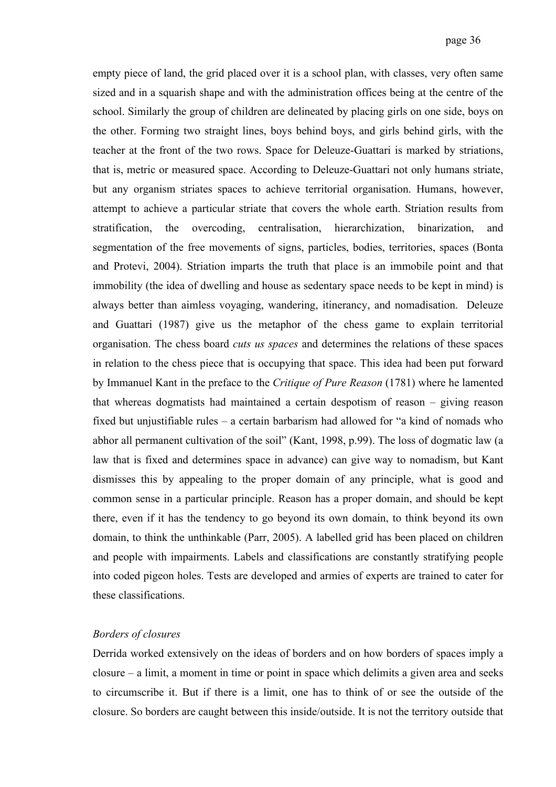empty piece of land, the grid placed over it is a school plan, with classes, very often same sized and in a squarish shape and with the administration offices being at the centre of the school. Similarly the group of children are delineated by placing girls on one side, boys on the other. Forming two straight lines, boys behind boys, and girls behind girls, with the teacher at the front of the two rows. Space for Deleuze-Guattari is marked by striations, that is, metric or measured space. According to Deleuze-Guattari not only humans striate, but any organism striates spaces to achieve territorial organisation. Humans, however, attempt to achieve a particular striate that covers the whole earth. Striation results from stratification, the overcoding, centralisation, hierarchization, binarization, and segmentation of the free movements of signs, particles, bodies, territories, spaces (Bonta and Protevi, 2004). Striation imparts the truth that place is an immobile point and that immobility (the idea of dwelling and house as sedentary space needs to be kept in mind) is always better than aimless voyaging, wandering, itinerancy, and nomadisation. Deleuze and Guattari (1987) give us the metaphor of the chess game to explain territorial organisation. The chess board *cuts us spaces* and determines the relations of these spaces in relation to the chess piece that is occupying that space. This idea had been put forward by Immanuel Kant in the preface to the *Critique of Pure Reason* (1781) where he lamented that whereas dogmatists had maintained a certain despotism of reason – giving reason fixed but unjustifiable rules – a certain barbarism had allowed for "a kind of nomads who abhor all permanent cultivation of the soil" (Kant, 1998, p.99). The loss of dogmatic law (a law that is fixed and determines space in advance) can give way to nomadism, but Kant dismisses this by appealing to the proper domain of any principle, what is good and common sense in a particular principle. Reason has a proper domain, and should be kept there, even if it has the tendency to go beyond its own domain, to think beyond its own domain, to think the unthinkable (Parr, 2005). A labelled grid has been placed on children and people with impairments. Labels and classifications are constantly stratifying people into coded pigeon holes. Tests are developed and armies of experts are trained to cater for these classifications.

#### *Borders of closures*

Derrida worked extensively on the ideas of borders and on how borders of spaces imply a closure – a limit, a moment in time or point in space which delimits a given area and seeks to circumscribe it. But if there is a limit, one has to think of or see the outside of the closure. So borders are caught between this inside/outside. It is not the territory outside that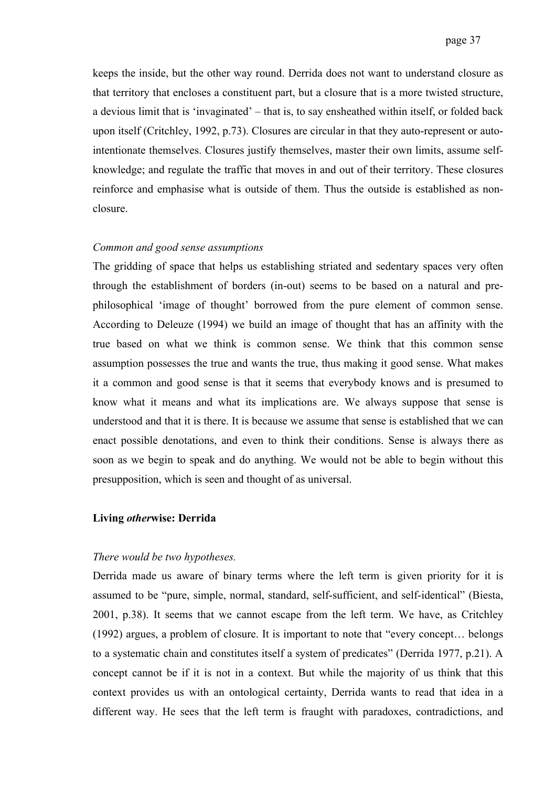keeps the inside, but the other way round. Derrida does not want to understand closure as that territory that encloses a constituent part, but a closure that is a more twisted structure, a devious limit that is 'invaginated' – that is, to say ensheathed within itself, or folded back upon itself (Critchley, 1992, p.73). Closures are circular in that they auto-represent or autointentionate themselves. Closures justify themselves, master their own limits, assume selfknowledge; and regulate the traffic that moves in and out of their territory. These closures reinforce and emphasise what is outside of them. Thus the outside is established as nonclosure.

## *Common and good sense assumptions*

The gridding of space that helps us establishing striated and sedentary spaces very often through the establishment of borders (in-out) seems to be based on a natural and prephilosophical 'image of thought' borrowed from the pure element of common sense. According to Deleuze (1994) we build an image of thought that has an affinity with the true based on what we think is common sense. We think that this common sense assumption possesses the true and wants the true, thus making it good sense. What makes it a common and good sense is that it seems that everybody knows and is presumed to know what it means and what its implications are. We always suppose that sense is understood and that it is there. It is because we assume that sense is established that we can enact possible denotations, and even to think their conditions. Sense is always there as soon as we begin to speak and do anything. We would not be able to begin without this presupposition, which is seen and thought of as universal.

# **Living** *other***wise: Derrida**

## *There would be two hypotheses.*

Derrida made us aware of binary terms where the left term is given priority for it is assumed to be "pure, simple, normal, standard, self-sufficient, and self-identical" (Biesta, 2001, p.38). It seems that we cannot escape from the left term. We have, as Critchley (1992) argues, a problem of closure. It is important to note that "every concept… belongs to a systematic chain and constitutes itself a system of predicates" (Derrida 1977, p.21). A concept cannot be if it is not in a context. But while the majority of us think that this context provides us with an ontological certainty, Derrida wants to read that idea in a different way. He sees that the left term is fraught with paradoxes, contradictions, and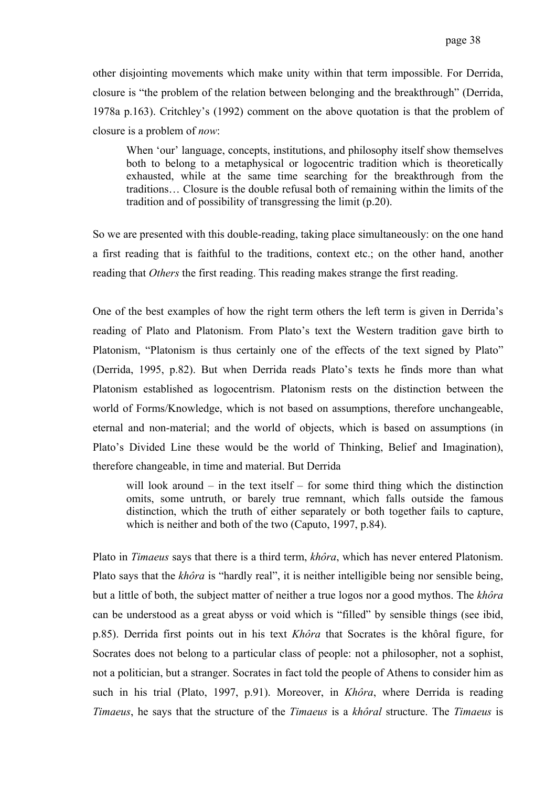other disjointing movements which make unity within that term impossible. For Derrida, closure is "the problem of the relation between belonging and the breakthrough" (Derrida, 1978a p.163). Critchley's (1992) comment on the above quotation is that the problem of closure is a problem of *now*:

When 'our' language, concepts, institutions, and philosophy itself show themselves both to belong to a metaphysical or logocentric tradition which is theoretically exhausted, while at the same time searching for the breakthrough from the traditions… Closure is the double refusal both of remaining within the limits of the tradition and of possibility of transgressing the limit (p.20).

So we are presented with this double-reading, taking place simultaneously: on the one hand a first reading that is faithful to the traditions, context etc.; on the other hand, another reading that *Others* the first reading. This reading makes strange the first reading.

One of the best examples of how the right term others the left term is given in Derrida's reading of Plato and Platonism. From Plato's text the Western tradition gave birth to Platonism, "Platonism is thus certainly one of the effects of the text signed by Plato" (Derrida, 1995, p.82). But when Derrida reads Plato's texts he finds more than what Platonism established as logocentrism. Platonism rests on the distinction between the world of Forms/Knowledge, which is not based on assumptions, therefore unchangeable, eternal and non-material; and the world of objects, which is based on assumptions (in Plato's Divided Line these would be the world of Thinking, Belief and Imagination), therefore changeable, in time and material. But Derrida

will look around – in the text itself – for some third thing which the distinction omits, some untruth, or barely true remnant, which falls outside the famous distinction, which the truth of either separately or both together fails to capture, which is neither and both of the two (Caputo, 1997, p.84).

Plato in *Timaeus* says that there is a third term, *khôra*, which has never entered Platonism. Plato says that the *khôra* is "hardly real", it is neither intelligible being nor sensible being, but a little of both, the subject matter of neither a true logos nor a good mythos. The *khôra* can be understood as a great abyss or void which is "filled" by sensible things (see ibid, p.85). Derrida first points out in his text *Khôra* that Socrates is the khôral figure, for Socrates does not belong to a particular class of people: not a philosopher, not a sophist, not a politician, but a stranger. Socrates in fact told the people of Athens to consider him as such in his trial (Plato, 1997, p.91). Moreover, in *Khôra*, where Derrida is reading *Timaeus*, he says that the structure of the *Timaeus* is a *khôral* structure. The *Timaeus* is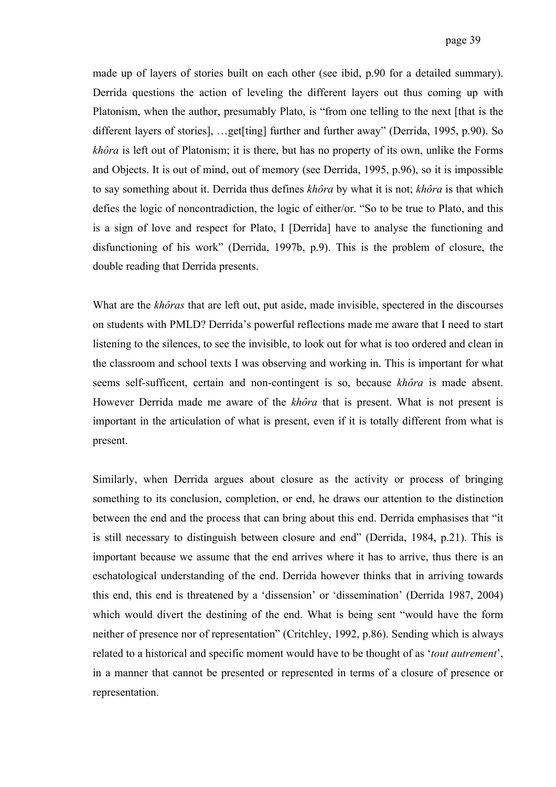made up of layers of stories built on each other (see ibid, p.90 for a detailed summary). Derrida questions the action of leveling the different layers out thus coming up with Platonism, when the author, presumably Plato, is "from one telling to the next [that is the different layers of stories], …get[ting] further and further away" (Derrida, 1995, p.90). So *khôra* is left out of Platonism; it is there, but has no property of its own, unlike the Forms and Objects. It is out of mind, out of memory (see Derrida, 1995, p.96), so it is impossible to say something about it. Derrida thus defines *khôra* by what it is not; *khôra* is that which defies the logic of noncontradiction, the logic of either/or. "So to be true to Plato, and this is a sign of love and respect for Plato, I [Derrida] have to analyse the functioning and disfunctioning of his work" (Derrida, 1997b, p.9). This is the problem of closure, the double reading that Derrida presents.

What are the *khôras* that are left out, put aside, made invisible, spectered in the discourses on students with PMLD? Derrida's powerful reflections made me aware that I need to start listening to the silences, to see the invisible, to look out for what is too ordered and clean in the classroom and school texts I was observing and working in. This is important for what seems self-sufficent, certain and non-contingent is so, because *khôra* is made absent. However Derrida made me aware of the *khôra* that is present. What is not present is important in the articulation of what is present, even if it is totally different from what is present.

Similarly, when Derrida argues about closure as the activity or process of bringing something to its conclusion, completion, or end, he draws our attention to the distinction between the end and the process that can bring about this end. Derrida emphasises that "it is still necessary to distinguish between closure and end" (Derrida, 1984, p.21). This is important because we assume that the end arrives where it has to arrive, thus there is an eschatological understanding of the end. Derrida however thinks that in arriving towards this end, this end is threatened by a 'dissension' or 'dissemination' (Derrida 1987, 2004) which would divert the destining of the end. What is being sent "would have the form neither of presence nor of representation" (Critchley, 1992, p.86). Sending which is always related to a historical and specific moment would have to be thought of as '*tout autrement*', in a manner that cannot be presented or represented in terms of a closure of presence or representation.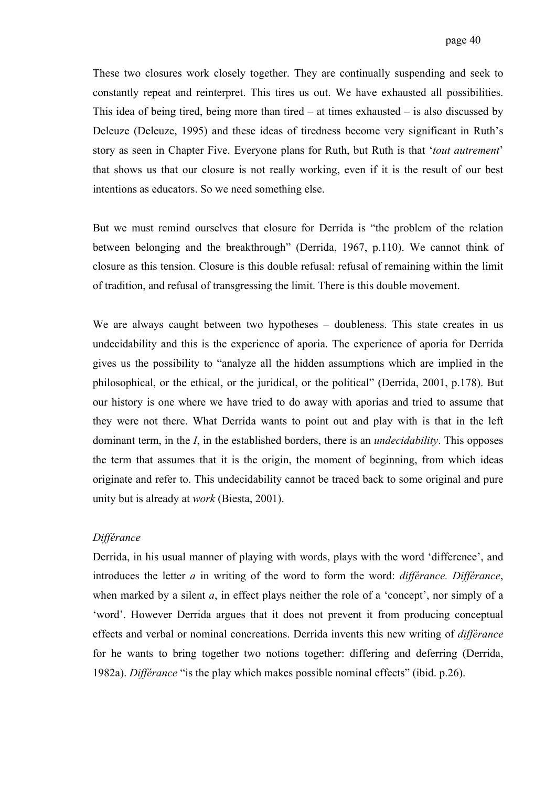These two closures work closely together. They are continually suspending and seek to constantly repeat and reinterpret. This tires us out. We have exhausted all possibilities. This idea of being tired, being more than tired – at times exhausted – is also discussed by Deleuze (Deleuze, 1995) and these ideas of tiredness become very significant in Ruth's story as seen in Chapter Five. Everyone plans for Ruth, but Ruth is that '*tout autrement*' that shows us that our closure is not really working, even if it is the result of our best intentions as educators. So we need something else.

But we must remind ourselves that closure for Derrida is "the problem of the relation between belonging and the breakthrough" (Derrida, 1967, p.110). We cannot think of closure as this tension. Closure is this double refusal: refusal of remaining within the limit of tradition, and refusal of transgressing the limit. There is this double movement.

We are always caught between two hypotheses – doubleness. This state creates in us undecidability and this is the experience of aporia. The experience of aporia for Derrida gives us the possibility to "analyze all the hidden assumptions which are implied in the philosophical, or the ethical, or the juridical, or the political" (Derrida, 2001, p.178). But our history is one where we have tried to do away with aporias and tried to assume that they were not there. What Derrida wants to point out and play with is that in the left dominant term, in the *I*, in the established borders, there is an *undecidability*. This opposes the term that assumes that it is the origin, the moment of beginning, from which ideas originate and refer to. This undecidability cannot be traced back to some original and pure unity but is already at *work* (Biesta, 2001).

#### *Différance*

Derrida, in his usual manner of playing with words, plays with the word 'difference', and introduces the letter *a* in writing of the word to form the word: *différance. Différance*, when marked by a silent  $a$ , in effect plays neither the role of a 'concept', nor simply of a 'word'. However Derrida argues that it does not prevent it from producing conceptual effects and verbal or nominal concreations. Derrida invents this new writing of *différance* for he wants to bring together two notions together: differing and deferring (Derrida, 1982a). *Différance* "is the play which makes possible nominal effects" (ibid. p.26).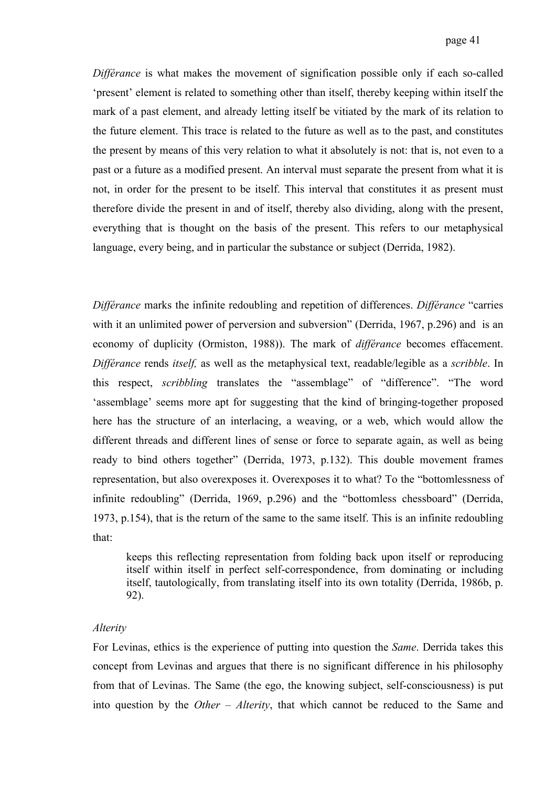*Différance* is what makes the movement of signification possible only if each so-called 'present' element is related to something other than itself, thereby keeping within itself the mark of a past element, and already letting itself be vitiated by the mark of its relation to the future element. This trace is related to the future as well as to the past, and constitutes the present by means of this very relation to what it absolutely is not: that is, not even to a past or a future as a modified present. An interval must separate the present from what it is not, in order for the present to be itself. This interval that constitutes it as present must therefore divide the present in and of itself, thereby also dividing, along with the present, everything that is thought on the basis of the present. This refers to our metaphysical language, every being, and in particular the substance or subject (Derrida, 1982).

*Différance* marks the infinite redoubling and repetition of differences. *Différance* "carries with it an unlimited power of perversion and subversion" (Derrida, 1967, p.296) and is an economy of duplicity (Ormiston, 1988)). The mark of *différance* becomes effacement. *Différance* rends *itself,* as well as the metaphysical text, readable/legible as a *scribble*. In this respect, *scribbling* translates the "assemblage" of "difference". "The word 'assemblage' seems more apt for suggesting that the kind of bringing-together proposed here has the structure of an interlacing, a weaving, or a web, which would allow the different threads and different lines of sense or force to separate again, as well as being ready to bind others together" (Derrida, 1973, p.132). This double movement frames representation, but also overexposes it. Overexposes it to what? To the "bottomlessness of infinite redoubling" (Derrida, 1969, p.296) and the "bottomless chessboard" (Derrida, 1973, p.154), that is the return of the same to the same itself. This is an infinite redoubling that:

keeps this reflecting representation from folding back upon itself or reproducing itself within itself in perfect self-correspondence, from dominating or including itself, tautologically, from translating itself into its own totality (Derrida, 1986b, p. 92).

#### *Alterity*

For Levinas, ethics is the experience of putting into question the *Same*. Derrida takes this concept from Levinas and argues that there is no significant difference in his philosophy from that of Levinas. The Same (the ego, the knowing subject, self-consciousness) is put into question by the *Other – Alterity*, that which cannot be reduced to the Same and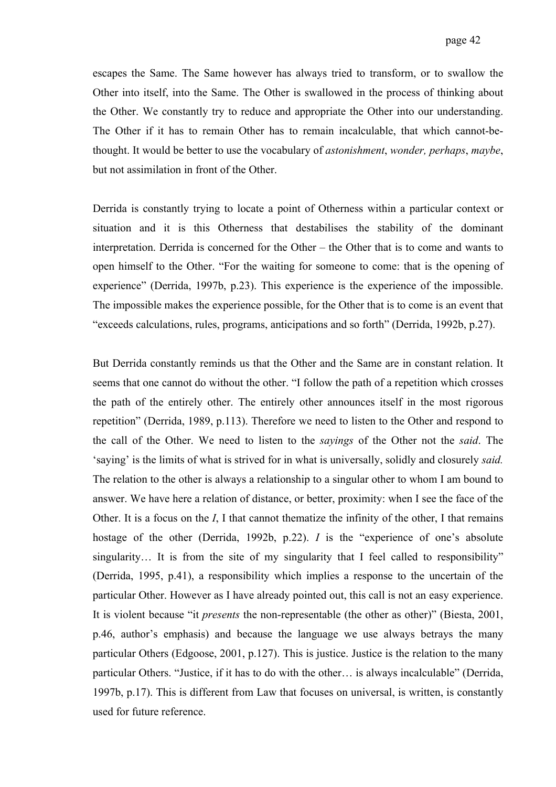escapes the Same. The Same however has always tried to transform, or to swallow the Other into itself, into the Same. The Other is swallowed in the process of thinking about the Other. We constantly try to reduce and appropriate the Other into our understanding. The Other if it has to remain Other has to remain incalculable, that which cannot-bethought. It would be better to use the vocabulary of *astonishment*, *wonder, perhaps*, *maybe*, but not assimilation in front of the Other.

Derrida is constantly trying to locate a point of Otherness within a particular context or situation and it is this Otherness that destabilises the stability of the dominant interpretation. Derrida is concerned for the Other – the Other that is to come and wants to open himself to the Other. "For the waiting for someone to come: that is the opening of experience" (Derrida, 1997b, p.23). This experience is the experience of the impossible. The impossible makes the experience possible, for the Other that is to come is an event that "exceeds calculations, rules, programs, anticipations and so forth" (Derrida, 1992b, p.27).

But Derrida constantly reminds us that the Other and the Same are in constant relation. It seems that one cannot do without the other. "I follow the path of a repetition which crosses the path of the entirely other. The entirely other announces itself in the most rigorous repetition" (Derrida, 1989, p.113). Therefore we need to listen to the Other and respond to the call of the Other. We need to listen to the *sayings* of the Other not the *said*. The 'saying' is the limits of what is strived for in what is universally, solidly and closurely *said.*  The relation to the other is always a relationship to a singular other to whom I am bound to answer. We have here a relation of distance, or better, proximity: when I see the face of the Other. It is a focus on the *I*, I that cannot thematize the infinity of the other, I that remains hostage of the other (Derrida, 1992b, p.22). *I* is the "experience of one's absolute singularity... It is from the site of my singularity that I feel called to responsibility" (Derrida, 1995, p.41), a responsibility which implies a response to the uncertain of the particular Other. However as I have already pointed out, this call is not an easy experience. It is violent because "it *presents* the non-representable (the other as other)" (Biesta, 2001, p.46, author's emphasis) and because the language we use always betrays the many particular Others (Edgoose, 2001, p.127). This is justice. Justice is the relation to the many particular Others. "Justice, if it has to do with the other… is always incalculable" (Derrida, 1997b, p.17). This is different from Law that focuses on universal, is written, is constantly used for future reference.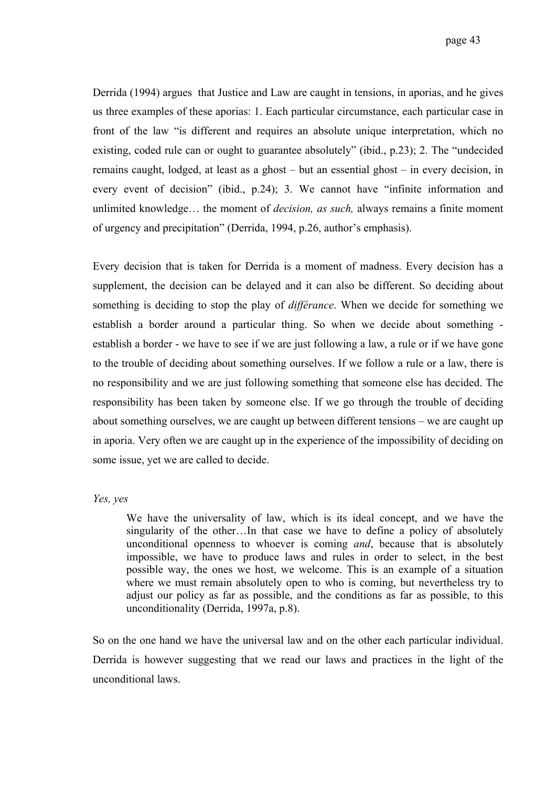Derrida (1994) argues that Justice and Law are caught in tensions, in aporias, and he gives us three examples of these aporias: 1. Each particular circumstance, each particular case in front of the law "is different and requires an absolute unique interpretation, which no existing, coded rule can or ought to guarantee absolutely" (ibid., p.23); 2. The "undecided remains caught, lodged, at least as a ghost – but an essential ghost – in every decision, in every event of decision" (ibid., p.24); 3. We cannot have "infinite information and unlimited knowledge… the moment of *decision, as such,* always remains a finite moment of urgency and precipitation" (Derrida, 1994, p.26, author's emphasis).

Every decision that is taken for Derrida is a moment of madness. Every decision has a supplement, the decision can be delayed and it can also be different. So deciding about something is deciding to stop the play of *différance*. When we decide for something we establish a border around a particular thing. So when we decide about something establish a border - we have to see if we are just following a law, a rule or if we have gone to the trouble of deciding about something ourselves. If we follow a rule or a law, there is no responsibility and we are just following something that someone else has decided. The responsibility has been taken by someone else. If we go through the trouble of deciding about something ourselves, we are caught up between different tensions – we are caught up in aporia. Very often we are caught up in the experience of the impossibility of deciding on some issue, yet we are called to decide.

## *Yes, yes*

We have the universality of law, which is its ideal concept, and we have the singularity of the other…In that case we have to define a policy of absolutely unconditional openness to whoever is coming *and*, because that is absolutely impossible, we have to produce laws and rules in order to select, in the best possible way, the ones we host, we welcome. This is an example of a situation where we must remain absolutely open to who is coming, but nevertheless try to adjust our policy as far as possible, and the conditions as far as possible, to this unconditionality (Derrida, 1997a, p.8).

So on the one hand we have the universal law and on the other each particular individual. Derrida is however suggesting that we read our laws and practices in the light of the unconditional laws.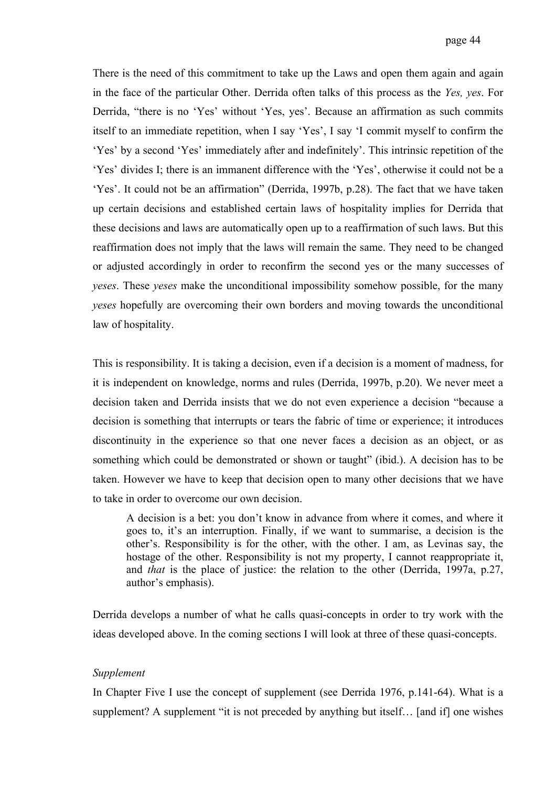There is the need of this commitment to take up the Laws and open them again and again in the face of the particular Other. Derrida often talks of this process as the *Yes, yes*. For Derrida, "there is no 'Yes' without 'Yes, yes'. Because an affirmation as such commits itself to an immediate repetition, when I say 'Yes', I say 'I commit myself to confirm the 'Yes' by a second 'Yes' immediately after and indefinitely'. This intrinsic repetition of the 'Yes' divides I; there is an immanent difference with the 'Yes', otherwise it could not be a 'Yes'. It could not be an affirmation" (Derrida, 1997b, p.28). The fact that we have taken up certain decisions and established certain laws of hospitality implies for Derrida that these decisions and laws are automatically open up to a reaffirmation of such laws. But this reaffirmation does not imply that the laws will remain the same. They need to be changed or adjusted accordingly in order to reconfirm the second yes or the many successes of *yeses*. These *yeses* make the unconditional impossibility somehow possible, for the many *yeses* hopefully are overcoming their own borders and moving towards the unconditional law of hospitality.

This is responsibility. It is taking a decision, even if a decision is a moment of madness, for it is independent on knowledge, norms and rules (Derrida, 1997b, p.20). We never meet a decision taken and Derrida insists that we do not even experience a decision "because a decision is something that interrupts or tears the fabric of time or experience; it introduces discontinuity in the experience so that one never faces a decision as an object, or as something which could be demonstrated or shown or taught" (ibid.). A decision has to be taken. However we have to keep that decision open to many other decisions that we have to take in order to overcome our own decision.

A decision is a bet: you don't know in advance from where it comes, and where it goes to, it's an interruption. Finally, if we want to summarise, a decision is the other's. Responsibility is for the other, with the other. I am, as Levinas say, the hostage of the other. Responsibility is not my property, I cannot reappropriate it, and *that* is the place of justice: the relation to the other (Derrida, 1997a, p.27, author's emphasis).

Derrida develops a number of what he calls quasi-concepts in order to try work with the ideas developed above. In the coming sections I will look at three of these quasi-concepts.

# *Supplement*

In Chapter Five I use the concept of supplement (see Derrida 1976, p.141-64). What is a supplement? A supplement "it is not preceded by anything but itself... [and if] one wishes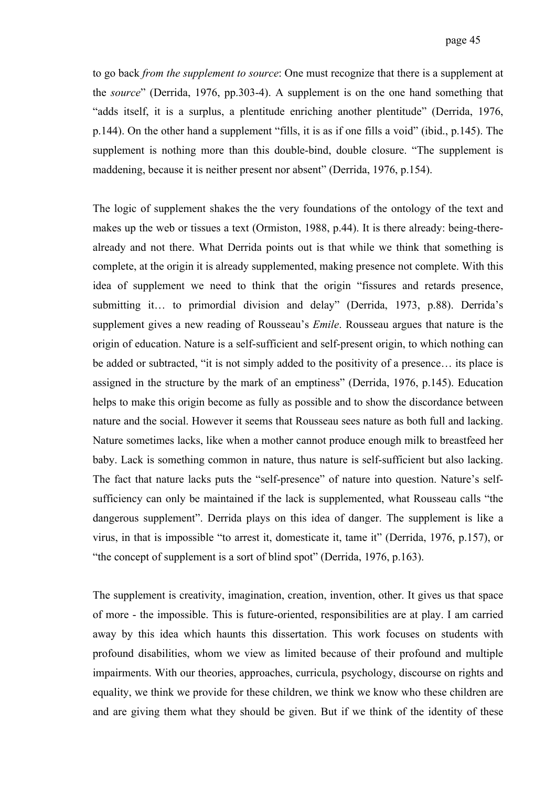to go back *from the supplement to source*: One must recognize that there is a supplement at the *source*" (Derrida, 1976, pp.303-4). A supplement is on the one hand something that "adds itself, it is a surplus, a plentitude enriching another plentitude" (Derrida, 1976, p.144). On the other hand a supplement "fills, it is as if one fills a void" (ibid., p.145). The supplement is nothing more than this double-bind, double closure. "The supplement is maddening, because it is neither present nor absent" (Derrida, 1976, p.154).

The logic of supplement shakes the the very foundations of the ontology of the text and makes up the web or tissues a text (Ormiston, 1988, p.44). It is there already: being-therealready and not there. What Derrida points out is that while we think that something is complete, at the origin it is already supplemented, making presence not complete. With this idea of supplement we need to think that the origin "fissures and retards presence, submitting it… to primordial division and delay" (Derrida, 1973, p.88). Derrida's supplement gives a new reading of Rousseau's *Emile*. Rousseau argues that nature is the origin of education. Nature is a self-sufficient and self-present origin, to which nothing can be added or subtracted, "it is not simply added to the positivity of a presence… its place is assigned in the structure by the mark of an emptiness" (Derrida, 1976, p.145). Education helps to make this origin become as fully as possible and to show the discordance between nature and the social. However it seems that Rousseau sees nature as both full and lacking. Nature sometimes lacks, like when a mother cannot produce enough milk to breastfeed her baby. Lack is something common in nature, thus nature is self-sufficient but also lacking. The fact that nature lacks puts the "self-presence" of nature into question. Nature's selfsufficiency can only be maintained if the lack is supplemented, what Rousseau calls "the dangerous supplement". Derrida plays on this idea of danger. The supplement is like a virus, in that is impossible "to arrest it, domesticate it, tame it" (Derrida, 1976, p.157), or "the concept of supplement is a sort of blind spot" (Derrida, 1976, p.163).

The supplement is creativity, imagination, creation, invention, other. It gives us that space of more - the impossible. This is future-oriented, responsibilities are at play. I am carried away by this idea which haunts this dissertation. This work focuses on students with profound disabilities, whom we view as limited because of their profound and multiple impairments. With our theories, approaches, curricula, psychology, discourse on rights and equality, we think we provide for these children, we think we know who these children are and are giving them what they should be given. But if we think of the identity of these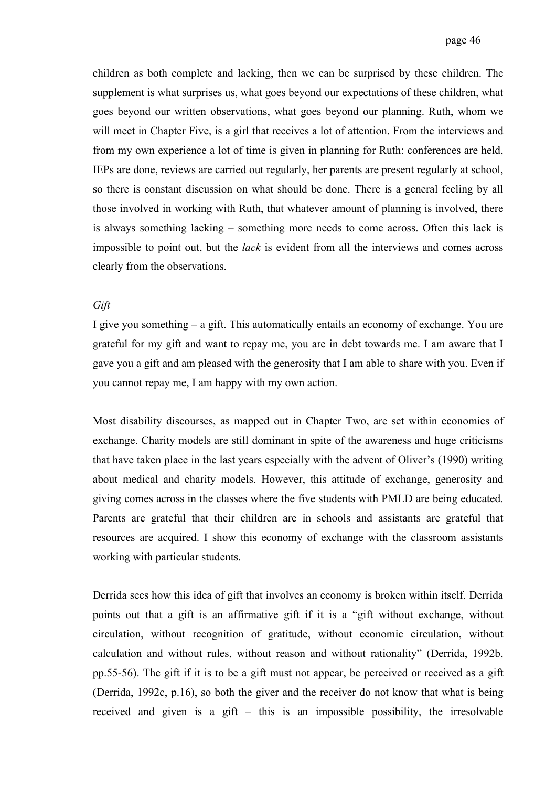children as both complete and lacking, then we can be surprised by these children. The supplement is what surprises us, what goes beyond our expectations of these children, what goes beyond our written observations, what goes beyond our planning. Ruth, whom we will meet in Chapter Five, is a girl that receives a lot of attention. From the interviews and from my own experience a lot of time is given in planning for Ruth: conferences are held, IEPs are done, reviews are carried out regularly, her parents are present regularly at school, so there is constant discussion on what should be done. There is a general feeling by all those involved in working with Ruth, that whatever amount of planning is involved, there is always something lacking – something more needs to come across. Often this lack is impossible to point out, but the *lack* is evident from all the interviews and comes across clearly from the observations.

## *Gift*

I give you something – a gift. This automatically entails an economy of exchange. You are grateful for my gift and want to repay me, you are in debt towards me. I am aware that I gave you a gift and am pleased with the generosity that I am able to share with you. Even if you cannot repay me, I am happy with my own action.

Most disability discourses, as mapped out in Chapter Two, are set within economies of exchange. Charity models are still dominant in spite of the awareness and huge criticisms that have taken place in the last years especially with the advent of Oliver's (1990) writing about medical and charity models. However, this attitude of exchange, generosity and giving comes across in the classes where the five students with PMLD are being educated. Parents are grateful that their children are in schools and assistants are grateful that resources are acquired. I show this economy of exchange with the classroom assistants working with particular students.

Derrida sees how this idea of gift that involves an economy is broken within itself. Derrida points out that a gift is an affirmative gift if it is a "gift without exchange, without circulation, without recognition of gratitude, without economic circulation, without calculation and without rules, without reason and without rationality" (Derrida, 1992b, pp.55-56). The gift if it is to be a gift must not appear, be perceived or received as a gift (Derrida, 1992c, p.16), so both the giver and the receiver do not know that what is being received and given is a gift – this is an impossible possibility, the irresolvable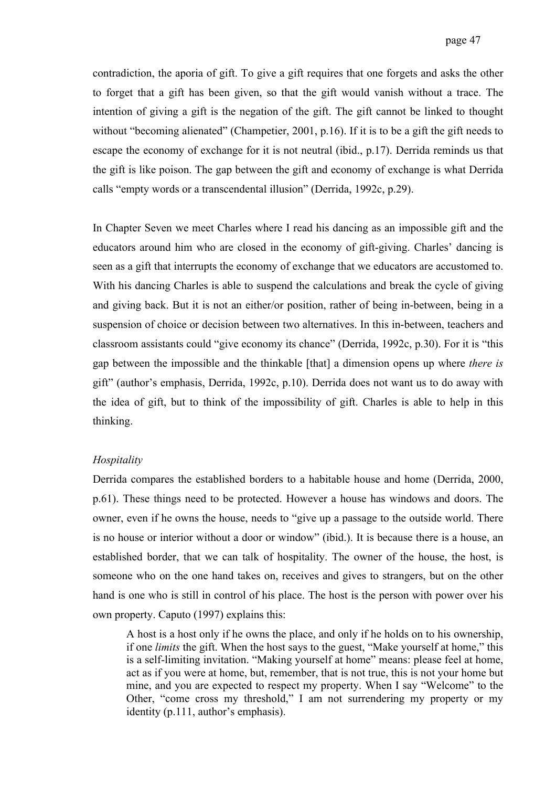contradiction, the aporia of gift. To give a gift requires that one forgets and asks the other to forget that a gift has been given, so that the gift would vanish without a trace. The intention of giving a gift is the negation of the gift. The gift cannot be linked to thought without "becoming alienated" (Champetier, 2001, p.16). If it is to be a gift the gift needs to escape the economy of exchange for it is not neutral (ibid., p.17). Derrida reminds us that the gift is like poison. The gap between the gift and economy of exchange is what Derrida calls "empty words or a transcendental illusion" (Derrida, 1992c, p.29).

In Chapter Seven we meet Charles where I read his dancing as an impossible gift and the educators around him who are closed in the economy of gift-giving. Charles' dancing is seen as a gift that interrupts the economy of exchange that we educators are accustomed to. With his dancing Charles is able to suspend the calculations and break the cycle of giving and giving back. But it is not an either/or position, rather of being in-between, being in a suspension of choice or decision between two alternatives. In this in-between, teachers and classroom assistants could "give economy its chance" (Derrida, 1992c, p.30). For it is "this gap between the impossible and the thinkable [that] a dimension opens up where *there is* gift" (author's emphasis, Derrida, 1992c, p.10). Derrida does not want us to do away with the idea of gift, but to think of the impossibility of gift. Charles is able to help in this thinking.

#### *Hospitality*

Derrida compares the established borders to a habitable house and home (Derrida, 2000, p.61). These things need to be protected. However a house has windows and doors. The owner, even if he owns the house, needs to "give up a passage to the outside world. There is no house or interior without a door or window" (ibid.). It is because there is a house, an established border, that we can talk of hospitality. The owner of the house, the host, is someone who on the one hand takes on, receives and gives to strangers, but on the other hand is one who is still in control of his place. The host is the person with power over his own property. Caputo (1997) explains this:

A host is a host only if he owns the place, and only if he holds on to his ownership, if one *limits* the gift. When the host says to the guest, "Make yourself at home," this is a self-limiting invitation. "Making yourself at home" means: please feel at home, act as if you were at home, but, remember, that is not true, this is not your home but mine, and you are expected to respect my property. When I say "Welcome" to the Other, "come cross my threshold," I am not surrendering my property or my identity (p.111, author's emphasis).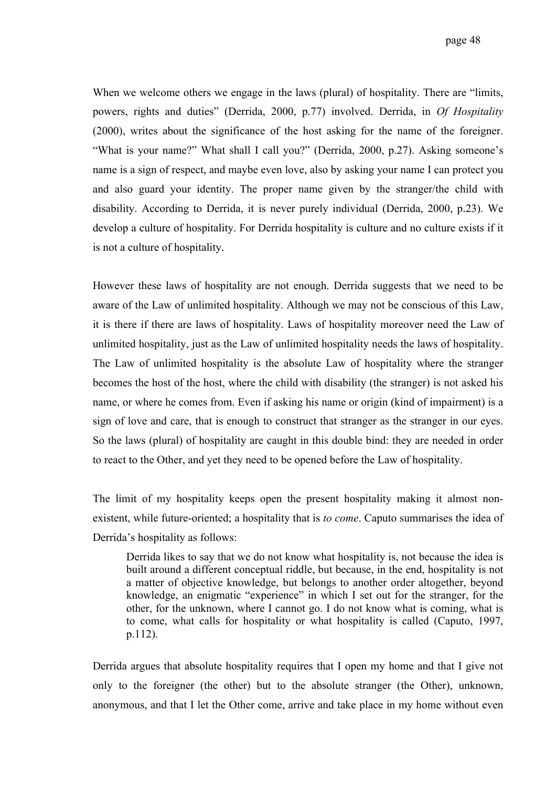When we welcome others we engage in the laws (plural) of hospitality. There are "limits, powers, rights and duties" (Derrida, 2000, p.77) involved. Derrida, in *Of Hospitality* (2000), writes about the significance of the host asking for the name of the foreigner. "What is your name?" What shall I call you?" (Derrida, 2000, p.27). Asking someone's name is a sign of respect, and maybe even love, also by asking your name I can protect you and also guard your identity. The proper name given by the stranger/the child with disability. According to Derrida, it is never purely individual (Derrida, 2000, p.23). We develop a culture of hospitality. For Derrida hospitality is culture and no culture exists if it is not a culture of hospitality.

However these laws of hospitality are not enough. Derrida suggests that we need to be aware of the Law of unlimited hospitality. Although we may not be conscious of this Law, it is there if there are laws of hospitality. Laws of hospitality moreover need the Law of unlimited hospitality, just as the Law of unlimited hospitality needs the laws of hospitality. The Law of unlimited hospitality is the absolute Law of hospitality where the stranger becomes the host of the host, where the child with disability (the stranger) is not asked his name, or where he comes from. Even if asking his name or origin (kind of impairment) is a sign of love and care, that is enough to construct that stranger as the stranger in our eyes. So the laws (plural) of hospitality are caught in this double bind: they are needed in order to react to the Other, and yet they need to be opened before the Law of hospitality.

The limit of my hospitality keeps open the present hospitality making it almost nonexistent, while future-oriented; a hospitality that is *to come*. Caputo summarises the idea of Derrida's hospitality as follows:

Derrida likes to say that we do not know what hospitality is, not because the idea is built around a different conceptual riddle, but because, in the end, hospitality is not a matter of objective knowledge, but belongs to another order altogether, beyond knowledge, an enigmatic "experience" in which I set out for the stranger, for the other, for the unknown, where I cannot go. I do not know what is coming, what is to come, what calls for hospitality or what hospitality is called (Caputo, 1997, p.112).

Derrida argues that absolute hospitality requires that I open my home and that I give not only to the foreigner (the other) but to the absolute stranger (the Other), unknown, anonymous, and that I let the Other come, arrive and take place in my home without even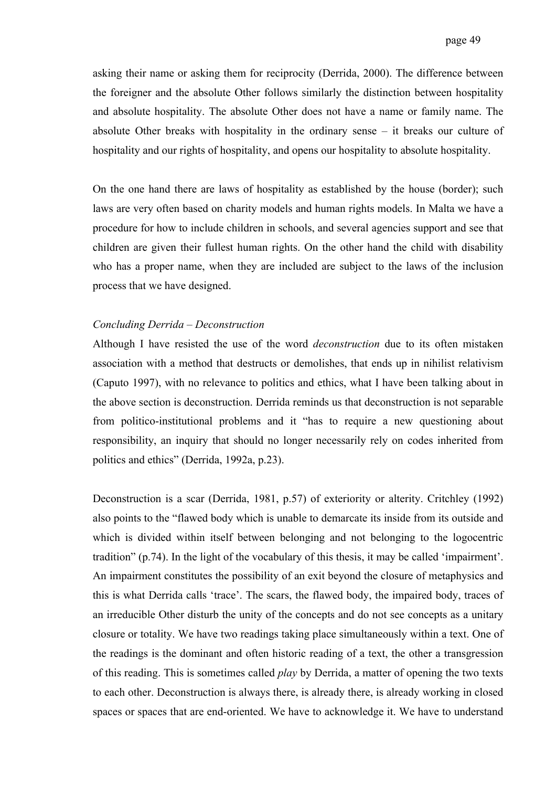asking their name or asking them for reciprocity (Derrida, 2000). The difference between the foreigner and the absolute Other follows similarly the distinction between hospitality and absolute hospitality. The absolute Other does not have a name or family name. The absolute Other breaks with hospitality in the ordinary sense – it breaks our culture of hospitality and our rights of hospitality, and opens our hospitality to absolute hospitality.

On the one hand there are laws of hospitality as established by the house (border); such laws are very often based on charity models and human rights models. In Malta we have a procedure for how to include children in schools, and several agencies support and see that children are given their fullest human rights. On the other hand the child with disability who has a proper name, when they are included are subject to the laws of the inclusion process that we have designed.

#### *Concluding Derrida – Deconstruction*

Although I have resisted the use of the word *deconstruction* due to its often mistaken association with a method that destructs or demolishes, that ends up in nihilist relativism (Caputo 1997), with no relevance to politics and ethics, what I have been talking about in the above section is deconstruction. Derrida reminds us that deconstruction is not separable from politico-institutional problems and it "has to require a new questioning about responsibility, an inquiry that should no longer necessarily rely on codes inherited from politics and ethics" (Derrida, 1992a, p.23).

Deconstruction is a scar (Derrida, 1981, p.57) of exteriority or alterity. Critchley (1992) also points to the "flawed body which is unable to demarcate its inside from its outside and which is divided within itself between belonging and not belonging to the logocentric tradition" (p.74). In the light of the vocabulary of this thesis, it may be called 'impairment'. An impairment constitutes the possibility of an exit beyond the closure of metaphysics and this is what Derrida calls 'trace'. The scars, the flawed body, the impaired body, traces of an irreducible Other disturb the unity of the concepts and do not see concepts as a unitary closure or totality. We have two readings taking place simultaneously within a text. One of the readings is the dominant and often historic reading of a text, the other a transgression of this reading. This is sometimes called *play* by Derrida, a matter of opening the two texts to each other. Deconstruction is always there, is already there, is already working in closed spaces or spaces that are end-oriented. We have to acknowledge it. We have to understand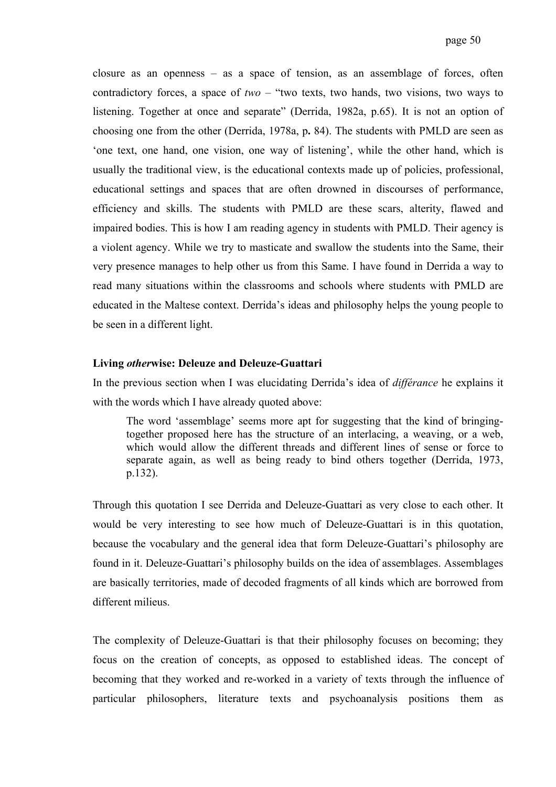closure as an openness – as a space of tension, as an assemblage of forces, often contradictory forces, a space of *two* – "two texts, two hands, two visions, two ways to listening. Together at once and separate" (Derrida, 1982a, p.65). It is not an option of choosing one from the other (Derrida, 1978a, p**.** 84). The students with PMLD are seen as 'one text, one hand, one vision, one way of listening', while the other hand, which is usually the traditional view, is the educational contexts made up of policies, professional, educational settings and spaces that are often drowned in discourses of performance, efficiency and skills. The students with PMLD are these scars, alterity, flawed and impaired bodies. This is how I am reading agency in students with PMLD. Their agency is a violent agency. While we try to masticate and swallow the students into the Same, their very presence manages to help other us from this Same. I have found in Derrida a way to read many situations within the classrooms and schools where students with PMLD are educated in the Maltese context. Derrida's ideas and philosophy helps the young people to be seen in a different light.

# **Living** *other***wise: Deleuze and Deleuze-Guattari**

In the previous section when I was elucidating Derrida's idea of *différance* he explains it with the words which I have already quoted above:

The word 'assemblage' seems more apt for suggesting that the kind of bringingtogether proposed here has the structure of an interlacing, a weaving, or a web, which would allow the different threads and different lines of sense or force to separate again, as well as being ready to bind others together (Derrida, 1973, p.132).

Through this quotation I see Derrida and Deleuze-Guattari as very close to each other. It would be very interesting to see how much of Deleuze-Guattari is in this quotation, because the vocabulary and the general idea that form Deleuze-Guattari's philosophy are found in it. Deleuze-Guattari's philosophy builds on the idea of assemblages. Assemblages are basically territories, made of decoded fragments of all kinds which are borrowed from different milieus.

The complexity of Deleuze-Guattari is that their philosophy focuses on becoming; they focus on the creation of concepts, as opposed to established ideas. The concept of becoming that they worked and re-worked in a variety of texts through the influence of particular philosophers, literature texts and psychoanalysis positions them as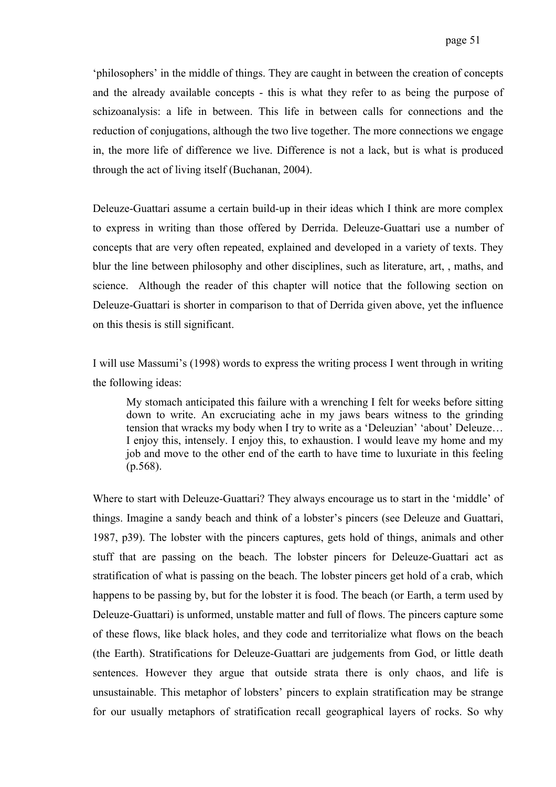'philosophers' in the middle of things. They are caught in between the creation of concepts and the already available concepts - this is what they refer to as being the purpose of schizoanalysis: a life in between. This life in between calls for connections and the reduction of conjugations, although the two live together. The more connections we engage in, the more life of difference we live. Difference is not a lack, but is what is produced through the act of living itself (Buchanan, 2004).

Deleuze-Guattari assume a certain build-up in their ideas which I think are more complex to express in writing than those offered by Derrida. Deleuze-Guattari use a number of concepts that are very often repeated, explained and developed in a variety of texts. They blur the line between philosophy and other disciplines, such as literature, art, , maths, and science. Although the reader of this chapter will notice that the following section on Deleuze-Guattari is shorter in comparison to that of Derrida given above, yet the influence on this thesis is still significant.

I will use Massumi's (1998) words to express the writing process I went through in writing the following ideas:

My stomach anticipated this failure with a wrenching I felt for weeks before sitting down to write. An excruciating ache in my jaws bears witness to the grinding tension that wracks my body when I try to write as a 'Deleuzian' 'about' Deleuze… I enjoy this, intensely. I enjoy this, to exhaustion. I would leave my home and my job and move to the other end of the earth to have time to luxuriate in this feeling (p.568).

Where to start with Deleuze-Guattari? They always encourage us to start in the 'middle' of things. Imagine a sandy beach and think of a lobster's pincers (see Deleuze and Guattari, 1987, p39). The lobster with the pincers captures, gets hold of things, animals and other stuff that are passing on the beach. The lobster pincers for Deleuze-Guattari act as stratification of what is passing on the beach. The lobster pincers get hold of a crab, which happens to be passing by, but for the lobster it is food. The beach (or Earth, a term used by Deleuze-Guattari) is unformed, unstable matter and full of flows. The pincers capture some of these flows, like black holes, and they code and territorialize what flows on the beach (the Earth). Stratifications for Deleuze-Guattari are judgements from God, or little death sentences. However they argue that outside strata there is only chaos, and life is unsustainable. This metaphor of lobsters' pincers to explain stratification may be strange for our usually metaphors of stratification recall geographical layers of rocks. So why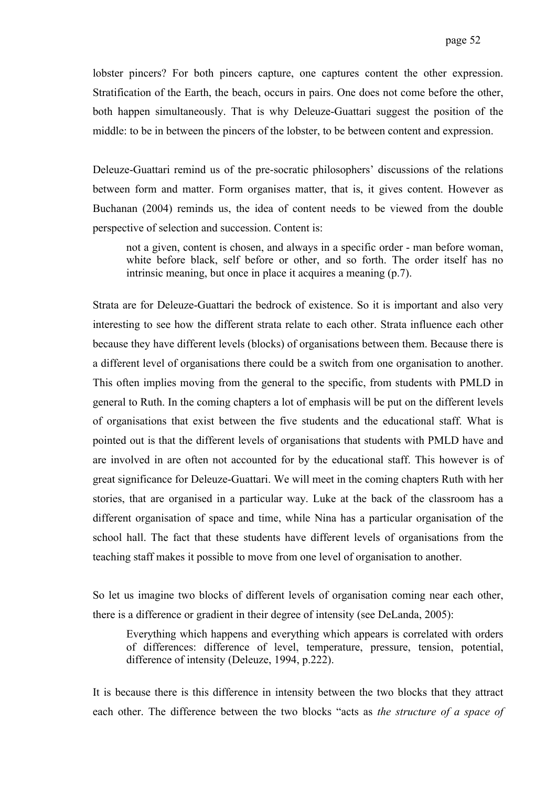lobster pincers? For both pincers capture, one captures content the other expression. Stratification of the Earth, the beach, occurs in pairs. One does not come before the other, both happen simultaneously. That is why Deleuze-Guattari suggest the position of the middle: to be in between the pincers of the lobster, to be between content and expression.

Deleuze-Guattari remind us of the pre-socratic philosophers' discussions of the relations between form and matter. Form organises matter, that is, it gives content. However as Buchanan (2004) reminds us, the idea of content needs to be viewed from the double perspective of selection and succession. Content is:

not a given, content is chosen, and always in a specific order - man before woman, white before black, self before or other, and so forth. The order itself has no intrinsic meaning, but once in place it acquires a meaning (p.7).

Strata are for Deleuze-Guattari the bedrock of existence. So it is important and also very interesting to see how the different strata relate to each other. Strata influence each other because they have different levels (blocks) of organisations between them. Because there is a different level of organisations there could be a switch from one organisation to another. This often implies moving from the general to the specific, from students with PMLD in general to Ruth. In the coming chapters a lot of emphasis will be put on the different levels of organisations that exist between the five students and the educational staff. What is pointed out is that the different levels of organisations that students with PMLD have and are involved in are often not accounted for by the educational staff. This however is of great significance for Deleuze-Guattari. We will meet in the coming chapters Ruth with her stories, that are organised in a particular way. Luke at the back of the classroom has a different organisation of space and time, while Nina has a particular organisation of the school hall. The fact that these students have different levels of organisations from the teaching staff makes it possible to move from one level of organisation to another.

So let us imagine two blocks of different levels of organisation coming near each other, there is a difference or gradient in their degree of intensity (see DeLanda, 2005):

Everything which happens and everything which appears is correlated with orders of differences: difference of level, temperature, pressure, tension, potential, difference of intensity (Deleuze, 1994, p.222).

It is because there is this difference in intensity between the two blocks that they attract each other. The difference between the two blocks "acts as *the structure of a space of*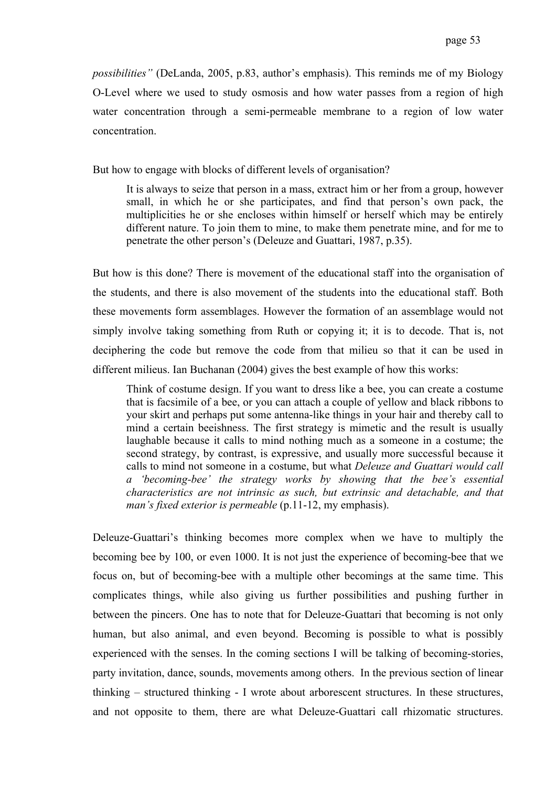*possibilities"* (DeLanda, 2005, p.83, author's emphasis). This reminds me of my Biology O-Level where we used to study osmosis and how water passes from a region of high water concentration through a semi-permeable membrane to a region of low water concentration.

But how to engage with blocks of different levels of organisation?

It is always to seize that person in a mass, extract him or her from a group, however small, in which he or she participates, and find that person's own pack, the multiplicities he or she encloses within himself or herself which may be entirely different nature. To join them to mine, to make them penetrate mine, and for me to penetrate the other person's (Deleuze and Guattari, 1987, p.35).

But how is this done? There is movement of the educational staff into the organisation of the students, and there is also movement of the students into the educational staff. Both these movements form assemblages. However the formation of an assemblage would not simply involve taking something from Ruth or copying it; it is to decode. That is, not deciphering the code but remove the code from that milieu so that it can be used in different milieus. Ian Buchanan (2004) gives the best example of how this works:

Think of costume design. If you want to dress like a bee, you can create a costume that is facsimile of a bee, or you can attach a couple of yellow and black ribbons to your skirt and perhaps put some antenna-like things in your hair and thereby call to mind a certain beeishness. The first strategy is mimetic and the result is usually laughable because it calls to mind nothing much as a someone in a costume; the second strategy, by contrast, is expressive, and usually more successful because it calls to mind not someone in a costume, but what *Deleuze and Guattari would call a 'becoming-bee' the strategy works by showing that the bee's essential characteristics are not intrinsic as such, but extrinsic and detachable, and that man's fixed exterior is permeable* (p.11-12, my emphasis).

Deleuze-Guattari's thinking becomes more complex when we have to multiply the becoming bee by 100, or even 1000. It is not just the experience of becoming-bee that we focus on, but of becoming-bee with a multiple other becomings at the same time. This complicates things, while also giving us further possibilities and pushing further in between the pincers. One has to note that for Deleuze-Guattari that becoming is not only human, but also animal, and even beyond. Becoming is possible to what is possibly experienced with the senses. In the coming sections I will be talking of becoming-stories, party invitation, dance, sounds, movements among others. In the previous section of linear thinking – structured thinking - I wrote about arborescent structures. In these structures, and not opposite to them, there are what Deleuze-Guattari call rhizomatic structures.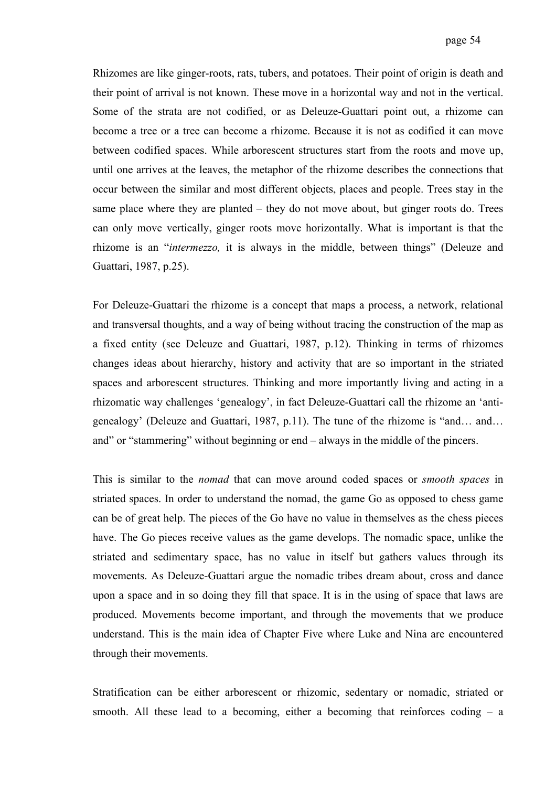Rhizomes are like ginger-roots, rats, tubers, and potatoes. Their point of origin is death and their point of arrival is not known. These move in a horizontal way and not in the vertical. Some of the strata are not codified, or as Deleuze-Guattari point out, a rhizome can become a tree or a tree can become a rhizome. Because it is not as codified it can move between codified spaces. While arborescent structures start from the roots and move up, until one arrives at the leaves, the metaphor of the rhizome describes the connections that occur between the similar and most different objects, places and people. Trees stay in the same place where they are planted – they do not move about, but ginger roots do. Trees can only move vertically, ginger roots move horizontally. What is important is that the rhizome is an "*intermezzo,* it is always in the middle, between things" (Deleuze and Guattari, 1987, p.25).

For Deleuze-Guattari the rhizome is a concept that maps a process, a network, relational and transversal thoughts, and a way of being without tracing the construction of the map as a fixed entity (see Deleuze and Guattari, 1987, p.12). Thinking in terms of rhizomes changes ideas about hierarchy, history and activity that are so important in the striated spaces and arborescent structures. Thinking and more importantly living and acting in a rhizomatic way challenges 'genealogy', in fact Deleuze-Guattari call the rhizome an 'antigenealogy' (Deleuze and Guattari, 1987, p.11). The tune of the rhizome is "and… and… and" or "stammering" without beginning or end – always in the middle of the pincers.

This is similar to the *nomad* that can move around coded spaces or *smooth spaces* in striated spaces. In order to understand the nomad, the game Go as opposed to chess game can be of great help. The pieces of the Go have no value in themselves as the chess pieces have. The Go pieces receive values as the game develops. The nomadic space, unlike the striated and sedimentary space, has no value in itself but gathers values through its movements. As Deleuze-Guattari argue the nomadic tribes dream about, cross and dance upon a space and in so doing they fill that space. It is in the using of space that laws are produced. Movements become important, and through the movements that we produce understand. This is the main idea of Chapter Five where Luke and Nina are encountered through their movements.

Stratification can be either arborescent or rhizomic, sedentary or nomadic, striated or smooth. All these lead to a becoming, either a becoming that reinforces coding  $-$  a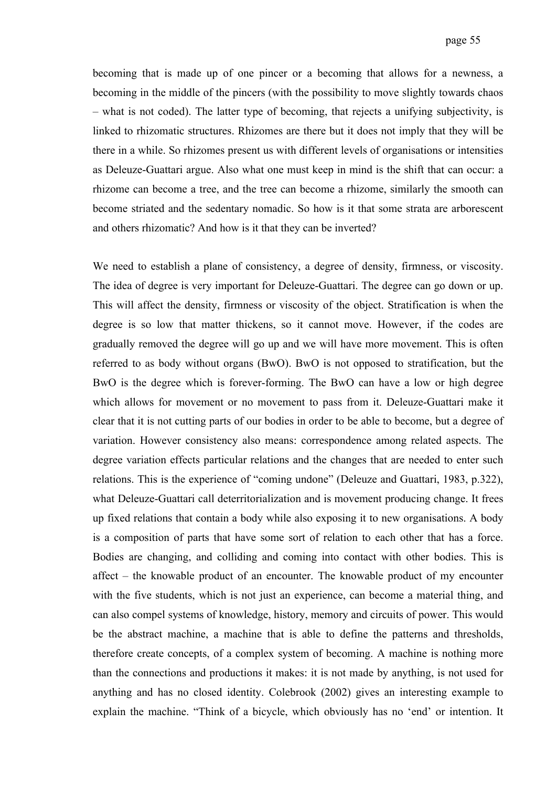becoming that is made up of one pincer or a becoming that allows for a newness, a becoming in the middle of the pincers (with the possibility to move slightly towards chaos – what is not coded). The latter type of becoming, that rejects a unifying subjectivity, is linked to rhizomatic structures. Rhizomes are there but it does not imply that they will be there in a while. So rhizomes present us with different levels of organisations or intensities as Deleuze-Guattari argue. Also what one must keep in mind is the shift that can occur: a rhizome can become a tree, and the tree can become a rhizome, similarly the smooth can become striated and the sedentary nomadic. So how is it that some strata are arborescent and others rhizomatic? And how is it that they can be inverted?

We need to establish a plane of consistency, a degree of density, firmness, or viscosity. The idea of degree is very important for Deleuze-Guattari. The degree can go down or up. This will affect the density, firmness or viscosity of the object. Stratification is when the degree is so low that matter thickens, so it cannot move. However, if the codes are gradually removed the degree will go up and we will have more movement. This is often referred to as body without organs (BwO). BwO is not opposed to stratification, but the BwO is the degree which is forever-forming. The BwO can have a low or high degree which allows for movement or no movement to pass from it. Deleuze-Guattari make it clear that it is not cutting parts of our bodies in order to be able to become, but a degree of variation. However consistency also means: correspondence among related aspects. The degree variation effects particular relations and the changes that are needed to enter such relations. This is the experience of "coming undone" (Deleuze and Guattari, 1983, p.322), what Deleuze-Guattari call deterritorialization and is movement producing change. It frees up fixed relations that contain a body while also exposing it to new organisations. A body is a composition of parts that have some sort of relation to each other that has a force. Bodies are changing, and colliding and coming into contact with other bodies. This is affect – the knowable product of an encounter. The knowable product of my encounter with the five students, which is not just an experience, can become a material thing, and can also compel systems of knowledge, history, memory and circuits of power. This would be the abstract machine, a machine that is able to define the patterns and thresholds, therefore create concepts, of a complex system of becoming. A machine is nothing more than the connections and productions it makes: it is not made by anything, is not used for anything and has no closed identity. Colebrook (2002) gives an interesting example to explain the machine. "Think of a bicycle, which obviously has no 'end' or intention. It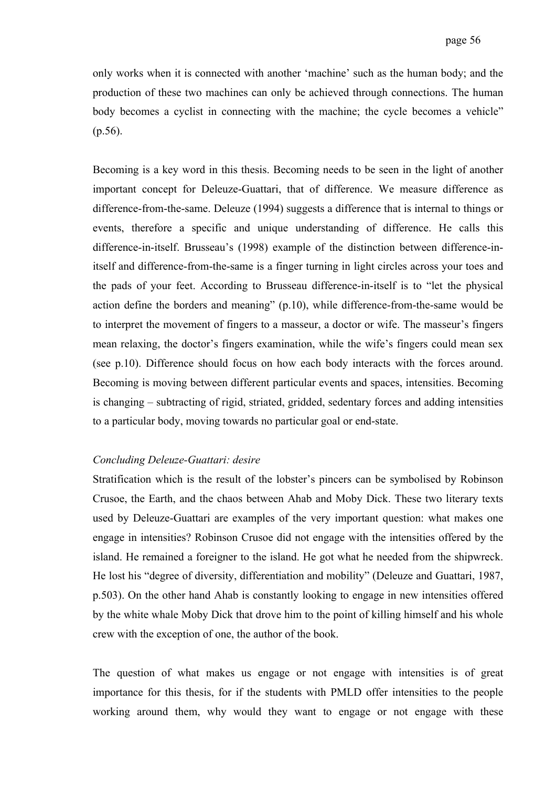only works when it is connected with another 'machine' such as the human body; and the production of these two machines can only be achieved through connections. The human body becomes a cyclist in connecting with the machine; the cycle becomes a vehicle"  $(p.56)$ .

Becoming is a key word in this thesis. Becoming needs to be seen in the light of another important concept for Deleuze-Guattari, that of difference. We measure difference as difference-from-the-same. Deleuze (1994) suggests a difference that is internal to things or events, therefore a specific and unique understanding of difference. He calls this difference-in-itself. Brusseau's (1998) example of the distinction between difference-initself and difference-from-the-same is a finger turning in light circles across your toes and the pads of your feet. According to Brusseau difference-in-itself is to "let the physical action define the borders and meaning" (p.10), while difference-from-the-same would be to interpret the movement of fingers to a masseur, a doctor or wife. The masseur's fingers mean relaxing, the doctor's fingers examination, while the wife's fingers could mean sex (see p.10). Difference should focus on how each body interacts with the forces around. Becoming is moving between different particular events and spaces, intensities. Becoming is changing – subtracting of rigid, striated, gridded, sedentary forces and adding intensities to a particular body, moving towards no particular goal or end-state.

## *Concluding Deleuze-Guattari: desire*

Stratification which is the result of the lobster's pincers can be symbolised by Robinson Crusoe, the Earth, and the chaos between Ahab and Moby Dick. These two literary texts used by Deleuze-Guattari are examples of the very important question: what makes one engage in intensities? Robinson Crusoe did not engage with the intensities offered by the island. He remained a foreigner to the island. He got what he needed from the shipwreck. He lost his "degree of diversity, differentiation and mobility" (Deleuze and Guattari, 1987, p.503). On the other hand Ahab is constantly looking to engage in new intensities offered by the white whale Moby Dick that drove him to the point of killing himself and his whole crew with the exception of one, the author of the book.

The question of what makes us engage or not engage with intensities is of great importance for this thesis, for if the students with PMLD offer intensities to the people working around them, why would they want to engage or not engage with these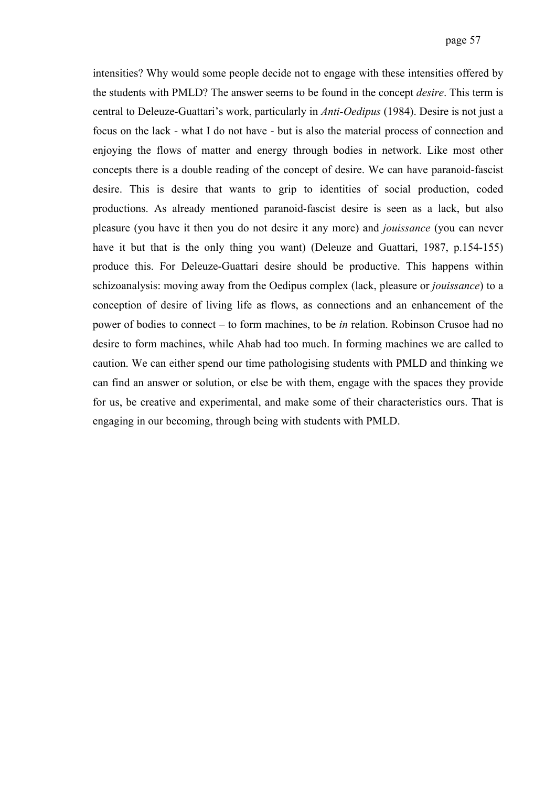intensities? Why would some people decide not to engage with these intensities offered by the students with PMLD? The answer seems to be found in the concept *desire*. This term is central to Deleuze-Guattari's work, particularly in *Anti-Oedipus* (1984). Desire is not just a focus on the lack - what I do not have - but is also the material process of connection and enjoying the flows of matter and energy through bodies in network. Like most other concepts there is a double reading of the concept of desire. We can have paranoid-fascist desire. This is desire that wants to grip to identities of social production, coded productions. As already mentioned paranoid-fascist desire is seen as a lack, but also pleasure (you have it then you do not desire it any more) and *jouissance* (you can never have it but that is the only thing you want) (Deleuze and Guattari, 1987, p.154-155) produce this. For Deleuze-Guattari desire should be productive. This happens within schizoanalysis: moving away from the Oedipus complex (lack, pleasure or *jouissance*) to a conception of desire of living life as flows, as connections and an enhancement of the power of bodies to connect – to form machines, to be *in* relation. Robinson Crusoe had no desire to form machines, while Ahab had too much. In forming machines we are called to caution. We can either spend our time pathologising students with PMLD and thinking we can find an answer or solution, or else be with them, engage with the spaces they provide for us, be creative and experimental, and make some of their characteristics ours. That is engaging in our becoming, through being with students with PMLD.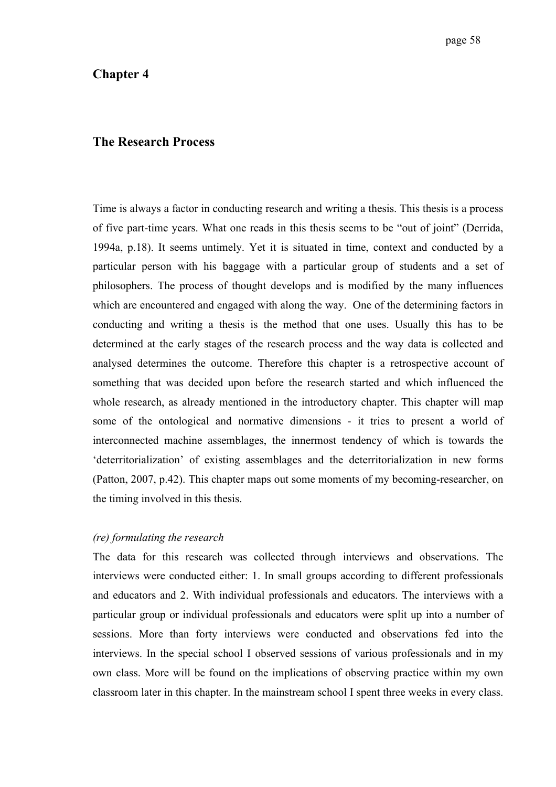# **Chapter 4**

# **The Research Process**

Time is always a factor in conducting research and writing a thesis. This thesis is a process of five part-time years. What one reads in this thesis seems to be "out of joint" (Derrida, 1994a, p.18). It seems untimely. Yet it is situated in time, context and conducted by a particular person with his baggage with a particular group of students and a set of philosophers. The process of thought develops and is modified by the many influences which are encountered and engaged with along the way. One of the determining factors in conducting and writing a thesis is the method that one uses. Usually this has to be determined at the early stages of the research process and the way data is collected and analysed determines the outcome. Therefore this chapter is a retrospective account of something that was decided upon before the research started and which influenced the whole research, as already mentioned in the introductory chapter. This chapter will map some of the ontological and normative dimensions - it tries to present a world of interconnected machine assemblages, the innermost tendency of which is towards the 'deterritorialization' of existing assemblages and the deterritorialization in new forms (Patton, 2007, p.42). This chapter maps out some moments of my becoming-researcher, on the timing involved in this thesis.

# *(re) formulating the research*

The data for this research was collected through interviews and observations. The interviews were conducted either: 1. In small groups according to different professionals and educators and 2. With individual professionals and educators. The interviews with a particular group or individual professionals and educators were split up into a number of sessions. More than forty interviews were conducted and observations fed into the interviews. In the special school I observed sessions of various professionals and in my own class. More will be found on the implications of observing practice within my own classroom later in this chapter. In the mainstream school I spent three weeks in every class.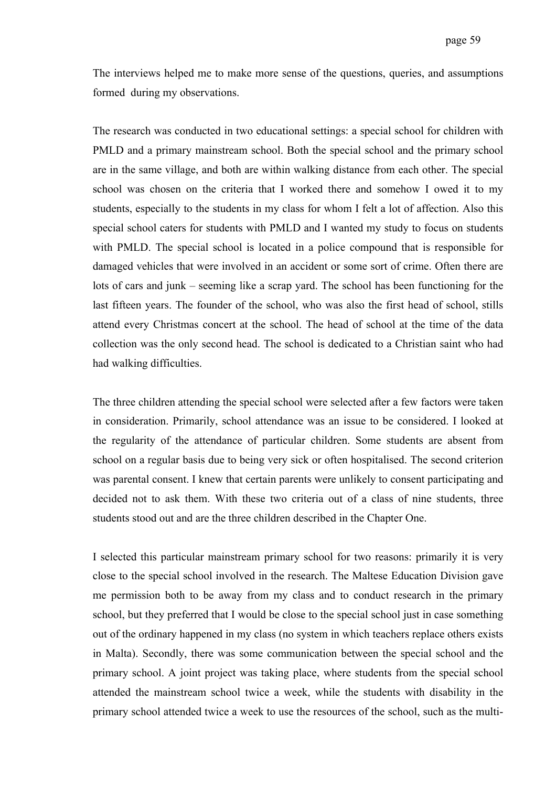The interviews helped me to make more sense of the questions, queries, and assumptions formed during my observations.

The research was conducted in two educational settings: a special school for children with PMLD and a primary mainstream school. Both the special school and the primary school are in the same village, and both are within walking distance from each other. The special school was chosen on the criteria that I worked there and somehow I owed it to my students, especially to the students in my class for whom I felt a lot of affection. Also this special school caters for students with PMLD and I wanted my study to focus on students with PMLD. The special school is located in a police compound that is responsible for damaged vehicles that were involved in an accident or some sort of crime. Often there are lots of cars and junk – seeming like a scrap yard. The school has been functioning for the last fifteen years. The founder of the school, who was also the first head of school, stills attend every Christmas concert at the school. The head of school at the time of the data collection was the only second head. The school is dedicated to a Christian saint who had had walking difficulties.

The three children attending the special school were selected after a few factors were taken in consideration. Primarily, school attendance was an issue to be considered. I looked at the regularity of the attendance of particular children. Some students are absent from school on a regular basis due to being very sick or often hospitalised. The second criterion was parental consent. I knew that certain parents were unlikely to consent participating and decided not to ask them. With these two criteria out of a class of nine students, three students stood out and are the three children described in the Chapter One.

I selected this particular mainstream primary school for two reasons: primarily it is very close to the special school involved in the research. The Maltese Education Division gave me permission both to be away from my class and to conduct research in the primary school, but they preferred that I would be close to the special school just in case something out of the ordinary happened in my class (no system in which teachers replace others exists in Malta). Secondly, there was some communication between the special school and the primary school. A joint project was taking place, where students from the special school attended the mainstream school twice a week, while the students with disability in the primary school attended twice a week to use the resources of the school, such as the multi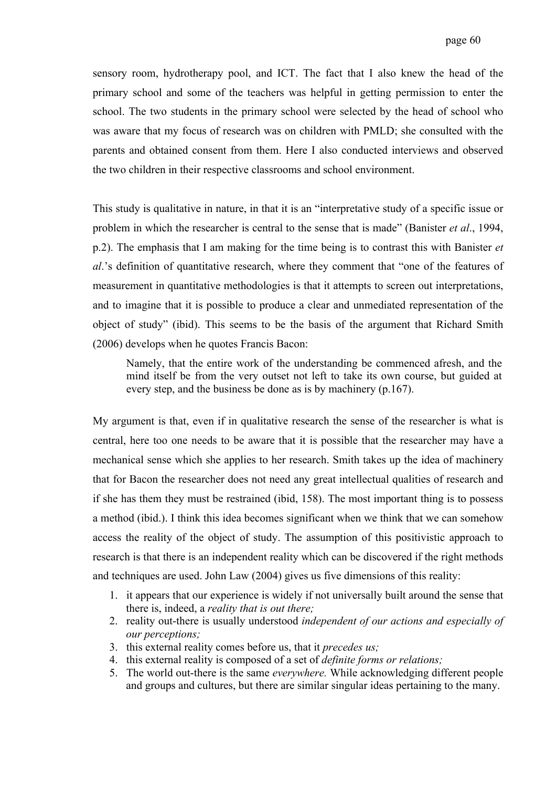sensory room, hydrotherapy pool, and ICT. The fact that I also knew the head of the primary school and some of the teachers was helpful in getting permission to enter the school. The two students in the primary school were selected by the head of school who was aware that my focus of research was on children with PMLD; she consulted with the parents and obtained consent from them. Here I also conducted interviews and observed the two children in their respective classrooms and school environment.

This study is qualitative in nature, in that it is an "interpretative study of a specific issue or problem in which the researcher is central to the sense that is made" (Banister *et al*., 1994, p.2). The emphasis that I am making for the time being is to contrast this with Banister *et al*.'s definition of quantitative research, where they comment that "one of the features of measurement in quantitative methodologies is that it attempts to screen out interpretations, and to imagine that it is possible to produce a clear and unmediated representation of the object of study" (ibid). This seems to be the basis of the argument that Richard Smith (2006) develops when he quotes Francis Bacon:

Namely, that the entire work of the understanding be commenced afresh, and the mind itself be from the very outset not left to take its own course, but guided at every step, and the business be done as is by machinery (p.167).

My argument is that, even if in qualitative research the sense of the researcher is what is central, here too one needs to be aware that it is possible that the researcher may have a mechanical sense which she applies to her research. Smith takes up the idea of machinery that for Bacon the researcher does not need any great intellectual qualities of research and if she has them they must be restrained (ibid, 158). The most important thing is to possess a method (ibid.). I think this idea becomes significant when we think that we can somehow access the reality of the object of study. The assumption of this positivistic approach to research is that there is an independent reality which can be discovered if the right methods and techniques are used. John Law (2004) gives us five dimensions of this reality:

- 1. it appears that our experience is widely if not universally built around the sense that there is, indeed, a *reality that is out there;*
- 2. reality out-there is usually understood *independent of our actions and especially of our perceptions;*
- 3. this external reality comes before us, that it *precedes us;*
- 4. this external reality is composed of a set of *definite forms or relations;*
- 5. The world out-there is the same *everywhere.* While acknowledging different people and groups and cultures, but there are similar singular ideas pertaining to the many.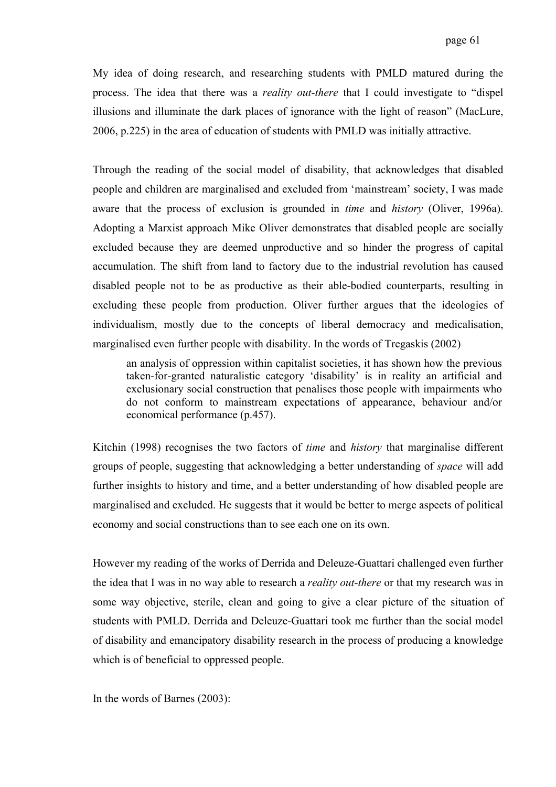My idea of doing research, and researching students with PMLD matured during the process. The idea that there was a *reality out-there* that I could investigate to "dispel illusions and illuminate the dark places of ignorance with the light of reason" (MacLure, 2006, p.225) in the area of education of students with PMLD was initially attractive.

Through the reading of the social model of disability, that acknowledges that disabled people and children are marginalised and excluded from 'mainstream' society, I was made aware that the process of exclusion is grounded in *time* and *history* (Oliver, 1996a). Adopting a Marxist approach Mike Oliver demonstrates that disabled people are socially excluded because they are deemed unproductive and so hinder the progress of capital accumulation. The shift from land to factory due to the industrial revolution has caused disabled people not to be as productive as their able-bodied counterparts, resulting in excluding these people from production. Oliver further argues that the ideologies of individualism, mostly due to the concepts of liberal democracy and medicalisation, marginalised even further people with disability. In the words of Tregaskis (2002)

an analysis of oppression within capitalist societies, it has shown how the previous taken-for-granted naturalistic category 'disability' is in reality an artificial and exclusionary social construction that penalises those people with impairments who do not conform to mainstream expectations of appearance, behaviour and/or economical performance (p.457).

Kitchin (1998) recognises the two factors of *time* and *history* that marginalise different groups of people, suggesting that acknowledging a better understanding of *space* will add further insights to history and time, and a better understanding of how disabled people are marginalised and excluded. He suggests that it would be better to merge aspects of political economy and social constructions than to see each one on its own.

However my reading of the works of Derrida and Deleuze-Guattari challenged even further the idea that I was in no way able to research a *reality out-there* or that my research was in some way objective, sterile, clean and going to give a clear picture of the situation of students with PMLD. Derrida and Deleuze-Guattari took me further than the social model of disability and emancipatory disability research in the process of producing a knowledge which is of beneficial to oppressed people.

In the words of Barnes (2003):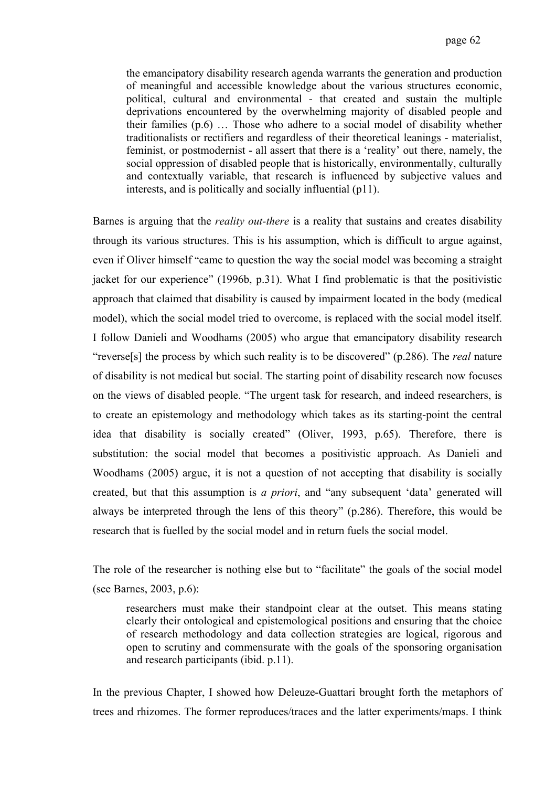the emancipatory disability research agenda warrants the generation and production of meaningful and accessible knowledge about the various structures economic, political, cultural and environmental - that created and sustain the multiple deprivations encountered by the overwhelming majority of disabled people and their families (p.6) … Those who adhere to a social model of disability whether traditionalists or rectifiers and regardless of their theoretical leanings - materialist, feminist, or postmodernist - all assert that there is a 'reality' out there, namely, the social oppression of disabled people that is historically, environmentally, culturally and contextually variable, that research is influenced by subjective values and interests, and is politically and socially influential (p11).

Barnes is arguing that the *reality out-there* is a reality that sustains and creates disability through its various structures. This is his assumption, which is difficult to argue against, even if Oliver himself "came to question the way the social model was becoming a straight jacket for our experience" (1996b, p.31). What I find problematic is that the positivistic approach that claimed that disability is caused by impairment located in the body (medical model), which the social model tried to overcome, is replaced with the social model itself. I follow Danieli and Woodhams (2005) who argue that emancipatory disability research "reverse[s] the process by which such reality is to be discovered" (p.286). The *real* nature of disability is not medical but social. The starting point of disability research now focuses on the views of disabled people. "The urgent task for research, and indeed researchers, is to create an epistemology and methodology which takes as its starting-point the central idea that disability is socially created" (Oliver, 1993, p.65). Therefore, there is substitution: the social model that becomes a positivistic approach. As Danieli and Woodhams (2005) argue, it is not a question of not accepting that disability is socially created, but that this assumption is *a priori*, and "any subsequent 'data' generated will always be interpreted through the lens of this theory" (p.286). Therefore, this would be research that is fuelled by the social model and in return fuels the social model.

The role of the researcher is nothing else but to "facilitate" the goals of the social model (see Barnes, 2003, p.6):

researchers must make their standpoint clear at the outset. This means stating clearly their ontological and epistemological positions and ensuring that the choice of research methodology and data collection strategies are logical, rigorous and open to scrutiny and commensurate with the goals of the sponsoring organisation and research participants (ibid. p.11).

In the previous Chapter, I showed how Deleuze-Guattari brought forth the metaphors of trees and rhizomes. The former reproduces/traces and the latter experiments/maps. I think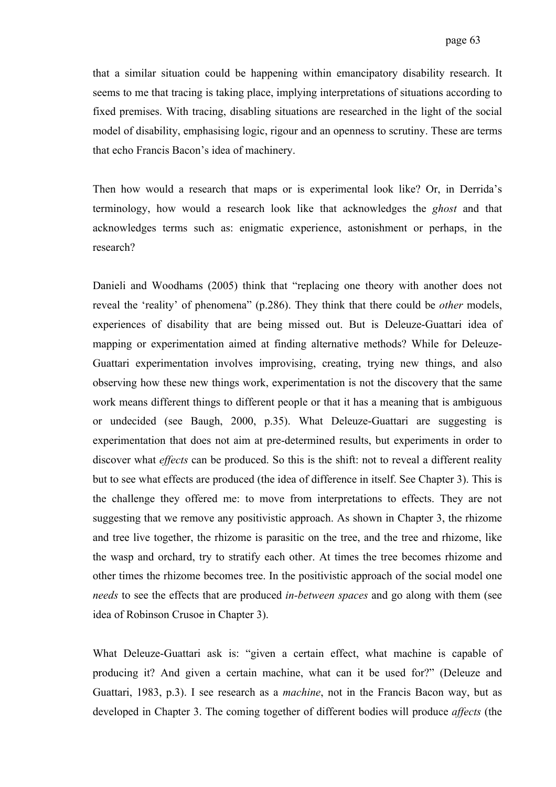that a similar situation could be happening within emancipatory disability research. It seems to me that tracing is taking place, implying interpretations of situations according to fixed premises. With tracing, disabling situations are researched in the light of the social model of disability, emphasising logic, rigour and an openness to scrutiny. These are terms that echo Francis Bacon's idea of machinery.

Then how would a research that maps or is experimental look like? Or, in Derrida's terminology, how would a research look like that acknowledges the *ghost* and that acknowledges terms such as: enigmatic experience, astonishment or perhaps, in the research?

Danieli and Woodhams (2005) think that "replacing one theory with another does not reveal the 'reality' of phenomena" (p.286). They think that there could be *other* models, experiences of disability that are being missed out. But is Deleuze-Guattari idea of mapping or experimentation aimed at finding alternative methods? While for Deleuze-Guattari experimentation involves improvising, creating, trying new things, and also observing how these new things work, experimentation is not the discovery that the same work means different things to different people or that it has a meaning that is ambiguous or undecided (see Baugh, 2000, p.35). What Deleuze-Guattari are suggesting is experimentation that does not aim at pre-determined results, but experiments in order to discover what *effects* can be produced. So this is the shift: not to reveal a different reality but to see what effects are produced (the idea of difference in itself. See Chapter 3). This is the challenge they offered me: to move from interpretations to effects. They are not suggesting that we remove any positivistic approach. As shown in Chapter 3, the rhizome and tree live together, the rhizome is parasitic on the tree, and the tree and rhizome, like the wasp and orchard, try to stratify each other. At times the tree becomes rhizome and other times the rhizome becomes tree. In the positivistic approach of the social model one *needs* to see the effects that are produced *in-between spaces* and go along with them (see idea of Robinson Crusoe in Chapter 3).

What Deleuze-Guattari ask is: "given a certain effect, what machine is capable of producing it? And given a certain machine, what can it be used for?" (Deleuze and Guattari, 1983, p.3). I see research as a *machine*, not in the Francis Bacon way, but as developed in Chapter 3. The coming together of different bodies will produce *affects* (the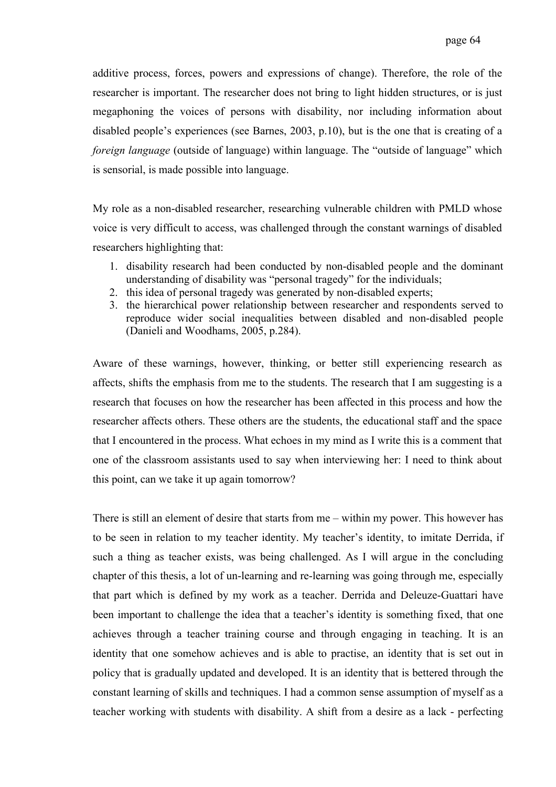additive process, forces, powers and expressions of change). Therefore, the role of the researcher is important. The researcher does not bring to light hidden structures, or is just megaphoning the voices of persons with disability, nor including information about disabled people's experiences (see Barnes, 2003, p.10), but is the one that is creating of a *foreign language* (outside of language) within language. The "outside of language" which is sensorial, is made possible into language.

My role as a non-disabled researcher, researching vulnerable children with PMLD whose voice is very difficult to access, was challenged through the constant warnings of disabled researchers highlighting that:

- 1. disability research had been conducted by non-disabled people and the dominant understanding of disability was "personal tragedy" for the individuals;
- 2. this idea of personal tragedy was generated by non-disabled experts;
- 3. the hierarchical power relationship between researcher and respondents served to reproduce wider social inequalities between disabled and non-disabled people (Danieli and Woodhams, 2005, p.284).

Aware of these warnings, however, thinking, or better still experiencing research as affects, shifts the emphasis from me to the students. The research that I am suggesting is a research that focuses on how the researcher has been affected in this process and how the researcher affects others. These others are the students, the educational staff and the space that I encountered in the process. What echoes in my mind as I write this is a comment that one of the classroom assistants used to say when interviewing her: I need to think about this point, can we take it up again tomorrow?

There is still an element of desire that starts from me – within my power. This however has to be seen in relation to my teacher identity. My teacher's identity, to imitate Derrida, if such a thing as teacher exists, was being challenged. As I will argue in the concluding chapter of this thesis, a lot of un-learning and re-learning was going through me, especially that part which is defined by my work as a teacher. Derrida and Deleuze-Guattari have been important to challenge the idea that a teacher's identity is something fixed, that one achieves through a teacher training course and through engaging in teaching. It is an identity that one somehow achieves and is able to practise, an identity that is set out in policy that is gradually updated and developed. It is an identity that is bettered through the constant learning of skills and techniques. I had a common sense assumption of myself as a teacher working with students with disability. A shift from a desire as a lack - perfecting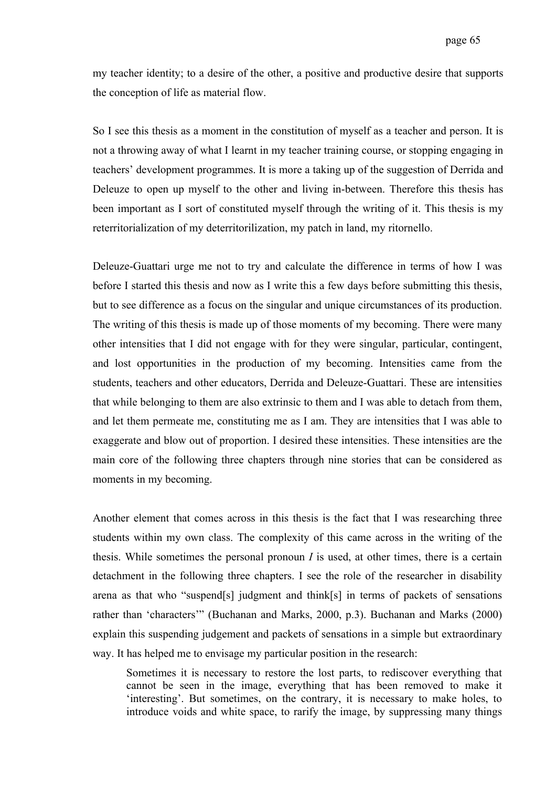my teacher identity; to a desire of the other, a positive and productive desire that supports the conception of life as material flow.

So I see this thesis as a moment in the constitution of myself as a teacher and person. It is not a throwing away of what I learnt in my teacher training course, or stopping engaging in teachers' development programmes. It is more a taking up of the suggestion of Derrida and Deleuze to open up myself to the other and living in-between. Therefore this thesis has been important as I sort of constituted myself through the writing of it. This thesis is my reterritorialization of my deterritorilization, my patch in land, my ritornello.

Deleuze-Guattari urge me not to try and calculate the difference in terms of how I was before I started this thesis and now as I write this a few days before submitting this thesis, but to see difference as a focus on the singular and unique circumstances of its production. The writing of this thesis is made up of those moments of my becoming. There were many other intensities that I did not engage with for they were singular, particular, contingent, and lost opportunities in the production of my becoming. Intensities came from the students, teachers and other educators, Derrida and Deleuze-Guattari. These are intensities that while belonging to them are also extrinsic to them and I was able to detach from them, and let them permeate me, constituting me as I am. They are intensities that I was able to exaggerate and blow out of proportion. I desired these intensities. These intensities are the main core of the following three chapters through nine stories that can be considered as moments in my becoming.

Another element that comes across in this thesis is the fact that I was researching three students within my own class. The complexity of this came across in the writing of the thesis. While sometimes the personal pronoun *I* is used, at other times, there is a certain detachment in the following three chapters. I see the role of the researcher in disability arena as that who "suspend[s] judgment and think[s] in terms of packets of sensations rather than 'characters'" (Buchanan and Marks, 2000, p.3). Buchanan and Marks (2000) explain this suspending judgement and packets of sensations in a simple but extraordinary way. It has helped me to envisage my particular position in the research:

Sometimes it is necessary to restore the lost parts, to rediscover everything that cannot be seen in the image, everything that has been removed to make it 'interesting'. But sometimes, on the contrary, it is necessary to make holes, to introduce voids and white space, to rarify the image, by suppressing many things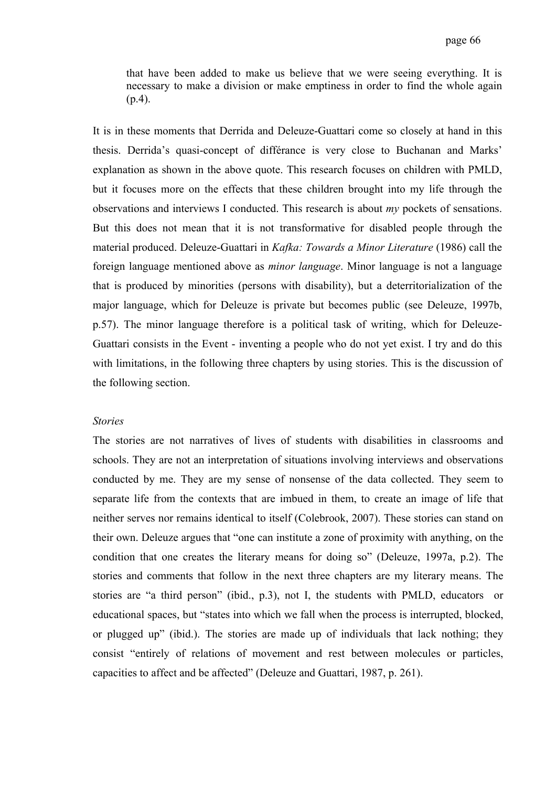that have been added to make us believe that we were seeing everything. It is necessary to make a division or make emptiness in order to find the whole again (p.4).

It is in these moments that Derrida and Deleuze-Guattari come so closely at hand in this thesis. Derrida's quasi-concept of différance is very close to Buchanan and Marks' explanation as shown in the above quote. This research focuses on children with PMLD, but it focuses more on the effects that these children brought into my life through the observations and interviews I conducted. This research is about *my* pockets of sensations. But this does not mean that it is not transformative for disabled people through the material produced. Deleuze-Guattari in *Kafka: Towards a Minor Literature* (1986) call the foreign language mentioned above as *minor language*. Minor language is not a language that is produced by minorities (persons with disability), but a deterritorialization of the major language, which for Deleuze is private but becomes public (see Deleuze, 1997b, p.57). The minor language therefore is a political task of writing, which for Deleuze-Guattari consists in the Event - inventing a people who do not yet exist. I try and do this with limitations, in the following three chapters by using stories. This is the discussion of the following section.

#### *Stories*

The stories are not narratives of lives of students with disabilities in classrooms and schools. They are not an interpretation of situations involving interviews and observations conducted by me. They are my sense of nonsense of the data collected. They seem to separate life from the contexts that are imbued in them, to create an image of life that neither serves nor remains identical to itself (Colebrook, 2007). These stories can stand on their own. Deleuze argues that "one can institute a zone of proximity with anything, on the condition that one creates the literary means for doing so" (Deleuze, 1997a, p.2). The stories and comments that follow in the next three chapters are my literary means. The stories are "a third person" (ibid., p.3), not I, the students with PMLD, educators or educational spaces, but "states into which we fall when the process is interrupted, blocked, or plugged up" (ibid.). The stories are made up of individuals that lack nothing; they consist "entirely of relations of movement and rest between molecules or particles, capacities to affect and be affected" (Deleuze and Guattari, 1987, p. 261).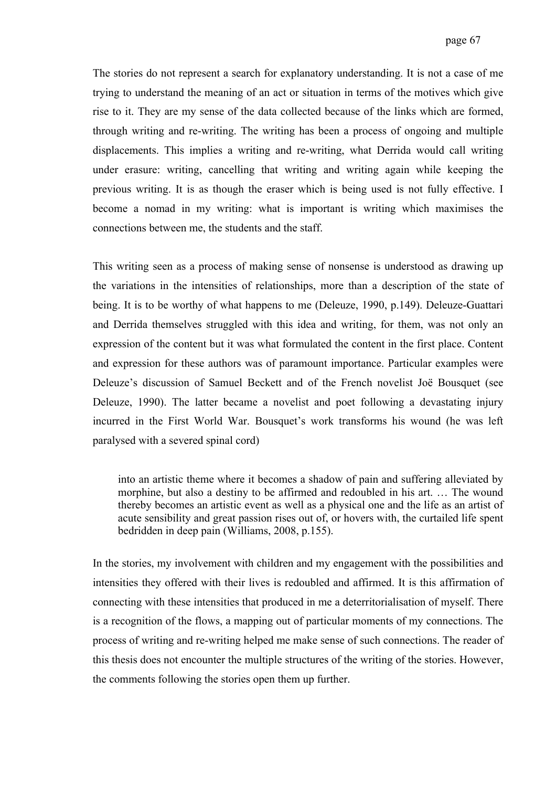The stories do not represent a search for explanatory understanding. It is not a case of me trying to understand the meaning of an act or situation in terms of the motives which give rise to it. They are my sense of the data collected because of the links which are formed, through writing and re-writing. The writing has been a process of ongoing and multiple displacements. This implies a writing and re-writing, what Derrida would call writing under erasure: writing, cancelling that writing and writing again while keeping the previous writing. It is as though the eraser which is being used is not fully effective. I become a nomad in my writing: what is important is writing which maximises the connections between me, the students and the staff.

This writing seen as a process of making sense of nonsense is understood as drawing up the variations in the intensities of relationships, more than a description of the state of being. It is to be worthy of what happens to me (Deleuze, 1990, p.149). Deleuze-Guattari and Derrida themselves struggled with this idea and writing, for them, was not only an expression of the content but it was what formulated the content in the first place. Content and expression for these authors was of paramount importance. Particular examples were Deleuze's discussion of Samuel Beckett and of the French novelist Joë Bousquet (see Deleuze, 1990). The latter became a novelist and poet following a devastating injury incurred in the First World War. Bousquet's work transforms his wound (he was left paralysed with a severed spinal cord)

into an artistic theme where it becomes a shadow of pain and suffering alleviated by morphine, but also a destiny to be affirmed and redoubled in his art. … The wound thereby becomes an artistic event as well as a physical one and the life as an artist of acute sensibility and great passion rises out of, or hovers with, the curtailed life spent bedridden in deep pain (Williams, 2008, p.155).

In the stories, my involvement with children and my engagement with the possibilities and intensities they offered with their lives is redoubled and affirmed. It is this affirmation of connecting with these intensities that produced in me a deterritorialisation of myself. There is a recognition of the flows, a mapping out of particular moments of my connections. The process of writing and re-writing helped me make sense of such connections. The reader of this thesis does not encounter the multiple structures of the writing of the stories. However, the comments following the stories open them up further.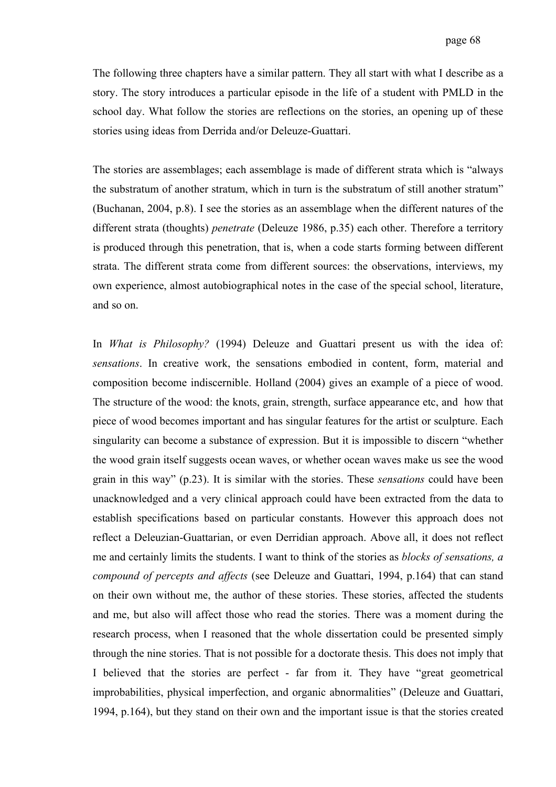The following three chapters have a similar pattern. They all start with what I describe as a story. The story introduces a particular episode in the life of a student with PMLD in the school day. What follow the stories are reflections on the stories, an opening up of these stories using ideas from Derrida and/or Deleuze-Guattari.

The stories are assemblages; each assemblage is made of different strata which is "always the substratum of another stratum, which in turn is the substratum of still another stratum" (Buchanan, 2004, p.8). I see the stories as an assemblage when the different natures of the different strata (thoughts) *penetrate* (Deleuze 1986, p.35) each other. Therefore a territory is produced through this penetration, that is, when a code starts forming between different strata. The different strata come from different sources: the observations, interviews, my own experience, almost autobiographical notes in the case of the special school, literature, and so on.

In *What is Philosophy?* (1994) Deleuze and Guattari present us with the idea of: *sensations*. In creative work, the sensations embodied in content, form, material and composition become indiscernible. Holland (2004) gives an example of a piece of wood. The structure of the wood: the knots, grain, strength, surface appearance etc, and how that piece of wood becomes important and has singular features for the artist or sculpture. Each singularity can become a substance of expression. But it is impossible to discern "whether the wood grain itself suggests ocean waves, or whether ocean waves make us see the wood grain in this way" (p.23). It is similar with the stories. These *sensations* could have been unacknowledged and a very clinical approach could have been extracted from the data to establish specifications based on particular constants. However this approach does not reflect a Deleuzian-Guattarian, or even Derridian approach. Above all, it does not reflect me and certainly limits the students. I want to think of the stories as *blocks of sensations, a compound of percepts and affects* (see Deleuze and Guattari, 1994, p.164) that can stand on their own without me, the author of these stories. These stories, affected the students and me, but also will affect those who read the stories. There was a moment during the research process, when I reasoned that the whole dissertation could be presented simply through the nine stories. That is not possible for a doctorate thesis. This does not imply that I believed that the stories are perfect - far from it. They have "great geometrical improbabilities, physical imperfection, and organic abnormalities" (Deleuze and Guattari, 1994, p.164), but they stand on their own and the important issue is that the stories created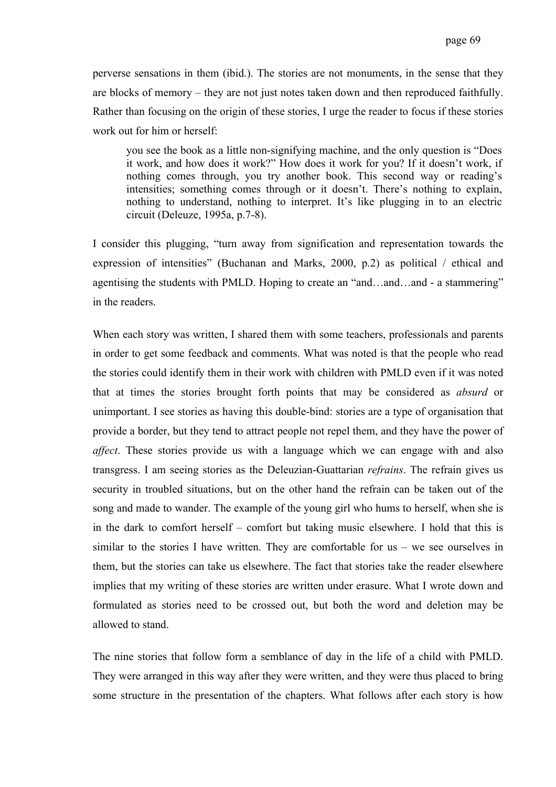perverse sensations in them (ibid.). The stories are not monuments, in the sense that they are blocks of memory – they are not just notes taken down and then reproduced faithfully. Rather than focusing on the origin of these stories, I urge the reader to focus if these stories work out for him or herself:

you see the book as a little non-signifying machine, and the only question is "Does it work, and how does it work?" How does it work for you? If it doesn't work, if nothing comes through, you try another book. This second way or reading's intensities; something comes through or it doesn't. There's nothing to explain, nothing to understand, nothing to interpret. It's like plugging in to an electric circuit (Deleuze, 1995a, p.7-8).

I consider this plugging, "turn away from signification and representation towards the expression of intensities" (Buchanan and Marks, 2000, p.2) as political / ethical and agentising the students with PMLD. Hoping to create an "and…and…and - a stammering" in the readers.

When each story was written, I shared them with some teachers, professionals and parents in order to get some feedback and comments. What was noted is that the people who read the stories could identify them in their work with children with PMLD even if it was noted that at times the stories brought forth points that may be considered as *absurd* or unimportant. I see stories as having this double-bind: stories are a type of organisation that provide a border, but they tend to attract people not repel them, and they have the power of *affect*. These stories provide us with a language which we can engage with and also transgress. I am seeing stories as the Deleuzian-Guattarian *refrains*. The refrain gives us security in troubled situations, but on the other hand the refrain can be taken out of the song and made to wander. The example of the young girl who hums to herself, when she is in the dark to comfort herself – comfort but taking music elsewhere. I hold that this is similar to the stories I have written. They are comfortable for us – we see ourselves in them, but the stories can take us elsewhere. The fact that stories take the reader elsewhere implies that my writing of these stories are written under erasure. What I wrote down and formulated as stories need to be crossed out, but both the word and deletion may be allowed to stand.

The nine stories that follow form a semblance of day in the life of a child with PMLD. They were arranged in this way after they were written, and they were thus placed to bring some structure in the presentation of the chapters. What follows after each story is how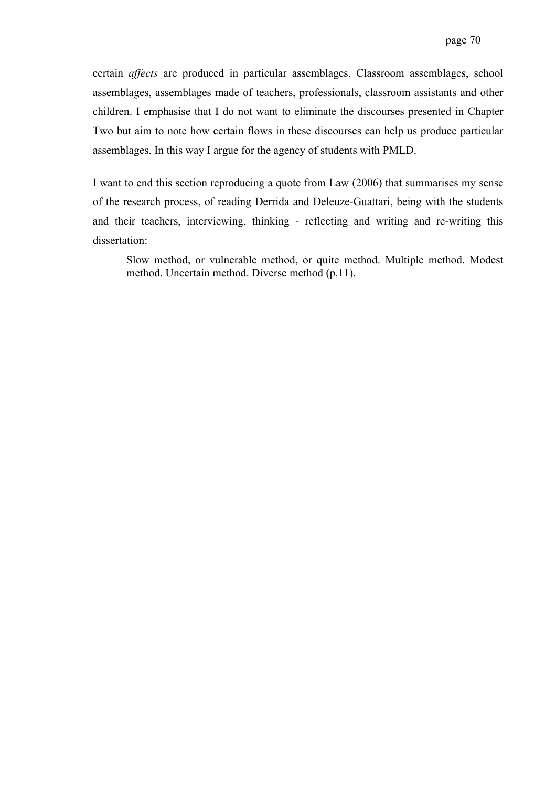certain *affects* are produced in particular assemblages. Classroom assemblages, school assemblages, assemblages made of teachers, professionals, classroom assistants and other children. I emphasise that I do not want to eliminate the discourses presented in Chapter Two but aim to note how certain flows in these discourses can help us produce particular assemblages. In this way I argue for the agency of students with PMLD.

I want to end this section reproducing a quote from Law (2006) that summarises my sense of the research process, of reading Derrida and Deleuze-Guattari, being with the students and their teachers, interviewing, thinking - reflecting and writing and re-writing this dissertation:

Slow method, or vulnerable method, or quite method. Multiple method. Modest method. Uncertain method. Diverse method (p.11).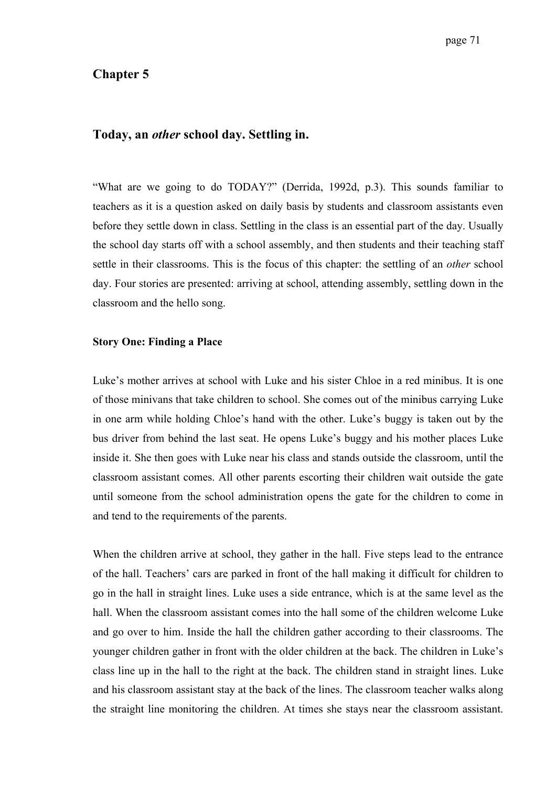# **Chapter 5**

## **Today, an** *other* **school day. Settling in.**

"What are we going to do TODAY?" (Derrida, 1992d, p.3). This sounds familiar to teachers as it is a question asked on daily basis by students and classroom assistants even before they settle down in class. Settling in the class is an essential part of the day. Usually the school day starts off with a school assembly, and then students and their teaching staff settle in their classrooms. This is the focus of this chapter: the settling of an *other* school day. Four stories are presented: arriving at school, attending assembly, settling down in the classroom and the hello song.

### **Story One: Finding a Place**

Luke's mother arrives at school with Luke and his sister Chloe in a red minibus. It is one of those minivans that take children to school. She comes out of the minibus carrying Luke in one arm while holding Chloe's hand with the other. Luke's buggy is taken out by the bus driver from behind the last seat. He opens Luke's buggy and his mother places Luke inside it. She then goes with Luke near his class and stands outside the classroom, until the classroom assistant comes. All other parents escorting their children wait outside the gate until someone from the school administration opens the gate for the children to come in and tend to the requirements of the parents.

When the children arrive at school, they gather in the hall. Five steps lead to the entrance of the hall. Teachers' cars are parked in front of the hall making it difficult for children to go in the hall in straight lines. Luke uses a side entrance, which is at the same level as the hall. When the classroom assistant comes into the hall some of the children welcome Luke and go over to him. Inside the hall the children gather according to their classrooms. The younger children gather in front with the older children at the back. The children in Luke's class line up in the hall to the right at the back. The children stand in straight lines. Luke and his classroom assistant stay at the back of the lines. The classroom teacher walks along the straight line monitoring the children. At times she stays near the classroom assistant.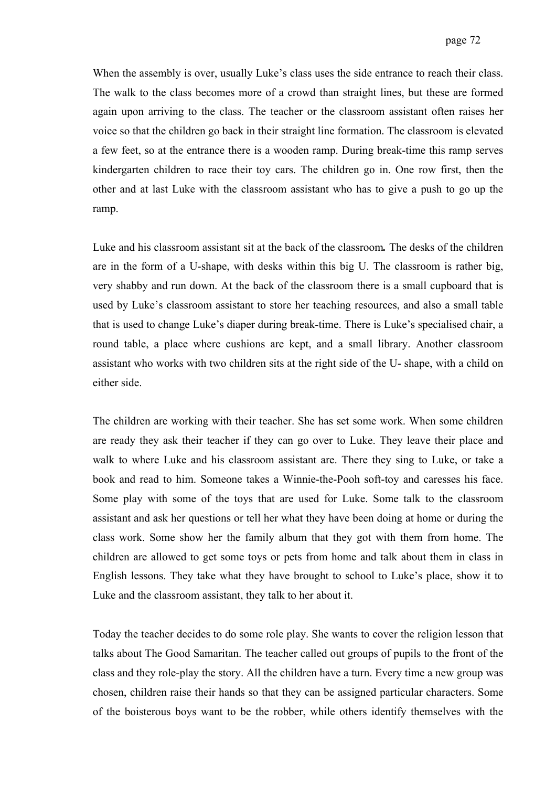When the assembly is over, usually Luke's class uses the side entrance to reach their class. The walk to the class becomes more of a crowd than straight lines, but these are formed again upon arriving to the class. The teacher or the classroom assistant often raises her voice so that the children go back in their straight line formation. The classroom is elevated a few feet, so at the entrance there is a wooden ramp. During break-time this ramp serves kindergarten children to race their toy cars. The children go in. One row first, then the other and at last Luke with the classroom assistant who has to give a push to go up the ramp.

Luke and his classroom assistant sit at the back of the classroom*.* The desks of the children are in the form of a U-shape, with desks within this big U. The classroom is rather big, very shabby and run down. At the back of the classroom there is a small cupboard that is used by Luke's classroom assistant to store her teaching resources, and also a small table that is used to change Luke's diaper during break-time. There is Luke's specialised chair, a round table, a place where cushions are kept, and a small library. Another classroom assistant who works with two children sits at the right side of the U- shape, with a child on either side.

The children are working with their teacher. She has set some work. When some children are ready they ask their teacher if they can go over to Luke. They leave their place and walk to where Luke and his classroom assistant are. There they sing to Luke, or take a book and read to him. Someone takes a Winnie-the-Pooh soft-toy and caresses his face. Some play with some of the toys that are used for Luke. Some talk to the classroom assistant and ask her questions or tell her what they have been doing at home or during the class work. Some show her the family album that they got with them from home. The children are allowed to get some toys or pets from home and talk about them in class in English lessons. They take what they have brought to school to Luke's place, show it to Luke and the classroom assistant, they talk to her about it.

Today the teacher decides to do some role play. She wants to cover the religion lesson that talks about The Good Samaritan. The teacher called out groups of pupils to the front of the class and they role-play the story. All the children have a turn. Every time a new group was chosen, children raise their hands so that they can be assigned particular characters. Some of the boisterous boys want to be the robber, while others identify themselves with the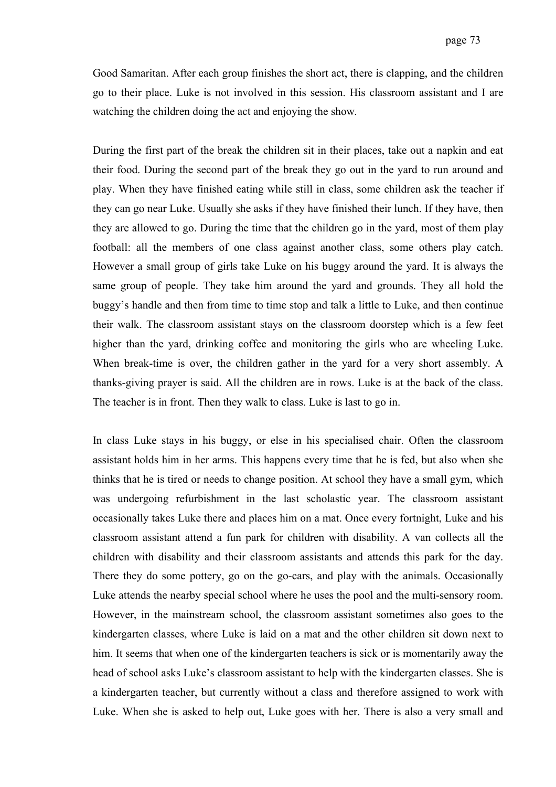Good Samaritan. After each group finishes the short act, there is clapping, and the children go to their place. Luke is not involved in this session. His classroom assistant and I are watching the children doing the act and enjoying the show*.*

During the first part of the break the children sit in their places, take out a napkin and eat their food. During the second part of the break they go out in the yard to run around and play. When they have finished eating while still in class, some children ask the teacher if they can go near Luke. Usually she asks if they have finished their lunch. If they have, then they are allowed to go. During the time that the children go in the yard, most of them play football: all the members of one class against another class, some others play catch. However a small group of girls take Luke on his buggy around the yard. It is always the same group of people. They take him around the yard and grounds. They all hold the buggy's handle and then from time to time stop and talk a little to Luke, and then continue their walk. The classroom assistant stays on the classroom doorstep which is a few feet higher than the yard, drinking coffee and monitoring the girls who are wheeling Luke. When break-time is over, the children gather in the yard for a very short assembly. A thanks-giving prayer is said. All the children are in rows. Luke is at the back of the class. The teacher is in front. Then they walk to class. Luke is last to go in.

In class Luke stays in his buggy, or else in his specialised chair. Often the classroom assistant holds him in her arms. This happens every time that he is fed, but also when she thinks that he is tired or needs to change position. At school they have a small gym, which was undergoing refurbishment in the last scholastic year. The classroom assistant occasionally takes Luke there and places him on a mat. Once every fortnight, Luke and his classroom assistant attend a fun park for children with disability. A van collects all the children with disability and their classroom assistants and attends this park for the day. There they do some pottery, go on the go-cars, and play with the animals. Occasionally Luke attends the nearby special school where he uses the pool and the multi-sensory room. However, in the mainstream school, the classroom assistant sometimes also goes to the kindergarten classes, where Luke is laid on a mat and the other children sit down next to him. It seems that when one of the kindergarten teachers is sick or is momentarily away the head of school asks Luke's classroom assistant to help with the kindergarten classes. She is a kindergarten teacher, but currently without a class and therefore assigned to work with Luke. When she is asked to help out, Luke goes with her. There is also a very small and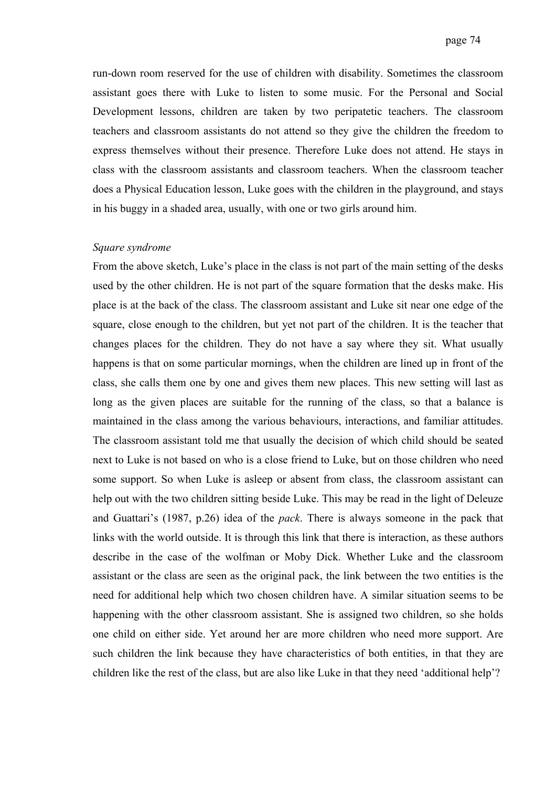run-down room reserved for the use of children with disability. Sometimes the classroom assistant goes there with Luke to listen to some music. For the Personal and Social Development lessons, children are taken by two peripatetic teachers. The classroom teachers and classroom assistants do not attend so they give the children the freedom to express themselves without their presence. Therefore Luke does not attend. He stays in class with the classroom assistants and classroom teachers. When the classroom teacher does a Physical Education lesson, Luke goes with the children in the playground, and stays in his buggy in a shaded area, usually, with one or two girls around him.

### *Square syndrome*

From the above sketch, Luke's place in the class is not part of the main setting of the desks used by the other children. He is not part of the square formation that the desks make. His place is at the back of the class. The classroom assistant and Luke sit near one edge of the square, close enough to the children, but yet not part of the children. It is the teacher that changes places for the children. They do not have a say where they sit. What usually happens is that on some particular mornings, when the children are lined up in front of the class, she calls them one by one and gives them new places. This new setting will last as long as the given places are suitable for the running of the class, so that a balance is maintained in the class among the various behaviours, interactions, and familiar attitudes. The classroom assistant told me that usually the decision of which child should be seated next to Luke is not based on who is a close friend to Luke, but on those children who need some support. So when Luke is asleep or absent from class, the classroom assistant can help out with the two children sitting beside Luke. This may be read in the light of Deleuze and Guattari's (1987, p.26) idea of the *pack*. There is always someone in the pack that links with the world outside. It is through this link that there is interaction, as these authors describe in the case of the wolfman or Moby Dick. Whether Luke and the classroom assistant or the class are seen as the original pack, the link between the two entities is the need for additional help which two chosen children have. A similar situation seems to be happening with the other classroom assistant. She is assigned two children, so she holds one child on either side. Yet around her are more children who need more support. Are such children the link because they have characteristics of both entities, in that they are children like the rest of the class, but are also like Luke in that they need 'additional help'?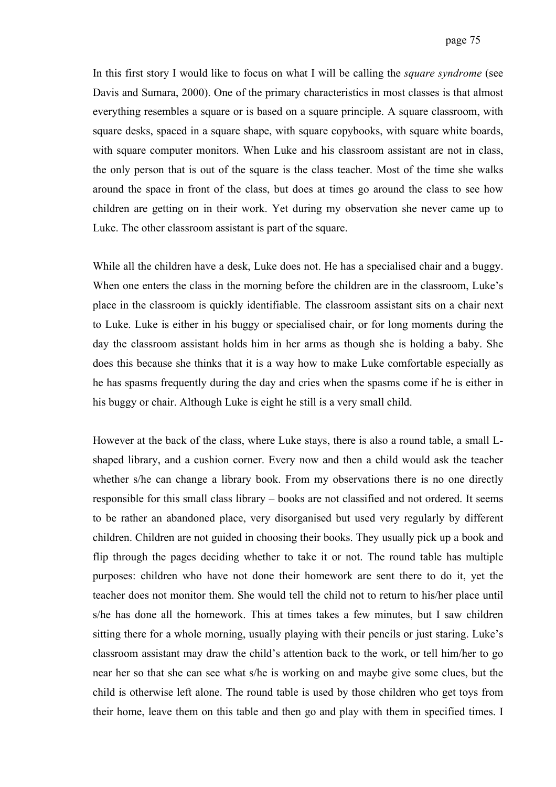In this first story I would like to focus on what I will be calling the *square syndrome* (see Davis and Sumara, 2000). One of the primary characteristics in most classes is that almost everything resembles a square or is based on a square principle. A square classroom, with square desks, spaced in a square shape, with square copybooks, with square white boards, with square computer monitors. When Luke and his classroom assistant are not in class, the only person that is out of the square is the class teacher. Most of the time she walks around the space in front of the class, but does at times go around the class to see how children are getting on in their work. Yet during my observation she never came up to Luke. The other classroom assistant is part of the square.

While all the children have a desk, Luke does not. He has a specialised chair and a buggy. When one enters the class in the morning before the children are in the classroom, Luke's place in the classroom is quickly identifiable. The classroom assistant sits on a chair next to Luke. Luke is either in his buggy or specialised chair, or for long moments during the day the classroom assistant holds him in her arms as though she is holding a baby. She does this because she thinks that it is a way how to make Luke comfortable especially as he has spasms frequently during the day and cries when the spasms come if he is either in his buggy or chair. Although Luke is eight he still is a very small child.

However at the back of the class, where Luke stays, there is also a round table, a small Lshaped library, and a cushion corner. Every now and then a child would ask the teacher whether s/he can change a library book. From my observations there is no one directly responsible for this small class library – books are not classified and not ordered. It seems to be rather an abandoned place, very disorganised but used very regularly by different children. Children are not guided in choosing their books. They usually pick up a book and flip through the pages deciding whether to take it or not. The round table has multiple purposes: children who have not done their homework are sent there to do it, yet the teacher does not monitor them. She would tell the child not to return to his/her place until s/he has done all the homework. This at times takes a few minutes, but I saw children sitting there for a whole morning, usually playing with their pencils or just staring. Luke's classroom assistant may draw the child's attention back to the work, or tell him/her to go near her so that she can see what s/he is working on and maybe give some clues, but the child is otherwise left alone. The round table is used by those children who get toys from their home, leave them on this table and then go and play with them in specified times. I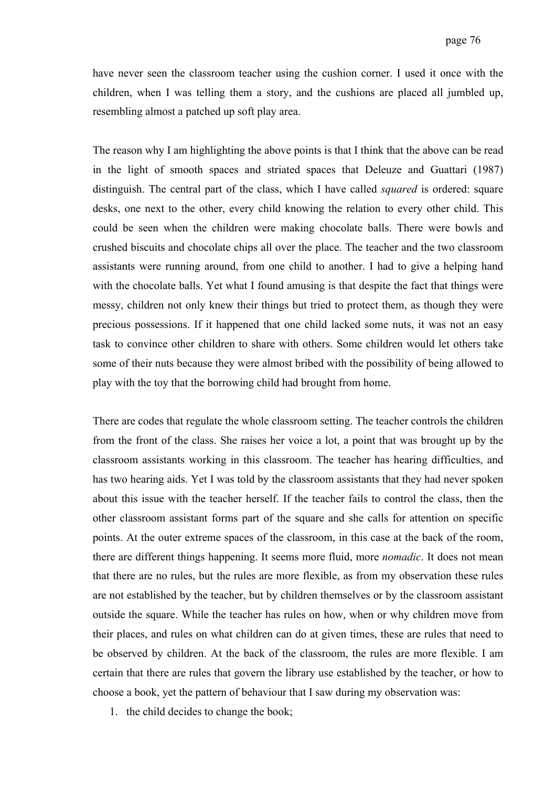have never seen the classroom teacher using the cushion corner. I used it once with the children, when I was telling them a story, and the cushions are placed all jumbled up, resembling almost a patched up soft play area.

The reason why I am highlighting the above points is that I think that the above can be read in the light of smooth spaces and striated spaces that Deleuze and Guattari (1987) distinguish. The central part of the class, which I have called *squared* is ordered: square desks, one next to the other, every child knowing the relation to every other child. This could be seen when the children were making chocolate balls. There were bowls and crushed biscuits and chocolate chips all over the place. The teacher and the two classroom assistants were running around, from one child to another. I had to give a helping hand with the chocolate balls. Yet what I found amusing is that despite the fact that things were messy, children not only knew their things but tried to protect them, as though they were precious possessions. If it happened that one child lacked some nuts, it was not an easy task to convince other children to share with others. Some children would let others take some of their nuts because they were almost bribed with the possibility of being allowed to play with the toy that the borrowing child had brought from home.

There are codes that regulate the whole classroom setting. The teacher controls the children from the front of the class. She raises her voice a lot, a point that was brought up by the classroom assistants working in this classroom. The teacher has hearing difficulties, and has two hearing aids. Yet I was told by the classroom assistants that they had never spoken about this issue with the teacher herself. If the teacher fails to control the class, then the other classroom assistant forms part of the square and she calls for attention on specific points. At the outer extreme spaces of the classroom, in this case at the back of the room, there are different things happening. It seems more fluid, more *nomadic*. It does not mean that there are no rules, but the rules are more flexible, as from my observation these rules are not established by the teacher, but by children themselves or by the classroom assistant outside the square. While the teacher has rules on how, when or why children move from their places, and rules on what children can do at given times, these are rules that need to be observed by children. At the back of the classroom, the rules are more flexible. I am certain that there are rules that govern the library use established by the teacher, or how to choose a book, yet the pattern of behaviour that I saw during my observation was:

1. the child decides to change the book;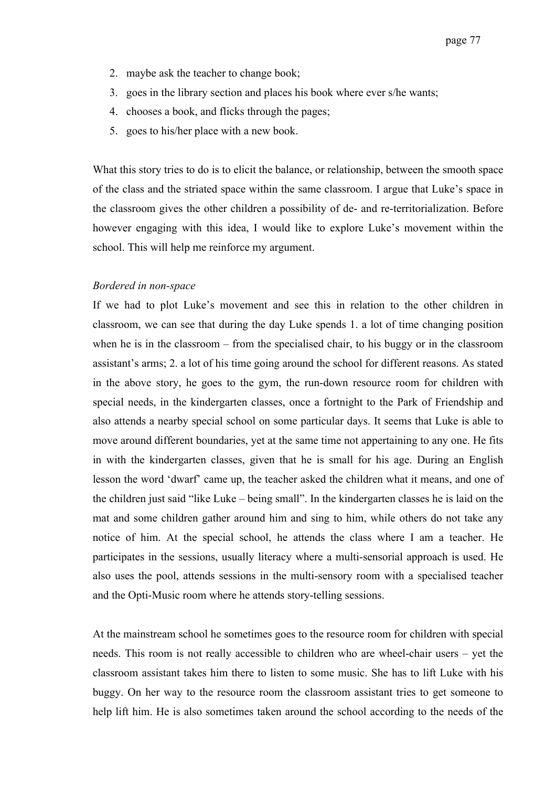- 2. maybe ask the teacher to change book;
- 3. goes in the library section and places his book where ever s/he wants;
- 4. chooses a book, and flicks through the pages;
- 5. goes to his/her place with a new book.

What this story tries to do is to elicit the balance, or relationship, between the smooth space of the class and the striated space within the same classroom. I argue that Luke's space in the classroom gives the other children a possibility of de- and re-territorialization. Before however engaging with this idea, I would like to explore Luke's movement within the school. This will help me reinforce my argument.

#### *Bordered in non-space*

If we had to plot Luke's movement and see this in relation to the other children in classroom, we can see that during the day Luke spends 1. a lot of time changing position when he is in the classroom – from the specialised chair, to his buggy or in the classroom assistant's arms; 2. a lot of his time going around the school for different reasons. As stated in the above story, he goes to the gym, the run-down resource room for children with special needs, in the kindergarten classes, once a fortnight to the Park of Friendship and also attends a nearby special school on some particular days. It seems that Luke is able to move around different boundaries, yet at the same time not appertaining to any one. He fits in with the kindergarten classes, given that he is small for his age. During an English lesson the word 'dwarf' came up, the teacher asked the children what it means, and one of the children just said "like Luke – being small". In the kindergarten classes he is laid on the mat and some children gather around him and sing to him, while others do not take any notice of him. At the special school, he attends the class where I am a teacher. He participates in the sessions, usually literacy where a multi-sensorial approach is used. He also uses the pool, attends sessions in the multi-sensory room with a specialised teacher and the Opti-Music room where he attends story-telling sessions.

At the mainstream school he sometimes goes to the resource room for children with special needs. This room is not really accessible to children who are wheel-chair users – yet the classroom assistant takes him there to listen to some music. She has to lift Luke with his buggy. On her way to the resource room the classroom assistant tries to get someone to help lift him. He is also sometimes taken around the school according to the needs of the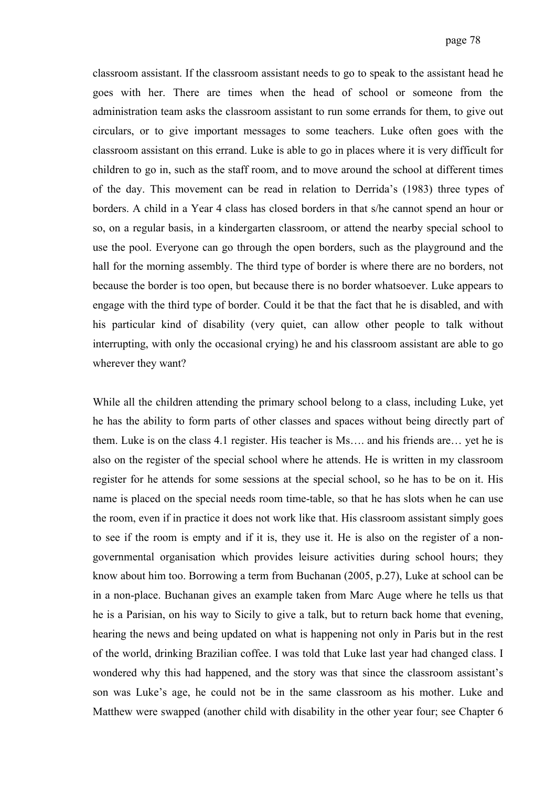classroom assistant. If the classroom assistant needs to go to speak to the assistant head he goes with her. There are times when the head of school or someone from the administration team asks the classroom assistant to run some errands for them, to give out circulars, or to give important messages to some teachers. Luke often goes with the classroom assistant on this errand. Luke is able to go in places where it is very difficult for children to go in, such as the staff room, and to move around the school at different times of the day. This movement can be read in relation to Derrida's (1983) three types of borders. A child in a Year 4 class has closed borders in that s/he cannot spend an hour or so, on a regular basis, in a kindergarten classroom, or attend the nearby special school to use the pool. Everyone can go through the open borders, such as the playground and the hall for the morning assembly. The third type of border is where there are no borders, not because the border is too open, but because there is no border whatsoever. Luke appears to engage with the third type of border. Could it be that the fact that he is disabled, and with his particular kind of disability (very quiet, can allow other people to talk without interrupting, with only the occasional crying) he and his classroom assistant are able to go wherever they want?

While all the children attending the primary school belong to a class, including Luke, yet he has the ability to form parts of other classes and spaces without being directly part of them. Luke is on the class 4.1 register. His teacher is Ms…. and his friends are… yet he is also on the register of the special school where he attends. He is written in my classroom register for he attends for some sessions at the special school, so he has to be on it. His name is placed on the special needs room time-table, so that he has slots when he can use the room, even if in practice it does not work like that. His classroom assistant simply goes to see if the room is empty and if it is, they use it. He is also on the register of a nongovernmental organisation which provides leisure activities during school hours; they know about him too. Borrowing a term from Buchanan (2005, p.27), Luke at school can be in a non-place. Buchanan gives an example taken from Marc Auge where he tells us that he is a Parisian, on his way to Sicily to give a talk, but to return back home that evening, hearing the news and being updated on what is happening not only in Paris but in the rest of the world, drinking Brazilian coffee. I was told that Luke last year had changed class. I wondered why this had happened, and the story was that since the classroom assistant's son was Luke's age, he could not be in the same classroom as his mother. Luke and Matthew were swapped (another child with disability in the other year four; see Chapter 6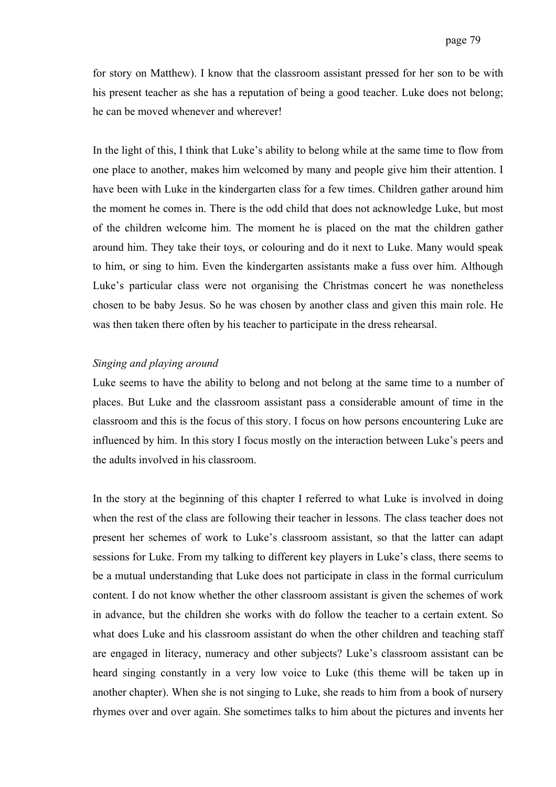for story on Matthew). I know that the classroom assistant pressed for her son to be with his present teacher as she has a reputation of being a good teacher. Luke does not belong; he can be moved whenever and wherever!

In the light of this, I think that Luke's ability to belong while at the same time to flow from one place to another, makes him welcomed by many and people give him their attention. I have been with Luke in the kindergarten class for a few times. Children gather around him the moment he comes in. There is the odd child that does not acknowledge Luke, but most of the children welcome him. The moment he is placed on the mat the children gather around him. They take their toys, or colouring and do it next to Luke. Many would speak to him, or sing to him. Even the kindergarten assistants make a fuss over him. Although Luke's particular class were not organising the Christmas concert he was nonetheless chosen to be baby Jesus. So he was chosen by another class and given this main role. He was then taken there often by his teacher to participate in the dress rehearsal.

### *Singing and playing around*

Luke seems to have the ability to belong and not belong at the same time to a number of places. But Luke and the classroom assistant pass a considerable amount of time in the classroom and this is the focus of this story. I focus on how persons encountering Luke are influenced by him. In this story I focus mostly on the interaction between Luke's peers and the adults involved in his classroom.

In the story at the beginning of this chapter I referred to what Luke is involved in doing when the rest of the class are following their teacher in lessons. The class teacher does not present her schemes of work to Luke's classroom assistant, so that the latter can adapt sessions for Luke. From my talking to different key players in Luke's class, there seems to be a mutual understanding that Luke does not participate in class in the formal curriculum content. I do not know whether the other classroom assistant is given the schemes of work in advance, but the children she works with do follow the teacher to a certain extent. So what does Luke and his classroom assistant do when the other children and teaching staff are engaged in literacy, numeracy and other subjects? Luke's classroom assistant can be heard singing constantly in a very low voice to Luke (this theme will be taken up in another chapter). When she is not singing to Luke, she reads to him from a book of nursery rhymes over and over again. She sometimes talks to him about the pictures and invents her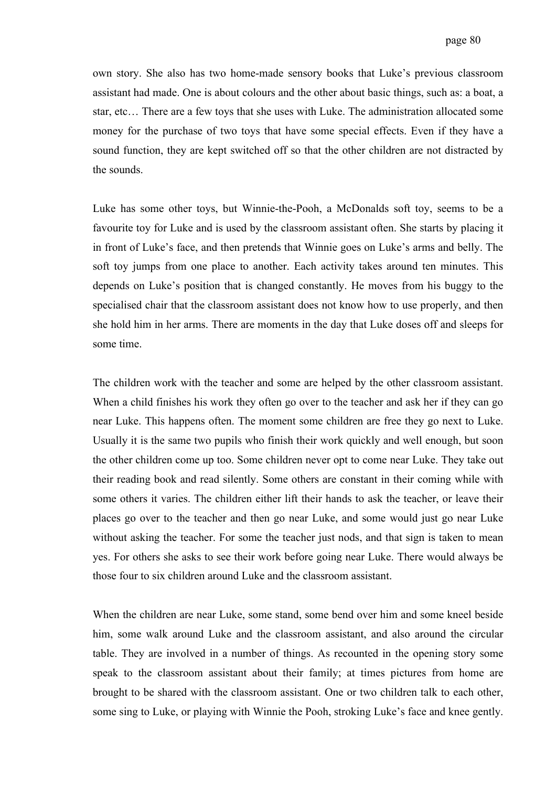own story. She also has two home-made sensory books that Luke's previous classroom assistant had made. One is about colours and the other about basic things, such as: a boat, a star, etc… There are a few toys that she uses with Luke. The administration allocated some money for the purchase of two toys that have some special effects. Even if they have a sound function, they are kept switched off so that the other children are not distracted by the sounds.

Luke has some other toys, but Winnie-the-Pooh, a McDonalds soft toy, seems to be a favourite toy for Luke and is used by the classroom assistant often. She starts by placing it in front of Luke's face, and then pretends that Winnie goes on Luke's arms and belly. The soft toy jumps from one place to another. Each activity takes around ten minutes. This depends on Luke's position that is changed constantly. He moves from his buggy to the specialised chair that the classroom assistant does not know how to use properly, and then she hold him in her arms. There are moments in the day that Luke doses off and sleeps for some time.

The children work with the teacher and some are helped by the other classroom assistant. When a child finishes his work they often go over to the teacher and ask her if they can go near Luke. This happens often. The moment some children are free they go next to Luke. Usually it is the same two pupils who finish their work quickly and well enough, but soon the other children come up too. Some children never opt to come near Luke. They take out their reading book and read silently. Some others are constant in their coming while with some others it varies. The children either lift their hands to ask the teacher, or leave their places go over to the teacher and then go near Luke, and some would just go near Luke without asking the teacher. For some the teacher just nods, and that sign is taken to mean yes. For others she asks to see their work before going near Luke. There would always be those four to six children around Luke and the classroom assistant.

When the children are near Luke, some stand, some bend over him and some kneel beside him, some walk around Luke and the classroom assistant, and also around the circular table. They are involved in a number of things. As recounted in the opening story some speak to the classroom assistant about their family; at times pictures from home are brought to be shared with the classroom assistant. One or two children talk to each other, some sing to Luke, or playing with Winnie the Pooh, stroking Luke's face and knee gently.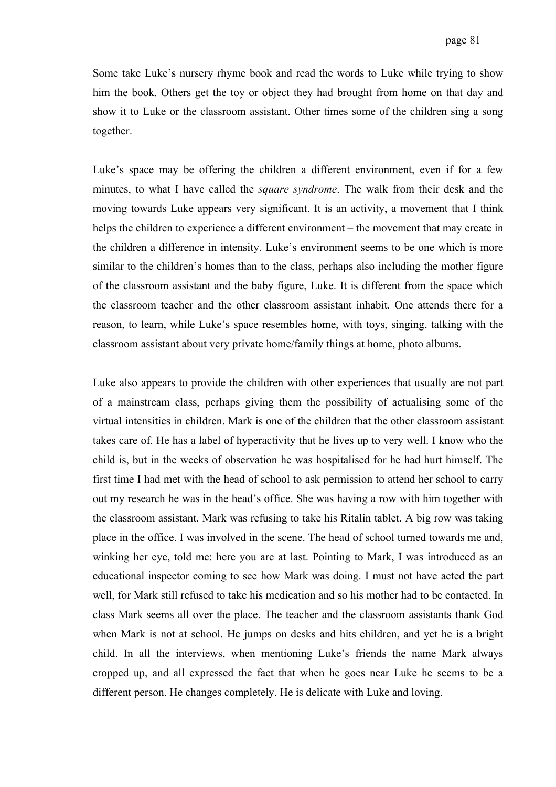Some take Luke's nursery rhyme book and read the words to Luke while trying to show him the book. Others get the toy or object they had brought from home on that day and show it to Luke or the classroom assistant. Other times some of the children sing a song together.

Luke's space may be offering the children a different environment, even if for a few minutes, to what I have called the *square syndrome*. The walk from their desk and the moving towards Luke appears very significant. It is an activity, a movement that I think helps the children to experience a different environment – the movement that may create in the children a difference in intensity. Luke's environment seems to be one which is more similar to the children's homes than to the class, perhaps also including the mother figure of the classroom assistant and the baby figure, Luke. It is different from the space which the classroom teacher and the other classroom assistant inhabit. One attends there for a reason, to learn, while Luke's space resembles home, with toys, singing, talking with the classroom assistant about very private home/family things at home, photo albums.

Luke also appears to provide the children with other experiences that usually are not part of a mainstream class, perhaps giving them the possibility of actualising some of the virtual intensities in children. Mark is one of the children that the other classroom assistant takes care of. He has a label of hyperactivity that he lives up to very well. I know who the child is, but in the weeks of observation he was hospitalised for he had hurt himself. The first time I had met with the head of school to ask permission to attend her school to carry out my research he was in the head's office. She was having a row with him together with the classroom assistant. Mark was refusing to take his Ritalin tablet. A big row was taking place in the office. I was involved in the scene. The head of school turned towards me and, winking her eye, told me: here you are at last. Pointing to Mark, I was introduced as an educational inspector coming to see how Mark was doing. I must not have acted the part well, for Mark still refused to take his medication and so his mother had to be contacted. In class Mark seems all over the place. The teacher and the classroom assistants thank God when Mark is not at school. He jumps on desks and hits children, and yet he is a bright child. In all the interviews, when mentioning Luke's friends the name Mark always cropped up, and all expressed the fact that when he goes near Luke he seems to be a different person. He changes completely. He is delicate with Luke and loving.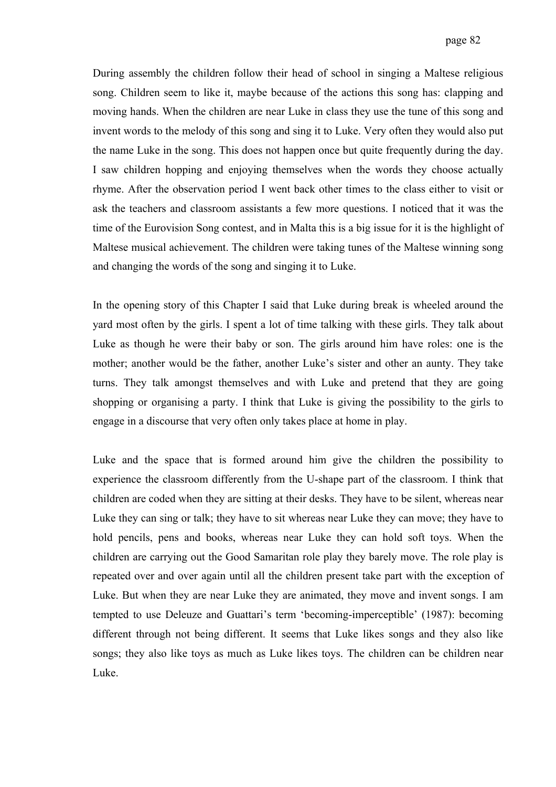During assembly the children follow their head of school in singing a Maltese religious song. Children seem to like it, maybe because of the actions this song has: clapping and moving hands. When the children are near Luke in class they use the tune of this song and invent words to the melody of this song and sing it to Luke. Very often they would also put the name Luke in the song. This does not happen once but quite frequently during the day. I saw children hopping and enjoying themselves when the words they choose actually rhyme. After the observation period I went back other times to the class either to visit or ask the teachers and classroom assistants a few more questions. I noticed that it was the time of the Eurovision Song contest, and in Malta this is a big issue for it is the highlight of Maltese musical achievement. The children were taking tunes of the Maltese winning song and changing the words of the song and singing it to Luke.

In the opening story of this Chapter I said that Luke during break is wheeled around the yard most often by the girls. I spent a lot of time talking with these girls. They talk about Luke as though he were their baby or son. The girls around him have roles: one is the mother; another would be the father, another Luke's sister and other an aunty. They take turns. They talk amongst themselves and with Luke and pretend that they are going shopping or organising a party. I think that Luke is giving the possibility to the girls to engage in a discourse that very often only takes place at home in play.

Luke and the space that is formed around him give the children the possibility to experience the classroom differently from the U-shape part of the classroom. I think that children are coded when they are sitting at their desks. They have to be silent, whereas near Luke they can sing or talk; they have to sit whereas near Luke they can move; they have to hold pencils, pens and books, whereas near Luke they can hold soft toys. When the children are carrying out the Good Samaritan role play they barely move. The role play is repeated over and over again until all the children present take part with the exception of Luke. But when they are near Luke they are animated, they move and invent songs. I am tempted to use Deleuze and Guattari's term 'becoming-imperceptible' (1987): becoming different through not being different. It seems that Luke likes songs and they also like songs; they also like toys as much as Luke likes toys. The children can be children near Luke.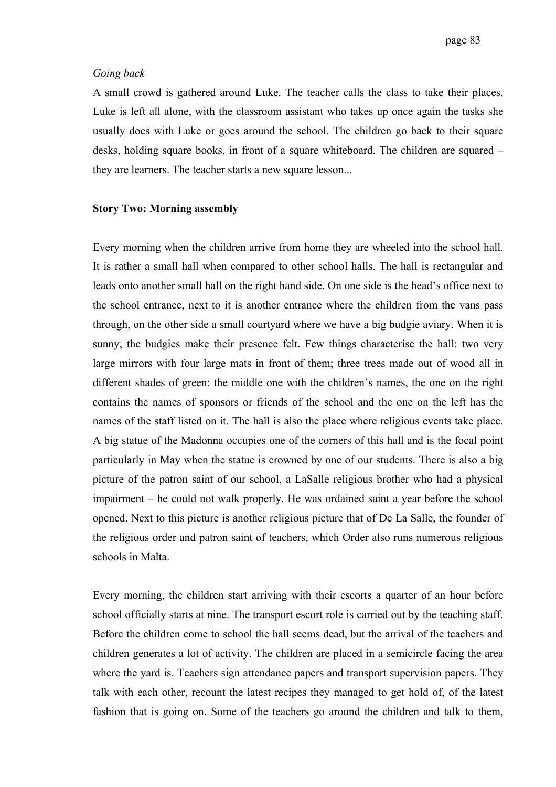## *Going back*

A small crowd is gathered around Luke. The teacher calls the class to take their places. Luke is left all alone, with the classroom assistant who takes up once again the tasks she usually does with Luke or goes around the school. The children go back to their square desks, holding square books, in front of a square whiteboard. The children are squared – they are learners. The teacher starts a new square lesson...

#### **Story Two: Morning assembly**

Every morning when the children arrive from home they are wheeled into the school hall. It is rather a small hall when compared to other school halls. The hall is rectangular and leads onto another small hall on the right hand side. On one side is the head's office next to the school entrance, next to it is another entrance where the children from the vans pass through, on the other side a small courtyard where we have a big budgie aviary. When it is sunny, the budgies make their presence felt. Few things characterise the hall: two very large mirrors with four large mats in front of them; three trees made out of wood all in different shades of green: the middle one with the children's names, the one on the right contains the names of sponsors or friends of the school and the one on the left has the names of the staff listed on it. The hall is also the place where religious events take place. A big statue of the Madonna occupies one of the corners of this hall and is the focal point particularly in May when the statue is crowned by one of our students. There is also a big picture of the patron saint of our school, a LaSalle religious brother who had a physical impairment – he could not walk properly. He was ordained saint a year before the school opened. Next to this picture is another religious picture that of De La Salle, the founder of the religious order and patron saint of teachers, which Order also runs numerous religious schools in Malta.

Every morning, the children start arriving with their escorts a quarter of an hour before school officially starts at nine. The transport escort role is carried out by the teaching staff. Before the children come to school the hall seems dead, but the arrival of the teachers and children generates a lot of activity. The children are placed in a semicircle facing the area where the yard is. Teachers sign attendance papers and transport supervision papers. They talk with each other, recount the latest recipes they managed to get hold of, of the latest fashion that is going on. Some of the teachers go around the children and talk to them,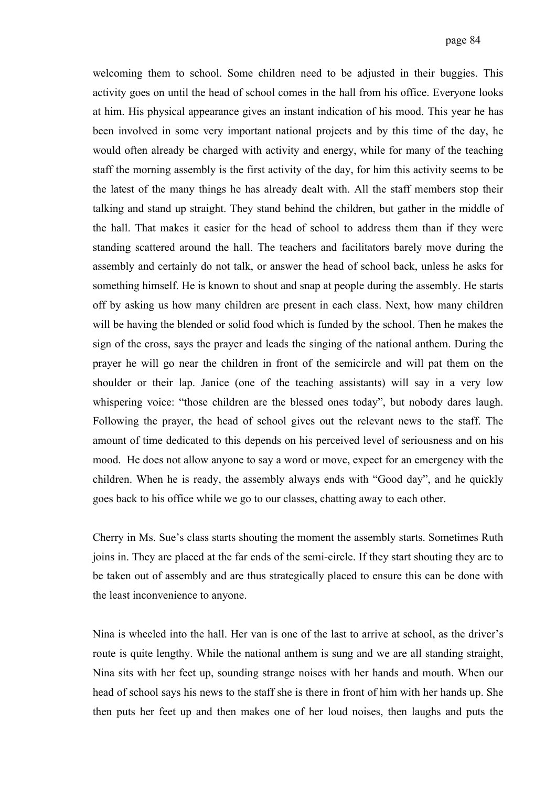welcoming them to school. Some children need to be adjusted in their buggies. This activity goes on until the head of school comes in the hall from his office. Everyone looks at him. His physical appearance gives an instant indication of his mood. This year he has been involved in some very important national projects and by this time of the day, he would often already be charged with activity and energy, while for many of the teaching staff the morning assembly is the first activity of the day, for him this activity seems to be the latest of the many things he has already dealt with. All the staff members stop their talking and stand up straight. They stand behind the children, but gather in the middle of the hall. That makes it easier for the head of school to address them than if they were standing scattered around the hall. The teachers and facilitators barely move during the assembly and certainly do not talk, or answer the head of school back, unless he asks for something himself. He is known to shout and snap at people during the assembly. He starts off by asking us how many children are present in each class. Next, how many children will be having the blended or solid food which is funded by the school. Then he makes the sign of the cross, says the prayer and leads the singing of the national anthem. During the prayer he will go near the children in front of the semicircle and will pat them on the shoulder or their lap. Janice (one of the teaching assistants) will say in a very low whispering voice: "those children are the blessed ones today", but nobody dares laugh. Following the prayer, the head of school gives out the relevant news to the staff. The amount of time dedicated to this depends on his perceived level of seriousness and on his mood. He does not allow anyone to say a word or move, expect for an emergency with the children. When he is ready, the assembly always ends with "Good day", and he quickly goes back to his office while we go to our classes, chatting away to each other.

Cherry in Ms. Sue's class starts shouting the moment the assembly starts. Sometimes Ruth joins in. They are placed at the far ends of the semi-circle. If they start shouting they are to be taken out of assembly and are thus strategically placed to ensure this can be done with the least inconvenience to anyone.

Nina is wheeled into the hall. Her van is one of the last to arrive at school, as the driver's route is quite lengthy. While the national anthem is sung and we are all standing straight, Nina sits with her feet up, sounding strange noises with her hands and mouth. When our head of school says his news to the staff she is there in front of him with her hands up. She then puts her feet up and then makes one of her loud noises, then laughs and puts the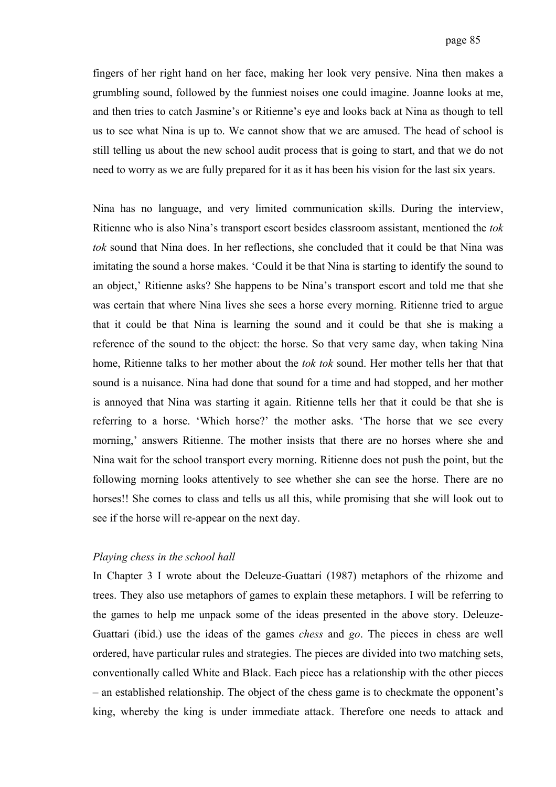fingers of her right hand on her face, making her look very pensive. Nina then makes a grumbling sound, followed by the funniest noises one could imagine. Joanne looks at me, and then tries to catch Jasmine's or Ritienne's eye and looks back at Nina as though to tell us to see what Nina is up to. We cannot show that we are amused. The head of school is still telling us about the new school audit process that is going to start, and that we do not need to worry as we are fully prepared for it as it has been his vision for the last six years.

Nina has no language, and very limited communication skills. During the interview, Ritienne who is also Nina's transport escort besides classroom assistant, mentioned the *tok tok* sound that Nina does. In her reflections, she concluded that it could be that Nina was imitating the sound a horse makes. 'Could it be that Nina is starting to identify the sound to an object,' Ritienne asks? She happens to be Nina's transport escort and told me that she was certain that where Nina lives she sees a horse every morning. Ritienne tried to argue that it could be that Nina is learning the sound and it could be that she is making a reference of the sound to the object: the horse. So that very same day, when taking Nina home, Ritienne talks to her mother about the *tok tok* sound. Her mother tells her that that sound is a nuisance. Nina had done that sound for a time and had stopped, and her mother is annoyed that Nina was starting it again. Ritienne tells her that it could be that she is referring to a horse. 'Which horse?' the mother asks. 'The horse that we see every morning,' answers Ritienne. The mother insists that there are no horses where she and Nina wait for the school transport every morning. Ritienne does not push the point, but the following morning looks attentively to see whether she can see the horse. There are no horses!! She comes to class and tells us all this, while promising that she will look out to see if the horse will re-appear on the next day.

### *Playing chess in the school hall*

In Chapter 3 I wrote about the Deleuze-Guattari (1987) metaphors of the rhizome and trees. They also use metaphors of games to explain these metaphors. I will be referring to the games to help me unpack some of the ideas presented in the above story. Deleuze-Guattari (ibid.) use the ideas of the games *chess* and *go*. The pieces in chess are well ordered, have particular rules and strategies. The pieces are divided into two matching sets, conventionally called White and Black. Each piece has a relationship with the other pieces – an established relationship. The object of the chess game is to checkmate the opponent's king, whereby the king is under immediate attack. Therefore one needs to attack and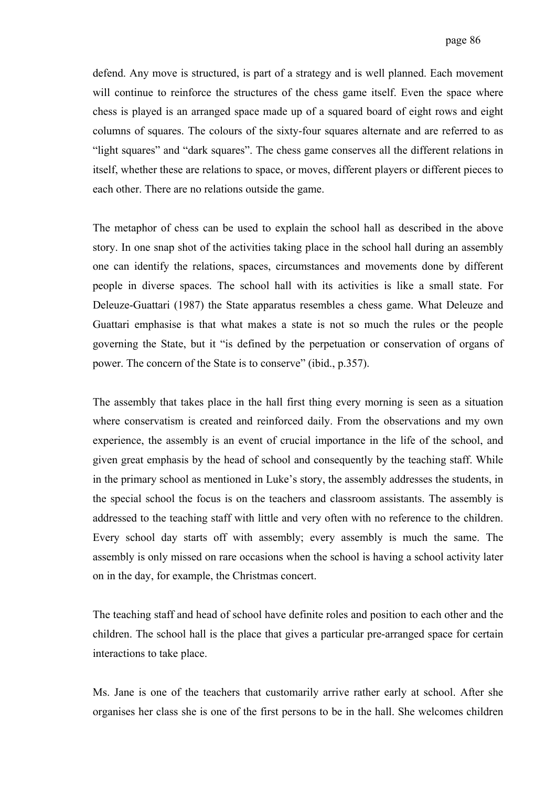defend. Any move is structured, is part of a strategy and is well planned. Each movement will continue to reinforce the structures of the chess game itself. Even the space where chess is played is an arranged space made up of a squared board of eight rows and eight columns of squares. The colours of the sixty-four squares alternate and are referred to as "light squares" and "dark squares". The chess game conserves all the different relations in itself, whether these are relations to space, or moves, different players or different pieces to each other. There are no relations outside the game.

The metaphor of chess can be used to explain the school hall as described in the above story. In one snap shot of the activities taking place in the school hall during an assembly one can identify the relations, spaces, circumstances and movements done by different people in diverse spaces. The school hall with its activities is like a small state. For Deleuze-Guattari (1987) the State apparatus resembles a chess game. What Deleuze and Guattari emphasise is that what makes a state is not so much the rules or the people governing the State, but it "is defined by the perpetuation or conservation of organs of power. The concern of the State is to conserve" (ibid., p.357).

The assembly that takes place in the hall first thing every morning is seen as a situation where conservatism is created and reinforced daily. From the observations and my own experience, the assembly is an event of crucial importance in the life of the school, and given great emphasis by the head of school and consequently by the teaching staff. While in the primary school as mentioned in Luke's story, the assembly addresses the students, in the special school the focus is on the teachers and classroom assistants. The assembly is addressed to the teaching staff with little and very often with no reference to the children. Every school day starts off with assembly; every assembly is much the same. The assembly is only missed on rare occasions when the school is having a school activity later on in the day, for example, the Christmas concert.

The teaching staff and head of school have definite roles and position to each other and the children. The school hall is the place that gives a particular pre-arranged space for certain interactions to take place.

Ms. Jane is one of the teachers that customarily arrive rather early at school. After she organises her class she is one of the first persons to be in the hall. She welcomes children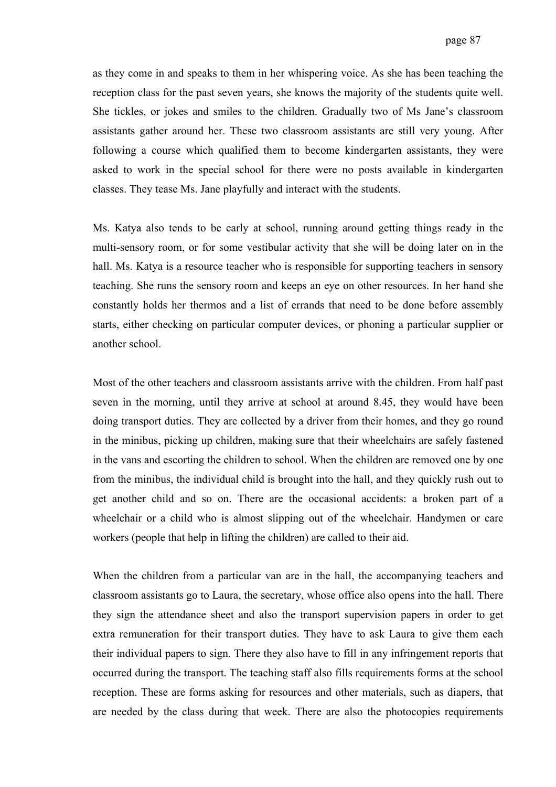as they come in and speaks to them in her whispering voice. As she has been teaching the reception class for the past seven years, she knows the majority of the students quite well. She tickles, or jokes and smiles to the children. Gradually two of Ms Jane's classroom assistants gather around her. These two classroom assistants are still very young. After following a course which qualified them to become kindergarten assistants, they were asked to work in the special school for there were no posts available in kindergarten classes. They tease Ms. Jane playfully and interact with the students.

Ms. Katya also tends to be early at school, running around getting things ready in the multi-sensory room, or for some vestibular activity that she will be doing later on in the hall. Ms. Katya is a resource teacher who is responsible for supporting teachers in sensory teaching. She runs the sensory room and keeps an eye on other resources. In her hand she constantly holds her thermos and a list of errands that need to be done before assembly starts, either checking on particular computer devices, or phoning a particular supplier or another school.

Most of the other teachers and classroom assistants arrive with the children. From half past seven in the morning, until they arrive at school at around 8.45, they would have been doing transport duties. They are collected by a driver from their homes, and they go round in the minibus, picking up children, making sure that their wheelchairs are safely fastened in the vans and escorting the children to school. When the children are removed one by one from the minibus, the individual child is brought into the hall, and they quickly rush out to get another child and so on. There are the occasional accidents: a broken part of a wheelchair or a child who is almost slipping out of the wheelchair. Handymen or care workers (people that help in lifting the children) are called to their aid.

When the children from a particular van are in the hall, the accompanying teachers and classroom assistants go to Laura, the secretary, whose office also opens into the hall. There they sign the attendance sheet and also the transport supervision papers in order to get extra remuneration for their transport duties. They have to ask Laura to give them each their individual papers to sign. There they also have to fill in any infringement reports that occurred during the transport. The teaching staff also fills requirements forms at the school reception. These are forms asking for resources and other materials, such as diapers, that are needed by the class during that week. There are also the photocopies requirements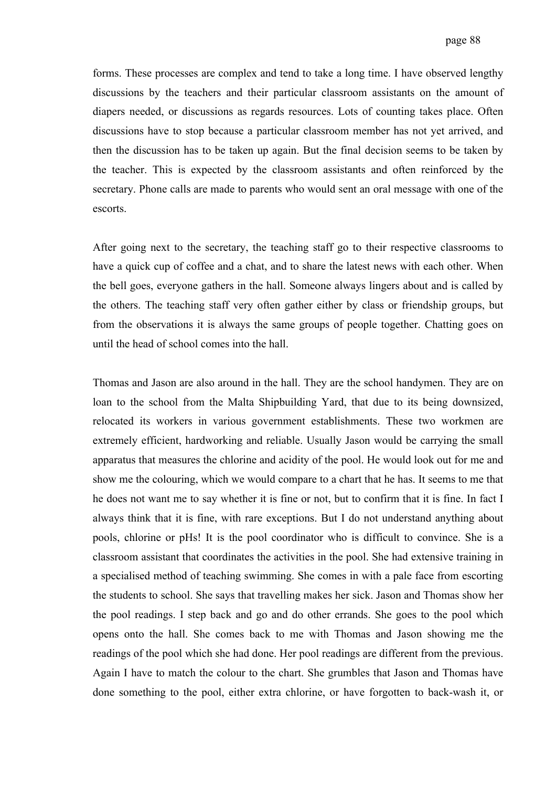forms. These processes are complex and tend to take a long time. I have observed lengthy discussions by the teachers and their particular classroom assistants on the amount of diapers needed, or discussions as regards resources. Lots of counting takes place. Often discussions have to stop because a particular classroom member has not yet arrived, and then the discussion has to be taken up again. But the final decision seems to be taken by the teacher. This is expected by the classroom assistants and often reinforced by the secretary. Phone calls are made to parents who would sent an oral message with one of the escorts.

After going next to the secretary, the teaching staff go to their respective classrooms to have a quick cup of coffee and a chat, and to share the latest news with each other. When the bell goes, everyone gathers in the hall. Someone always lingers about and is called by the others. The teaching staff very often gather either by class or friendship groups, but from the observations it is always the same groups of people together. Chatting goes on until the head of school comes into the hall.

Thomas and Jason are also around in the hall. They are the school handymen. They are on loan to the school from the Malta Shipbuilding Yard, that due to its being downsized, relocated its workers in various government establishments. These two workmen are extremely efficient, hardworking and reliable. Usually Jason would be carrying the small apparatus that measures the chlorine and acidity of the pool. He would look out for me and show me the colouring, which we would compare to a chart that he has. It seems to me that he does not want me to say whether it is fine or not, but to confirm that it is fine. In fact I always think that it is fine, with rare exceptions. But I do not understand anything about pools, chlorine or pHs! It is the pool coordinator who is difficult to convince. She is a classroom assistant that coordinates the activities in the pool. She had extensive training in a specialised method of teaching swimming. She comes in with a pale face from escorting the students to school. She says that travelling makes her sick. Jason and Thomas show her the pool readings. I step back and go and do other errands. She goes to the pool which opens onto the hall. She comes back to me with Thomas and Jason showing me the readings of the pool which she had done. Her pool readings are different from the previous. Again I have to match the colour to the chart. She grumbles that Jason and Thomas have done something to the pool, either extra chlorine, or have forgotten to back-wash it, or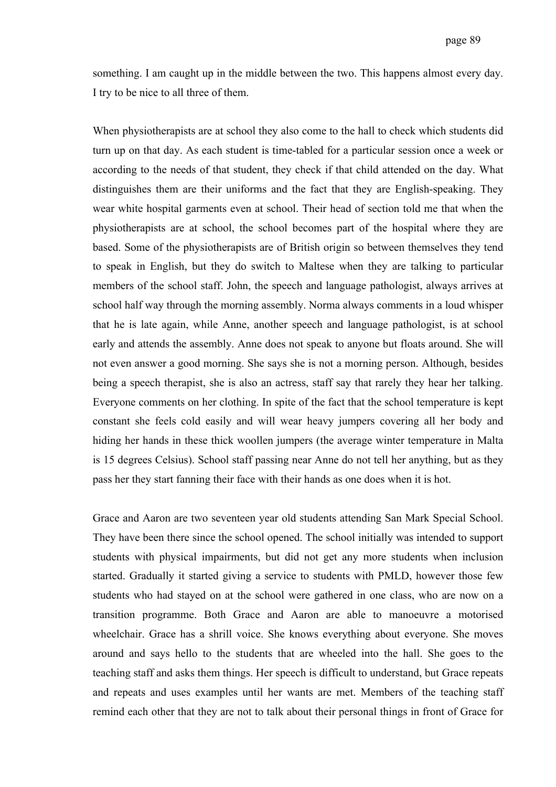something. I am caught up in the middle between the two. This happens almost every day. I try to be nice to all three of them.

When physiotherapists are at school they also come to the hall to check which students did turn up on that day. As each student is time-tabled for a particular session once a week or according to the needs of that student, they check if that child attended on the day. What distinguishes them are their uniforms and the fact that they are English-speaking. They wear white hospital garments even at school. Their head of section told me that when the physiotherapists are at school, the school becomes part of the hospital where they are based. Some of the physiotherapists are of British origin so between themselves they tend to speak in English, but they do switch to Maltese when they are talking to particular members of the school staff. John, the speech and language pathologist, always arrives at school half way through the morning assembly. Norma always comments in a loud whisper that he is late again, while Anne, another speech and language pathologist, is at school early and attends the assembly. Anne does not speak to anyone but floats around. She will not even answer a good morning. She says she is not a morning person. Although, besides being a speech therapist, she is also an actress, staff say that rarely they hear her talking. Everyone comments on her clothing. In spite of the fact that the school temperature is kept constant she feels cold easily and will wear heavy jumpers covering all her body and hiding her hands in these thick woollen jumpers (the average winter temperature in Malta is 15 degrees Celsius). School staff passing near Anne do not tell her anything, but as they pass her they start fanning their face with their hands as one does when it is hot.

Grace and Aaron are two seventeen year old students attending San Mark Special School. They have been there since the school opened. The school initially was intended to support students with physical impairments, but did not get any more students when inclusion started. Gradually it started giving a service to students with PMLD, however those few students who had stayed on at the school were gathered in one class, who are now on a transition programme. Both Grace and Aaron are able to manoeuvre a motorised wheelchair. Grace has a shrill voice. She knows everything about everyone. She moves around and says hello to the students that are wheeled into the hall. She goes to the teaching staff and asks them things. Her speech is difficult to understand, but Grace repeats and repeats and uses examples until her wants are met. Members of the teaching staff remind each other that they are not to talk about their personal things in front of Grace for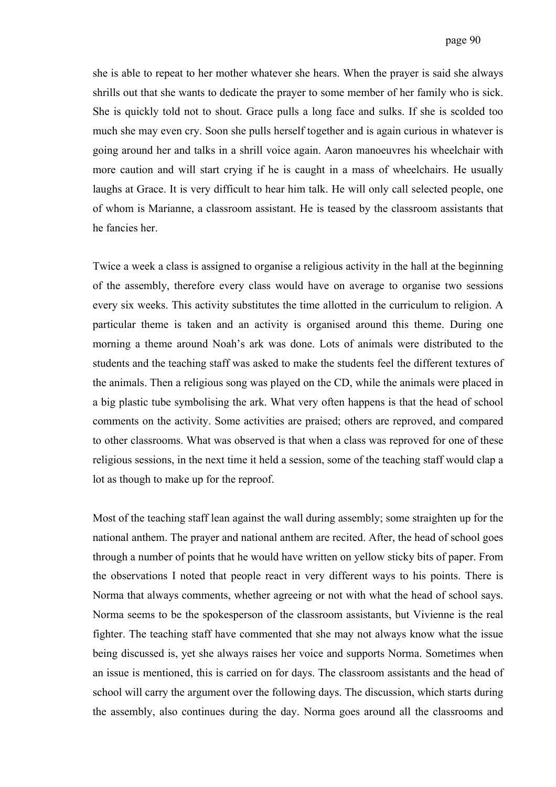she is able to repeat to her mother whatever she hears. When the prayer is said she always shrills out that she wants to dedicate the prayer to some member of her family who is sick. She is quickly told not to shout. Grace pulls a long face and sulks. If she is scolded too much she may even cry. Soon she pulls herself together and is again curious in whatever is going around her and talks in a shrill voice again. Aaron manoeuvres his wheelchair with more caution and will start crying if he is caught in a mass of wheelchairs. He usually laughs at Grace. It is very difficult to hear him talk. He will only call selected people, one of whom is Marianne, a classroom assistant. He is teased by the classroom assistants that he fancies her.

Twice a week a class is assigned to organise a religious activity in the hall at the beginning of the assembly, therefore every class would have on average to organise two sessions every six weeks. This activity substitutes the time allotted in the curriculum to religion. A particular theme is taken and an activity is organised around this theme. During one morning a theme around Noah's ark was done. Lots of animals were distributed to the students and the teaching staff was asked to make the students feel the different textures of the animals. Then a religious song was played on the CD, while the animals were placed in a big plastic tube symbolising the ark. What very often happens is that the head of school comments on the activity. Some activities are praised; others are reproved, and compared to other classrooms. What was observed is that when a class was reproved for one of these religious sessions, in the next time it held a session, some of the teaching staff would clap a lot as though to make up for the reproof.

Most of the teaching staff lean against the wall during assembly; some straighten up for the national anthem. The prayer and national anthem are recited. After, the head of school goes through a number of points that he would have written on yellow sticky bits of paper. From the observations I noted that people react in very different ways to his points. There is Norma that always comments, whether agreeing or not with what the head of school says. Norma seems to be the spokesperson of the classroom assistants, but Vivienne is the real fighter. The teaching staff have commented that she may not always know what the issue being discussed is, yet she always raises her voice and supports Norma. Sometimes when an issue is mentioned, this is carried on for days. The classroom assistants and the head of school will carry the argument over the following days. The discussion, which starts during the assembly, also continues during the day. Norma goes around all the classrooms and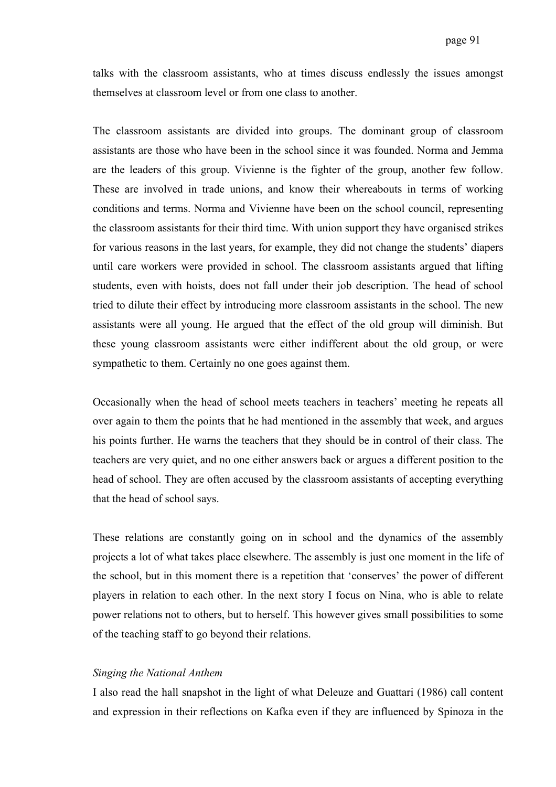talks with the classroom assistants, who at times discuss endlessly the issues amongst themselves at classroom level or from one class to another.

The classroom assistants are divided into groups. The dominant group of classroom assistants are those who have been in the school since it was founded. Norma and Jemma are the leaders of this group. Vivienne is the fighter of the group, another few follow. These are involved in trade unions, and know their whereabouts in terms of working conditions and terms. Norma and Vivienne have been on the school council, representing the classroom assistants for their third time. With union support they have organised strikes for various reasons in the last years, for example, they did not change the students' diapers until care workers were provided in school. The classroom assistants argued that lifting students, even with hoists, does not fall under their job description. The head of school tried to dilute their effect by introducing more classroom assistants in the school. The new assistants were all young. He argued that the effect of the old group will diminish. But these young classroom assistants were either indifferent about the old group, or were sympathetic to them. Certainly no one goes against them.

Occasionally when the head of school meets teachers in teachers' meeting he repeats all over again to them the points that he had mentioned in the assembly that week, and argues his points further. He warns the teachers that they should be in control of their class. The teachers are very quiet, and no one either answers back or argues a different position to the head of school. They are often accused by the classroom assistants of accepting everything that the head of school says.

These relations are constantly going on in school and the dynamics of the assembly projects a lot of what takes place elsewhere. The assembly is just one moment in the life of the school, but in this moment there is a repetition that 'conserves' the power of different players in relation to each other. In the next story I focus on Nina, who is able to relate power relations not to others, but to herself. This however gives small possibilities to some of the teaching staff to go beyond their relations.

### *Singing the National Anthem*

I also read the hall snapshot in the light of what Deleuze and Guattari (1986) call content and expression in their reflections on Kafka even if they are influenced by Spinoza in the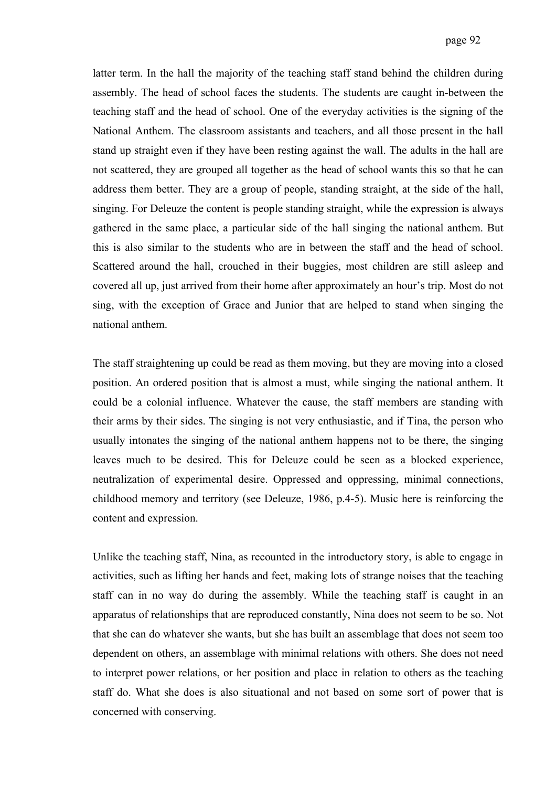latter term. In the hall the majority of the teaching staff stand behind the children during assembly. The head of school faces the students. The students are caught in-between the teaching staff and the head of school. One of the everyday activities is the signing of the National Anthem. The classroom assistants and teachers, and all those present in the hall stand up straight even if they have been resting against the wall. The adults in the hall are not scattered, they are grouped all together as the head of school wants this so that he can address them better. They are a group of people, standing straight, at the side of the hall, singing. For Deleuze the content is people standing straight, while the expression is always gathered in the same place, a particular side of the hall singing the national anthem. But this is also similar to the students who are in between the staff and the head of school. Scattered around the hall, crouched in their buggies, most children are still asleep and covered all up, just arrived from their home after approximately an hour's trip. Most do not sing, with the exception of Grace and Junior that are helped to stand when singing the national anthem.

The staff straightening up could be read as them moving, but they are moving into a closed position. An ordered position that is almost a must, while singing the national anthem. It could be a colonial influence. Whatever the cause, the staff members are standing with their arms by their sides. The singing is not very enthusiastic, and if Tina, the person who usually intonates the singing of the national anthem happens not to be there, the singing leaves much to be desired. This for Deleuze could be seen as a blocked experience, neutralization of experimental desire. Oppressed and oppressing, minimal connections, childhood memory and territory (see Deleuze, 1986, p.4-5). Music here is reinforcing the content and expression.

Unlike the teaching staff, Nina, as recounted in the introductory story, is able to engage in activities, such as lifting her hands and feet, making lots of strange noises that the teaching staff can in no way do during the assembly. While the teaching staff is caught in an apparatus of relationships that are reproduced constantly, Nina does not seem to be so. Not that she can do whatever she wants, but she has built an assemblage that does not seem too dependent on others, an assemblage with minimal relations with others. She does not need to interpret power relations, or her position and place in relation to others as the teaching staff do. What she does is also situational and not based on some sort of power that is concerned with conserving.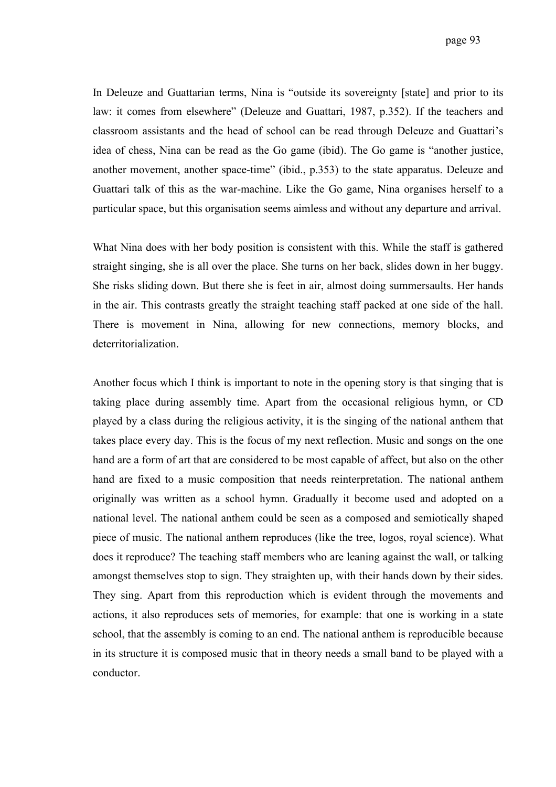In Deleuze and Guattarian terms, Nina is "outside its sovereignty [state] and prior to its law: it comes from elsewhere" (Deleuze and Guattari, 1987, p.352). If the teachers and classroom assistants and the head of school can be read through Deleuze and Guattari's idea of chess, Nina can be read as the Go game (ibid). The Go game is "another justice, another movement, another space-time" (ibid., p.353) to the state apparatus. Deleuze and Guattari talk of this as the war-machine. Like the Go game, Nina organises herself to a particular space, but this organisation seems aimless and without any departure and arrival.

What Nina does with her body position is consistent with this. While the staff is gathered straight singing, she is all over the place. She turns on her back, slides down in her buggy. She risks sliding down. But there she is feet in air, almost doing summersaults. Her hands in the air. This contrasts greatly the straight teaching staff packed at one side of the hall. There is movement in Nina, allowing for new connections, memory blocks, and deterritorialization.

Another focus which I think is important to note in the opening story is that singing that is taking place during assembly time. Apart from the occasional religious hymn, or CD played by a class during the religious activity, it is the singing of the national anthem that takes place every day. This is the focus of my next reflection. Music and songs on the one hand are a form of art that are considered to be most capable of affect, but also on the other hand are fixed to a music composition that needs reinterpretation. The national anthem originally was written as a school hymn. Gradually it become used and adopted on a national level. The national anthem could be seen as a composed and semiotically shaped piece of music. The national anthem reproduces (like the tree, logos, royal science). What does it reproduce? The teaching staff members who are leaning against the wall, or talking amongst themselves stop to sign. They straighten up, with their hands down by their sides. They sing. Apart from this reproduction which is evident through the movements and actions, it also reproduces sets of memories, for example: that one is working in a state school, that the assembly is coming to an end. The national anthem is reproducible because in its structure it is composed music that in theory needs a small band to be played with a conductor.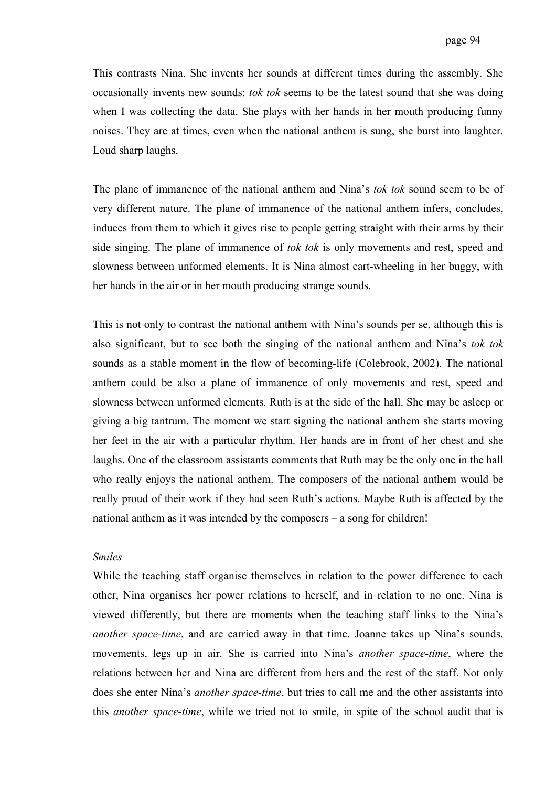This contrasts Nina. She invents her sounds at different times during the assembly. She occasionally invents new sounds: *tok tok* seems to be the latest sound that she was doing when I was collecting the data. She plays with her hands in her mouth producing funny noises. They are at times, even when the national anthem is sung, she burst into laughter. Loud sharp laughs.

The plane of immanence of the national anthem and Nina's *tok tok* sound seem to be of very different nature. The plane of immanence of the national anthem infers, concludes, induces from them to which it gives rise to people getting straight with their arms by their side singing. The plane of immanence of *tok tok* is only movements and rest, speed and slowness between unformed elements. It is Nina almost cart-wheeling in her buggy, with her hands in the air or in her mouth producing strange sounds.

This is not only to contrast the national anthem with Nina's sounds per se, although this is also significant, but to see both the singing of the national anthem and Nina's *tok tok* sounds as a stable moment in the flow of becoming-life (Colebrook, 2002). The national anthem could be also a plane of immanence of only movements and rest, speed and slowness between unformed elements. Ruth is at the side of the hall. She may be asleep or giving a big tantrum. The moment we start signing the national anthem she starts moving her feet in the air with a particular rhythm. Her hands are in front of her chest and she laughs. One of the classroom assistants comments that Ruth may be the only one in the hall who really enjoys the national anthem. The composers of the national anthem would be really proud of their work if they had seen Ruth's actions. Maybe Ruth is affected by the national anthem as it was intended by the composers – a song for children!

### *Smiles*

While the teaching staff organise themselves in relation to the power difference to each other, Nina organises her power relations to herself, and in relation to no one. Nina is viewed differently, but there are moments when the teaching staff links to the Nina's *another space-time*, and are carried away in that time. Joanne takes up Nina's sounds, movements, legs up in air. She is carried into Nina's *another space-time*, where the relations between her and Nina are different from hers and the rest of the staff. Not only does she enter Nina's *another space-time*, but tries to call me and the other assistants into this *another space-time*, while we tried not to smile, in spite of the school audit that is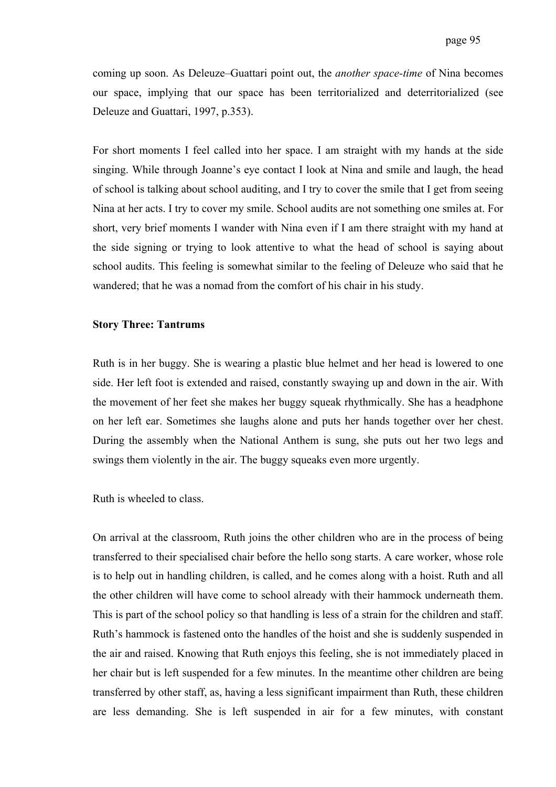coming up soon. As Deleuze–Guattari point out, the *another space-time* of Nina becomes our space, implying that our space has been territorialized and deterritorialized (see Deleuze and Guattari, 1997, p.353).

For short moments I feel called into her space. I am straight with my hands at the side singing. While through Joanne's eye contact I look at Nina and smile and laugh, the head of school is talking about school auditing, and I try to cover the smile that I get from seeing Nina at her acts. I try to cover my smile. School audits are not something one smiles at. For short, very brief moments I wander with Nina even if I am there straight with my hand at the side signing or trying to look attentive to what the head of school is saying about school audits. This feeling is somewhat similar to the feeling of Deleuze who said that he wandered; that he was a nomad from the comfort of his chair in his study.

### **Story Three: Tantrums**

Ruth is in her buggy. She is wearing a plastic blue helmet and her head is lowered to one side. Her left foot is extended and raised, constantly swaying up and down in the air. With the movement of her feet she makes her buggy squeak rhythmically. She has a headphone on her left ear. Sometimes she laughs alone and puts her hands together over her chest. During the assembly when the National Anthem is sung, she puts out her two legs and swings them violently in the air. The buggy squeaks even more urgently.

Ruth is wheeled to class.

On arrival at the classroom, Ruth joins the other children who are in the process of being transferred to their specialised chair before the hello song starts. A care worker, whose role is to help out in handling children, is called, and he comes along with a hoist. Ruth and all the other children will have come to school already with their hammock underneath them. This is part of the school policy so that handling is less of a strain for the children and staff. Ruth's hammock is fastened onto the handles of the hoist and she is suddenly suspended in the air and raised. Knowing that Ruth enjoys this feeling, she is not immediately placed in her chair but is left suspended for a few minutes. In the meantime other children are being transferred by other staff, as, having a less significant impairment than Ruth, these children are less demanding. She is left suspended in air for a few minutes, with constant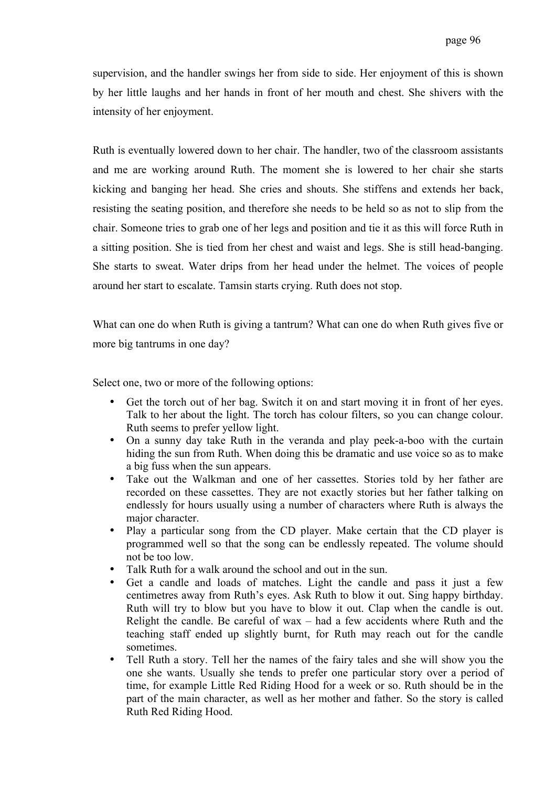supervision, and the handler swings her from side to side. Her enjoyment of this is shown by her little laughs and her hands in front of her mouth and chest. She shivers with the intensity of her enjoyment.

Ruth is eventually lowered down to her chair. The handler, two of the classroom assistants and me are working around Ruth. The moment she is lowered to her chair she starts kicking and banging her head. She cries and shouts. She stiffens and extends her back, resisting the seating position, and therefore she needs to be held so as not to slip from the chair. Someone tries to grab one of her legs and position and tie it as this will force Ruth in a sitting position. She is tied from her chest and waist and legs. She is still head-banging. She starts to sweat. Water drips from her head under the helmet. The voices of people around her start to escalate. Tamsin starts crying. Ruth does not stop.

What can one do when Ruth is giving a tantrum? What can one do when Ruth gives five or more big tantrums in one day?

Select one, two or more of the following options:

- Get the torch out of her bag. Switch it on and start moving it in front of her eyes. Talk to her about the light. The torch has colour filters, so you can change colour. Ruth seems to prefer yellow light.
- On a sunny day take Ruth in the veranda and play peek-a-boo with the curtain hiding the sun from Ruth. When doing this be dramatic and use voice so as to make a big fuss when the sun appears.
- Take out the Walkman and one of her cassettes. Stories told by her father are recorded on these cassettes. They are not exactly stories but her father talking on endlessly for hours usually using a number of characters where Ruth is always the major character.
- Play a particular song from the CD player. Make certain that the CD player is programmed well so that the song can be endlessly repeated. The volume should not be too low.
- Talk Ruth for a walk around the school and out in the sun.
- Get a candle and loads of matches. Light the candle and pass it just a few centimetres away from Ruth's eyes. Ask Ruth to blow it out. Sing happy birthday. Ruth will try to blow but you have to blow it out. Clap when the candle is out. Relight the candle. Be careful of wax – had a few accidents where Ruth and the teaching staff ended up slightly burnt, for Ruth may reach out for the candle sometimes.
- Tell Ruth a story. Tell her the names of the fairy tales and she will show you the one she wants. Usually she tends to prefer one particular story over a period of time, for example Little Red Riding Hood for a week or so. Ruth should be in the part of the main character, as well as her mother and father. So the story is called Ruth Red Riding Hood.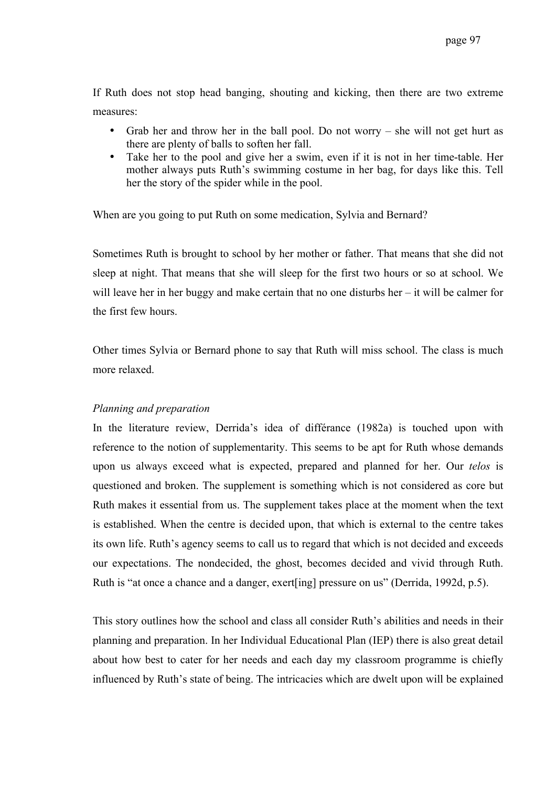If Ruth does not stop head banging, shouting and kicking, then there are two extreme measures:

- Grab her and throw her in the ball pool. Do not worry she will not get hurt as there are plenty of balls to soften her fall.
- Take her to the pool and give her a swim, even if it is not in her time-table. Her mother always puts Ruth's swimming costume in her bag, for days like this. Tell her the story of the spider while in the pool.

When are you going to put Ruth on some medication, Sylvia and Bernard?

Sometimes Ruth is brought to school by her mother or father. That means that she did not sleep at night. That means that she will sleep for the first two hours or so at school. We will leave her in her buggy and make certain that no one disturbs her – it will be calmer for the first few hours.

Other times Sylvia or Bernard phone to say that Ruth will miss school. The class is much more relaxed.

## *Planning and preparation*

In the literature review, Derrida's idea of différance (1982a) is touched upon with reference to the notion of supplementarity. This seems to be apt for Ruth whose demands upon us always exceed what is expected, prepared and planned for her. Our *telos* is questioned and broken. The supplement is something which is not considered as core but Ruth makes it essential from us. The supplement takes place at the moment when the text is established. When the centre is decided upon, that which is external to the centre takes its own life. Ruth's agency seems to call us to regard that which is not decided and exceeds our expectations. The nondecided, the ghost, becomes decided and vivid through Ruth. Ruth is "at once a chance and a danger, exert[ing] pressure on us" (Derrida, 1992d, p.5).

This story outlines how the school and class all consider Ruth's abilities and needs in their planning and preparation. In her Individual Educational Plan (IEP) there is also great detail about how best to cater for her needs and each day my classroom programme is chiefly influenced by Ruth's state of being. The intricacies which are dwelt upon will be explained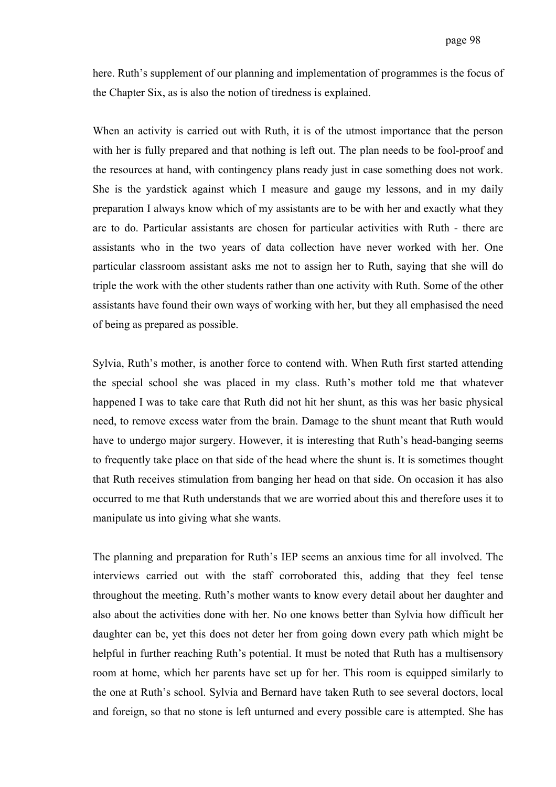here. Ruth's supplement of our planning and implementation of programmes is the focus of the Chapter Six, as is also the notion of tiredness is explained.

When an activity is carried out with Ruth, it is of the utmost importance that the person with her is fully prepared and that nothing is left out. The plan needs to be fool-proof and the resources at hand, with contingency plans ready just in case something does not work. She is the yardstick against which I measure and gauge my lessons, and in my daily preparation I always know which of my assistants are to be with her and exactly what they are to do. Particular assistants are chosen for particular activities with Ruth - there are assistants who in the two years of data collection have never worked with her. One particular classroom assistant asks me not to assign her to Ruth, saying that she will do triple the work with the other students rather than one activity with Ruth. Some of the other assistants have found their own ways of working with her, but they all emphasised the need of being as prepared as possible.

Sylvia, Ruth's mother, is another force to contend with. When Ruth first started attending the special school she was placed in my class. Ruth's mother told me that whatever happened I was to take care that Ruth did not hit her shunt, as this was her basic physical need, to remove excess water from the brain. Damage to the shunt meant that Ruth would have to undergo major surgery. However, it is interesting that Ruth's head-banging seems to frequently take place on that side of the head where the shunt is. It is sometimes thought that Ruth receives stimulation from banging her head on that side. On occasion it has also occurred to me that Ruth understands that we are worried about this and therefore uses it to manipulate us into giving what she wants.

The planning and preparation for Ruth's IEP seems an anxious time for all involved. The interviews carried out with the staff corroborated this, adding that they feel tense throughout the meeting. Ruth's mother wants to know every detail about her daughter and also about the activities done with her. No one knows better than Sylvia how difficult her daughter can be, yet this does not deter her from going down every path which might be helpful in further reaching Ruth's potential. It must be noted that Ruth has a multisensory room at home, which her parents have set up for her. This room is equipped similarly to the one at Ruth's school. Sylvia and Bernard have taken Ruth to see several doctors, local and foreign, so that no stone is left unturned and every possible care is attempted. She has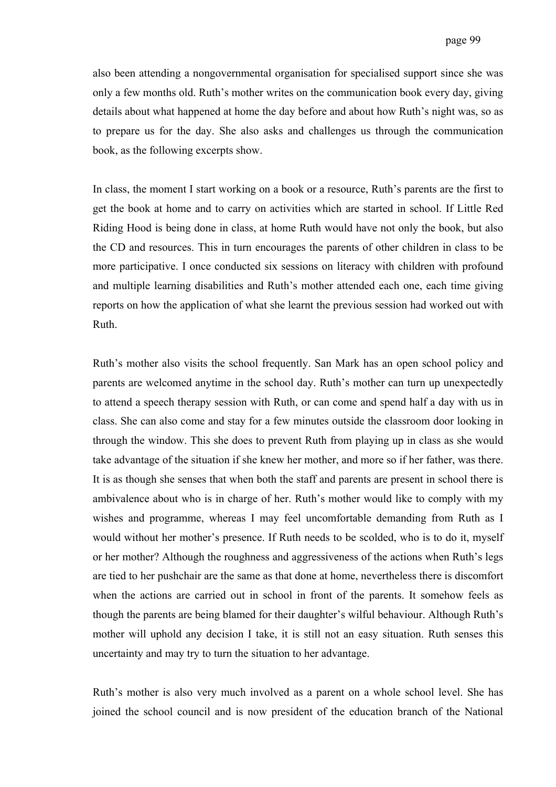also been attending a nongovernmental organisation for specialised support since she was only a few months old. Ruth's mother writes on the communication book every day, giving details about what happened at home the day before and about how Ruth's night was, so as to prepare us for the day. She also asks and challenges us through the communication book, as the following excerpts show.

In class, the moment I start working on a book or a resource, Ruth's parents are the first to get the book at home and to carry on activities which are started in school. If Little Red Riding Hood is being done in class, at home Ruth would have not only the book, but also the CD and resources. This in turn encourages the parents of other children in class to be more participative. I once conducted six sessions on literacy with children with profound and multiple learning disabilities and Ruth's mother attended each one, each time giving reports on how the application of what she learnt the previous session had worked out with Ruth.

Ruth's mother also visits the school frequently. San Mark has an open school policy and parents are welcomed anytime in the school day. Ruth's mother can turn up unexpectedly to attend a speech therapy session with Ruth, or can come and spend half a day with us in class. She can also come and stay for a few minutes outside the classroom door looking in through the window. This she does to prevent Ruth from playing up in class as she would take advantage of the situation if she knew her mother, and more so if her father, was there. It is as though she senses that when both the staff and parents are present in school there is ambivalence about who is in charge of her. Ruth's mother would like to comply with my wishes and programme, whereas I may feel uncomfortable demanding from Ruth as I would without her mother's presence. If Ruth needs to be scolded, who is to do it, myself or her mother? Although the roughness and aggressiveness of the actions when Ruth's legs are tied to her pushchair are the same as that done at home, nevertheless there is discomfort when the actions are carried out in school in front of the parents. It somehow feels as though the parents are being blamed for their daughter's wilful behaviour. Although Ruth's mother will uphold any decision I take, it is still not an easy situation. Ruth senses this uncertainty and may try to turn the situation to her advantage.

Ruth's mother is also very much involved as a parent on a whole school level. She has joined the school council and is now president of the education branch of the National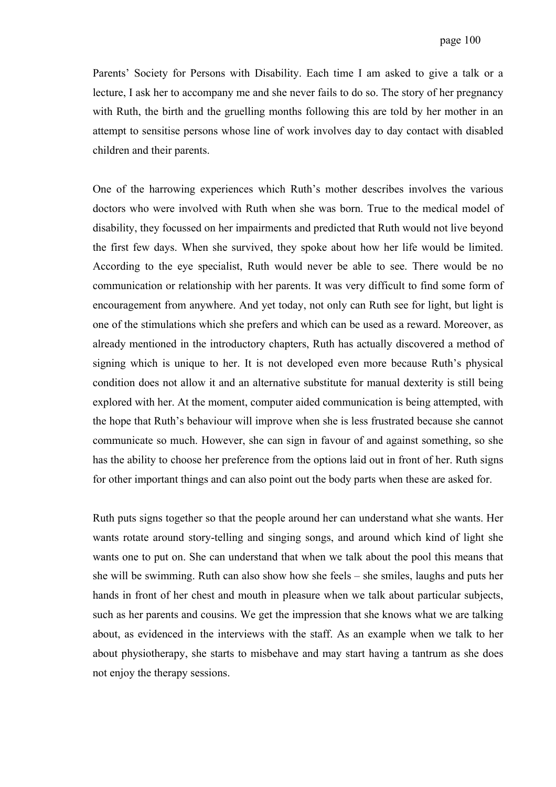Parents' Society for Persons with Disability. Each time I am asked to give a talk or a lecture, I ask her to accompany me and she never fails to do so. The story of her pregnancy with Ruth, the birth and the gruelling months following this are told by her mother in an attempt to sensitise persons whose line of work involves day to day contact with disabled children and their parents.

One of the harrowing experiences which Ruth's mother describes involves the various doctors who were involved with Ruth when she was born. True to the medical model of disability, they focussed on her impairments and predicted that Ruth would not live beyond the first few days. When she survived, they spoke about how her life would be limited. According to the eye specialist, Ruth would never be able to see. There would be no communication or relationship with her parents. It was very difficult to find some form of encouragement from anywhere. And yet today, not only can Ruth see for light, but light is one of the stimulations which she prefers and which can be used as a reward. Moreover, as already mentioned in the introductory chapters, Ruth has actually discovered a method of signing which is unique to her. It is not developed even more because Ruth's physical condition does not allow it and an alternative substitute for manual dexterity is still being explored with her. At the moment, computer aided communication is being attempted, with the hope that Ruth's behaviour will improve when she is less frustrated because she cannot communicate so much. However, she can sign in favour of and against something, so she has the ability to choose her preference from the options laid out in front of her. Ruth signs for other important things and can also point out the body parts when these are asked for.

Ruth puts signs together so that the people around her can understand what she wants. Her wants rotate around story-telling and singing songs, and around which kind of light she wants one to put on. She can understand that when we talk about the pool this means that she will be swimming. Ruth can also show how she feels – she smiles, laughs and puts her hands in front of her chest and mouth in pleasure when we talk about particular subjects, such as her parents and cousins. We get the impression that she knows what we are talking about, as evidenced in the interviews with the staff. As an example when we talk to her about physiotherapy, she starts to misbehave and may start having a tantrum as she does not enjoy the therapy sessions.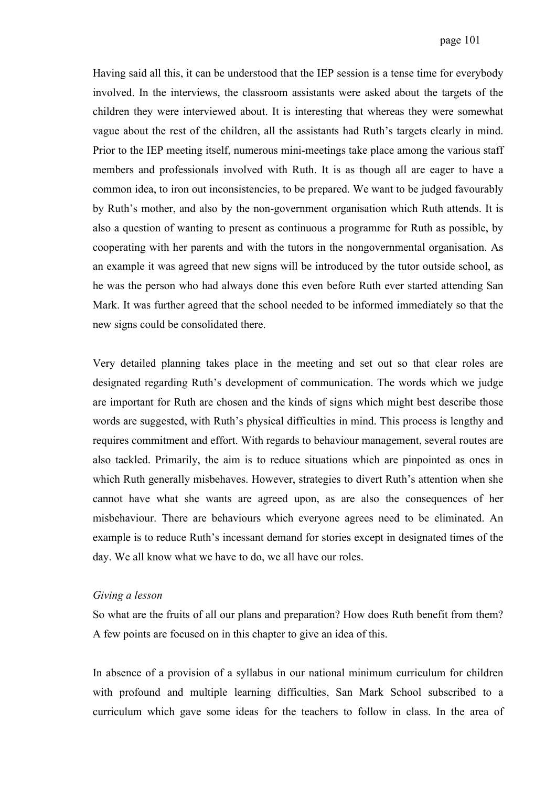Having said all this, it can be understood that the IEP session is a tense time for everybody involved. In the interviews, the classroom assistants were asked about the targets of the children they were interviewed about. It is interesting that whereas they were somewhat vague about the rest of the children, all the assistants had Ruth's targets clearly in mind. Prior to the IEP meeting itself, numerous mini-meetings take place among the various staff members and professionals involved with Ruth. It is as though all are eager to have a common idea, to iron out inconsistencies, to be prepared. We want to be judged favourably by Ruth's mother, and also by the non-government organisation which Ruth attends. It is also a question of wanting to present as continuous a programme for Ruth as possible, by cooperating with her parents and with the tutors in the nongovernmental organisation. As an example it was agreed that new signs will be introduced by the tutor outside school, as he was the person who had always done this even before Ruth ever started attending San Mark. It was further agreed that the school needed to be informed immediately so that the new signs could be consolidated there.

Very detailed planning takes place in the meeting and set out so that clear roles are designated regarding Ruth's development of communication. The words which we judge are important for Ruth are chosen and the kinds of signs which might best describe those words are suggested, with Ruth's physical difficulties in mind. This process is lengthy and requires commitment and effort. With regards to behaviour management, several routes are also tackled. Primarily, the aim is to reduce situations which are pinpointed as ones in which Ruth generally misbehaves. However, strategies to divert Ruth's attention when she cannot have what she wants are agreed upon, as are also the consequences of her misbehaviour. There are behaviours which everyone agrees need to be eliminated. An example is to reduce Ruth's incessant demand for stories except in designated times of the day. We all know what we have to do, we all have our roles.

#### *Giving a lesson*

So what are the fruits of all our plans and preparation? How does Ruth benefit from them? A few points are focused on in this chapter to give an idea of this.

In absence of a provision of a syllabus in our national minimum curriculum for children with profound and multiple learning difficulties, San Mark School subscribed to a curriculum which gave some ideas for the teachers to follow in class. In the area of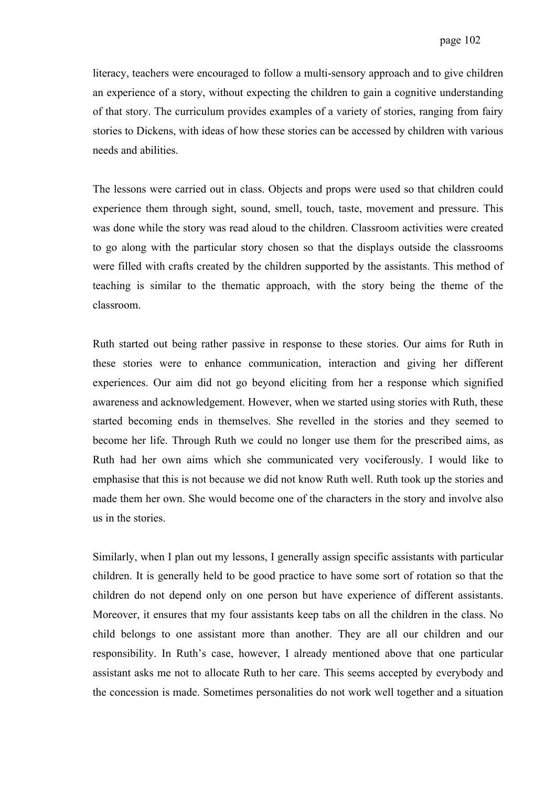literacy, teachers were encouraged to follow a multi-sensory approach and to give children an experience of a story, without expecting the children to gain a cognitive understanding of that story. The curriculum provides examples of a variety of stories, ranging from fairy stories to Dickens, with ideas of how these stories can be accessed by children with various needs and abilities.

The lessons were carried out in class. Objects and props were used so that children could experience them through sight, sound, smell, touch, taste, movement and pressure. This was done while the story was read aloud to the children. Classroom activities were created to go along with the particular story chosen so that the displays outside the classrooms were filled with crafts created by the children supported by the assistants. This method of teaching is similar to the thematic approach, with the story being the theme of the classroom.

Ruth started out being rather passive in response to these stories. Our aims for Ruth in these stories were to enhance communication, interaction and giving her different experiences. Our aim did not go beyond eliciting from her a response which signified awareness and acknowledgement. However, when we started using stories with Ruth, these started becoming ends in themselves. She revelled in the stories and they seemed to become her life. Through Ruth we could no longer use them for the prescribed aims, as Ruth had her own aims which she communicated very vociferously. I would like to emphasise that this is not because we did not know Ruth well. Ruth took up the stories and made them her own. She would become one of the characters in the story and involve also us in the stories.

Similarly, when I plan out my lessons, I generally assign specific assistants with particular children. It is generally held to be good practice to have some sort of rotation so that the children do not depend only on one person but have experience of different assistants. Moreover, it ensures that my four assistants keep tabs on all the children in the class. No child belongs to one assistant more than another. They are all our children and our responsibility. In Ruth's case, however, I already mentioned above that one particular assistant asks me not to allocate Ruth to her care. This seems accepted by everybody and the concession is made. Sometimes personalities do not work well together and a situation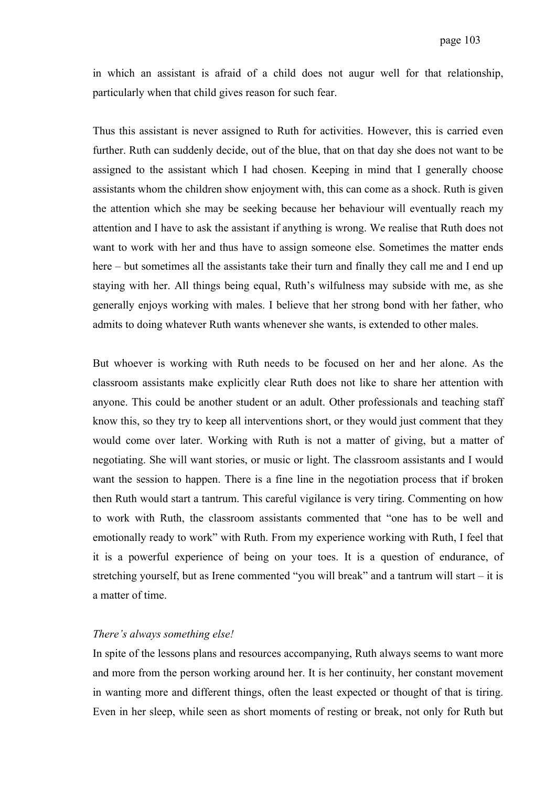in which an assistant is afraid of a child does not augur well for that relationship, particularly when that child gives reason for such fear.

Thus this assistant is never assigned to Ruth for activities. However, this is carried even further. Ruth can suddenly decide, out of the blue, that on that day she does not want to be assigned to the assistant which I had chosen. Keeping in mind that I generally choose assistants whom the children show enjoyment with, this can come as a shock. Ruth is given the attention which she may be seeking because her behaviour will eventually reach my attention and I have to ask the assistant if anything is wrong. We realise that Ruth does not want to work with her and thus have to assign someone else. Sometimes the matter ends here – but sometimes all the assistants take their turn and finally they call me and I end up staying with her. All things being equal, Ruth's wilfulness may subside with me, as she generally enjoys working with males. I believe that her strong bond with her father, who admits to doing whatever Ruth wants whenever she wants, is extended to other males.

But whoever is working with Ruth needs to be focused on her and her alone. As the classroom assistants make explicitly clear Ruth does not like to share her attention with anyone. This could be another student or an adult. Other professionals and teaching staff know this, so they try to keep all interventions short, or they would just comment that they would come over later. Working with Ruth is not a matter of giving, but a matter of negotiating. She will want stories, or music or light. The classroom assistants and I would want the session to happen. There is a fine line in the negotiation process that if broken then Ruth would start a tantrum. This careful vigilance is very tiring. Commenting on how to work with Ruth, the classroom assistants commented that "one has to be well and emotionally ready to work" with Ruth. From my experience working with Ruth, I feel that it is a powerful experience of being on your toes. It is a question of endurance, of stretching yourself, but as Irene commented "you will break" and a tantrum will start – it is a matter of time.

### *There's always something else!*

In spite of the lessons plans and resources accompanying, Ruth always seems to want more and more from the person working around her. It is her continuity, her constant movement in wanting more and different things, often the least expected or thought of that is tiring. Even in her sleep, while seen as short moments of resting or break, not only for Ruth but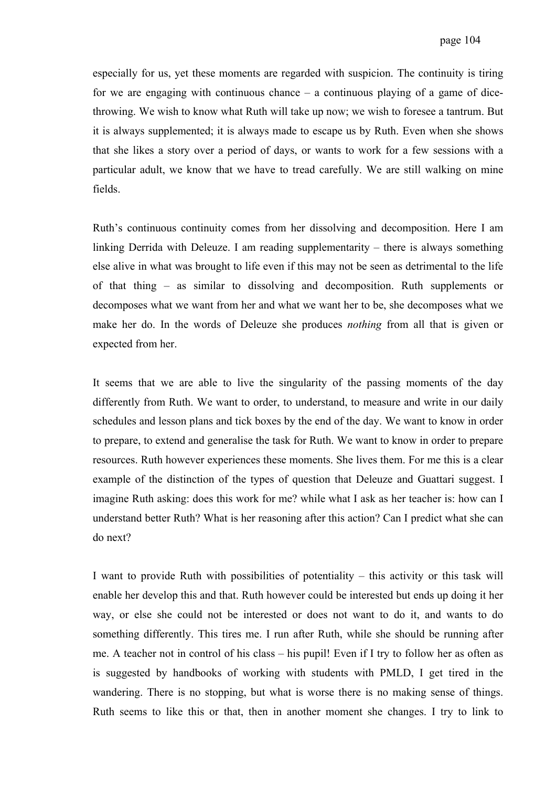especially for us, yet these moments are regarded with suspicion. The continuity is tiring for we are engaging with continuous chance – a continuous playing of a game of dicethrowing. We wish to know what Ruth will take up now; we wish to foresee a tantrum. But it is always supplemented; it is always made to escape us by Ruth. Even when she shows that she likes a story over a period of days, or wants to work for a few sessions with a particular adult, we know that we have to tread carefully. We are still walking on mine fields.

Ruth's continuous continuity comes from her dissolving and decomposition. Here I am linking Derrida with Deleuze. I am reading supplementarity – there is always something else alive in what was brought to life even if this may not be seen as detrimental to the life of that thing – as similar to dissolving and decomposition. Ruth supplements or decomposes what we want from her and what we want her to be, she decomposes what we make her do. In the words of Deleuze she produces *nothing* from all that is given or expected from her.

It seems that we are able to live the singularity of the passing moments of the day differently from Ruth. We want to order, to understand, to measure and write in our daily schedules and lesson plans and tick boxes by the end of the day. We want to know in order to prepare, to extend and generalise the task for Ruth. We want to know in order to prepare resources. Ruth however experiences these moments. She lives them. For me this is a clear example of the distinction of the types of question that Deleuze and Guattari suggest. I imagine Ruth asking: does this work for me? while what I ask as her teacher is: how can I understand better Ruth? What is her reasoning after this action? Can I predict what she can do next?

I want to provide Ruth with possibilities of potentiality – this activity or this task will enable her develop this and that. Ruth however could be interested but ends up doing it her way, or else she could not be interested or does not want to do it, and wants to do something differently. This tires me. I run after Ruth, while she should be running after me. A teacher not in control of his class – his pupil! Even if I try to follow her as often as is suggested by handbooks of working with students with PMLD, I get tired in the wandering. There is no stopping, but what is worse there is no making sense of things. Ruth seems to like this or that, then in another moment she changes. I try to link to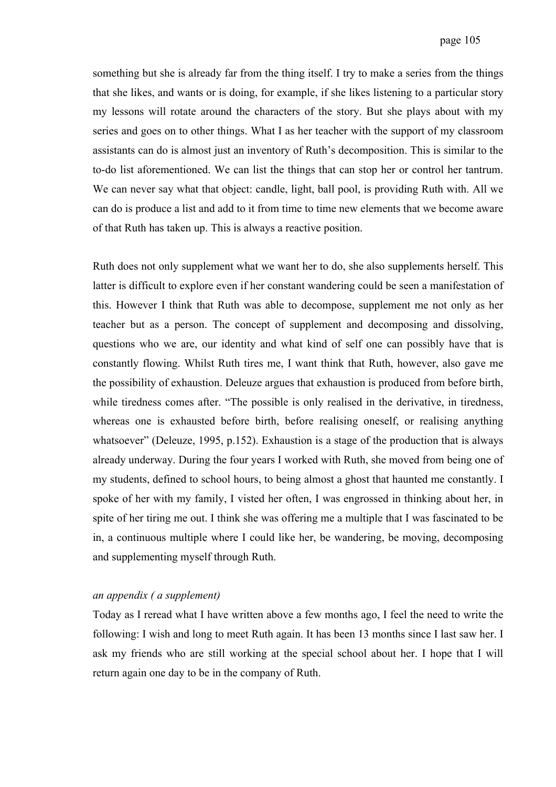something but she is already far from the thing itself. I try to make a series from the things that she likes, and wants or is doing, for example, if she likes listening to a particular story my lessons will rotate around the characters of the story. But she plays about with my series and goes on to other things. What I as her teacher with the support of my classroom assistants can do is almost just an inventory of Ruth's decomposition. This is similar to the to-do list aforementioned. We can list the things that can stop her or control her tantrum. We can never say what that object: candle, light, ball pool, is providing Ruth with. All we can do is produce a list and add to it from time to time new elements that we become aware of that Ruth has taken up. This is always a reactive position.

Ruth does not only supplement what we want her to do, she also supplements herself. This latter is difficult to explore even if her constant wandering could be seen a manifestation of this. However I think that Ruth was able to decompose, supplement me not only as her teacher but as a person. The concept of supplement and decomposing and dissolving, questions who we are, our identity and what kind of self one can possibly have that is constantly flowing. Whilst Ruth tires me, I want think that Ruth, however, also gave me the possibility of exhaustion. Deleuze argues that exhaustion is produced from before birth, while tiredness comes after. "The possible is only realised in the derivative, in tiredness, whereas one is exhausted before birth, before realising oneself, or realising anything whatsoever" (Deleuze, 1995, p.152). Exhaustion is a stage of the production that is always already underway. During the four years I worked with Ruth, she moved from being one of my students, defined to school hours, to being almost a ghost that haunted me constantly. I spoke of her with my family, I visted her often, I was engrossed in thinking about her, in spite of her tiring me out. I think she was offering me a multiple that I was fascinated to be in, a continuous multiple where I could like her, be wandering, be moving, decomposing and supplementing myself through Ruth.

## *an appendix ( a supplement)*

Today as I reread what I have written above a few months ago, I feel the need to write the following: I wish and long to meet Ruth again. It has been 13 months since I last saw her. I ask my friends who are still working at the special school about her. I hope that I will return again one day to be in the company of Ruth.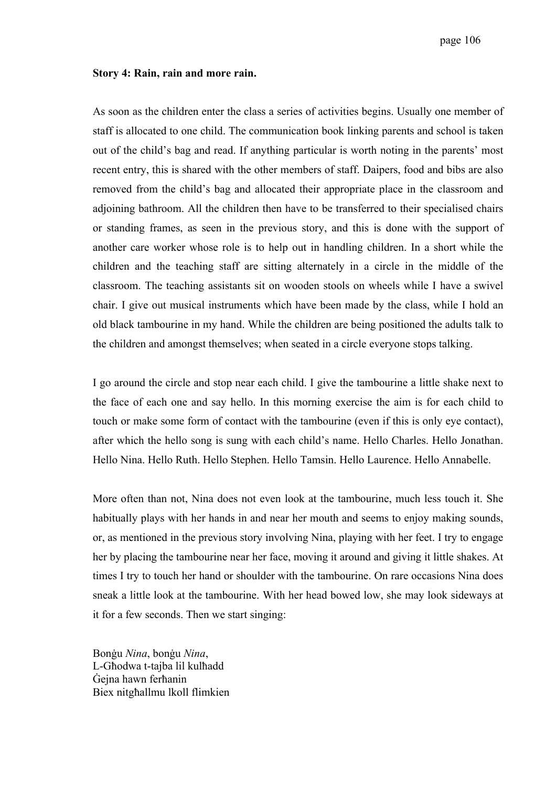## **Story 4: Rain, rain and more rain.**

As soon as the children enter the class a series of activities begins. Usually one member of staff is allocated to one child. The communication book linking parents and school is taken out of the child's bag and read. If anything particular is worth noting in the parents' most recent entry, this is shared with the other members of staff. Daipers, food and bibs are also removed from the child's bag and allocated their appropriate place in the classroom and adjoining bathroom. All the children then have to be transferred to their specialised chairs or standing frames, as seen in the previous story, and this is done with the support of another care worker whose role is to help out in handling children. In a short while the children and the teaching staff are sitting alternately in a circle in the middle of the classroom. The teaching assistants sit on wooden stools on wheels while I have a swivel chair. I give out musical instruments which have been made by the class, while I hold an old black tambourine in my hand. While the children are being positioned the adults talk to the children and amongst themselves; when seated in a circle everyone stops talking.

I go around the circle and stop near each child. I give the tambourine a little shake next to the face of each one and say hello. In this morning exercise the aim is for each child to touch or make some form of contact with the tambourine (even if this is only eye contact), after which the hello song is sung with each child's name. Hello Charles. Hello Jonathan. Hello Nina. Hello Ruth. Hello Stephen. Hello Tamsin. Hello Laurence. Hello Annabelle.

More often than not, Nina does not even look at the tambourine, much less touch it. She habitually plays with her hands in and near her mouth and seems to enjoy making sounds, or, as mentioned in the previous story involving Nina, playing with her feet. I try to engage her by placing the tambourine near her face, moving it around and giving it little shakes. At times I try to touch her hand or shoulder with the tambourine. On rare occasions Nina does sneak a little look at the tambourine. With her head bowed low, she may look sideways at it for a few seconds. Then we start singing:

Bonġu *Nina*, bonġu *Nina*, L-Għodwa t-tajba lil kulħadd Ġejna hawn ferħanin Biex nitgħallmu lkoll flimkien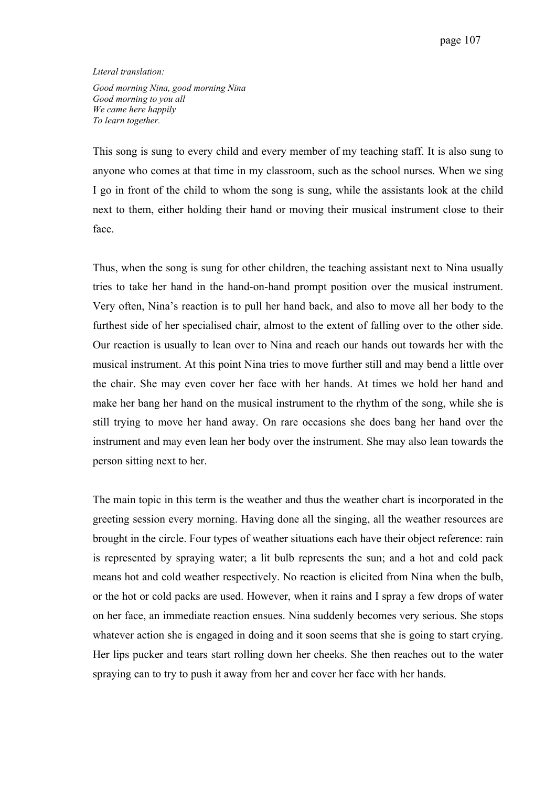*Literal translation:*

*Good morning Nina, good morning Nina Good morning to you all We came here happily To learn together.*

This song is sung to every child and every member of my teaching staff. It is also sung to anyone who comes at that time in my classroom, such as the school nurses. When we sing I go in front of the child to whom the song is sung, while the assistants look at the child next to them, either holding their hand or moving their musical instrument close to their face.

Thus, when the song is sung for other children, the teaching assistant next to Nina usually tries to take her hand in the hand-on-hand prompt position over the musical instrument. Very often, Nina's reaction is to pull her hand back, and also to move all her body to the furthest side of her specialised chair, almost to the extent of falling over to the other side. Our reaction is usually to lean over to Nina and reach our hands out towards her with the musical instrument. At this point Nina tries to move further still and may bend a little over the chair. She may even cover her face with her hands. At times we hold her hand and make her bang her hand on the musical instrument to the rhythm of the song, while she is still trying to move her hand away. On rare occasions she does bang her hand over the instrument and may even lean her body over the instrument. She may also lean towards the person sitting next to her.

The main topic in this term is the weather and thus the weather chart is incorporated in the greeting session every morning. Having done all the singing, all the weather resources are brought in the circle. Four types of weather situations each have their object reference: rain is represented by spraying water; a lit bulb represents the sun; and a hot and cold pack means hot and cold weather respectively. No reaction is elicited from Nina when the bulb, or the hot or cold packs are used. However, when it rains and I spray a few drops of water on her face, an immediate reaction ensues. Nina suddenly becomes very serious. She stops whatever action she is engaged in doing and it soon seems that she is going to start crying. Her lips pucker and tears start rolling down her cheeks. She then reaches out to the water spraying can to try to push it away from her and cover her face with her hands.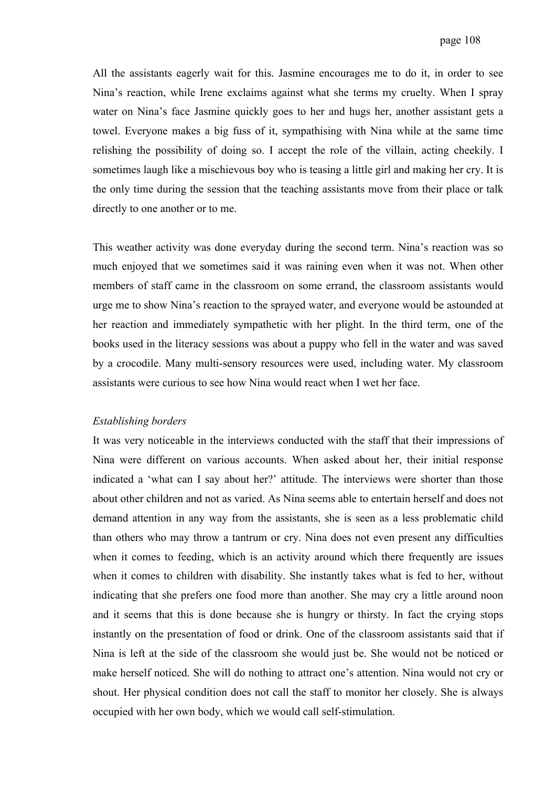All the assistants eagerly wait for this. Jasmine encourages me to do it, in order to see Nina's reaction, while Irene exclaims against what she terms my cruelty. When I spray water on Nina's face Jasmine quickly goes to her and hugs her, another assistant gets a towel. Everyone makes a big fuss of it, sympathising with Nina while at the same time relishing the possibility of doing so. I accept the role of the villain, acting cheekily. I sometimes laugh like a mischievous boy who is teasing a little girl and making her cry. It is the only time during the session that the teaching assistants move from their place or talk directly to one another or to me.

This weather activity was done everyday during the second term. Nina's reaction was so much enjoyed that we sometimes said it was raining even when it was not. When other members of staff came in the classroom on some errand, the classroom assistants would urge me to show Nina's reaction to the sprayed water, and everyone would be astounded at her reaction and immediately sympathetic with her plight. In the third term, one of the books used in the literacy sessions was about a puppy who fell in the water and was saved by a crocodile. Many multi-sensory resources were used, including water. My classroom assistants were curious to see how Nina would react when I wet her face.

## *Establishing borders*

It was very noticeable in the interviews conducted with the staff that their impressions of Nina were different on various accounts. When asked about her, their initial response indicated a 'what can I say about her?' attitude. The interviews were shorter than those about other children and not as varied. As Nina seems able to entertain herself and does not demand attention in any way from the assistants, she is seen as a less problematic child than others who may throw a tantrum or cry. Nina does not even present any difficulties when it comes to feeding, which is an activity around which there frequently are issues when it comes to children with disability. She instantly takes what is fed to her, without indicating that she prefers one food more than another. She may cry a little around noon and it seems that this is done because she is hungry or thirsty. In fact the crying stops instantly on the presentation of food or drink. One of the classroom assistants said that if Nina is left at the side of the classroom she would just be. She would not be noticed or make herself noticed. She will do nothing to attract one's attention. Nina would not cry or shout. Her physical condition does not call the staff to monitor her closely. She is always occupied with her own body, which we would call self-stimulation.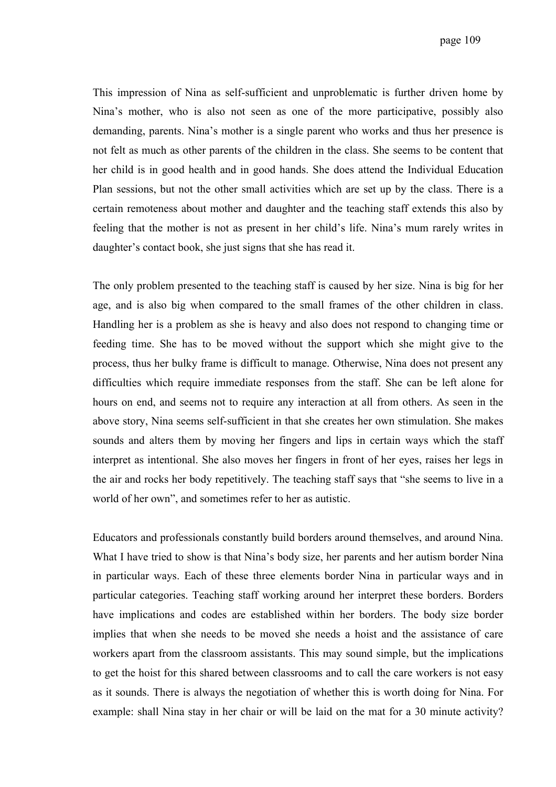This impression of Nina as self-sufficient and unproblematic is further driven home by Nina's mother, who is also not seen as one of the more participative, possibly also demanding, parents. Nina's mother is a single parent who works and thus her presence is not felt as much as other parents of the children in the class. She seems to be content that her child is in good health and in good hands. She does attend the Individual Education Plan sessions, but not the other small activities which are set up by the class. There is a certain remoteness about mother and daughter and the teaching staff extends this also by feeling that the mother is not as present in her child's life. Nina's mum rarely writes in daughter's contact book, she just signs that she has read it.

The only problem presented to the teaching staff is caused by her size. Nina is big for her age, and is also big when compared to the small frames of the other children in class. Handling her is a problem as she is heavy and also does not respond to changing time or feeding time. She has to be moved without the support which she might give to the process, thus her bulky frame is difficult to manage. Otherwise, Nina does not present any difficulties which require immediate responses from the staff. She can be left alone for hours on end, and seems not to require any interaction at all from others. As seen in the above story, Nina seems self-sufficient in that she creates her own stimulation. She makes sounds and alters them by moving her fingers and lips in certain ways which the staff interpret as intentional. She also moves her fingers in front of her eyes, raises her legs in the air and rocks her body repetitively. The teaching staff says that "she seems to live in a world of her own", and sometimes refer to her as autistic.

Educators and professionals constantly build borders around themselves, and around Nina. What I have tried to show is that Nina's body size, her parents and her autism border Nina in particular ways. Each of these three elements border Nina in particular ways and in particular categories. Teaching staff working around her interpret these borders. Borders have implications and codes are established within her borders. The body size border implies that when she needs to be moved she needs a hoist and the assistance of care workers apart from the classroom assistants. This may sound simple, but the implications to get the hoist for this shared between classrooms and to call the care workers is not easy as it sounds. There is always the negotiation of whether this is worth doing for Nina. For example: shall Nina stay in her chair or will be laid on the mat for a 30 minute activity?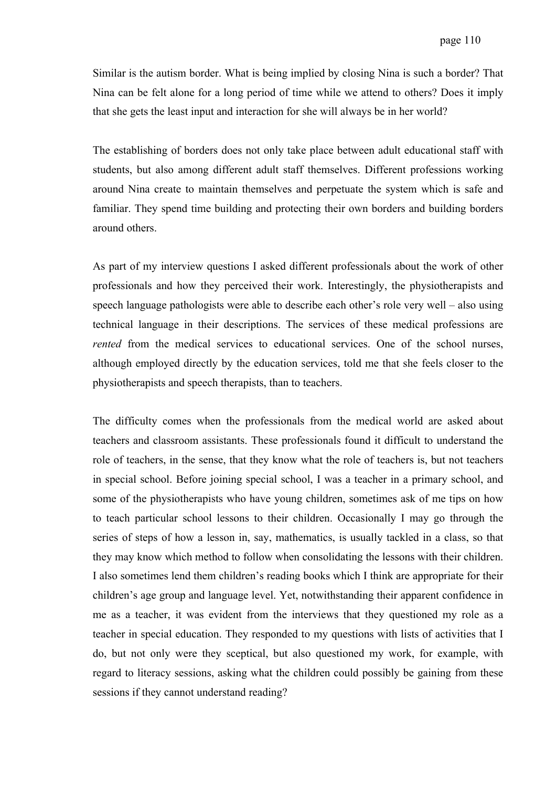Similar is the autism border. What is being implied by closing Nina is such a border? That Nina can be felt alone for a long period of time while we attend to others? Does it imply that she gets the least input and interaction for she will always be in her world?

The establishing of borders does not only take place between adult educational staff with students, but also among different adult staff themselves. Different professions working around Nina create to maintain themselves and perpetuate the system which is safe and familiar. They spend time building and protecting their own borders and building borders around others.

As part of my interview questions I asked different professionals about the work of other professionals and how they perceived their work. Interestingly, the physiotherapists and speech language pathologists were able to describe each other's role very well – also using technical language in their descriptions. The services of these medical professions are *rented* from the medical services to educational services. One of the school nurses, although employed directly by the education services, told me that she feels closer to the physiotherapists and speech therapists, than to teachers.

The difficulty comes when the professionals from the medical world are asked about teachers and classroom assistants. These professionals found it difficult to understand the role of teachers, in the sense, that they know what the role of teachers is, but not teachers in special school. Before joining special school, I was a teacher in a primary school, and some of the physiotherapists who have young children, sometimes ask of me tips on how to teach particular school lessons to their children. Occasionally I may go through the series of steps of how a lesson in, say, mathematics, is usually tackled in a class, so that they may know which method to follow when consolidating the lessons with their children. I also sometimes lend them children's reading books which I think are appropriate for their children's age group and language level. Yet, notwithstanding their apparent confidence in me as a teacher, it was evident from the interviews that they questioned my role as a teacher in special education. They responded to my questions with lists of activities that I do, but not only were they sceptical, but also questioned my work, for example, with regard to literacy sessions, asking what the children could possibly be gaining from these sessions if they cannot understand reading?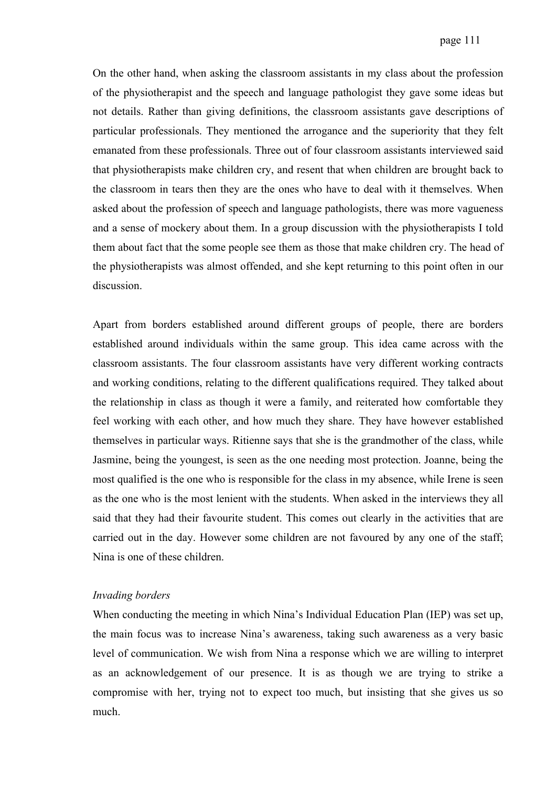On the other hand, when asking the classroom assistants in my class about the profession of the physiotherapist and the speech and language pathologist they gave some ideas but not details. Rather than giving definitions, the classroom assistants gave descriptions of particular professionals. They mentioned the arrogance and the superiority that they felt emanated from these professionals. Three out of four classroom assistants interviewed said that physiotherapists make children cry, and resent that when children are brought back to the classroom in tears then they are the ones who have to deal with it themselves. When asked about the profession of speech and language pathologists, there was more vagueness and a sense of mockery about them. In a group discussion with the physiotherapists I told them about fact that the some people see them as those that make children cry. The head of the physiotherapists was almost offended, and she kept returning to this point often in our discussion.

Apart from borders established around different groups of people, there are borders established around individuals within the same group. This idea came across with the classroom assistants. The four classroom assistants have very different working contracts and working conditions, relating to the different qualifications required. They talked about the relationship in class as though it were a family, and reiterated how comfortable they feel working with each other, and how much they share. They have however established themselves in particular ways. Ritienne says that she is the grandmother of the class, while Jasmine, being the youngest, is seen as the one needing most protection. Joanne, being the most qualified is the one who is responsible for the class in my absence, while Irene is seen as the one who is the most lenient with the students. When asked in the interviews they all said that they had their favourite student. This comes out clearly in the activities that are carried out in the day. However some children are not favoured by any one of the staff; Nina is one of these children.

## *Invading borders*

When conducting the meeting in which Nina's Individual Education Plan (IEP) was set up, the main focus was to increase Nina's awareness, taking such awareness as a very basic level of communication. We wish from Nina a response which we are willing to interpret as an acknowledgement of our presence. It is as though we are trying to strike a compromise with her, trying not to expect too much, but insisting that she gives us so much.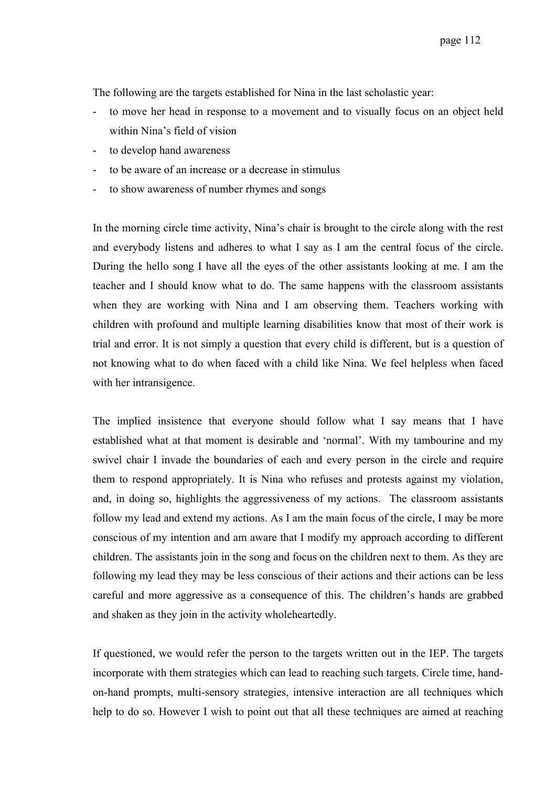The following are the targets established for Nina in the last scholastic year:

- to move her head in response to a movement and to visually focus on an object held within Nina's field of vision
- to develop hand awareness
- to be aware of an increase or a decrease in stimulus
- to show awareness of number rhymes and songs

In the morning circle time activity, Nina's chair is brought to the circle along with the rest and everybody listens and adheres to what I say as I am the central focus of the circle. During the hello song I have all the eyes of the other assistants looking at me. I am the teacher and I should know what to do. The same happens with the classroom assistants when they are working with Nina and I am observing them. Teachers working with children with profound and multiple learning disabilities know that most of their work is trial and error. It is not simply a question that every child is different, but is a question of not knowing what to do when faced with a child like Nina. We feel helpless when faced with her intransigence.

The implied insistence that everyone should follow what I say means that I have established what at that moment is desirable and 'normal'. With my tambourine and my swivel chair I invade the boundaries of each and every person in the circle and require them to respond appropriately. It is Nina who refuses and protests against my violation, and, in doing so, highlights the aggressiveness of my actions. The classroom assistants follow my lead and extend my actions. As I am the main focus of the circle, I may be more conscious of my intention and am aware that I modify my approach according to different children. The assistants join in the song and focus on the children next to them. As they are following my lead they may be less conscious of their actions and their actions can be less careful and more aggressive as a consequence of this. The children's hands are grabbed and shaken as they join in the activity wholeheartedly.

If questioned, we would refer the person to the targets written out in the IEP. The targets incorporate with them strategies which can lead to reaching such targets. Circle time, handon-hand prompts, multi-sensory strategies, intensive interaction are all techniques which help to do so. However I wish to point out that all these techniques are aimed at reaching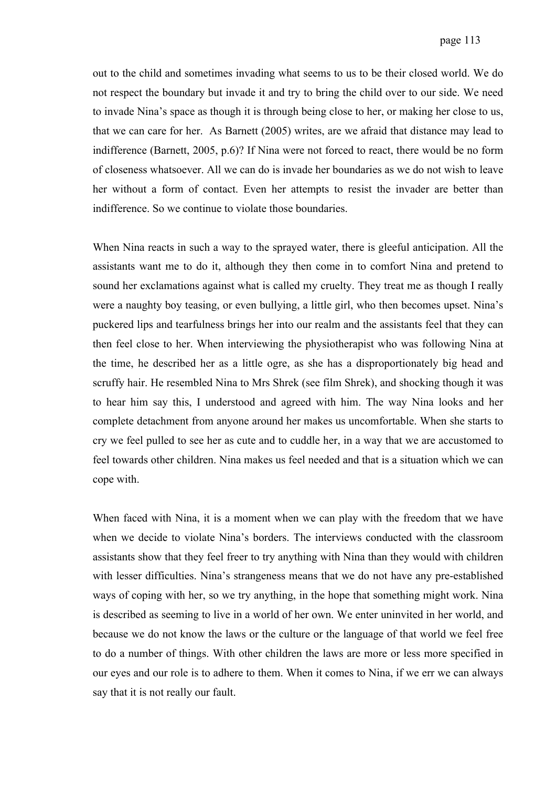out to the child and sometimes invading what seems to us to be their closed world. We do not respect the boundary but invade it and try to bring the child over to our side. We need to invade Nina's space as though it is through being close to her, or making her close to us, that we can care for her. As Barnett (2005) writes, are we afraid that distance may lead to indifference (Barnett, 2005, p.6)? If Nina were not forced to react, there would be no form of closeness whatsoever. All we can do is invade her boundaries as we do not wish to leave her without a form of contact. Even her attempts to resist the invader are better than indifference. So we continue to violate those boundaries.

When Nina reacts in such a way to the sprayed water, there is gleeful anticipation. All the assistants want me to do it, although they then come in to comfort Nina and pretend to sound her exclamations against what is called my cruelty. They treat me as though I really were a naughty boy teasing, or even bullying, a little girl, who then becomes upset. Nina's puckered lips and tearfulness brings her into our realm and the assistants feel that they can then feel close to her. When interviewing the physiotherapist who was following Nina at the time, he described her as a little ogre, as she has a disproportionately big head and scruffy hair. He resembled Nina to Mrs Shrek (see film Shrek), and shocking though it was to hear him say this, I understood and agreed with him. The way Nina looks and her complete detachment from anyone around her makes us uncomfortable. When she starts to cry we feel pulled to see her as cute and to cuddle her, in a way that we are accustomed to feel towards other children. Nina makes us feel needed and that is a situation which we can cope with.

When faced with Nina, it is a moment when we can play with the freedom that we have when we decide to violate Nina's borders. The interviews conducted with the classroom assistants show that they feel freer to try anything with Nina than they would with children with lesser difficulties. Nina's strangeness means that we do not have any pre-established ways of coping with her, so we try anything, in the hope that something might work. Nina is described as seeming to live in a world of her own. We enter uninvited in her world, and because we do not know the laws or the culture or the language of that world we feel free to do a number of things. With other children the laws are more or less more specified in our eyes and our role is to adhere to them. When it comes to Nina, if we err we can always say that it is not really our fault.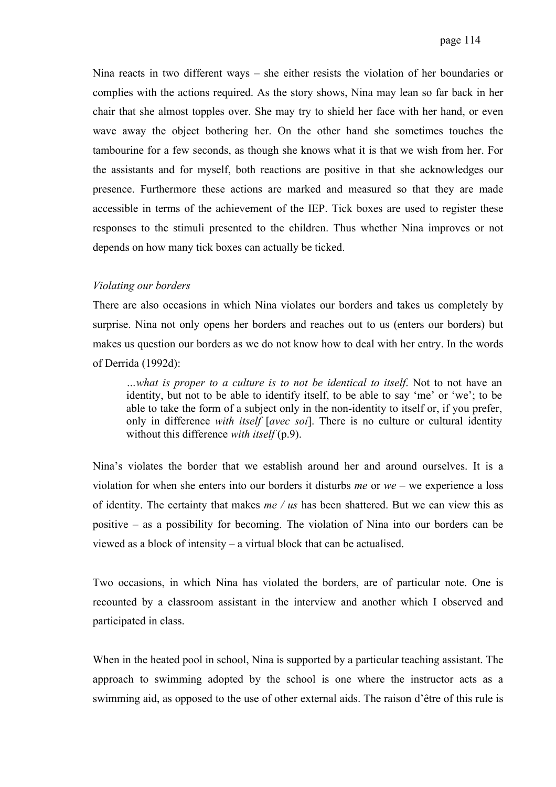Nina reacts in two different ways – she either resists the violation of her boundaries or complies with the actions required. As the story shows, Nina may lean so far back in her chair that she almost topples over. She may try to shield her face with her hand, or even wave away the object bothering her. On the other hand she sometimes touches the tambourine for a few seconds, as though she knows what it is that we wish from her. For the assistants and for myself, both reactions are positive in that she acknowledges our presence. Furthermore these actions are marked and measured so that they are made accessible in terms of the achievement of the IEP. Tick boxes are used to register these responses to the stimuli presented to the children. Thus whether Nina improves or not depends on how many tick boxes can actually be ticked.

#### *Violating our borders*

There are also occasions in which Nina violates our borders and takes us completely by surprise. Nina not only opens her borders and reaches out to us (enters our borders) but makes us question our borders as we do not know how to deal with her entry. In the words of Derrida (1992d):

*…what is proper to a culture is to not be identical to itself*. Not to not have an identity, but not to be able to identify itself, to be able to say 'me' or 'we'; to be able to take the form of a subject only in the non-identity to itself or, if you prefer, only in difference *with itself* [*avec soi*]. There is no culture or cultural identity without this difference *with itself* (p.9).

Nina's violates the border that we establish around her and around ourselves. It is a violation for when she enters into our borders it disturbs *me* or *we* – we experience a loss of identity. The certainty that makes *me / us* has been shattered. But we can view this as positive – as a possibility for becoming. The violation of Nina into our borders can be viewed as a block of intensity – a virtual block that can be actualised.

Two occasions, in which Nina has violated the borders, are of particular note. One is recounted by a classroom assistant in the interview and another which I observed and participated in class.

When in the heated pool in school, Nina is supported by a particular teaching assistant. The approach to swimming adopted by the school is one where the instructor acts as a swimming aid, as opposed to the use of other external aids. The raison d'être of this rule is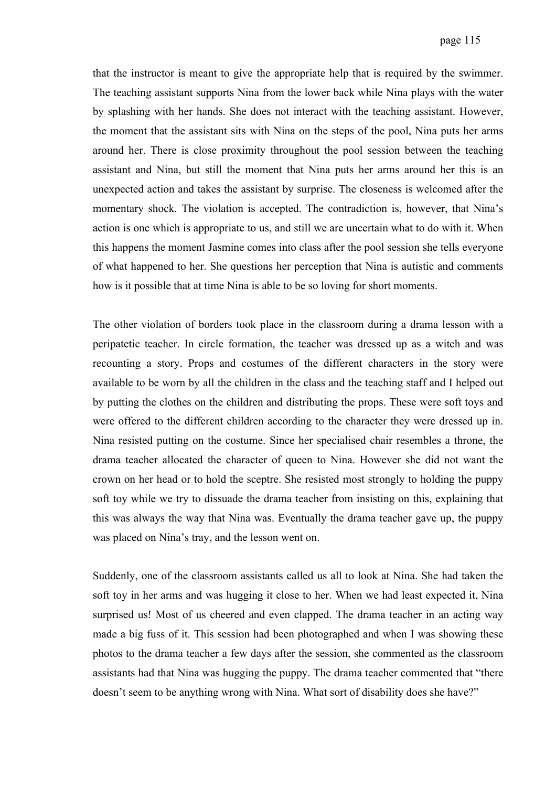that the instructor is meant to give the appropriate help that is required by the swimmer. The teaching assistant supports Nina from the lower back while Nina plays with the water by splashing with her hands. She does not interact with the teaching assistant. However, the moment that the assistant sits with Nina on the steps of the pool, Nina puts her arms around her. There is close proximity throughout the pool session between the teaching assistant and Nina, but still the moment that Nina puts her arms around her this is an unexpected action and takes the assistant by surprise. The closeness is welcomed after the momentary shock. The violation is accepted. The contradiction is, however, that Nina's action is one which is appropriate to us, and still we are uncertain what to do with it. When this happens the moment Jasmine comes into class after the pool session she tells everyone of what happened to her. She questions her perception that Nina is autistic and comments how is it possible that at time Nina is able to be so loving for short moments.

The other violation of borders took place in the classroom during a drama lesson with a peripatetic teacher. In circle formation, the teacher was dressed up as a witch and was recounting a story. Props and costumes of the different characters in the story were available to be worn by all the children in the class and the teaching staff and I helped out by putting the clothes on the children and distributing the props. These were soft toys and were offered to the different children according to the character they were dressed up in. Nina resisted putting on the costume. Since her specialised chair resembles a throne, the drama teacher allocated the character of queen to Nina. However she did not want the crown on her head or to hold the sceptre. She resisted most strongly to holding the puppy soft toy while we try to dissuade the drama teacher from insisting on this, explaining that this was always the way that Nina was. Eventually the drama teacher gave up, the puppy was placed on Nina's tray, and the lesson went on.

Suddenly, one of the classroom assistants called us all to look at Nina. She had taken the soft toy in her arms and was hugging it close to her. When we had least expected it, Nina surprised us! Most of us cheered and even clapped. The drama teacher in an acting way made a big fuss of it. This session had been photographed and when I was showing these photos to the drama teacher a few days after the session, she commented as the classroom assistants had that Nina was hugging the puppy. The drama teacher commented that "there doesn't seem to be anything wrong with Nina. What sort of disability does she have?"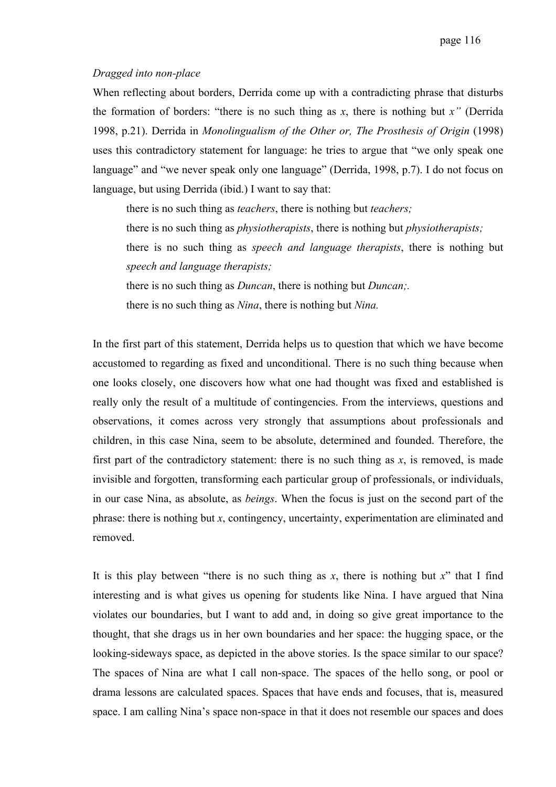#### *Dragged into non-place*

When reflecting about borders, Derrida come up with a contradicting phrase that disturbs the formation of borders: "there is no such thing as  $x$ , there is nothing but  $x$ " (Derrida 1998, p.21). Derrida in *Monolingualism of the Other or, The Prosthesis of Origin* (1998) uses this contradictory statement for language: he tries to argue that "we only speak one language" and "we never speak only one language" (Derrida, 1998, p.7). I do not focus on language, but using Derrida (ibid.) I want to say that:

there is no such thing as *teachers*, there is nothing but *teachers;* there is no such thing as *physiotherapists*, there is nothing but *physiotherapists;* there is no such thing as *speech and language therapists*, there is nothing but *speech and language therapists;* there is no such thing as *Duncan*, there is nothing but *Duncan;.*

there is no such thing as *Nina*, there is nothing but *Nina.*

In the first part of this statement, Derrida helps us to question that which we have become accustomed to regarding as fixed and unconditional. There is no such thing because when one looks closely, one discovers how what one had thought was fixed and established is really only the result of a multitude of contingencies. From the interviews, questions and observations, it comes across very strongly that assumptions about professionals and children, in this case Nina, seem to be absolute, determined and founded. Therefore, the first part of the contradictory statement: there is no such thing as  $x$ , is removed, is made invisible and forgotten, transforming each particular group of professionals, or individuals, in our case Nina, as absolute, as *beings*. When the focus is just on the second part of the phrase: there is nothing but *x*, contingency, uncertainty, experimentation are eliminated and removed.

It is this play between "there is no such thing as  $x$ , there is nothing but  $x$ " that I find interesting and is what gives us opening for students like Nina. I have argued that Nina violates our boundaries, but I want to add and, in doing so give great importance to the thought, that she drags us in her own boundaries and her space: the hugging space, or the looking-sideways space, as depicted in the above stories. Is the space similar to our space? The spaces of Nina are what I call non-space. The spaces of the hello song, or pool or drama lessons are calculated spaces. Spaces that have ends and focuses, that is, measured space. I am calling Nina's space non-space in that it does not resemble our spaces and does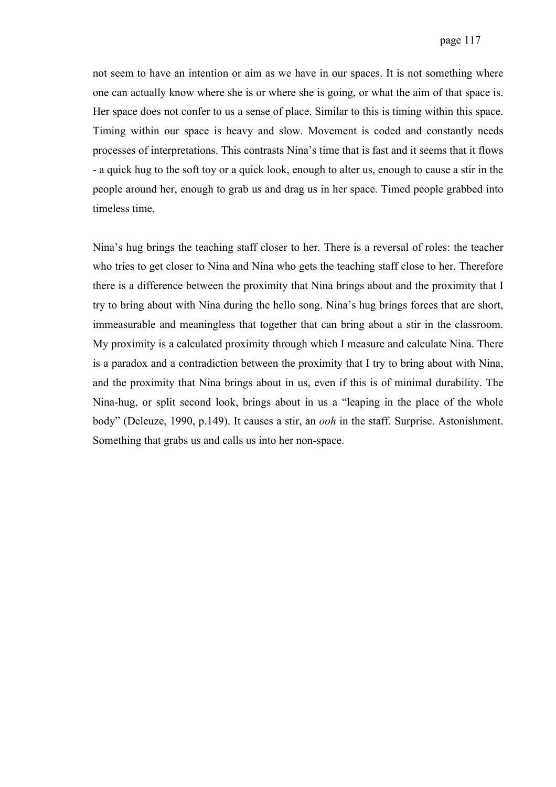not seem to have an intention or aim as we have in our spaces. It is not something where one can actually know where she is or where she is going, or what the aim of that space is. Her space does not confer to us a sense of place. Similar to this is timing within this space. Timing within our space is heavy and slow. Movement is coded and constantly needs processes of interpretations. This contrasts Nina's time that is fast and it seems that it flows - a quick hug to the soft toy or a quick look, enough to alter us, enough to cause a stir in the people around her, enough to grab us and drag us in her space. Timed people grabbed into timeless time.

Nina's hug brings the teaching staff closer to her. There is a reversal of roles: the teacher who tries to get closer to Nina and Nina who gets the teaching staff close to her. Therefore there is a difference between the proximity that Nina brings about and the proximity that I try to bring about with Nina during the hello song. Nina's hug brings forces that are short, immeasurable and meaningless that together that can bring about a stir in the classroom. My proximity is a calculated proximity through which I measure and calculate Nina. There is a paradox and a contradiction between the proximity that I try to bring about with Nina, and the proximity that Nina brings about in us, even if this is of minimal durability. The Nina-hug, or split second look, brings about in us a "leaping in the place of the whole body" (Deleuze, 1990, p.149). It causes a stir, an *ooh* in the staff. Surprise. Astonishment. Something that grabs us and calls us into her non-space.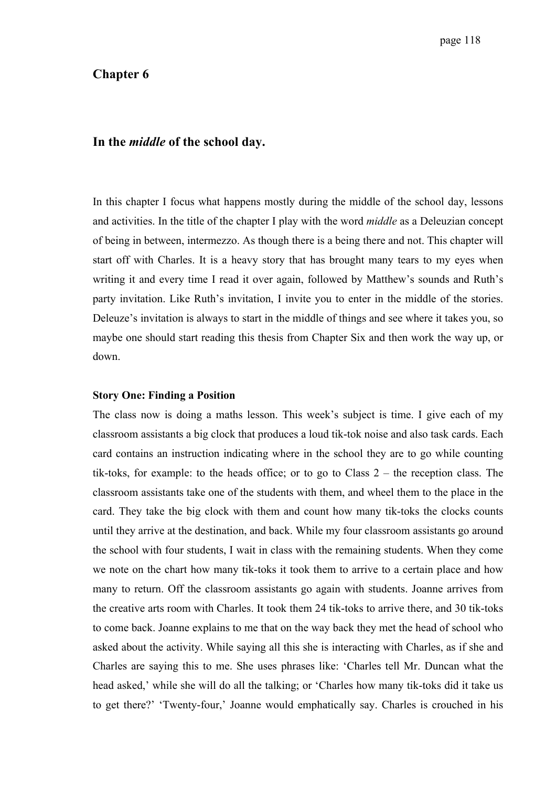# **Chapter 6**

# **In the** *middle* **of the school day.**

In this chapter I focus what happens mostly during the middle of the school day, lessons and activities. In the title of the chapter I play with the word *middle* as a Deleuzian concept of being in between, intermezzo. As though there is a being there and not. This chapter will start off with Charles. It is a heavy story that has brought many tears to my eyes when writing it and every time I read it over again, followed by Matthew's sounds and Ruth's party invitation. Like Ruth's invitation, I invite you to enter in the middle of the stories. Deleuze's invitation is always to start in the middle of things and see where it takes you, so maybe one should start reading this thesis from Chapter Six and then work the way up, or down.

## **Story One: Finding a Position**

The class now is doing a maths lesson. This week's subject is time. I give each of my classroom assistants a big clock that produces a loud tik-tok noise and also task cards. Each card contains an instruction indicating where in the school they are to go while counting tik-toks, for example: to the heads office; or to go to Class 2 – the reception class. The classroom assistants take one of the students with them, and wheel them to the place in the card. They take the big clock with them and count how many tik-toks the clocks counts until they arrive at the destination, and back. While my four classroom assistants go around the school with four students, I wait in class with the remaining students. When they come we note on the chart how many tik-toks it took them to arrive to a certain place and how many to return. Off the classroom assistants go again with students. Joanne arrives from the creative arts room with Charles. It took them 24 tik-toks to arrive there, and 30 tik-toks to come back. Joanne explains to me that on the way back they met the head of school who asked about the activity. While saying all this she is interacting with Charles, as if she and Charles are saying this to me. She uses phrases like: 'Charles tell Mr. Duncan what the head asked,' while she will do all the talking; or 'Charles how many tik-toks did it take us to get there?' 'Twenty-four,' Joanne would emphatically say. Charles is crouched in his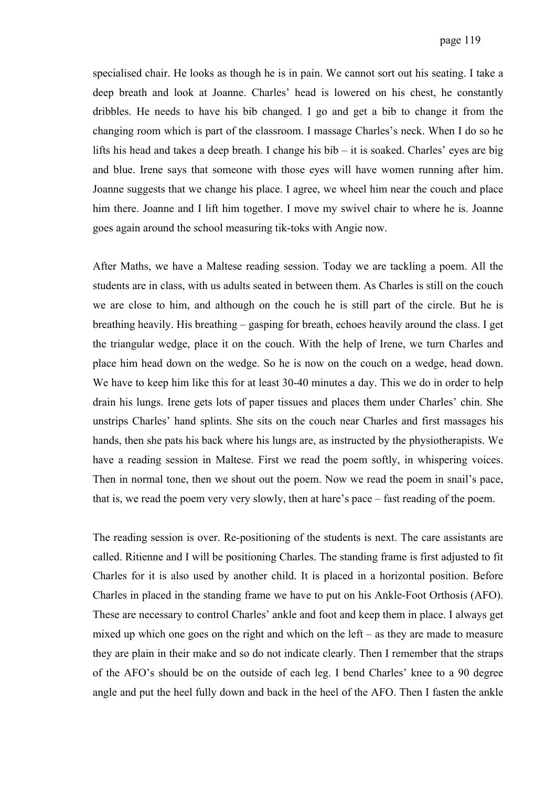specialised chair. He looks as though he is in pain. We cannot sort out his seating. I take a deep breath and look at Joanne. Charles' head is lowered on his chest, he constantly dribbles. He needs to have his bib changed. I go and get a bib to change it from the changing room which is part of the classroom. I massage Charles's neck. When I do so he lifts his head and takes a deep breath. I change his bib – it is soaked. Charles' eyes are big and blue. Irene says that someone with those eyes will have women running after him. Joanne suggests that we change his place. I agree, we wheel him near the couch and place him there. Joanne and I lift him together. I move my swivel chair to where he is. Joanne goes again around the school measuring tik-toks with Angie now.

After Maths, we have a Maltese reading session. Today we are tackling a poem. All the students are in class, with us adults seated in between them. As Charles is still on the couch we are close to him, and although on the couch he is still part of the circle. But he is breathing heavily. His breathing – gasping for breath, echoes heavily around the class. I get the triangular wedge, place it on the couch. With the help of Irene, we turn Charles and place him head down on the wedge. So he is now on the couch on a wedge, head down. We have to keep him like this for at least 30-40 minutes a day. This we do in order to help drain his lungs. Irene gets lots of paper tissues and places them under Charles' chin. She unstrips Charles' hand splints. She sits on the couch near Charles and first massages his hands, then she pats his back where his lungs are, as instructed by the physiotherapists. We have a reading session in Maltese. First we read the poem softly, in whispering voices. Then in normal tone, then we shout out the poem. Now we read the poem in snail's pace, that is, we read the poem very very slowly, then at hare's pace – fast reading of the poem.

The reading session is over. Re-positioning of the students is next. The care assistants are called. Ritienne and I will be positioning Charles. The standing frame is first adjusted to fit Charles for it is also used by another child. It is placed in a horizontal position. Before Charles in placed in the standing frame we have to put on his Ankle-Foot Orthosis (AFO). These are necessary to control Charles' ankle and foot and keep them in place. I always get mixed up which one goes on the right and which on the left – as they are made to measure they are plain in their make and so do not indicate clearly. Then I remember that the straps of the AFO's should be on the outside of each leg. I bend Charles' knee to a 90 degree angle and put the heel fully down and back in the heel of the AFO. Then I fasten the ankle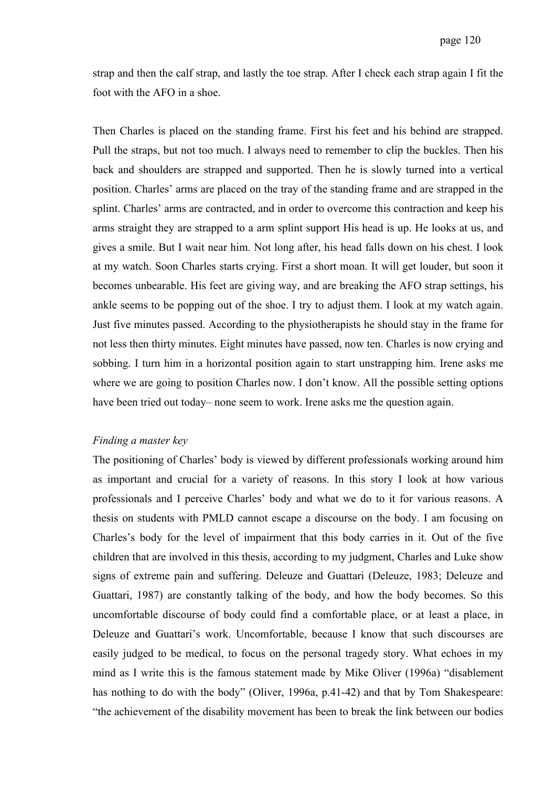strap and then the calf strap, and lastly the toe strap. After I check each strap again I fit the foot with the AFO in a shoe.

Then Charles is placed on the standing frame. First his feet and his behind are strapped. Pull the straps, but not too much. I always need to remember to clip the buckles. Then his back and shoulders are strapped and supported. Then he is slowly turned into a vertical position. Charles' arms are placed on the tray of the standing frame and are strapped in the splint. Charles' arms are contracted, and in order to overcome this contraction and keep his arms straight they are strapped to a arm splint support His head is up. He looks at us, and gives a smile. But I wait near him. Not long after, his head falls down on his chest. I look at my watch. Soon Charles starts crying. First a short moan. It will get louder, but soon it becomes unbearable. His feet are giving way, and are breaking the AFO strap settings, his ankle seems to be popping out of the shoe. I try to adjust them. I look at my watch again. Just five minutes passed. According to the physiotherapists he should stay in the frame for not less then thirty minutes. Eight minutes have passed, now ten. Charles is now crying and sobbing. I turn him in a horizontal position again to start unstrapping him. Irene asks me where we are going to position Charles now. I don't know. All the possible setting options have been tried out today– none seem to work. Irene asks me the question again.

# *Finding a master key*

The positioning of Charles' body is viewed by different professionals working around him as important and crucial for a variety of reasons. In this story I look at how various professionals and I perceive Charles' body and what we do to it for various reasons. A thesis on students with PMLD cannot escape a discourse on the body. I am focusing on Charles's body for the level of impairment that this body carries in it. Out of the five children that are involved in this thesis, according to my judgment, Charles and Luke show signs of extreme pain and suffering. Deleuze and Guattari (Deleuze, 1983; Deleuze and Guattari, 1987) are constantly talking of the body, and how the body becomes. So this uncomfortable discourse of body could find a comfortable place, or at least a place, in Deleuze and Guattari's work. Uncomfortable, because I know that such discourses are easily judged to be medical, to focus on the personal tragedy story. What echoes in my mind as I write this is the famous statement made by Mike Oliver (1996a) "disablement has nothing to do with the body" (Oliver, 1996a, p.41-42) and that by Tom Shakespeare: "the achievement of the disability movement has been to break the link between our bodies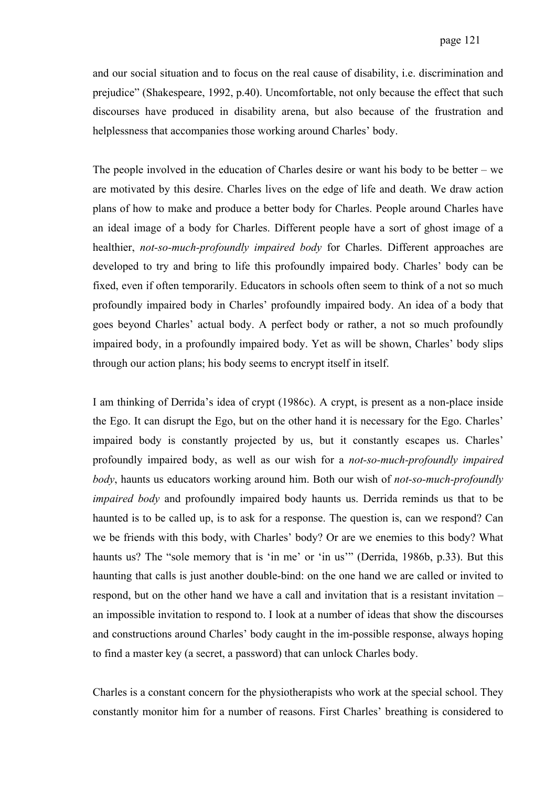and our social situation and to focus on the real cause of disability, i.e. discrimination and prejudice" (Shakespeare, 1992, p.40). Uncomfortable, not only because the effect that such discourses have produced in disability arena, but also because of the frustration and helplessness that accompanies those working around Charles' body.

The people involved in the education of Charles desire or want his body to be better – we are motivated by this desire. Charles lives on the edge of life and death. We draw action plans of how to make and produce a better body for Charles. People around Charles have an ideal image of a body for Charles. Different people have a sort of ghost image of a healthier, *not-so-much-profoundly impaired body* for Charles. Different approaches are developed to try and bring to life this profoundly impaired body. Charles' body can be fixed, even if often temporarily. Educators in schools often seem to think of a not so much profoundly impaired body in Charles' profoundly impaired body. An idea of a body that goes beyond Charles' actual body. A perfect body or rather, a not so much profoundly impaired body, in a profoundly impaired body. Yet as will be shown, Charles' body slips through our action plans; his body seems to encrypt itself in itself.

I am thinking of Derrida's idea of crypt (1986c). A crypt, is present as a non-place inside the Ego. It can disrupt the Ego, but on the other hand it is necessary for the Ego. Charles' impaired body is constantly projected by us, but it constantly escapes us. Charles' profoundly impaired body, as well as our wish for a *not-so-much-profoundly impaired body*, haunts us educators working around him. Both our wish of *not-so-much-profoundly impaired body* and profoundly impaired body haunts us. Derrida reminds us that to be haunted is to be called up, is to ask for a response. The question is, can we respond? Can we be friends with this body, with Charles' body? Or are we enemies to this body? What haunts us? The "sole memory that is 'in me' or 'in us'" (Derrida, 1986b, p.33). But this haunting that calls is just another double-bind: on the one hand we are called or invited to respond, but on the other hand we have a call and invitation that is a resistant invitation – an impossible invitation to respond to. I look at a number of ideas that show the discourses and constructions around Charles' body caught in the im-possible response, always hoping to find a master key (a secret, a password) that can unlock Charles body.

Charles is a constant concern for the physiotherapists who work at the special school. They constantly monitor him for a number of reasons. First Charles' breathing is considered to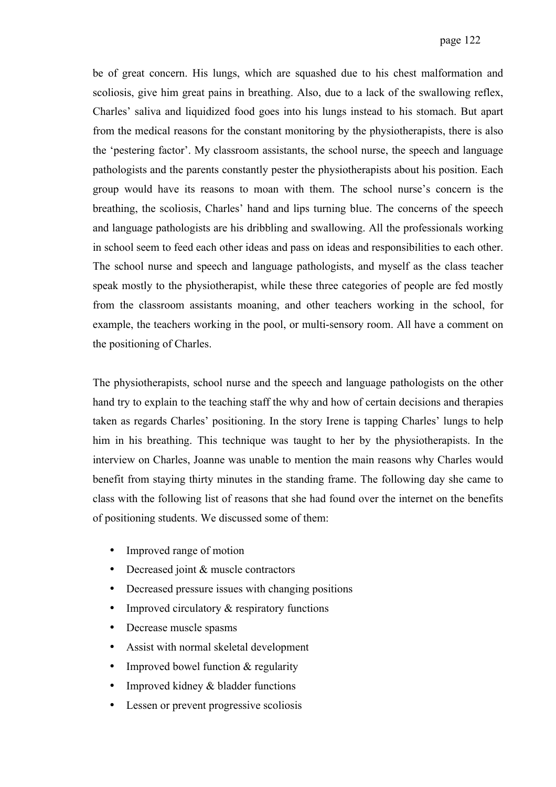be of great concern. His lungs, which are squashed due to his chest malformation and scoliosis, give him great pains in breathing. Also, due to a lack of the swallowing reflex, Charles' saliva and liquidized food goes into his lungs instead to his stomach. But apart from the medical reasons for the constant monitoring by the physiotherapists, there is also the 'pestering factor'. My classroom assistants, the school nurse, the speech and language pathologists and the parents constantly pester the physiotherapists about his position. Each group would have its reasons to moan with them. The school nurse's concern is the breathing, the scoliosis, Charles' hand and lips turning blue. The concerns of the speech and language pathologists are his dribbling and swallowing. All the professionals working in school seem to feed each other ideas and pass on ideas and responsibilities to each other. The school nurse and speech and language pathologists, and myself as the class teacher speak mostly to the physiotherapist, while these three categories of people are fed mostly from the classroom assistants moaning, and other teachers working in the school, for example, the teachers working in the pool, or multi-sensory room. All have a comment on the positioning of Charles.

The physiotherapists, school nurse and the speech and language pathologists on the other hand try to explain to the teaching staff the why and how of certain decisions and therapies taken as regards Charles' positioning. In the story Irene is tapping Charles' lungs to help him in his breathing. This technique was taught to her by the physiotherapists. In the interview on Charles, Joanne was unable to mention the main reasons why Charles would benefit from staying thirty minutes in the standing frame. The following day she came to class with the following list of reasons that she had found over the internet on the benefits of positioning students. We discussed some of them:

- Improved range of motion
- Decreased joint & muscle contractors
- Decreased pressure issues with changing positions
- Improved circulatory & respiratory functions
- Decrease muscle spasms
- Assist with normal skeletal development
- Improved bowel function  $&$  regularity
- Improved kidney  $&$  bladder functions
- Lessen or prevent progressive scoliosis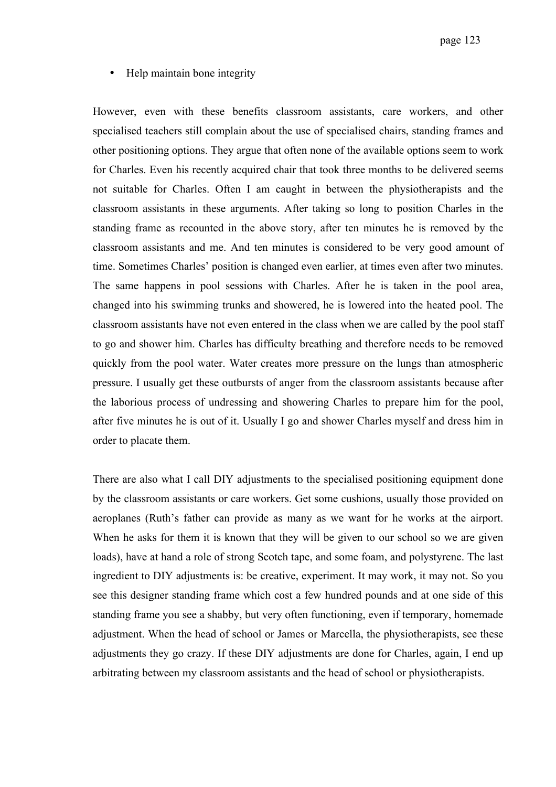• Help maintain bone integrity

However, even with these benefits classroom assistants, care workers, and other specialised teachers still complain about the use of specialised chairs, standing frames and other positioning options. They argue that often none of the available options seem to work for Charles. Even his recently acquired chair that took three months to be delivered seems not suitable for Charles. Often I am caught in between the physiotherapists and the classroom assistants in these arguments. After taking so long to position Charles in the standing frame as recounted in the above story, after ten minutes he is removed by the classroom assistants and me. And ten minutes is considered to be very good amount of time. Sometimes Charles' position is changed even earlier, at times even after two minutes. The same happens in pool sessions with Charles. After he is taken in the pool area, changed into his swimming trunks and showered, he is lowered into the heated pool. The classroom assistants have not even entered in the class when we are called by the pool staff to go and shower him. Charles has difficulty breathing and therefore needs to be removed quickly from the pool water. Water creates more pressure on the lungs than atmospheric pressure. I usually get these outbursts of anger from the classroom assistants because after the laborious process of undressing and showering Charles to prepare him for the pool, after five minutes he is out of it. Usually I go and shower Charles myself and dress him in order to placate them.

There are also what I call DIY adjustments to the specialised positioning equipment done by the classroom assistants or care workers. Get some cushions, usually those provided on aeroplanes (Ruth's father can provide as many as we want for he works at the airport. When he asks for them it is known that they will be given to our school so we are given loads), have at hand a role of strong Scotch tape, and some foam, and polystyrene. The last ingredient to DIY adjustments is: be creative, experiment. It may work, it may not. So you see this designer standing frame which cost a few hundred pounds and at one side of this standing frame you see a shabby, but very often functioning, even if temporary, homemade adjustment. When the head of school or James or Marcella, the physiotherapists, see these adjustments they go crazy. If these DIY adjustments are done for Charles, again, I end up arbitrating between my classroom assistants and the head of school or physiotherapists.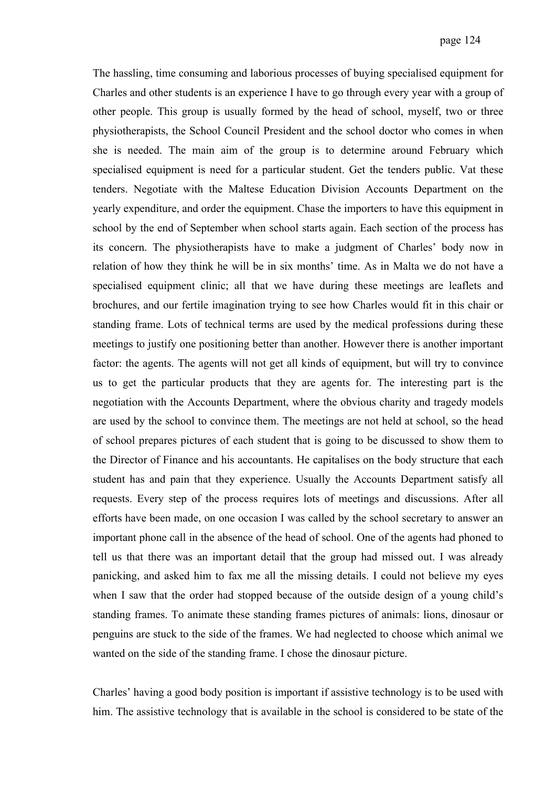The hassling, time consuming and laborious processes of buying specialised equipment for Charles and other students is an experience I have to go through every year with a group of other people. This group is usually formed by the head of school, myself, two or three physiotherapists, the School Council President and the school doctor who comes in when she is needed. The main aim of the group is to determine around February which specialised equipment is need for a particular student. Get the tenders public. Vat these tenders. Negotiate with the Maltese Education Division Accounts Department on the yearly expenditure, and order the equipment. Chase the importers to have this equipment in school by the end of September when school starts again. Each section of the process has its concern. The physiotherapists have to make a judgment of Charles' body now in relation of how they think he will be in six months' time. As in Malta we do not have a specialised equipment clinic; all that we have during these meetings are leaflets and brochures, and our fertile imagination trying to see how Charles would fit in this chair or standing frame. Lots of technical terms are used by the medical professions during these meetings to justify one positioning better than another. However there is another important factor: the agents. The agents will not get all kinds of equipment, but will try to convince us to get the particular products that they are agents for. The interesting part is the negotiation with the Accounts Department, where the obvious charity and tragedy models are used by the school to convince them. The meetings are not held at school, so the head of school prepares pictures of each student that is going to be discussed to show them to the Director of Finance and his accountants. He capitalises on the body structure that each student has and pain that they experience. Usually the Accounts Department satisfy all requests. Every step of the process requires lots of meetings and discussions. After all efforts have been made, on one occasion I was called by the school secretary to answer an important phone call in the absence of the head of school. One of the agents had phoned to tell us that there was an important detail that the group had missed out. I was already panicking, and asked him to fax me all the missing details. I could not believe my eyes when I saw that the order had stopped because of the outside design of a young child's standing frames. To animate these standing frames pictures of animals: lions, dinosaur or penguins are stuck to the side of the frames. We had neglected to choose which animal we wanted on the side of the standing frame. I chose the dinosaur picture.

Charles' having a good body position is important if assistive technology is to be used with him. The assistive technology that is available in the school is considered to be state of the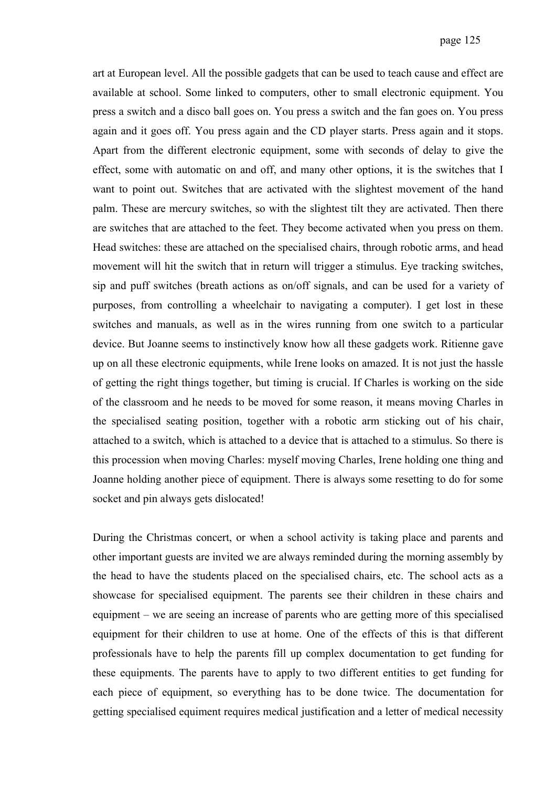art at European level. All the possible gadgets that can be used to teach cause and effect are available at school. Some linked to computers, other to small electronic equipment. You press a switch and a disco ball goes on. You press a switch and the fan goes on. You press again and it goes off. You press again and the CD player starts. Press again and it stops. Apart from the different electronic equipment, some with seconds of delay to give the effect, some with automatic on and off, and many other options, it is the switches that I want to point out. Switches that are activated with the slightest movement of the hand palm. These are mercury switches, so with the slightest tilt they are activated. Then there are switches that are attached to the feet. They become activated when you press on them. Head switches: these are attached on the specialised chairs, through robotic arms, and head movement will hit the switch that in return will trigger a stimulus. Eye tracking switches, sip and puff switches (breath actions as on/off signals, and can be used for a variety of purposes, from controlling a wheelchair to navigating a computer). I get lost in these switches and manuals, as well as in the wires running from one switch to a particular device. But Joanne seems to instinctively know how all these gadgets work. Ritienne gave up on all these electronic equipments, while Irene looks on amazed. It is not just the hassle of getting the right things together, but timing is crucial. If Charles is working on the side of the classroom and he needs to be moved for some reason, it means moving Charles in the specialised seating position, together with a robotic arm sticking out of his chair, attached to a switch, which is attached to a device that is attached to a stimulus. So there is this procession when moving Charles: myself moving Charles, Irene holding one thing and Joanne holding another piece of equipment. There is always some resetting to do for some socket and pin always gets dislocated!

During the Christmas concert, or when a school activity is taking place and parents and other important guests are invited we are always reminded during the morning assembly by the head to have the students placed on the specialised chairs, etc. The school acts as a showcase for specialised equipment. The parents see their children in these chairs and equipment – we are seeing an increase of parents who are getting more of this specialised equipment for their children to use at home. One of the effects of this is that different professionals have to help the parents fill up complex documentation to get funding for these equipments. The parents have to apply to two different entities to get funding for each piece of equipment, so everything has to be done twice. The documentation for getting specialised equiment requires medical justification and a letter of medical necessity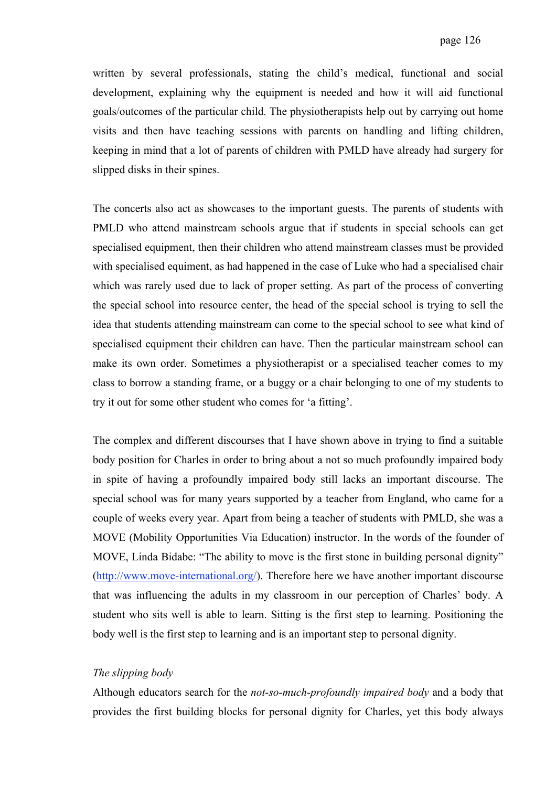written by several professionals, stating the child's medical, functional and social development, explaining why the equipment is needed and how it will aid functional goals/outcomes of the particular child. The physiotherapists help out by carrying out home visits and then have teaching sessions with parents on handling and lifting children, keeping in mind that a lot of parents of children with PMLD have already had surgery for slipped disks in their spines.

The concerts also act as showcases to the important guests. The parents of students with PMLD who attend mainstream schools argue that if students in special schools can get specialised equipment, then their children who attend mainstream classes must be provided with specialised equiment, as had happened in the case of Luke who had a specialised chair which was rarely used due to lack of proper setting. As part of the process of converting the special school into resource center, the head of the special school is trying to sell the idea that students attending mainstream can come to the special school to see what kind of specialised equipment their children can have. Then the particular mainstream school can make its own order. Sometimes a physiotherapist or a specialised teacher comes to my class to borrow a standing frame, or a buggy or a chair belonging to one of my students to try it out for some other student who comes for 'a fitting'.

The complex and different discourses that I have shown above in trying to find a suitable body position for Charles in order to bring about a not so much profoundly impaired body in spite of having a profoundly impaired body still lacks an important discourse. The special school was for many years supported by a teacher from England, who came for a couple of weeks every year. Apart from being a teacher of students with PMLD, she was a MOVE (Mobility Opportunities Via Education) instructor. In the words of the founder of MOVE, Linda Bidabe: "The ability to move is the first stone in building personal dignity" (http://www.move-international.org/). Therefore here we have another important discourse that was influencing the adults in my classroom in our perception of Charles' body. A student who sits well is able to learn. Sitting is the first step to learning. Positioning the body well is the first step to learning and is an important step to personal dignity.

## *The slipping body*

Although educators search for the *not-so-much-profoundly impaired body* and a body that provides the first building blocks for personal dignity for Charles, yet this body always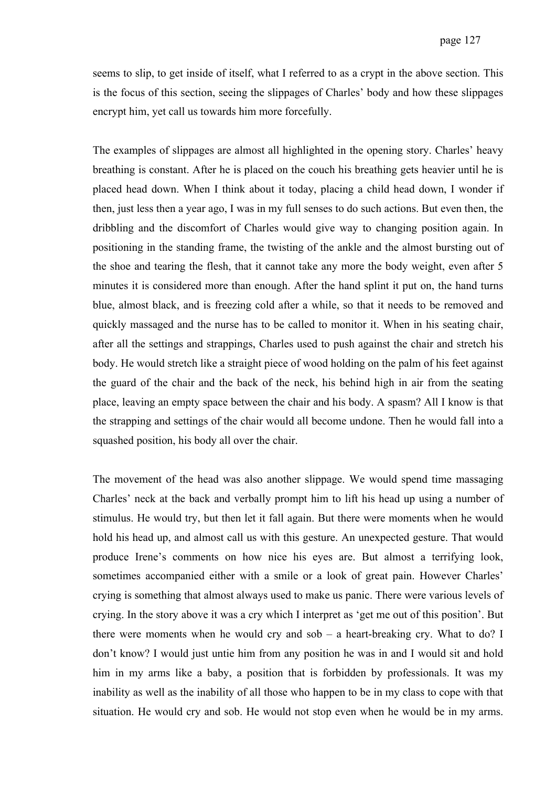seems to slip, to get inside of itself, what I referred to as a crypt in the above section. This is the focus of this section, seeing the slippages of Charles' body and how these slippages encrypt him, yet call us towards him more forcefully.

The examples of slippages are almost all highlighted in the opening story. Charles' heavy breathing is constant. After he is placed on the couch his breathing gets heavier until he is placed head down. When I think about it today, placing a child head down, I wonder if then, just less then a year ago, I was in my full senses to do such actions. But even then, the dribbling and the discomfort of Charles would give way to changing position again. In positioning in the standing frame, the twisting of the ankle and the almost bursting out of the shoe and tearing the flesh, that it cannot take any more the body weight, even after 5 minutes it is considered more than enough. After the hand splint it put on, the hand turns blue, almost black, and is freezing cold after a while, so that it needs to be removed and quickly massaged and the nurse has to be called to monitor it. When in his seating chair, after all the settings and strappings, Charles used to push against the chair and stretch his body. He would stretch like a straight piece of wood holding on the palm of his feet against the guard of the chair and the back of the neck, his behind high in air from the seating place, leaving an empty space between the chair and his body. A spasm? All I know is that the strapping and settings of the chair would all become undone. Then he would fall into a squashed position, his body all over the chair.

The movement of the head was also another slippage. We would spend time massaging Charles' neck at the back and verbally prompt him to lift his head up using a number of stimulus. He would try, but then let it fall again. But there were moments when he would hold his head up, and almost call us with this gesture. An unexpected gesture. That would produce Irene's comments on how nice his eyes are. But almost a terrifying look, sometimes accompanied either with a smile or a look of great pain. However Charles' crying is something that almost always used to make us panic. There were various levels of crying. In the story above it was a cry which I interpret as 'get me out of this position'. But there were moments when he would cry and sob – a heart-breaking cry. What to do? I don't know? I would just untie him from any position he was in and I would sit and hold him in my arms like a baby, a position that is forbidden by professionals. It was my inability as well as the inability of all those who happen to be in my class to cope with that situation. He would cry and sob. He would not stop even when he would be in my arms.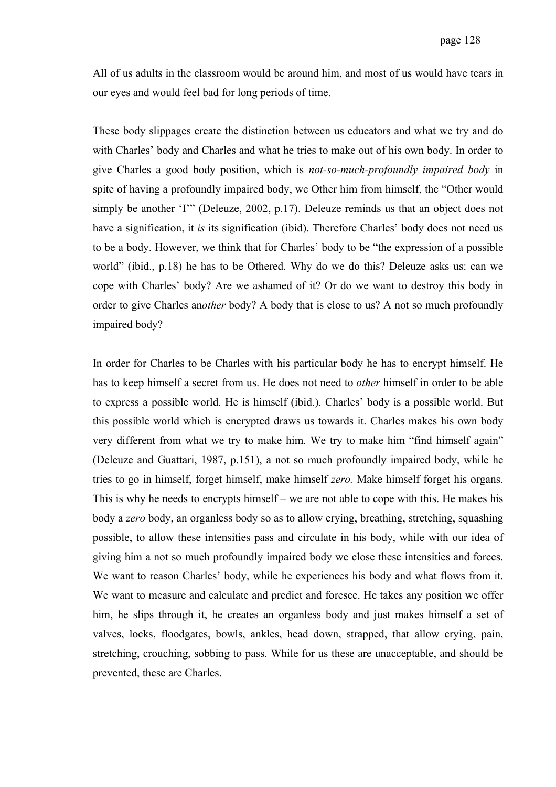All of us adults in the classroom would be around him, and most of us would have tears in our eyes and would feel bad for long periods of time.

These body slippages create the distinction between us educators and what we try and do with Charles' body and Charles and what he tries to make out of his own body. In order to give Charles a good body position, which is *not-so-much-profoundly impaired body* in spite of having a profoundly impaired body, we Other him from himself, the "Other would simply be another 'I'" (Deleuze, 2002, p.17). Deleuze reminds us that an object does not have a signification, it *is* its signification (ibid). Therefore Charles' body does not need us to be a body. However, we think that for Charles' body to be "the expression of a possible world" (ibid., p.18) he has to be Othered. Why do we do this? Deleuze asks us: can we cope with Charles' body? Are we ashamed of it? Or do we want to destroy this body in order to give Charles an*other* body? A body that is close to us? A not so much profoundly impaired body?

In order for Charles to be Charles with his particular body he has to encrypt himself. He has to keep himself a secret from us. He does not need to *other* himself in order to be able to express a possible world. He is himself (ibid.). Charles' body is a possible world. But this possible world which is encrypted draws us towards it. Charles makes his own body very different from what we try to make him. We try to make him "find himself again" (Deleuze and Guattari, 1987, p.151), a not so much profoundly impaired body, while he tries to go in himself, forget himself, make himself *zero.* Make himself forget his organs. This is why he needs to encrypts himself – we are not able to cope with this. He makes his body a *zero* body, an organless body so as to allow crying, breathing, stretching, squashing possible, to allow these intensities pass and circulate in his body, while with our idea of giving him a not so much profoundly impaired body we close these intensities and forces. We want to reason Charles' body, while he experiences his body and what flows from it. We want to measure and calculate and predict and foresee. He takes any position we offer him, he slips through it, he creates an organless body and just makes himself a set of valves, locks, floodgates, bowls, ankles, head down, strapped, that allow crying, pain, stretching, crouching, sobbing to pass. While for us these are unacceptable, and should be prevented, these are Charles.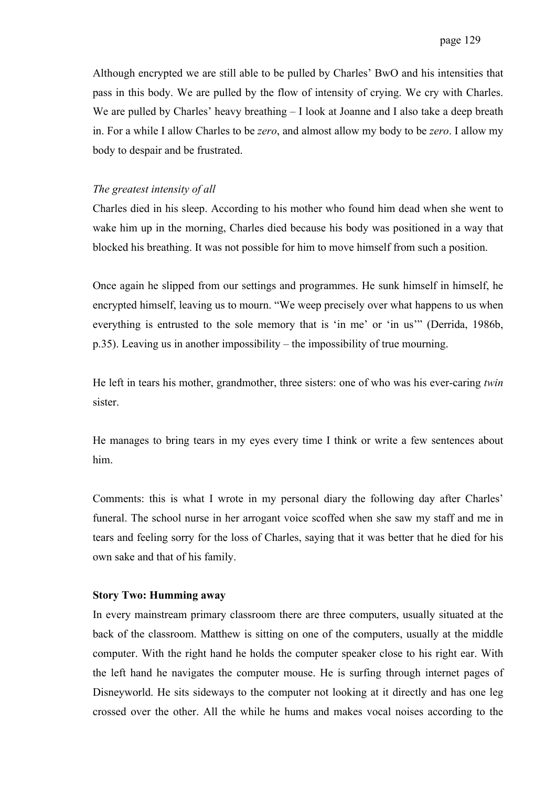Although encrypted we are still able to be pulled by Charles' BwO and his intensities that pass in this body. We are pulled by the flow of intensity of crying. We cry with Charles. We are pulled by Charles' heavy breathing – I look at Joanne and I also take a deep breath in. For a while I allow Charles to be *zero*, and almost allow my body to be *zero*. I allow my body to despair and be frustrated.

## *The greatest intensity of all*

Charles died in his sleep. According to his mother who found him dead when she went to wake him up in the morning, Charles died because his body was positioned in a way that blocked his breathing. It was not possible for him to move himself from such a position.

Once again he slipped from our settings and programmes. He sunk himself in himself, he encrypted himself, leaving us to mourn. "We weep precisely over what happens to us when everything is entrusted to the sole memory that is 'in me' or 'in us'" (Derrida, 1986b, p.35). Leaving us in another impossibility – the impossibility of true mourning.

He left in tears his mother, grandmother, three sisters: one of who was his ever-caring *twin*  sister.

He manages to bring tears in my eyes every time I think or write a few sentences about him.

Comments: this is what I wrote in my personal diary the following day after Charles' funeral. The school nurse in her arrogant voice scoffed when she saw my staff and me in tears and feeling sorry for the loss of Charles, saying that it was better that he died for his own sake and that of his family.

## **Story Two: Humming away**

In every mainstream primary classroom there are three computers, usually situated at the back of the classroom. Matthew is sitting on one of the computers, usually at the middle computer. With the right hand he holds the computer speaker close to his right ear. With the left hand he navigates the computer mouse. He is surfing through internet pages of Disneyworld. He sits sideways to the computer not looking at it directly and has one leg crossed over the other. All the while he hums and makes vocal noises according to the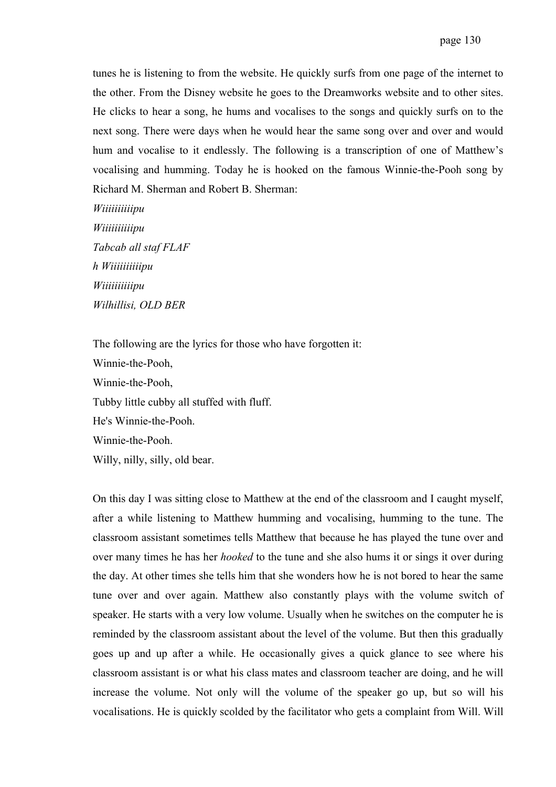tunes he is listening to from the website. He quickly surfs from one page of the internet to the other. From the Disney website he goes to the Dreamworks website and to other sites. He clicks to hear a song, he hums and vocalises to the songs and quickly surfs on to the next song. There were days when he would hear the same song over and over and would hum and vocalise to it endlessly. The following is a transcription of one of Matthew's vocalising and humming. Today he is hooked on the famous Winnie-the-Pooh song by Richard M. Sherman and Robert B. Sherman:

*Wiiiiiiiiiipu Wiiiiiiiiiipu Tabcab all staf FLAF h Wiiiiiiiiiipu Wiiiiiiiiiipu Wilhillisi, OLD BER*

The following are the lyrics for those who have forgotten it: Winnie-the-Pooh, Winnie-the-Pooh, Tubby little cubby all stuffed with fluff. He's Winnie-the-Pooh. Winnie-the-Pooh. Willy, nilly, silly, old bear.

On this day I was sitting close to Matthew at the end of the classroom and I caught myself, after a while listening to Matthew humming and vocalising, humming to the tune. The classroom assistant sometimes tells Matthew that because he has played the tune over and over many times he has her *hooked* to the tune and she also hums it or sings it over during the day. At other times she tells him that she wonders how he is not bored to hear the same tune over and over again. Matthew also constantly plays with the volume switch of speaker. He starts with a very low volume. Usually when he switches on the computer he is reminded by the classroom assistant about the level of the volume. But then this gradually goes up and up after a while. He occasionally gives a quick glance to see where his classroom assistant is or what his class mates and classroom teacher are doing, and he will increase the volume. Not only will the volume of the speaker go up, but so will his vocalisations. He is quickly scolded by the facilitator who gets a complaint from Will. Will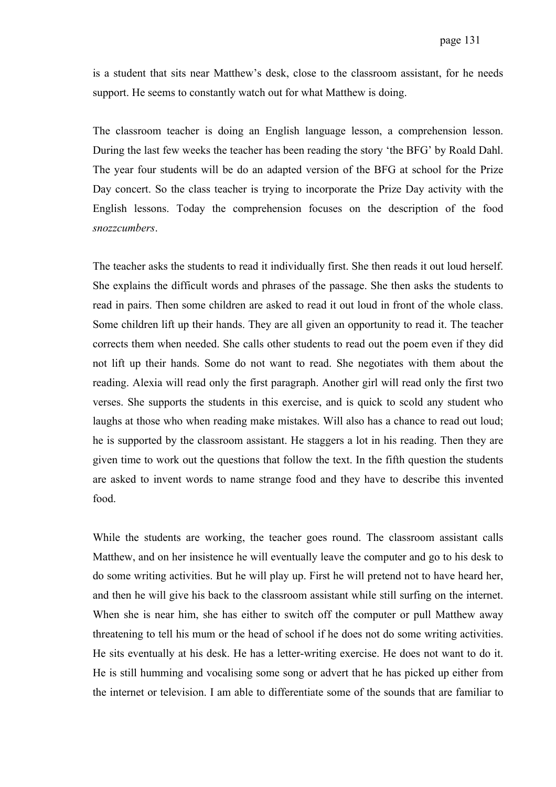is a student that sits near Matthew's desk, close to the classroom assistant, for he needs support. He seems to constantly watch out for what Matthew is doing.

The classroom teacher is doing an English language lesson, a comprehension lesson. During the last few weeks the teacher has been reading the story 'the BFG' by Roald Dahl. The year four students will be do an adapted version of the BFG at school for the Prize Day concert. So the class teacher is trying to incorporate the Prize Day activity with the English lessons. Today the comprehension focuses on the description of the food *snozzcumbers*.

The teacher asks the students to read it individually first. She then reads it out loud herself. She explains the difficult words and phrases of the passage. She then asks the students to read in pairs. Then some children are asked to read it out loud in front of the whole class. Some children lift up their hands. They are all given an opportunity to read it. The teacher corrects them when needed. She calls other students to read out the poem even if they did not lift up their hands. Some do not want to read. She negotiates with them about the reading. Alexia will read only the first paragraph. Another girl will read only the first two verses. She supports the students in this exercise, and is quick to scold any student who laughs at those who when reading make mistakes. Will also has a chance to read out loud; he is supported by the classroom assistant. He staggers a lot in his reading. Then they are given time to work out the questions that follow the text. In the fifth question the students are asked to invent words to name strange food and they have to describe this invented food.

While the students are working, the teacher goes round. The classroom assistant calls Matthew, and on her insistence he will eventually leave the computer and go to his desk to do some writing activities. But he will play up. First he will pretend not to have heard her, and then he will give his back to the classroom assistant while still surfing on the internet. When she is near him, she has either to switch off the computer or pull Matthew away threatening to tell his mum or the head of school if he does not do some writing activities. He sits eventually at his desk. He has a letter-writing exercise. He does not want to do it. He is still humming and vocalising some song or advert that he has picked up either from the internet or television. I am able to differentiate some of the sounds that are familiar to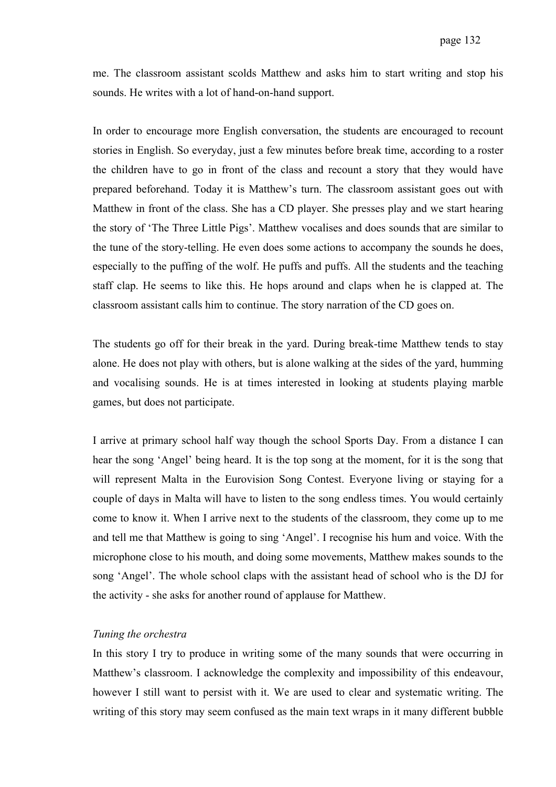me. The classroom assistant scolds Matthew and asks him to start writing and stop his sounds. He writes with a lot of hand-on-hand support.

In order to encourage more English conversation, the students are encouraged to recount stories in English. So everyday, just a few minutes before break time, according to a roster the children have to go in front of the class and recount a story that they would have prepared beforehand. Today it is Matthew's turn. The classroom assistant goes out with Matthew in front of the class. She has a CD player. She presses play and we start hearing the story of 'The Three Little Pigs'. Matthew vocalises and does sounds that are similar to the tune of the story-telling. He even does some actions to accompany the sounds he does, especially to the puffing of the wolf. He puffs and puffs. All the students and the teaching staff clap. He seems to like this. He hops around and claps when he is clapped at. The classroom assistant calls him to continue. The story narration of the CD goes on.

The students go off for their break in the yard. During break-time Matthew tends to stay alone. He does not play with others, but is alone walking at the sides of the yard, humming and vocalising sounds. He is at times interested in looking at students playing marble games, but does not participate.

I arrive at primary school half way though the school Sports Day. From a distance I can hear the song 'Angel' being heard. It is the top song at the moment, for it is the song that will represent Malta in the Eurovision Song Contest. Everyone living or staying for a couple of days in Malta will have to listen to the song endless times. You would certainly come to know it. When I arrive next to the students of the classroom, they come up to me and tell me that Matthew is going to sing 'Angel'. I recognise his hum and voice. With the microphone close to his mouth, and doing some movements, Matthew makes sounds to the song 'Angel'. The whole school claps with the assistant head of school who is the DJ for the activity - she asks for another round of applause for Matthew.

# *Tuning the orchestra*

In this story I try to produce in writing some of the many sounds that were occurring in Matthew's classroom. I acknowledge the complexity and impossibility of this endeavour, however I still want to persist with it. We are used to clear and systematic writing. The writing of this story may seem confused as the main text wraps in it many different bubble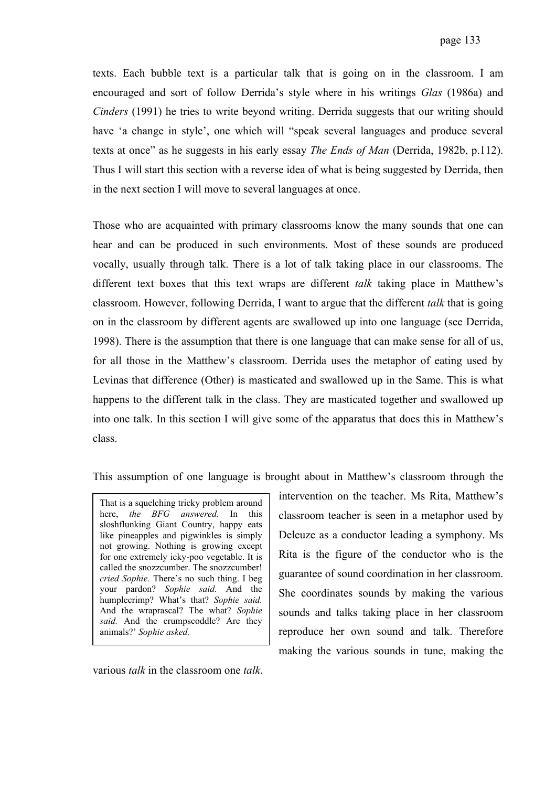texts. Each bubble text is a particular talk that is going on in the classroom. I am encouraged and sort of follow Derrida's style where in his writings *Glas* (1986a) and *Cinders* (1991) he tries to write beyond writing. Derrida suggests that our writing should have 'a change in style', one which will "speak several languages and produce several texts at once" as he suggests in his early essay *The Ends of Man* (Derrida, 1982b, p.112). Thus I will start this section with a reverse idea of what is being suggested by Derrida, then in the next section I will move to several languages at once.

Those who are acquainted with primary classrooms know the many sounds that one can hear and can be produced in such environments. Most of these sounds are produced vocally, usually through talk. There is a lot of talk taking place in our classrooms. The different text boxes that this text wraps are different *talk* taking place in Matthew's classroom. However, following Derrida, I want to argue that the different *talk* that is going on in the classroom by different agents are swallowed up into one language (see Derrida, 1998). There is the assumption that there is one language that can make sense for all of us, for all those in the Matthew's classroom. Derrida uses the metaphor of eating used by Levinas that difference (Other) is masticated and swallowed up in the Same. This is what happens to the different talk in the class. They are masticated together and swallowed up into one talk. In this section I will give some of the apparatus that does this in Matthew's class.

This assumption of one language is brought about in Matthew's classroom through the

That is a squelching tricky problem around here, *the BFG answered.* In this sloshflunking Giant Country, happy eats like pineapples and pigwinkles is simply not growing. Nothing is growing except for one extremely icky-poo vegetable. It is called the snozzcumber. The snozzcumber! *cried Sophie.* There's no such thing. I beg your pardon? *Sophie said.* And the humplecrimp? What's that? *Sophie said.*  And the wraprascal? The what? *Sophie said.* And the crumpscoddle? Are they animals?' *Sophie asked.* 

intervention on the teacher. Ms Rita, Matthew's classroom teacher is seen in a metaphor used by Deleuze as a conductor leading a symphony. Ms Rita is the figure of the conductor who is the guarantee of sound coordination in her classroom. She coordinates sounds by making the various sounds and talks taking place in her classroom reproduce her own sound and talk. Therefore making the various sounds in tune, making the

various *talk* in the classroom one *talk*.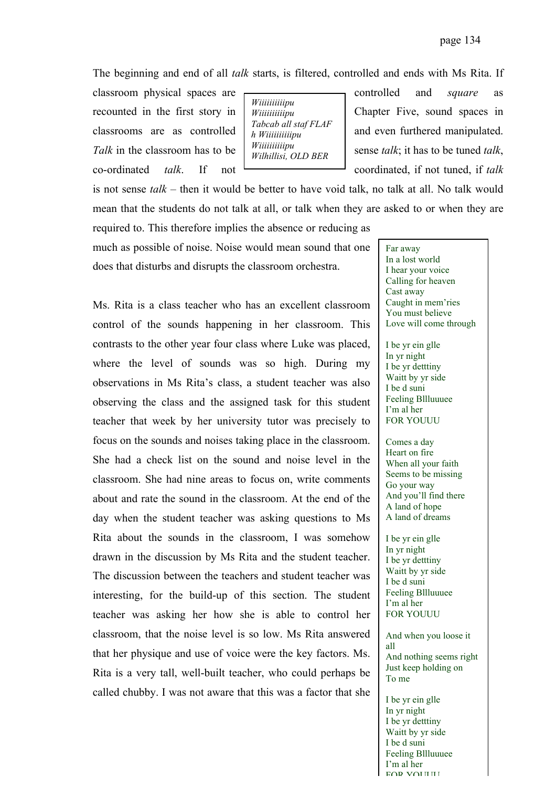The beginning and end of all *talk* starts, is filtered, controlled and ends with Ms Rita. If

classroom physical spaces are controlled and *square* as

*Wiiiiiiiiiipu Wiiiiiiiiiipu Tabcab all staf FLAF h Wiiiiiiiiiipu Wiiiiiiiiiipu Wilhillisi, OLD BER*

recounted in the first story in  $\sqrt{W_{i'}}$  William  $\sqrt{W_{i'}}$  Chapter Five, sound spaces in classrooms are as controlled and even furthered manipulated. *Talk* in the classroom has to be sense *talk*; it has to be tuned *talk*, co-ordinated *talk*. If not <u>coordinated</u>, if not tuned, if *talk* 

is not sense *talk* – then it would be better to have void talk, no talk at all. No talk would mean that the students do not talk at all, or talk when they are asked to or when they are required to. This therefore implies the absence or reducing as

much as possible of noise. Noise would mean sound that one does that disturbs and disrupts the classroom orchestra.

Ms. Rita is a class teacher who has an excellent classroom control of the sounds happening in her classroom. This contrasts to the other year four class where Luke was placed, where the level of sounds was so high. During my observations in Ms Rita's class, a student teacher was also observing the class and the assigned task for this student teacher that week by her university tutor was precisely to focus on the sounds and noises taking place in the classroom. She had a check list on the sound and noise level in the classroom. She had nine areas to focus on, write comments about and rate the sound in the classroom. At the end of the day when the student teacher was asking questions to Ms Rita about the sounds in the classroom, I was somehow drawn in the discussion by Ms Rita and the student teacher. The discussion between the teachers and student teacher was interesting, for the build-up of this section. The student teacher was asking her how she is able to control her classroom, that the noise level is so low. Ms Rita answered that her physique and use of voice were the key factors. Ms. Rita is a very tall, well-built teacher, who could perhaps be called chubby. I was not aware that this was a factor that she

Far away In a lost world I hear your voice Calling for heaven Cast away Caught in mem'ries You must believe Love will come through

I be yr ein glle In yr night I be yr detttiny Waitt by yr side I be d suni Feeling Bllluuuee I'm al her FOR YOUUU

Comes a day Heart on fire When all your faith Seems to be missing Go your way And you'll find there A land of hope A land of dreams

I be yr ein glle In yr night I be yr detttiny Waitt by yr side I be d suni Feeling Bllluuuee I'm al her FOR YOUUU

And when you loose it all And nothing seems right Just keep holding on To me

I be yr ein glle In yr night I be yr detttiny Waitt by yr side I be d suni Feeling Bllluuuee I'm al her EOR VOUUU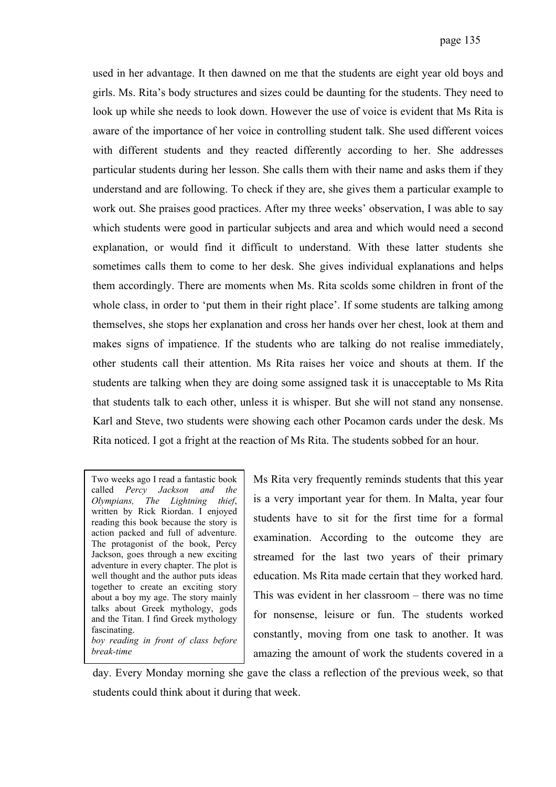used in her advantage. It then dawned on me that the students are eight year old boys and girls. Ms. Rita's body structures and sizes could be daunting for the students. They need to look up while she needs to look down. However the use of voice is evident that Ms Rita is aware of the importance of her voice in controlling student talk. She used different voices with different students and they reacted differently according to her. She addresses particular students during her lesson. She calls them with their name and asks them if they understand and are following. To check if they are, she gives them a particular example to work out. She praises good practices. After my three weeks' observation, I was able to say which students were good in particular subjects and area and which would need a second explanation, or would find it difficult to understand. With these latter students she sometimes calls them to come to her desk. She gives individual explanations and helps them accordingly. There are moments when Ms. Rita scolds some children in front of the whole class, in order to 'put them in their right place'. If some students are talking among themselves, she stops her explanation and cross her hands over her chest, look at them and makes signs of impatience. If the students who are talking do not realise immediately, other students call their attention. Ms Rita raises her voice and shouts at them. If the students are talking when they are doing some assigned task it is unacceptable to Ms Rita that students talk to each other, unless it is whisper. But she will not stand any nonsense. Karl and Steve, two students were showing each other Pocamon cards under the desk. Ms Rita noticed. I got a fright at the reaction of Ms Rita. The students sobbed for an hour.

Two weeks ago I read a fantastic book called *Percy Jackson and the Olympians, The Lightning thief*, written by Rick Riordan. I enjoyed reading this book because the story is action packed and full of adventure. The protagonist of the book, Percy Jackson, goes through a new exciting adventure in every chapter. The plot is well thought and the author puts ideas together to create an exciting story about a boy my age. The story mainly talks about Greek mythology, gods and the Titan. I find Greek mythology fascinating. *boy reading in front of class before break-time* 

Ms Rita very frequently reminds students that this year is a very important year for them. In Malta, year four students have to sit for the first time for a formal examination. According to the outcome they are streamed for the last two years of their primary education. Ms Rita made certain that they worked hard. This was evident in her classroom – there was no time for nonsense, leisure or fun. The students worked constantly, moving from one task to another. It was amazing the amount of work the students covered in a

day. Every Monday morning she gave the class a reflection of the previous week, so that students could think about it during that week.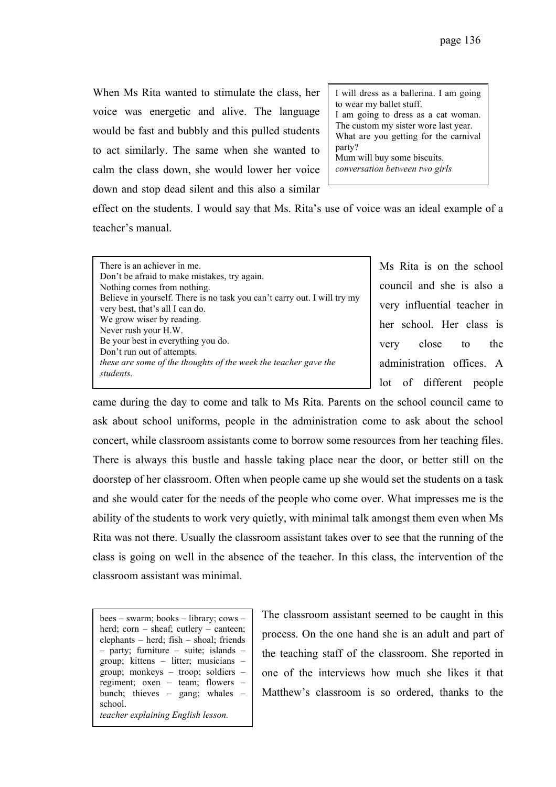When Ms Rita wanted to stimulate the class, her voice was energetic and alive. The language would be fast and bubbly and this pulled students to act similarly. The same when she wanted to calm the class down, she would lower her voice down and stop dead silent and this also a similar I will dress as a ballerina. I am going to wear my ballet stuff. I am going to dress as a cat woman. The custom my sister wore last year. What are you getting for the carnival party? Mum will buy some biscuits. *conversation between two girls*

effect on the students. I would say that Ms. Rita's use of voice was an ideal example of a teacher's manual.

There is an achiever in me. Don't be afraid to make mistakes, try again. Nothing comes from nothing. Believe in yourself. There is no task you can't carry out. I will try my very best, that's all I can do. We grow wiser by reading. Never rush your H.W. Be your best in everything you do. Don't run out of attempts. *these are some of the thoughts of the week the teacher gave the students.*

Ms Rita is on the school council and she is also a very influential teacher in her school. Her class is very close to the administration offices. A lot of different people

came during the day to come and talk to Ms Rita. Parents on the school council came to ask about school uniforms, people in the administration come to ask about the school concert, while classroom assistants come to borrow some resources from her teaching files. There is always this bustle and hassle taking place near the door, or better still on the doorstep of her classroom. Often when people came up she would set the students on a task and she would cater for the needs of the people who come over. What impresses me is the ability of the students to work very quietly, with minimal talk amongst them even when Ms Rita was not there. Usually the classroom assistant takes over to see that the running of the class is going on well in the absence of the teacher. In this class, the intervention of the classroom assistant was minimal.

bees – swarm; books – library; cows – herd; corn – sheaf; cutlery – canteen; elephants – herd; fish – shoal; friends – party; furniture – suite; islands – group; kittens – litter; musicians – group; monkeys – troop; soldiers – regiment; oxen – team; flowers – bunch; thieves – gang; whales – school. *teacher explaining English lesson.*

The classroom assistant seemed to be caught in this process. On the one hand she is an adult and part of the teaching staff of the classroom. She reported in one of the interviews how much she likes it that Matthew's classroom is so ordered, thanks to the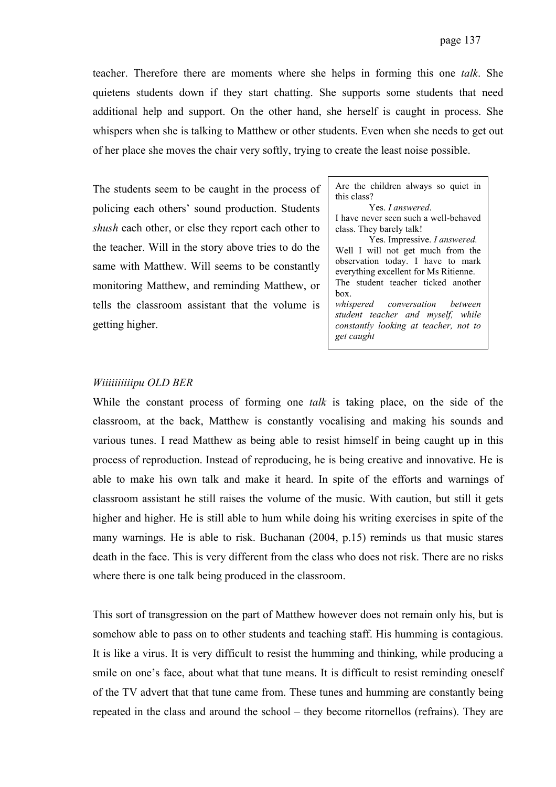teacher. Therefore there are moments where she helps in forming this one *talk*. She quietens students down if they start chatting. She supports some students that need additional help and support. On the other hand, she herself is caught in process. She whispers when she is talking to Matthew or other students. Even when she needs to get out of her place she moves the chair very softly, trying to create the least noise possible.

The students seem to be caught in the process of policing each others' sound production. Students *shush* each other, or else they report each other to the teacher. Will in the story above tries to do the same with Matthew. Will seems to be constantly monitoring Matthew, and reminding Matthew, or tells the classroom assistant that the volume is getting higher.

Are the children always so quiet in this class? Yes. *I answered*. I have never seen such a well-behaved

class. They barely talk! Yes. Impressive. *I answered.* Well I will not get much from the observation today. I have to mark everything excellent for Ms Ritienne. The student teacher ticked another box. *whispered conversation between student teacher and myself, while constantly looking at teacher, not to get caught*

# *Wiiiiiiiiiipu OLD BER*

While the constant process of forming one *talk* is taking place, on the side of the classroom, at the back, Matthew is constantly vocalising and making his sounds and various tunes. I read Matthew as being able to resist himself in being caught up in this process of reproduction. Instead of reproducing, he is being creative and innovative. He is able to make his own talk and make it heard. In spite of the efforts and warnings of classroom assistant he still raises the volume of the music. With caution, but still it gets higher and higher. He is still able to hum while doing his writing exercises in spite of the many warnings. He is able to risk. Buchanan (2004, p.15) reminds us that music stares death in the face. This is very different from the class who does not risk. There are no risks where there is one talk being produced in the classroom.

This sort of transgression on the part of Matthew however does not remain only his, but is somehow able to pass on to other students and teaching staff. His humming is contagious. It is like a virus. It is very difficult to resist the humming and thinking, while producing a smile on one's face, about what that tune means. It is difficult to resist reminding oneself of the TV advert that that tune came from. These tunes and humming are constantly being repeated in the class and around the school – they become ritornellos (refrains). They are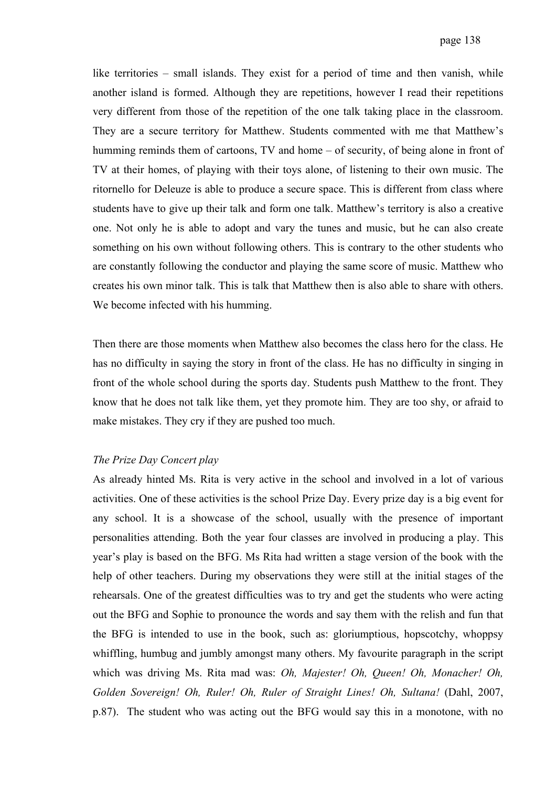like territories – small islands. They exist for a period of time and then vanish, while another island is formed. Although they are repetitions, however I read their repetitions very different from those of the repetition of the one talk taking place in the classroom. They are a secure territory for Matthew. Students commented with me that Matthew's humming reminds them of cartoons, TV and home – of security, of being alone in front of TV at their homes, of playing with their toys alone, of listening to their own music. The ritornello for Deleuze is able to produce a secure space. This is different from class where students have to give up their talk and form one talk. Matthew's territory is also a creative one. Not only he is able to adopt and vary the tunes and music, but he can also create something on his own without following others. This is contrary to the other students who are constantly following the conductor and playing the same score of music. Matthew who creates his own minor talk. This is talk that Matthew then is also able to share with others. We become infected with his humming.

Then there are those moments when Matthew also becomes the class hero for the class. He has no difficulty in saying the story in front of the class. He has no difficulty in singing in front of the whole school during the sports day. Students push Matthew to the front. They know that he does not talk like them, yet they promote him. They are too shy, or afraid to make mistakes. They cry if they are pushed too much.

## *The Prize Day Concert play*

As already hinted Ms. Rita is very active in the school and involved in a lot of various activities. One of these activities is the school Prize Day. Every prize day is a big event for any school. It is a showcase of the school, usually with the presence of important personalities attending. Both the year four classes are involved in producing a play. This year's play is based on the BFG. Ms Rita had written a stage version of the book with the help of other teachers. During my observations they were still at the initial stages of the rehearsals. One of the greatest difficulties was to try and get the students who were acting out the BFG and Sophie to pronounce the words and say them with the relish and fun that the BFG is intended to use in the book, such as: gloriumptious, hopscotchy, whoppsy whiffling, humbug and jumbly amongst many others. My favourite paragraph in the script which was driving Ms. Rita mad was: *Oh, Majester! Oh, Queen! Oh, Monacher! Oh, Golden Sovereign! Oh, Ruler! Oh, Ruler of Straight Lines! Oh, Sultana!* (Dahl, 2007, p.87). The student who was acting out the BFG would say this in a monotone, with no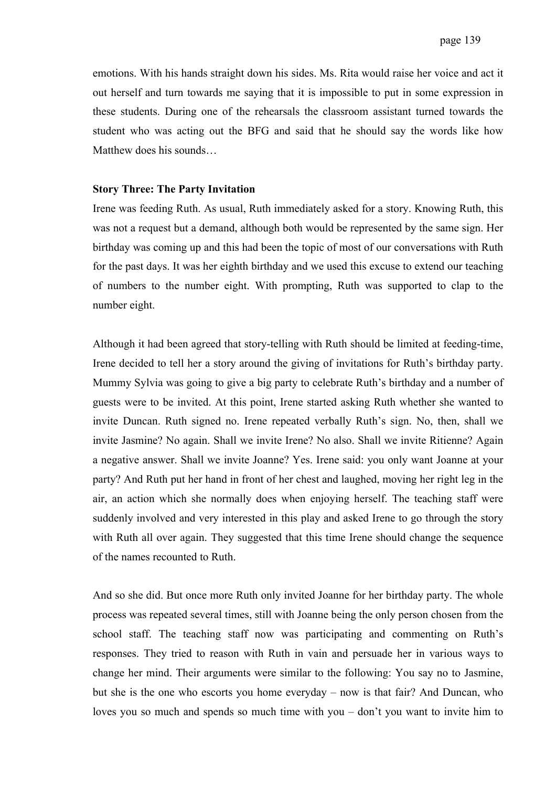emotions. With his hands straight down his sides. Ms. Rita would raise her voice and act it out herself and turn towards me saying that it is impossible to put in some expression in these students. During one of the rehearsals the classroom assistant turned towards the student who was acting out the BFG and said that he should say the words like how Matthew does his sounds…

### **Story Three: The Party Invitation**

Irene was feeding Ruth. As usual, Ruth immediately asked for a story. Knowing Ruth, this was not a request but a demand, although both would be represented by the same sign. Her birthday was coming up and this had been the topic of most of our conversations with Ruth for the past days. It was her eighth birthday and we used this excuse to extend our teaching of numbers to the number eight. With prompting, Ruth was supported to clap to the number eight.

Although it had been agreed that story-telling with Ruth should be limited at feeding-time, Irene decided to tell her a story around the giving of invitations for Ruth's birthday party. Mummy Sylvia was going to give a big party to celebrate Ruth's birthday and a number of guests were to be invited. At this point, Irene started asking Ruth whether she wanted to invite Duncan. Ruth signed no. Irene repeated verbally Ruth's sign. No, then, shall we invite Jasmine? No again. Shall we invite Irene? No also. Shall we invite Ritienne? Again a negative answer. Shall we invite Joanne? Yes. Irene said: you only want Joanne at your party? And Ruth put her hand in front of her chest and laughed, moving her right leg in the air, an action which she normally does when enjoying herself. The teaching staff were suddenly involved and very interested in this play and asked Irene to go through the story with Ruth all over again. They suggested that this time Irene should change the sequence of the names recounted to Ruth.

And so she did. But once more Ruth only invited Joanne for her birthday party. The whole process was repeated several times, still with Joanne being the only person chosen from the school staff. The teaching staff now was participating and commenting on Ruth's responses. They tried to reason with Ruth in vain and persuade her in various ways to change her mind. Their arguments were similar to the following: You say no to Jasmine, but she is the one who escorts you home everyday – now is that fair? And Duncan, who loves you so much and spends so much time with you – don't you want to invite him to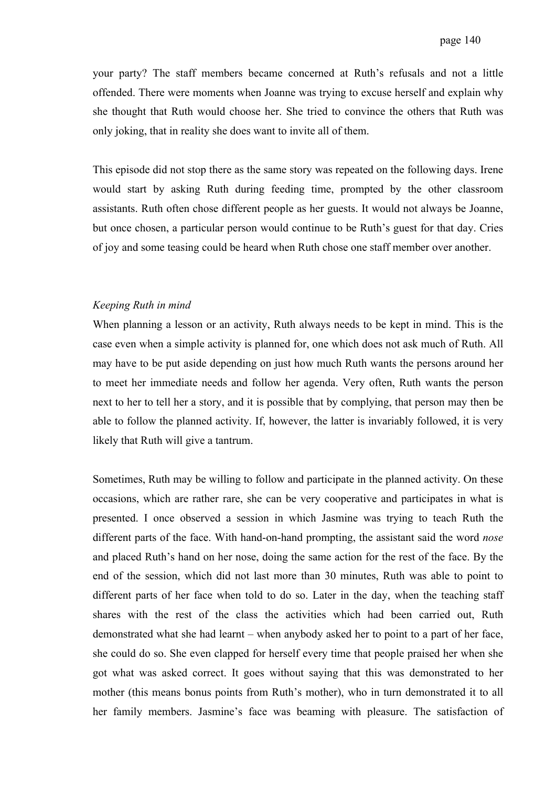your party? The staff members became concerned at Ruth's refusals and not a little offended. There were moments when Joanne was trying to excuse herself and explain why she thought that Ruth would choose her. She tried to convince the others that Ruth was only joking, that in reality she does want to invite all of them.

This episode did not stop there as the same story was repeated on the following days. Irene would start by asking Ruth during feeding time, prompted by the other classroom assistants. Ruth often chose different people as her guests. It would not always be Joanne, but once chosen, a particular person would continue to be Ruth's guest for that day. Cries of joy and some teasing could be heard when Ruth chose one staff member over another.

## *Keeping Ruth in mind*

When planning a lesson or an activity, Ruth always needs to be kept in mind. This is the case even when a simple activity is planned for, one which does not ask much of Ruth. All may have to be put aside depending on just how much Ruth wants the persons around her to meet her immediate needs and follow her agenda. Very often, Ruth wants the person next to her to tell her a story, and it is possible that by complying, that person may then be able to follow the planned activity. If, however, the latter is invariably followed, it is very likely that Ruth will give a tantrum.

Sometimes, Ruth may be willing to follow and participate in the planned activity. On these occasions, which are rather rare, she can be very cooperative and participates in what is presented. I once observed a session in which Jasmine was trying to teach Ruth the different parts of the face. With hand-on-hand prompting, the assistant said the word *nose*  and placed Ruth's hand on her nose, doing the same action for the rest of the face. By the end of the session, which did not last more than 30 minutes, Ruth was able to point to different parts of her face when told to do so. Later in the day, when the teaching staff shares with the rest of the class the activities which had been carried out, Ruth demonstrated what she had learnt – when anybody asked her to point to a part of her face, she could do so. She even clapped for herself every time that people praised her when she got what was asked correct. It goes without saying that this was demonstrated to her mother (this means bonus points from Ruth's mother), who in turn demonstrated it to all her family members. Jasmine's face was beaming with pleasure. The satisfaction of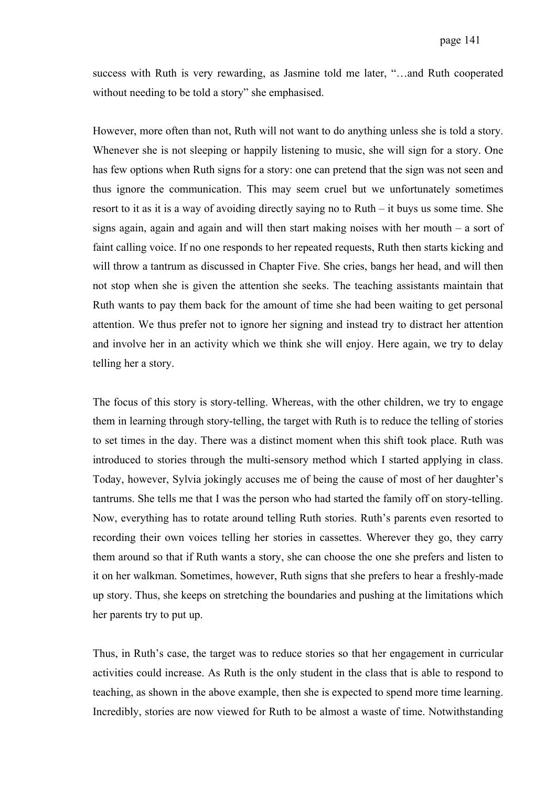success with Ruth is very rewarding, as Jasmine told me later, "…and Ruth cooperated without needing to be told a story" she emphasised.

However, more often than not, Ruth will not want to do anything unless she is told a story. Whenever she is not sleeping or happily listening to music, she will sign for a story. One has few options when Ruth signs for a story: one can pretend that the sign was not seen and thus ignore the communication. This may seem cruel but we unfortunately sometimes resort to it as it is a way of avoiding directly saying no to Ruth – it buys us some time. She signs again, again and again and will then start making noises with her mouth – a sort of faint calling voice. If no one responds to her repeated requests, Ruth then starts kicking and will throw a tantrum as discussed in Chapter Five. She cries, bangs her head, and will then not stop when she is given the attention she seeks. The teaching assistants maintain that Ruth wants to pay them back for the amount of time she had been waiting to get personal attention. We thus prefer not to ignore her signing and instead try to distract her attention and involve her in an activity which we think she will enjoy. Here again, we try to delay telling her a story.

The focus of this story is story-telling. Whereas, with the other children, we try to engage them in learning through story-telling, the target with Ruth is to reduce the telling of stories to set times in the day. There was a distinct moment when this shift took place. Ruth was introduced to stories through the multi-sensory method which I started applying in class. Today, however, Sylvia jokingly accuses me of being the cause of most of her daughter's tantrums. She tells me that I was the person who had started the family off on story-telling. Now, everything has to rotate around telling Ruth stories. Ruth's parents even resorted to recording their own voices telling her stories in cassettes. Wherever they go, they carry them around so that if Ruth wants a story, she can choose the one she prefers and listen to it on her walkman. Sometimes, however, Ruth signs that she prefers to hear a freshly-made up story. Thus, she keeps on stretching the boundaries and pushing at the limitations which her parents try to put up.

Thus, in Ruth's case, the target was to reduce stories so that her engagement in curricular activities could increase. As Ruth is the only student in the class that is able to respond to teaching, as shown in the above example, then she is expected to spend more time learning. Incredibly, stories are now viewed for Ruth to be almost a waste of time. Notwithstanding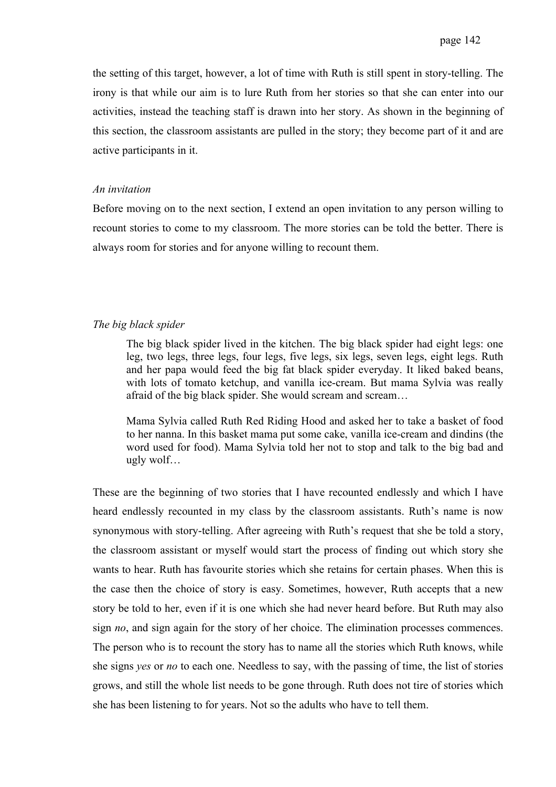the setting of this target, however, a lot of time with Ruth is still spent in story-telling. The irony is that while our aim is to lure Ruth from her stories so that she can enter into our activities, instead the teaching staff is drawn into her story. As shown in the beginning of this section, the classroom assistants are pulled in the story; they become part of it and are active participants in it.

#### *An invitation*

Before moving on to the next section, I extend an open invitation to any person willing to recount stories to come to my classroom. The more stories can be told the better. There is always room for stories and for anyone willing to recount them.

#### *The big black spider*

The big black spider lived in the kitchen. The big black spider had eight legs: one leg, two legs, three legs, four legs, five legs, six legs, seven legs, eight legs. Ruth and her papa would feed the big fat black spider everyday. It liked baked beans, with lots of tomato ketchup, and vanilla ice-cream. But mama Sylvia was really afraid of the big black spider. She would scream and scream…

Mama Sylvia called Ruth Red Riding Hood and asked her to take a basket of food to her nanna. In this basket mama put some cake, vanilla ice-cream and dindins (the word used for food). Mama Sylvia told her not to stop and talk to the big bad and ugly wolf…

These are the beginning of two stories that I have recounted endlessly and which I have heard endlessly recounted in my class by the classroom assistants. Ruth's name is now synonymous with story-telling. After agreeing with Ruth's request that she be told a story, the classroom assistant or myself would start the process of finding out which story she wants to hear. Ruth has favourite stories which she retains for certain phases. When this is the case then the choice of story is easy. Sometimes, however, Ruth accepts that a new story be told to her, even if it is one which she had never heard before. But Ruth may also sign *no*, and sign again for the story of her choice. The elimination processes commences. The person who is to recount the story has to name all the stories which Ruth knows, while she signs *yes* or *no* to each one. Needless to say, with the passing of time, the list of stories grows, and still the whole list needs to be gone through. Ruth does not tire of stories which she has been listening to for years. Not so the adults who have to tell them.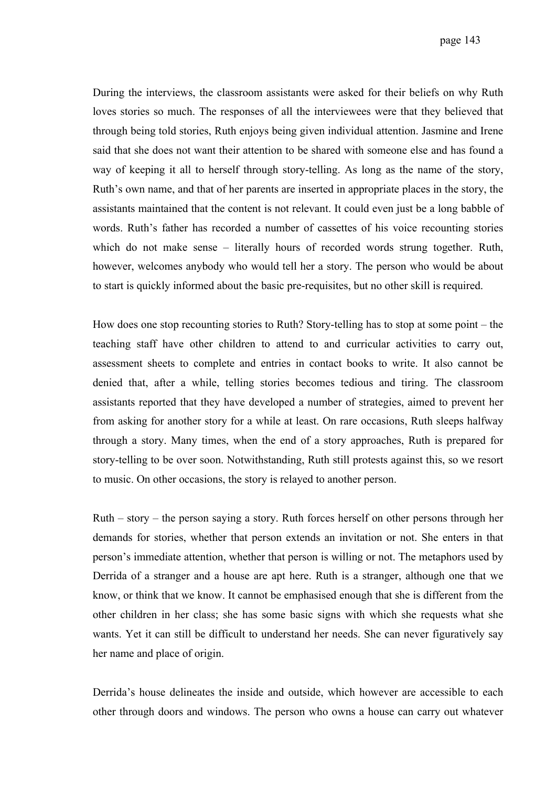During the interviews, the classroom assistants were asked for their beliefs on why Ruth loves stories so much. The responses of all the interviewees were that they believed that through being told stories, Ruth enjoys being given individual attention. Jasmine and Irene said that she does not want their attention to be shared with someone else and has found a way of keeping it all to herself through story-telling. As long as the name of the story, Ruth's own name, and that of her parents are inserted in appropriate places in the story, the assistants maintained that the content is not relevant. It could even just be a long babble of words. Ruth's father has recorded a number of cassettes of his voice recounting stories which do not make sense – literally hours of recorded words strung together. Ruth, however, welcomes anybody who would tell her a story. The person who would be about to start is quickly informed about the basic pre-requisites, but no other skill is required.

How does one stop recounting stories to Ruth? Story-telling has to stop at some point – the teaching staff have other children to attend to and curricular activities to carry out, assessment sheets to complete and entries in contact books to write. It also cannot be denied that, after a while, telling stories becomes tedious and tiring. The classroom assistants reported that they have developed a number of strategies, aimed to prevent her from asking for another story for a while at least. On rare occasions, Ruth sleeps halfway through a story. Many times, when the end of a story approaches, Ruth is prepared for story-telling to be over soon. Notwithstanding, Ruth still protests against this, so we resort to music. On other occasions, the story is relayed to another person.

Ruth – story – the person saying a story. Ruth forces herself on other persons through her demands for stories, whether that person extends an invitation or not. She enters in that person's immediate attention, whether that person is willing or not. The metaphors used by Derrida of a stranger and a house are apt here. Ruth is a stranger, although one that we know, or think that we know. It cannot be emphasised enough that she is different from the other children in her class; she has some basic signs with which she requests what she wants. Yet it can still be difficult to understand her needs. She can never figuratively say her name and place of origin.

Derrida's house delineates the inside and outside, which however are accessible to each other through doors and windows. The person who owns a house can carry out whatever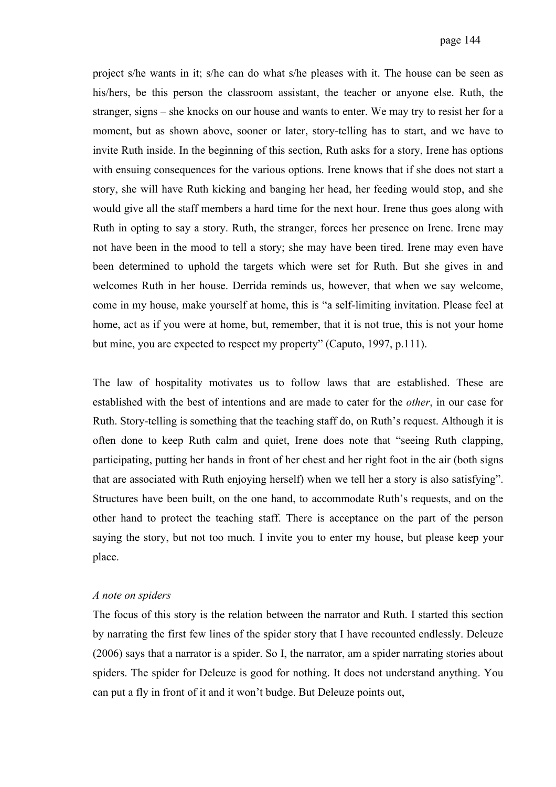project s/he wants in it; s/he can do what s/he pleases with it. The house can be seen as his/hers, be this person the classroom assistant, the teacher or anyone else. Ruth, the stranger, signs – she knocks on our house and wants to enter. We may try to resist her for a moment, but as shown above, sooner or later, story-telling has to start, and we have to invite Ruth inside. In the beginning of this section, Ruth asks for a story, Irene has options with ensuing consequences for the various options. Irene knows that if she does not start a story, she will have Ruth kicking and banging her head, her feeding would stop, and she would give all the staff members a hard time for the next hour. Irene thus goes along with Ruth in opting to say a story. Ruth, the stranger, forces her presence on Irene. Irene may not have been in the mood to tell a story; she may have been tired. Irene may even have been determined to uphold the targets which were set for Ruth. But she gives in and welcomes Ruth in her house. Derrida reminds us, however, that when we say welcome, come in my house, make yourself at home, this is "a self-limiting invitation. Please feel at home, act as if you were at home, but, remember, that it is not true, this is not your home but mine, you are expected to respect my property" (Caputo, 1997, p.111).

The law of hospitality motivates us to follow laws that are established. These are established with the best of intentions and are made to cater for the *other*, in our case for Ruth. Story-telling is something that the teaching staff do, on Ruth's request. Although it is often done to keep Ruth calm and quiet, Irene does note that "seeing Ruth clapping, participating, putting her hands in front of her chest and her right foot in the air (both signs that are associated with Ruth enjoying herself) when we tell her a story is also satisfying". Structures have been built, on the one hand, to accommodate Ruth's requests, and on the other hand to protect the teaching staff. There is acceptance on the part of the person saying the story, but not too much. I invite you to enter my house, but please keep your place.

#### *A note on spiders*

The focus of this story is the relation between the narrator and Ruth. I started this section by narrating the first few lines of the spider story that I have recounted endlessly. Deleuze (2006) says that a narrator is a spider. So I, the narrator, am a spider narrating stories about spiders. The spider for Deleuze is good for nothing. It does not understand anything. You can put a fly in front of it and it won't budge. But Deleuze points out,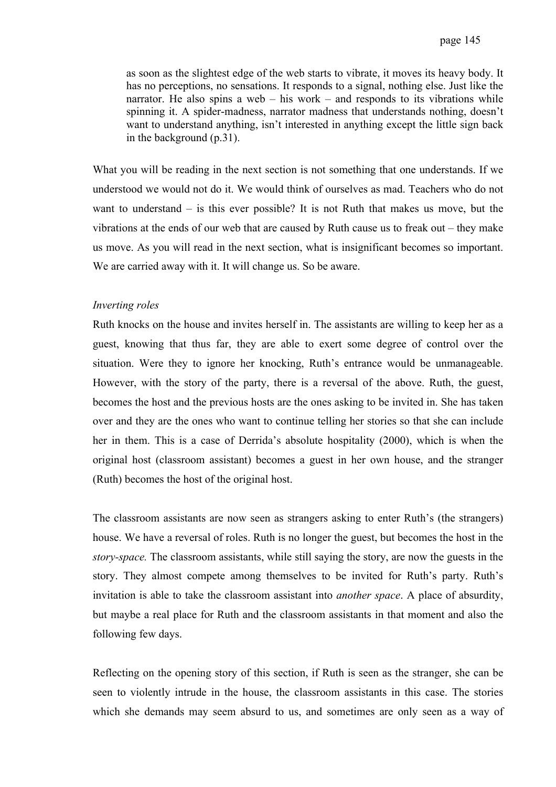as soon as the slightest edge of the web starts to vibrate, it moves its heavy body. It has no perceptions, no sensations. It responds to a signal, nothing else. Just like the narrator. He also spins a web – his work – and responds to its vibrations while spinning it. A spider-madness, narrator madness that understands nothing, doesn't want to understand anything, isn't interested in anything except the little sign back in the background (p.31).

What you will be reading in the next section is not something that one understands. If we understood we would not do it. We would think of ourselves as mad. Teachers who do not want to understand – is this ever possible? It is not Ruth that makes us move, but the vibrations at the ends of our web that are caused by Ruth cause us to freak out – they make us move. As you will read in the next section, what is insignificant becomes so important. We are carried away with it. It will change us. So be aware.

### *Inverting roles*

Ruth knocks on the house and invites herself in. The assistants are willing to keep her as a guest, knowing that thus far, they are able to exert some degree of control over the situation. Were they to ignore her knocking, Ruth's entrance would be unmanageable. However, with the story of the party, there is a reversal of the above. Ruth, the guest, becomes the host and the previous hosts are the ones asking to be invited in. She has taken over and they are the ones who want to continue telling her stories so that she can include her in them. This is a case of Derrida's absolute hospitality (2000), which is when the original host (classroom assistant) becomes a guest in her own house, and the stranger (Ruth) becomes the host of the original host.

The classroom assistants are now seen as strangers asking to enter Ruth's (the strangers) house. We have a reversal of roles. Ruth is no longer the guest, but becomes the host in the *story-space.* The classroom assistants, while still saying the story, are now the guests in the story. They almost compete among themselves to be invited for Ruth's party. Ruth's invitation is able to take the classroom assistant into *another space*. A place of absurdity, but maybe a real place for Ruth and the classroom assistants in that moment and also the following few days.

Reflecting on the opening story of this section, if Ruth is seen as the stranger, she can be seen to violently intrude in the house, the classroom assistants in this case. The stories which she demands may seem absurd to us, and sometimes are only seen as a way of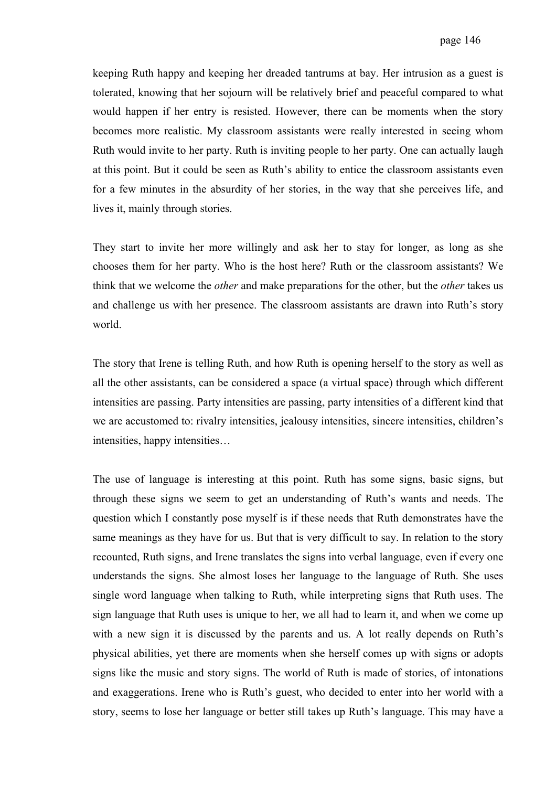keeping Ruth happy and keeping her dreaded tantrums at bay. Her intrusion as a guest is tolerated, knowing that her sojourn will be relatively brief and peaceful compared to what would happen if her entry is resisted. However, there can be moments when the story becomes more realistic. My classroom assistants were really interested in seeing whom Ruth would invite to her party. Ruth is inviting people to her party. One can actually laugh at this point. But it could be seen as Ruth's ability to entice the classroom assistants even for a few minutes in the absurdity of her stories, in the way that she perceives life, and lives it, mainly through stories.

They start to invite her more willingly and ask her to stay for longer, as long as she chooses them for her party. Who is the host here? Ruth or the classroom assistants? We think that we welcome the *other* and make preparations for the other, but the *other* takes us and challenge us with her presence. The classroom assistants are drawn into Ruth's story world.

The story that Irene is telling Ruth, and how Ruth is opening herself to the story as well as all the other assistants, can be considered a space (a virtual space) through which different intensities are passing. Party intensities are passing, party intensities of a different kind that we are accustomed to: rivalry intensities, jealousy intensities, sincere intensities, children's intensities, happy intensities…

The use of language is interesting at this point. Ruth has some signs, basic signs, but through these signs we seem to get an understanding of Ruth's wants and needs. The question which I constantly pose myself is if these needs that Ruth demonstrates have the same meanings as they have for us. But that is very difficult to say. In relation to the story recounted, Ruth signs, and Irene translates the signs into verbal language, even if every one understands the signs. She almost loses her language to the language of Ruth. She uses single word language when talking to Ruth, while interpreting signs that Ruth uses. The sign language that Ruth uses is unique to her, we all had to learn it, and when we come up with a new sign it is discussed by the parents and us. A lot really depends on Ruth's physical abilities, yet there are moments when she herself comes up with signs or adopts signs like the music and story signs. The world of Ruth is made of stories, of intonations and exaggerations. Irene who is Ruth's guest, who decided to enter into her world with a story, seems to lose her language or better still takes up Ruth's language. This may have a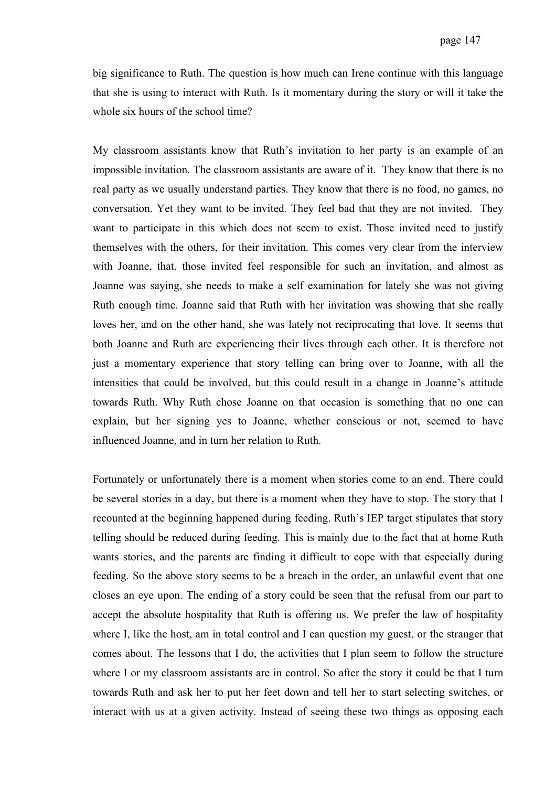big significance to Ruth. The question is how much can Irene continue with this language that she is using to interact with Ruth. Is it momentary during the story or will it take the whole six hours of the school time?

My classroom assistants know that Ruth's invitation to her party is an example of an impossible invitation. The classroom assistants are aware of it. They know that there is no real party as we usually understand parties. They know that there is no food, no games, no conversation. Yet they want to be invited. They feel bad that they are not invited. They want to participate in this which does not seem to exist. Those invited need to justify themselves with the others, for their invitation. This comes very clear from the interview with Joanne, that, those invited feel responsible for such an invitation, and almost as Joanne was saying, she needs to make a self examination for lately she was not giving Ruth enough time. Joanne said that Ruth with her invitation was showing that she really loves her, and on the other hand, she was lately not reciprocating that love. It seems that both Joanne and Ruth are experiencing their lives through each other. It is therefore not just a momentary experience that story telling can bring over to Joanne, with all the intensities that could be involved, but this could result in a change in Joanne's attitude towards Ruth. Why Ruth chose Joanne on that occasion is something that no one can explain, but her signing yes to Joanne, whether conscious or not, seemed to have influenced Joanne, and in turn her relation to Ruth.

Fortunately or unfortunately there is a moment when stories come to an end. There could be several stories in a day, but there is a moment when they have to stop. The story that I recounted at the beginning happened during feeding. Ruth's IEP target stipulates that story telling should be reduced during feeding. This is mainly due to the fact that at home Ruth wants stories, and the parents are finding it difficult to cope with that especially during feeding. So the above story seems to be a breach in the order, an unlawful event that one closes an eye upon. The ending of a story could be seen that the refusal from our part to accept the absolute hospitality that Ruth is offering us. We prefer the law of hospitality where I, like the host, am in total control and I can question my guest, or the stranger that comes about. The lessons that I do, the activities that I plan seem to follow the structure where I or my classroom assistants are in control. So after the story it could be that I turn towards Ruth and ask her to put her feet down and tell her to start selecting switches, or interact with us at a given activity. Instead of seeing these two things as opposing each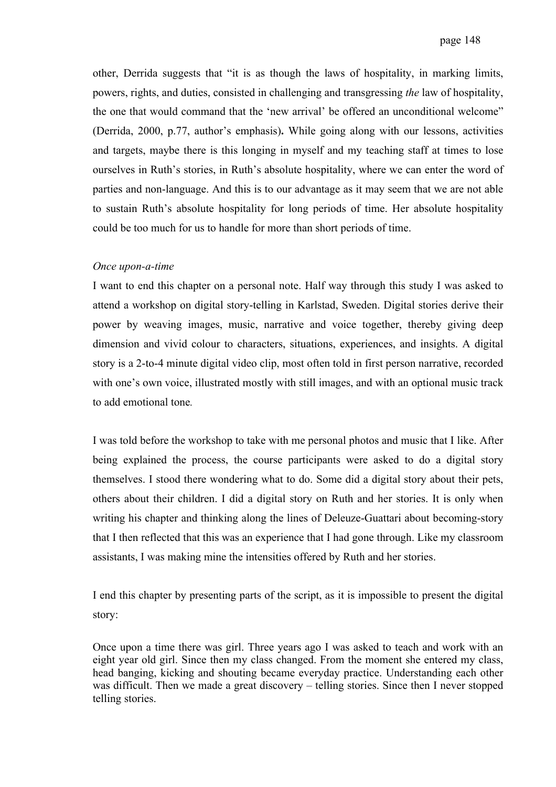other, Derrida suggests that "it is as though the laws of hospitality, in marking limits, powers, rights, and duties, consisted in challenging and transgressing *the* law of hospitality, the one that would command that the 'new arrival' be offered an unconditional welcome" (Derrida, 2000, p.77, author's emphasis)**.** While going along with our lessons, activities and targets, maybe there is this longing in myself and my teaching staff at times to lose ourselves in Ruth's stories, in Ruth's absolute hospitality, where we can enter the word of parties and non-language. And this is to our advantage as it may seem that we are not able to sustain Ruth's absolute hospitality for long periods of time. Her absolute hospitality could be too much for us to handle for more than short periods of time.

#### *Once upon-a-time*

I want to end this chapter on a personal note. Half way through this study I was asked to attend a workshop on digital story-telling in Karlstad, Sweden. Digital stories derive their power by weaving images, music, narrative and voice together, thereby giving deep dimension and vivid colour to characters, situations, experiences, and insights. A digital story is a 2-to-4 minute digital video clip, most often told in first person narrative, recorded with one's own voice, illustrated mostly with still images, and with an optional music track to add emotional tone*.*

I was told before the workshop to take with me personal photos and music that I like. After being explained the process, the course participants were asked to do a digital story themselves. I stood there wondering what to do. Some did a digital story about their pets, others about their children. I did a digital story on Ruth and her stories. It is only when writing his chapter and thinking along the lines of Deleuze-Guattari about becoming-story that I then reflected that this was an experience that I had gone through. Like my classroom assistants, I was making mine the intensities offered by Ruth and her stories.

I end this chapter by presenting parts of the script, as it is impossible to present the digital story:

Once upon a time there was girl. Three years ago I was asked to teach and work with an eight year old girl. Since then my class changed. From the moment she entered my class, head banging, kicking and shouting became everyday practice. Understanding each other was difficult. Then we made a great discovery – telling stories. Since then I never stopped telling stories.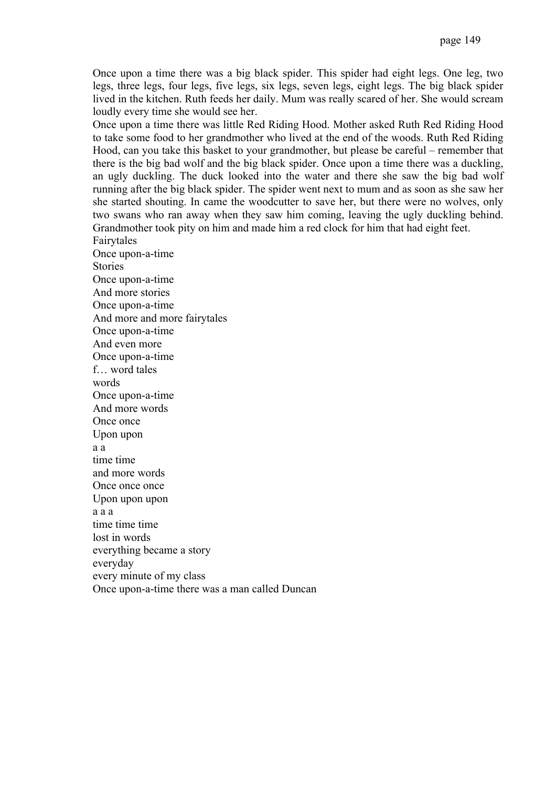Once upon a time there was a big black spider. This spider had eight legs. One leg, two legs, three legs, four legs, five legs, six legs, seven legs, eight legs. The big black spider lived in the kitchen. Ruth feeds her daily. Mum was really scared of her. She would scream loudly every time she would see her.

Once upon a time there was little Red Riding Hood. Mother asked Ruth Red Riding Hood to take some food to her grandmother who lived at the end of the woods. Ruth Red Riding Hood, can you take this basket to your grandmother, but please be careful – remember that there is the big bad wolf and the big black spider. Once upon a time there was a duckling, an ugly duckling. The duck looked into the water and there she saw the big bad wolf running after the big black spider. The spider went next to mum and as soon as she saw her she started shouting. In came the woodcutter to save her, but there were no wolves, only two swans who ran away when they saw him coming, leaving the ugly duckling behind. Grandmother took pity on him and made him a red clock for him that had eight feet.

Fairytales Once upon-a-time Stories Once upon-a-time And more stories Once upon-a-time And more and more fairytales Once upon-a-time And even more Once upon-a-time f… word tales words Once upon-a-time And more words Once once Upon upon a a time time and more words Once once once Upon upon upon a a a time time time lost in words everything became a story everyday every minute of my class Once upon-a-time there was a man called Duncan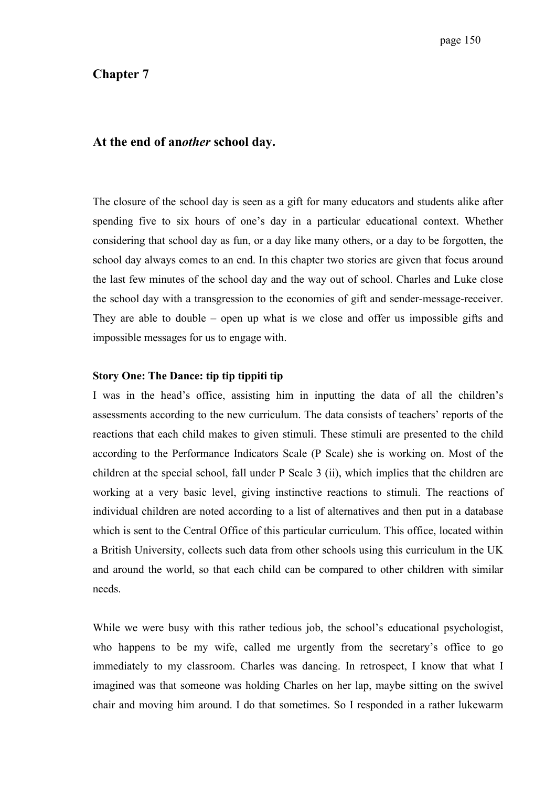# **Chapter 7**

# **At the end of an***other* **school day.**

The closure of the school day is seen as a gift for many educators and students alike after spending five to six hours of one's day in a particular educational context. Whether considering that school day as fun, or a day like many others, or a day to be forgotten, the school day always comes to an end. In this chapter two stories are given that focus around the last few minutes of the school day and the way out of school. Charles and Luke close the school day with a transgression to the economies of gift and sender-message-receiver. They are able to double – open up what is we close and offer us impossible gifts and impossible messages for us to engage with.

## **Story One: The Dance: tip tip tippiti tip**

I was in the head's office, assisting him in inputting the data of all the children's assessments according to the new curriculum. The data consists of teachers' reports of the reactions that each child makes to given stimuli. These stimuli are presented to the child according to the Performance Indicators Scale (P Scale) she is working on. Most of the children at the special school, fall under P Scale 3 (ii), which implies that the children are working at a very basic level, giving instinctive reactions to stimuli. The reactions of individual children are noted according to a list of alternatives and then put in a database which is sent to the Central Office of this particular curriculum. This office, located within a British University, collects such data from other schools using this curriculum in the UK and around the world, so that each child can be compared to other children with similar needs.

While we were busy with this rather tedious job, the school's educational psychologist, who happens to be my wife, called me urgently from the secretary's office to go immediately to my classroom. Charles was dancing. In retrospect, I know that what I imagined was that someone was holding Charles on her lap, maybe sitting on the swivel chair and moving him around. I do that sometimes. So I responded in a rather lukewarm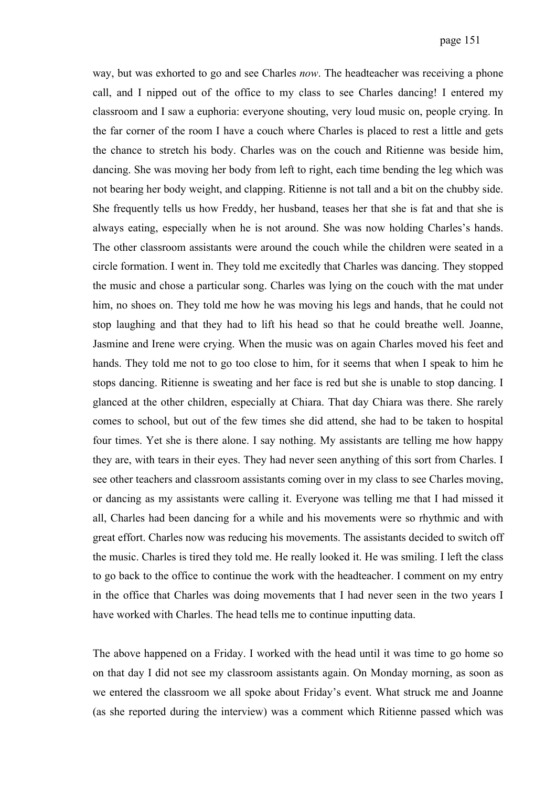way, but was exhorted to go and see Charles *now*. The headteacher was receiving a phone call, and I nipped out of the office to my class to see Charles dancing! I entered my classroom and I saw a euphoria: everyone shouting, very loud music on, people crying. In the far corner of the room I have a couch where Charles is placed to rest a little and gets the chance to stretch his body. Charles was on the couch and Ritienne was beside him, dancing. She was moving her body from left to right, each time bending the leg which was not bearing her body weight, and clapping. Ritienne is not tall and a bit on the chubby side. She frequently tells us how Freddy, her husband, teases her that she is fat and that she is always eating, especially when he is not around. She was now holding Charles's hands. The other classroom assistants were around the couch while the children were seated in a circle formation. I went in. They told me excitedly that Charles was dancing. They stopped the music and chose a particular song. Charles was lying on the couch with the mat under him, no shoes on. They told me how he was moving his legs and hands, that he could not stop laughing and that they had to lift his head so that he could breathe well. Joanne, Jasmine and Irene were crying. When the music was on again Charles moved his feet and hands. They told me not to go too close to him, for it seems that when I speak to him he stops dancing. Ritienne is sweating and her face is red but she is unable to stop dancing. I glanced at the other children, especially at Chiara. That day Chiara was there. She rarely comes to school, but out of the few times she did attend, she had to be taken to hospital four times. Yet she is there alone. I say nothing. My assistants are telling me how happy they are, with tears in their eyes. They had never seen anything of this sort from Charles. I see other teachers and classroom assistants coming over in my class to see Charles moving, or dancing as my assistants were calling it. Everyone was telling me that I had missed it all, Charles had been dancing for a while and his movements were so rhythmic and with great effort. Charles now was reducing his movements. The assistants decided to switch off the music. Charles is tired they told me. He really looked it. He was smiling. I left the class to go back to the office to continue the work with the headteacher. I comment on my entry in the office that Charles was doing movements that I had never seen in the two years I have worked with Charles. The head tells me to continue inputting data.

The above happened on a Friday. I worked with the head until it was time to go home so on that day I did not see my classroom assistants again. On Monday morning, as soon as we entered the classroom we all spoke about Friday's event. What struck me and Joanne (as she reported during the interview) was a comment which Ritienne passed which was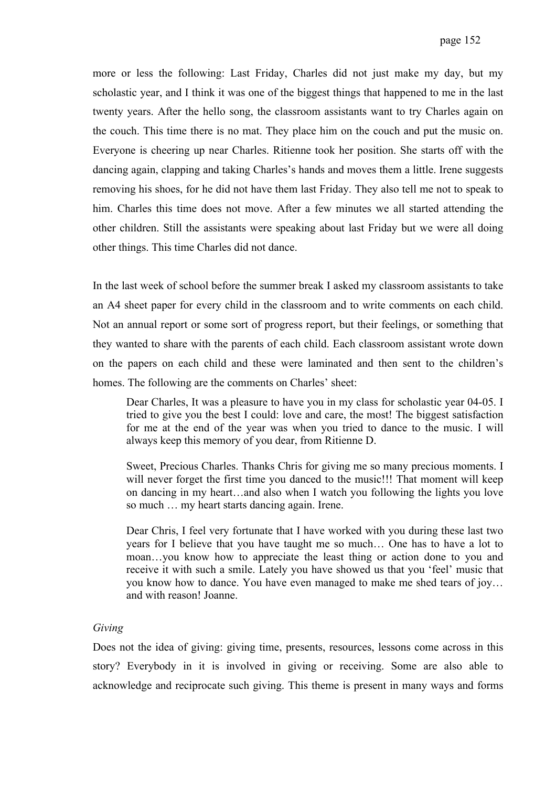more or less the following: Last Friday, Charles did not just make my day, but my scholastic year, and I think it was one of the biggest things that happened to me in the last twenty years. After the hello song, the classroom assistants want to try Charles again on the couch. This time there is no mat. They place him on the couch and put the music on. Everyone is cheering up near Charles. Ritienne took her position. She starts off with the dancing again, clapping and taking Charles's hands and moves them a little. Irene suggests removing his shoes, for he did not have them last Friday. They also tell me not to speak to him. Charles this time does not move. After a few minutes we all started attending the other children. Still the assistants were speaking about last Friday but we were all doing other things. This time Charles did not dance.

In the last week of school before the summer break I asked my classroom assistants to take an A4 sheet paper for every child in the classroom and to write comments on each child. Not an annual report or some sort of progress report, but their feelings, or something that they wanted to share with the parents of each child. Each classroom assistant wrote down on the papers on each child and these were laminated and then sent to the children's homes. The following are the comments on Charles' sheet:

Dear Charles, It was a pleasure to have you in my class for scholastic year 04-05. I tried to give you the best I could: love and care, the most! The biggest satisfaction for me at the end of the year was when you tried to dance to the music. I will always keep this memory of you dear, from Ritienne D.

Sweet, Precious Charles. Thanks Chris for giving me so many precious moments. I will never forget the first time you danced to the music!!! That moment will keep on dancing in my heart…and also when I watch you following the lights you love so much … my heart starts dancing again. Irene.

Dear Chris, I feel very fortunate that I have worked with you during these last two years for I believe that you have taught me so much… One has to have a lot to moan…you know how to appreciate the least thing or action done to you and receive it with such a smile. Lately you have showed us that you 'feel' music that you know how to dance. You have even managed to make me shed tears of joy… and with reason! Joanne.

# *Giving*

Does not the idea of giving: giving time, presents, resources, lessons come across in this story? Everybody in it is involved in giving or receiving. Some are also able to acknowledge and reciprocate such giving. This theme is present in many ways and forms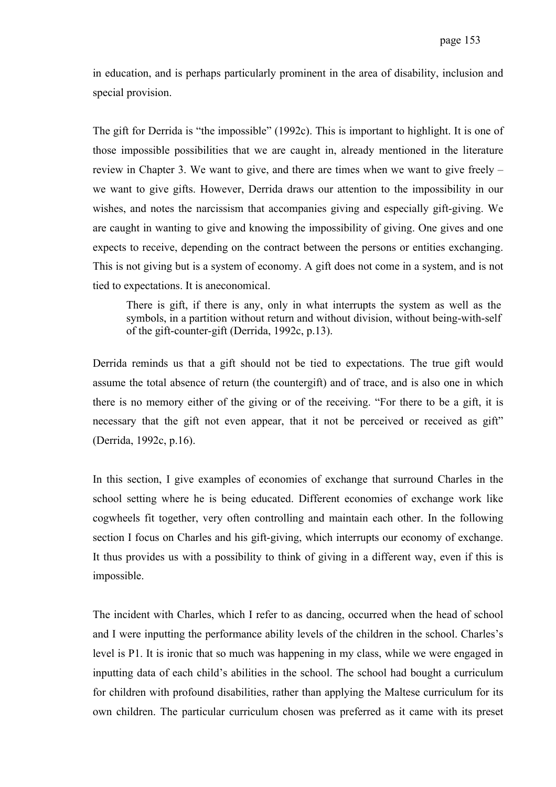in education, and is perhaps particularly prominent in the area of disability, inclusion and special provision.

The gift for Derrida is "the impossible" (1992c). This is important to highlight. It is one of those impossible possibilities that we are caught in, already mentioned in the literature review in Chapter 3. We want to give, and there are times when we want to give freely – we want to give gifts. However, Derrida draws our attention to the impossibility in our wishes, and notes the narcissism that accompanies giving and especially gift-giving. We are caught in wanting to give and knowing the impossibility of giving. One gives and one expects to receive, depending on the contract between the persons or entities exchanging. This is not giving but is a system of economy. A gift does not come in a system, and is not tied to expectations. It is aneconomical.

There is gift, if there is any, only in what interrupts the system as well as the symbols, in a partition without return and without division, without being-with-self of the gift-counter-gift (Derrida, 1992c, p.13).

Derrida reminds us that a gift should not be tied to expectations. The true gift would assume the total absence of return (the countergift) and of trace, and is also one in which there is no memory either of the giving or of the receiving. "For there to be a gift, it is necessary that the gift not even appear, that it not be perceived or received as gift" (Derrida, 1992c, p.16).

In this section, I give examples of economies of exchange that surround Charles in the school setting where he is being educated. Different economies of exchange work like cogwheels fit together, very often controlling and maintain each other. In the following section I focus on Charles and his gift-giving, which interrupts our economy of exchange. It thus provides us with a possibility to think of giving in a different way, even if this is impossible.

The incident with Charles, which I refer to as dancing, occurred when the head of school and I were inputting the performance ability levels of the children in the school. Charles's level is P1. It is ironic that so much was happening in my class, while we were engaged in inputting data of each child's abilities in the school. The school had bought a curriculum for children with profound disabilities, rather than applying the Maltese curriculum for its own children. The particular curriculum chosen was preferred as it came with its preset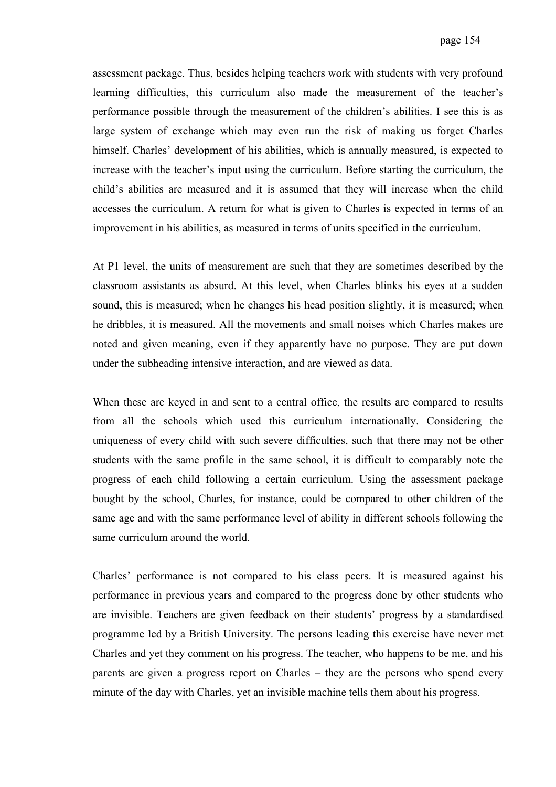assessment package. Thus, besides helping teachers work with students with very profound learning difficulties, this curriculum also made the measurement of the teacher's performance possible through the measurement of the children's abilities. I see this is as large system of exchange which may even run the risk of making us forget Charles himself. Charles' development of his abilities, which is annually measured, is expected to increase with the teacher's input using the curriculum. Before starting the curriculum, the child's abilities are measured and it is assumed that they will increase when the child accesses the curriculum. A return for what is given to Charles is expected in terms of an improvement in his abilities, as measured in terms of units specified in the curriculum.

At P1 level, the units of measurement are such that they are sometimes described by the classroom assistants as absurd. At this level, when Charles blinks his eyes at a sudden sound, this is measured; when he changes his head position slightly, it is measured; when he dribbles, it is measured. All the movements and small noises which Charles makes are noted and given meaning, even if they apparently have no purpose. They are put down under the subheading intensive interaction, and are viewed as data.

When these are keyed in and sent to a central office, the results are compared to results from all the schools which used this curriculum internationally. Considering the uniqueness of every child with such severe difficulties, such that there may not be other students with the same profile in the same school, it is difficult to comparably note the progress of each child following a certain curriculum. Using the assessment package bought by the school, Charles, for instance, could be compared to other children of the same age and with the same performance level of ability in different schools following the same curriculum around the world.

Charles' performance is not compared to his class peers. It is measured against his performance in previous years and compared to the progress done by other students who are invisible. Teachers are given feedback on their students' progress by a standardised programme led by a British University. The persons leading this exercise have never met Charles and yet they comment on his progress. The teacher, who happens to be me, and his parents are given a progress report on Charles – they are the persons who spend every minute of the day with Charles, yet an invisible machine tells them about his progress.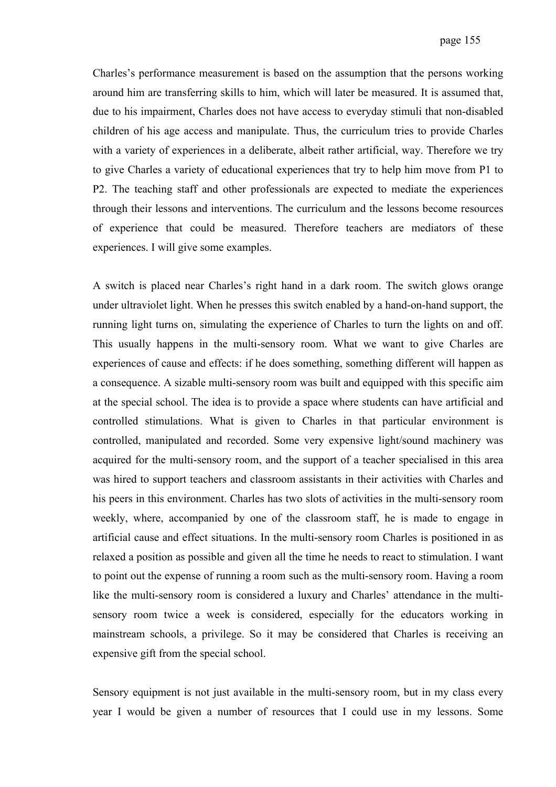Charles's performance measurement is based on the assumption that the persons working around him are transferring skills to him, which will later be measured. It is assumed that, due to his impairment, Charles does not have access to everyday stimuli that non-disabled children of his age access and manipulate. Thus, the curriculum tries to provide Charles with a variety of experiences in a deliberate, albeit rather artificial, way. Therefore we try to give Charles a variety of educational experiences that try to help him move from P1 to P2. The teaching staff and other professionals are expected to mediate the experiences through their lessons and interventions. The curriculum and the lessons become resources of experience that could be measured. Therefore teachers are mediators of these experiences. I will give some examples.

A switch is placed near Charles's right hand in a dark room. The switch glows orange under ultraviolet light. When he presses this switch enabled by a hand-on-hand support, the running light turns on, simulating the experience of Charles to turn the lights on and off. This usually happens in the multi-sensory room. What we want to give Charles are experiences of cause and effects: if he does something, something different will happen as a consequence. A sizable multi-sensory room was built and equipped with this specific aim at the special school. The idea is to provide a space where students can have artificial and controlled stimulations. What is given to Charles in that particular environment is controlled, manipulated and recorded. Some very expensive light/sound machinery was acquired for the multi-sensory room, and the support of a teacher specialised in this area was hired to support teachers and classroom assistants in their activities with Charles and his peers in this environment. Charles has two slots of activities in the multi-sensory room weekly, where, accompanied by one of the classroom staff, he is made to engage in artificial cause and effect situations. In the multi-sensory room Charles is positioned in as relaxed a position as possible and given all the time he needs to react to stimulation. I want to point out the expense of running a room such as the multi-sensory room. Having a room like the multi-sensory room is considered a luxury and Charles' attendance in the multisensory room twice a week is considered, especially for the educators working in mainstream schools, a privilege. So it may be considered that Charles is receiving an expensive gift from the special school.

Sensory equipment is not just available in the multi-sensory room, but in my class every year I would be given a number of resources that I could use in my lessons. Some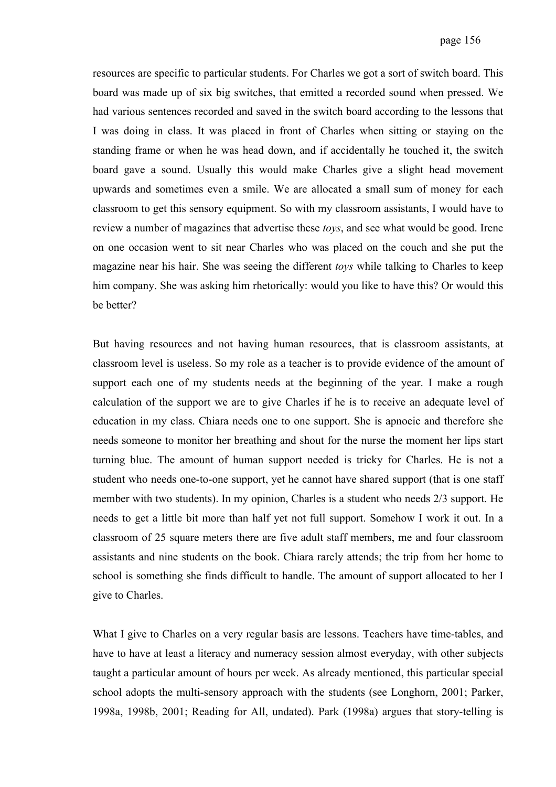resources are specific to particular students. For Charles we got a sort of switch board. This board was made up of six big switches, that emitted a recorded sound when pressed. We had various sentences recorded and saved in the switch board according to the lessons that I was doing in class. It was placed in front of Charles when sitting or staying on the standing frame or when he was head down, and if accidentally he touched it, the switch board gave a sound. Usually this would make Charles give a slight head movement upwards and sometimes even a smile. We are allocated a small sum of money for each classroom to get this sensory equipment. So with my classroom assistants, I would have to review a number of magazines that advertise these *toys*, and see what would be good. Irene on one occasion went to sit near Charles who was placed on the couch and she put the magazine near his hair. She was seeing the different *toys* while talking to Charles to keep him company. She was asking him rhetorically: would you like to have this? Or would this be better?

But having resources and not having human resources, that is classroom assistants, at classroom level is useless. So my role as a teacher is to provide evidence of the amount of support each one of my students needs at the beginning of the year. I make a rough calculation of the support we are to give Charles if he is to receive an adequate level of education in my class. Chiara needs one to one support. She is apnoeic and therefore she needs someone to monitor her breathing and shout for the nurse the moment her lips start turning blue. The amount of human support needed is tricky for Charles. He is not a student who needs one-to-one support, yet he cannot have shared support (that is one staff member with two students). In my opinion, Charles is a student who needs 2/3 support. He needs to get a little bit more than half yet not full support. Somehow I work it out. In a classroom of 25 square meters there are five adult staff members, me and four classroom assistants and nine students on the book. Chiara rarely attends; the trip from her home to school is something she finds difficult to handle. The amount of support allocated to her I give to Charles.

What I give to Charles on a very regular basis are lessons. Teachers have time-tables, and have to have at least a literacy and numeracy session almost everyday, with other subjects taught a particular amount of hours per week. As already mentioned, this particular special school adopts the multi-sensory approach with the students (see Longhorn, 2001; Parker, 1998a, 1998b, 2001; Reading for All, undated). Park (1998a) argues that story-telling is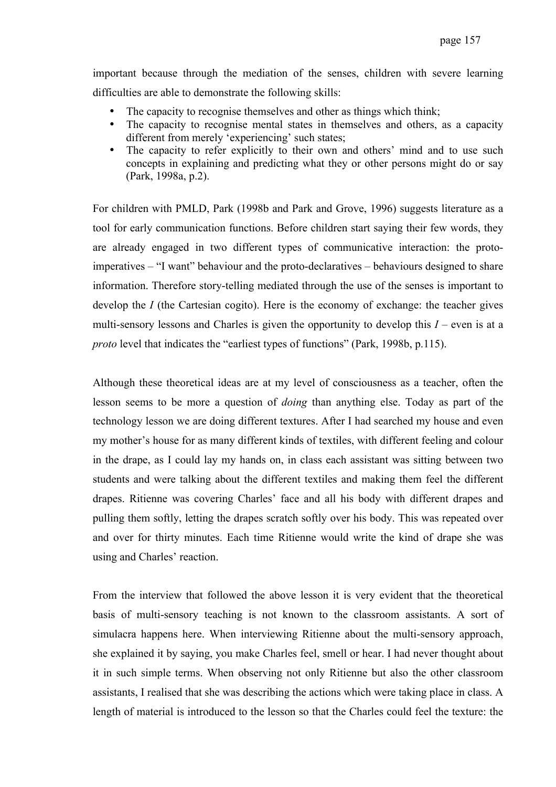important because through the mediation of the senses, children with severe learning difficulties are able to demonstrate the following skills:

- The capacity to recognise themselves and other as things which think;
- The capacity to recognise mental states in themselves and others, as a capacity different from merely 'experiencing' such states;
- The capacity to refer explicitly to their own and others' mind and to use such concepts in explaining and predicting what they or other persons might do or say (Park, 1998a, p.2).

For children with PMLD, Park (1998b and Park and Grove, 1996) suggests literature as a tool for early communication functions. Before children start saying their few words, they are already engaged in two different types of communicative interaction: the protoimperatives – "I want" behaviour and the proto-declaratives – behaviours designed to share information. Therefore story-telling mediated through the use of the senses is important to develop the *I* (the Cartesian cogito). Here is the economy of exchange: the teacher gives multi-sensory lessons and Charles is given the opportunity to develop this *I* – even is at a *proto* level that indicates the "earliest types of functions" (Park, 1998b, p.115).

Although these theoretical ideas are at my level of consciousness as a teacher, often the lesson seems to be more a question of *doing* than anything else. Today as part of the technology lesson we are doing different textures. After I had searched my house and even my mother's house for as many different kinds of textiles, with different feeling and colour in the drape, as I could lay my hands on, in class each assistant was sitting between two students and were talking about the different textiles and making them feel the different drapes. Ritienne was covering Charles' face and all his body with different drapes and pulling them softly, letting the drapes scratch softly over his body. This was repeated over and over for thirty minutes. Each time Ritienne would write the kind of drape she was using and Charles' reaction.

From the interview that followed the above lesson it is very evident that the theoretical basis of multi-sensory teaching is not known to the classroom assistants. A sort of simulacra happens here. When interviewing Ritienne about the multi-sensory approach, she explained it by saying, you make Charles feel, smell or hear. I had never thought about it in such simple terms. When observing not only Ritienne but also the other classroom assistants, I realised that she was describing the actions which were taking place in class. A length of material is introduced to the lesson so that the Charles could feel the texture: the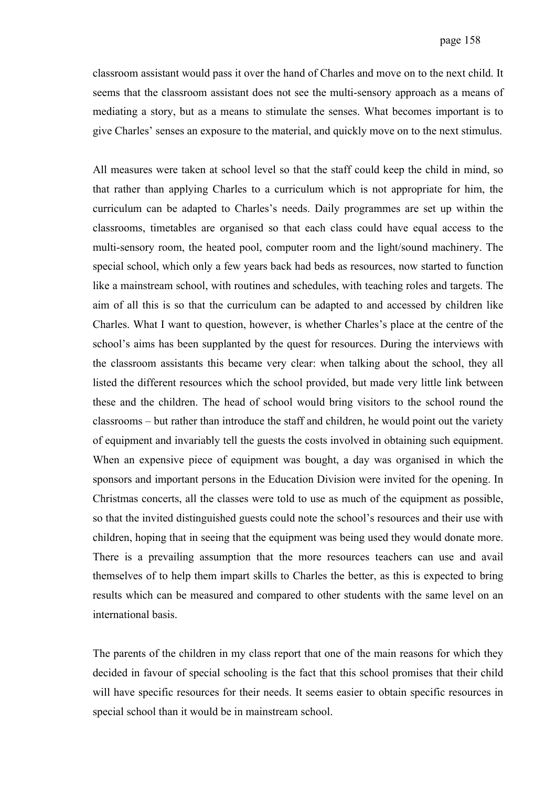classroom assistant would pass it over the hand of Charles and move on to the next child. It seems that the classroom assistant does not see the multi-sensory approach as a means of mediating a story, but as a means to stimulate the senses. What becomes important is to give Charles' senses an exposure to the material, and quickly move on to the next stimulus.

All measures were taken at school level so that the staff could keep the child in mind, so that rather than applying Charles to a curriculum which is not appropriate for him, the curriculum can be adapted to Charles's needs. Daily programmes are set up within the classrooms, timetables are organised so that each class could have equal access to the multi-sensory room, the heated pool, computer room and the light/sound machinery. The special school, which only a few years back had beds as resources, now started to function like a mainstream school, with routines and schedules, with teaching roles and targets. The aim of all this is so that the curriculum can be adapted to and accessed by children like Charles. What I want to question, however, is whether Charles's place at the centre of the school's aims has been supplanted by the quest for resources. During the interviews with the classroom assistants this became very clear: when talking about the school, they all listed the different resources which the school provided, but made very little link between these and the children. The head of school would bring visitors to the school round the classrooms – but rather than introduce the staff and children, he would point out the variety of equipment and invariably tell the guests the costs involved in obtaining such equipment. When an expensive piece of equipment was bought, a day was organised in which the sponsors and important persons in the Education Division were invited for the opening. In Christmas concerts, all the classes were told to use as much of the equipment as possible, so that the invited distinguished guests could note the school's resources and their use with children, hoping that in seeing that the equipment was being used they would donate more. There is a prevailing assumption that the more resources teachers can use and avail themselves of to help them impart skills to Charles the better, as this is expected to bring results which can be measured and compared to other students with the same level on an international basis.

The parents of the children in my class report that one of the main reasons for which they decided in favour of special schooling is the fact that this school promises that their child will have specific resources for their needs. It seems easier to obtain specific resources in special school than it would be in mainstream school.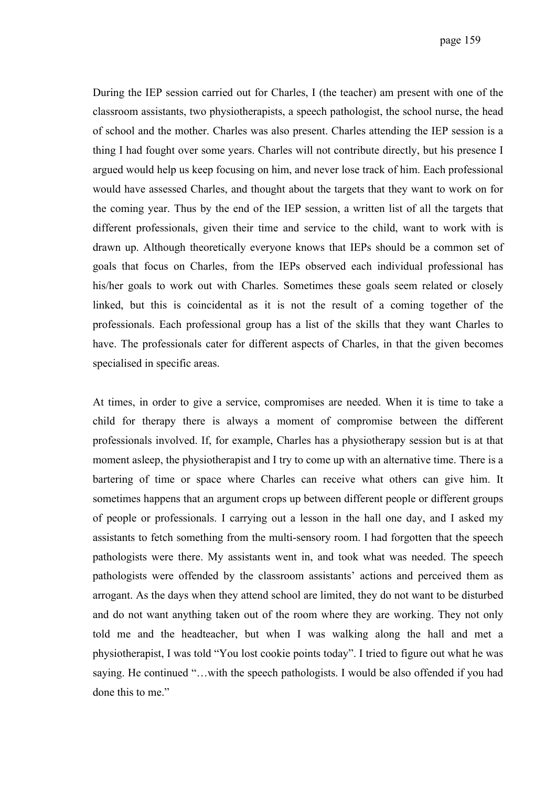During the IEP session carried out for Charles, I (the teacher) am present with one of the classroom assistants, two physiotherapists, a speech pathologist, the school nurse, the head of school and the mother. Charles was also present. Charles attending the IEP session is a thing I had fought over some years. Charles will not contribute directly, but his presence I argued would help us keep focusing on him, and never lose track of him. Each professional would have assessed Charles, and thought about the targets that they want to work on for the coming year. Thus by the end of the IEP session, a written list of all the targets that different professionals, given their time and service to the child, want to work with is drawn up. Although theoretically everyone knows that IEPs should be a common set of goals that focus on Charles, from the IEPs observed each individual professional has his/her goals to work out with Charles. Sometimes these goals seem related or closely linked, but this is coincidental as it is not the result of a coming together of the professionals. Each professional group has a list of the skills that they want Charles to have. The professionals cater for different aspects of Charles, in that the given becomes specialised in specific areas.

At times, in order to give a service, compromises are needed. When it is time to take a child for therapy there is always a moment of compromise between the different professionals involved. If, for example, Charles has a physiotherapy session but is at that moment asleep, the physiotherapist and I try to come up with an alternative time. There is a bartering of time or space where Charles can receive what others can give him. It sometimes happens that an argument crops up between different people or different groups of people or professionals. I carrying out a lesson in the hall one day, and I asked my assistants to fetch something from the multi-sensory room. I had forgotten that the speech pathologists were there. My assistants went in, and took what was needed. The speech pathologists were offended by the classroom assistants' actions and perceived them as arrogant. As the days when they attend school are limited, they do not want to be disturbed and do not want anything taken out of the room where they are working. They not only told me and the headteacher, but when I was walking along the hall and met a physiotherapist, I was told "You lost cookie points today". I tried to figure out what he was saying. He continued "…with the speech pathologists. I would be also offended if you had done this to me."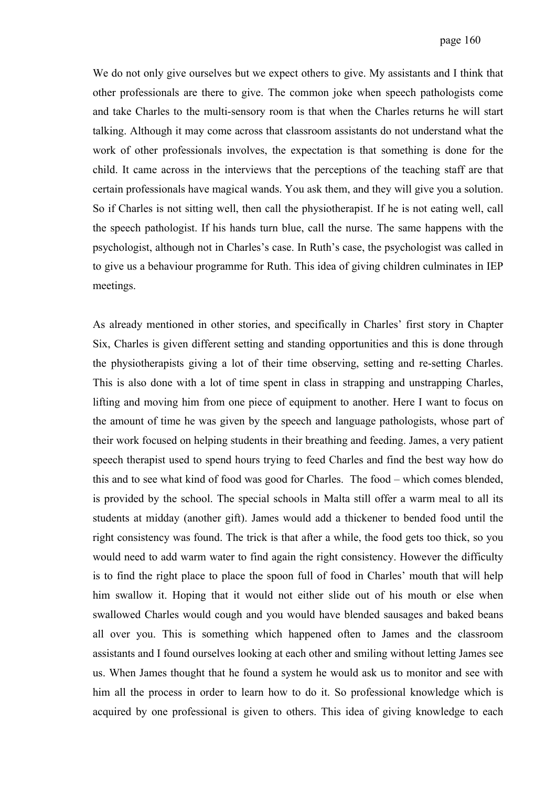We do not only give ourselves but we expect others to give. My assistants and I think that other professionals are there to give. The common joke when speech pathologists come and take Charles to the multi-sensory room is that when the Charles returns he will start talking. Although it may come across that classroom assistants do not understand what the work of other professionals involves, the expectation is that something is done for the child. It came across in the interviews that the perceptions of the teaching staff are that certain professionals have magical wands. You ask them, and they will give you a solution. So if Charles is not sitting well, then call the physiotherapist. If he is not eating well, call the speech pathologist. If his hands turn blue, call the nurse. The same happens with the psychologist, although not in Charles's case. In Ruth's case, the psychologist was called in to give us a behaviour programme for Ruth. This idea of giving children culminates in IEP meetings.

As already mentioned in other stories, and specifically in Charles' first story in Chapter Six, Charles is given different setting and standing opportunities and this is done through the physiotherapists giving a lot of their time observing, setting and re-setting Charles. This is also done with a lot of time spent in class in strapping and unstrapping Charles, lifting and moving him from one piece of equipment to another. Here I want to focus on the amount of time he was given by the speech and language pathologists, whose part of their work focused on helping students in their breathing and feeding. James, a very patient speech therapist used to spend hours trying to feed Charles and find the best way how do this and to see what kind of food was good for Charles. The food – which comes blended, is provided by the school. The special schools in Malta still offer a warm meal to all its students at midday (another gift). James would add a thickener to bended food until the right consistency was found. The trick is that after a while, the food gets too thick, so you would need to add warm water to find again the right consistency. However the difficulty is to find the right place to place the spoon full of food in Charles' mouth that will help him swallow it. Hoping that it would not either slide out of his mouth or else when swallowed Charles would cough and you would have blended sausages and baked beans all over you. This is something which happened often to James and the classroom assistants and I found ourselves looking at each other and smiling without letting James see us. When James thought that he found a system he would ask us to monitor and see with him all the process in order to learn how to do it. So professional knowledge which is acquired by one professional is given to others. This idea of giving knowledge to each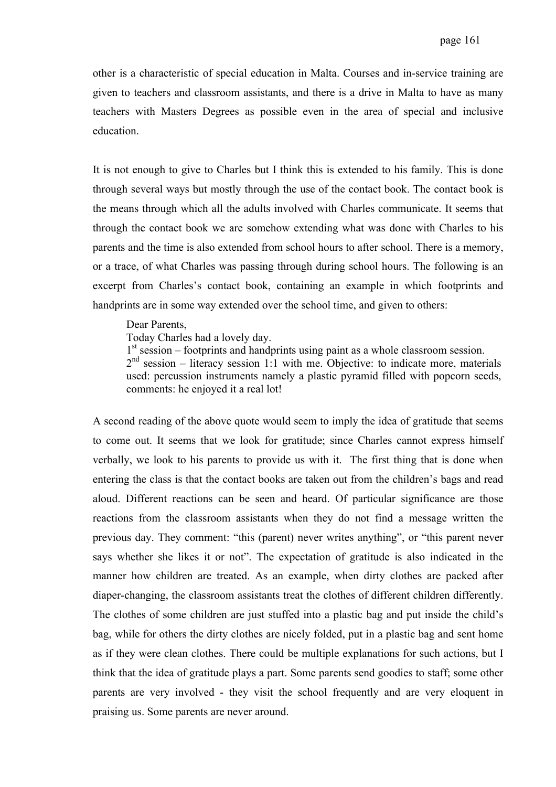other is a characteristic of special education in Malta. Courses and in-service training are given to teachers and classroom assistants, and there is a drive in Malta to have as many teachers with Masters Degrees as possible even in the area of special and inclusive education.

It is not enough to give to Charles but I think this is extended to his family. This is done through several ways but mostly through the use of the contact book. The contact book is the means through which all the adults involved with Charles communicate. It seems that through the contact book we are somehow extending what was done with Charles to his parents and the time is also extended from school hours to after school. There is a memory, or a trace, of what Charles was passing through during school hours. The following is an excerpt from Charles's contact book, containing an example in which footprints and handprints are in some way extended over the school time, and given to others:

#### Dear Parents,

Today Charles had a lovely day.

 $1<sup>st</sup>$  session – footprints and handprints using paint as a whole classroom session.  $2<sup>nd</sup>$  session – literacy session 1:1 with me. Objective: to indicate more, materials used: percussion instruments namely a plastic pyramid filled with popcorn seeds, comments: he enjoyed it a real lot!

A second reading of the above quote would seem to imply the idea of gratitude that seems to come out. It seems that we look for gratitude; since Charles cannot express himself verbally, we look to his parents to provide us with it. The first thing that is done when entering the class is that the contact books are taken out from the children's bags and read aloud. Different reactions can be seen and heard. Of particular significance are those reactions from the classroom assistants when they do not find a message written the previous day. They comment: "this (parent) never writes anything", or "this parent never says whether she likes it or not". The expectation of gratitude is also indicated in the manner how children are treated. As an example, when dirty clothes are packed after diaper-changing, the classroom assistants treat the clothes of different children differently. The clothes of some children are just stuffed into a plastic bag and put inside the child's bag, while for others the dirty clothes are nicely folded, put in a plastic bag and sent home as if they were clean clothes. There could be multiple explanations for such actions, but I think that the idea of gratitude plays a part. Some parents send goodies to staff; some other parents are very involved - they visit the school frequently and are very eloquent in praising us. Some parents are never around.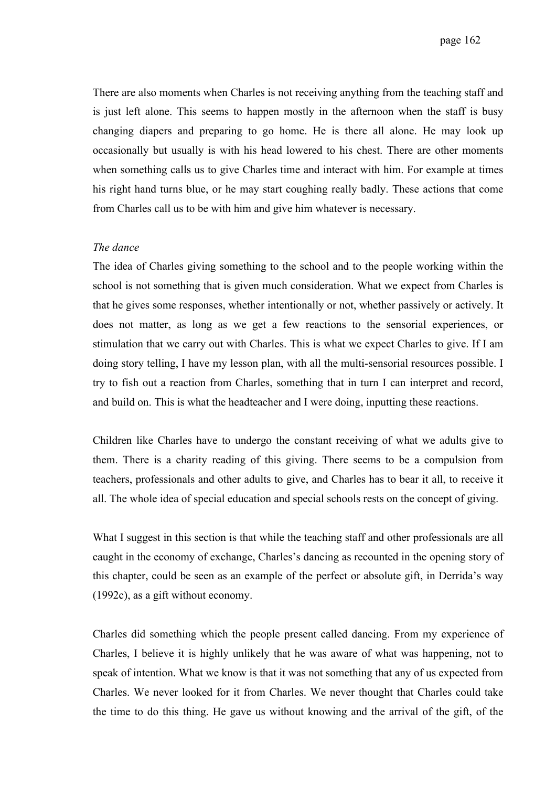There are also moments when Charles is not receiving anything from the teaching staff and is just left alone. This seems to happen mostly in the afternoon when the staff is busy changing diapers and preparing to go home. He is there all alone. He may look up occasionally but usually is with his head lowered to his chest. There are other moments when something calls us to give Charles time and interact with him. For example at times his right hand turns blue, or he may start coughing really badly. These actions that come from Charles call us to be with him and give him whatever is necessary.

# *The dance*

The idea of Charles giving something to the school and to the people working within the school is not something that is given much consideration. What we expect from Charles is that he gives some responses, whether intentionally or not, whether passively or actively. It does not matter, as long as we get a few reactions to the sensorial experiences, or stimulation that we carry out with Charles. This is what we expect Charles to give. If I am doing story telling, I have my lesson plan, with all the multi-sensorial resources possible. I try to fish out a reaction from Charles, something that in turn I can interpret and record, and build on. This is what the headteacher and I were doing, inputting these reactions.

Children like Charles have to undergo the constant receiving of what we adults give to them. There is a charity reading of this giving. There seems to be a compulsion from teachers, professionals and other adults to give, and Charles has to bear it all, to receive it all. The whole idea of special education and special schools rests on the concept of giving.

What I suggest in this section is that while the teaching staff and other professionals are all caught in the economy of exchange, Charles's dancing as recounted in the opening story of this chapter, could be seen as an example of the perfect or absolute gift, in Derrida's way (1992c), as a gift without economy.

Charles did something which the people present called dancing. From my experience of Charles, I believe it is highly unlikely that he was aware of what was happening, not to speak of intention. What we know is that it was not something that any of us expected from Charles. We never looked for it from Charles. We never thought that Charles could take the time to do this thing. He gave us without knowing and the arrival of the gift, of the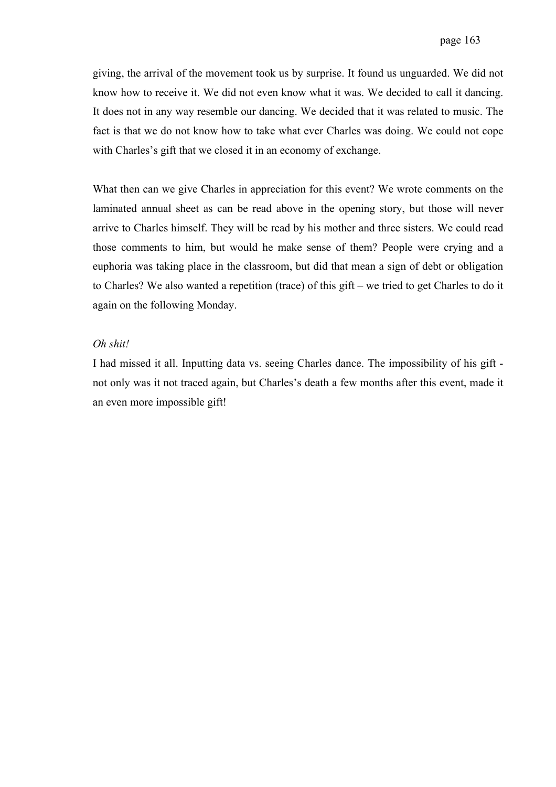giving, the arrival of the movement took us by surprise. It found us unguarded. We did not know how to receive it. We did not even know what it was. We decided to call it dancing. It does not in any way resemble our dancing. We decided that it was related to music. The fact is that we do not know how to take what ever Charles was doing. We could not cope with Charles's gift that we closed it in an economy of exchange.

What then can we give Charles in appreciation for this event? We wrote comments on the laminated annual sheet as can be read above in the opening story, but those will never arrive to Charles himself. They will be read by his mother and three sisters. We could read those comments to him, but would he make sense of them? People were crying and a euphoria was taking place in the classroom, but did that mean a sign of debt or obligation to Charles? We also wanted a repetition (trace) of this gift – we tried to get Charles to do it again on the following Monday.

# *Oh shit!*

I had missed it all. Inputting data vs. seeing Charles dance. The impossibility of his gift not only was it not traced again, but Charles's death a few months after this event, made it an even more impossible gift!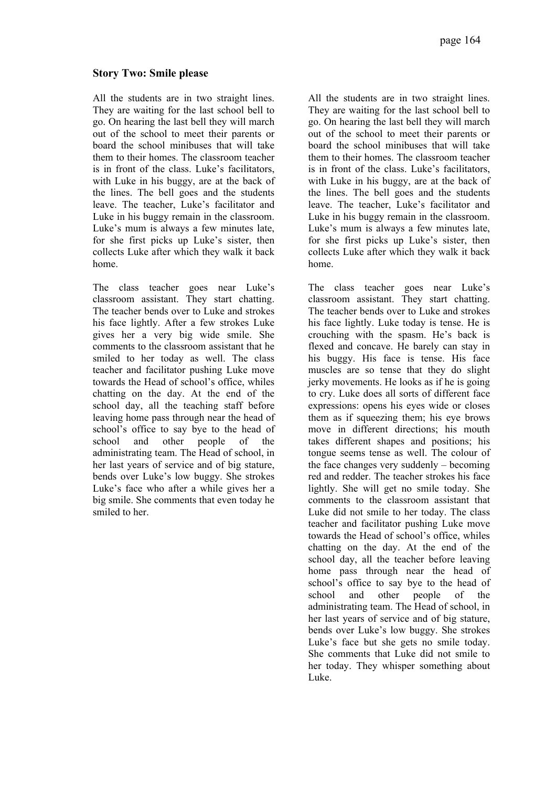## **Story Two: Smile please**

All the students are in two straight lines. They are waiting for the last school bell to go. On hearing the last bell they will march out of the school to meet their parents or board the school minibuses that will take them to their homes. The classroom teacher is in front of the class. Luke's facilitators, with Luke in his buggy, are at the back of the lines. The bell goes and the students leave. The teacher, Luke's facilitator and Luke in his buggy remain in the classroom. Luke's mum is always a few minutes late, for she first picks up Luke's sister, then collects Luke after which they walk it back home.

The class teacher goes near Luke's classroom assistant. They start chatting. The teacher bends over to Luke and strokes his face lightly. After a few strokes Luke gives her a very big wide smile. She comments to the classroom assistant that he smiled to her today as well. The class teacher and facilitator pushing Luke move towards the Head of school's office, whiles chatting on the day. At the end of the school day, all the teaching staff before leaving home pass through near the head of school's office to say bye to the head of school and other people of the administrating team. The Head of school, in her last years of service and of big stature, bends over Luke's low buggy. She strokes Luke's face who after a while gives her a big smile. She comments that even today he smiled to her.

All the students are in two straight lines. They are waiting for the last school bell to go. On hearing the last bell they will march out of the school to meet their parents or board the school minibuses that will take them to their homes. The classroom teacher is in front of the class. Luke's facilitators, with Luke in his buggy, are at the back of the lines. The bell goes and the students leave. The teacher, Luke's facilitator and Luke in his buggy remain in the classroom. Luke's mum is always a few minutes late, for she first picks up Luke's sister, then collects Luke after which they walk it back home.

The class teacher goes near Luke's classroom assistant. They start chatting. The teacher bends over to Luke and strokes his face lightly. Luke today is tense. He is crouching with the spasm. He's back is flexed and concave. He barely can stay in his buggy. His face is tense. His face muscles are so tense that they do slight jerky movements. He looks as if he is going to cry. Luke does all sorts of different face expressions: opens his eyes wide or closes them as if squeezing them; his eye brows move in different directions; his mouth takes different shapes and positions; his tongue seems tense as well. The colour of the face changes very suddenly – becoming red and redder. The teacher strokes his face lightly. She will get no smile today. She comments to the classroom assistant that Luke did not smile to her today. The class teacher and facilitator pushing Luke move towards the Head of school's office, whiles chatting on the day. At the end of the school day, all the teacher before leaving home pass through near the head of school's office to say bye to the head of school and other people of the administrating team. The Head of school, in her last years of service and of big stature, bends over Luke's low buggy. She strokes Luke's face but she gets no smile today. She comments that Luke did not smile to her today. They whisper something about Luke.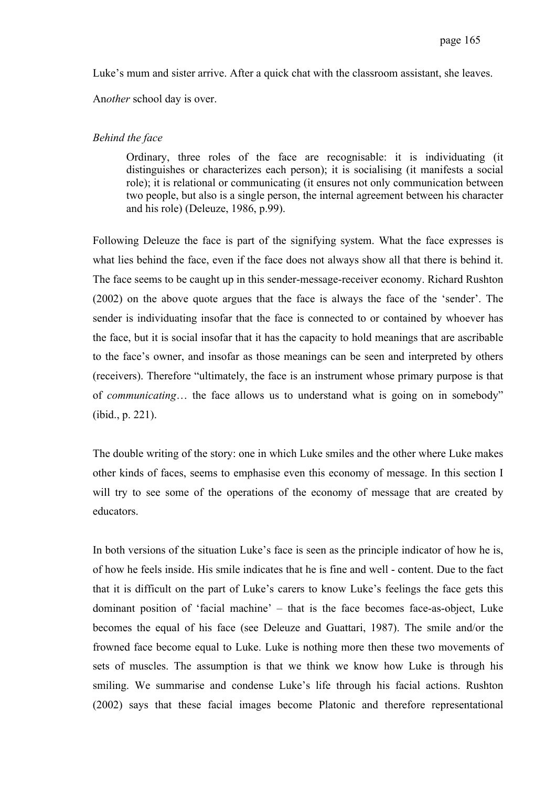Luke's mum and sister arrive. After a quick chat with the classroom assistant, she leaves. An*other* school day is over.

# *Behind the face*

Ordinary, three roles of the face are recognisable: it is individuating (it distinguishes or characterizes each person); it is socialising (it manifests a social role); it is relational or communicating (it ensures not only communication between two people, but also is a single person, the internal agreement between his character and his role) (Deleuze, 1986, p.99).

Following Deleuze the face is part of the signifying system. What the face expresses is what lies behind the face, even if the face does not always show all that there is behind it. The face seems to be caught up in this sender-message-receiver economy. Richard Rushton (2002) on the above quote argues that the face is always the face of the 'sender'. The sender is individuating insofar that the face is connected to or contained by whoever has the face, but it is social insofar that it has the capacity to hold meanings that are ascribable to the face's owner, and insofar as those meanings can be seen and interpreted by others (receivers). Therefore "ultimately, the face is an instrument whose primary purpose is that of *communicating*… the face allows us to understand what is going on in somebody" (ibid., p. 221).

The double writing of the story: one in which Luke smiles and the other where Luke makes other kinds of faces, seems to emphasise even this economy of message. In this section I will try to see some of the operations of the economy of message that are created by educators.

In both versions of the situation Luke's face is seen as the principle indicator of how he is, of how he feels inside. His smile indicates that he is fine and well - content. Due to the fact that it is difficult on the part of Luke's carers to know Luke's feelings the face gets this dominant position of 'facial machine' – that is the face becomes face-as-object, Luke becomes the equal of his face (see Deleuze and Guattari, 1987). The smile and/or the frowned face become equal to Luke. Luke is nothing more then these two movements of sets of muscles. The assumption is that we think we know how Luke is through his smiling. We summarise and condense Luke's life through his facial actions. Rushton (2002) says that these facial images become Platonic and therefore representational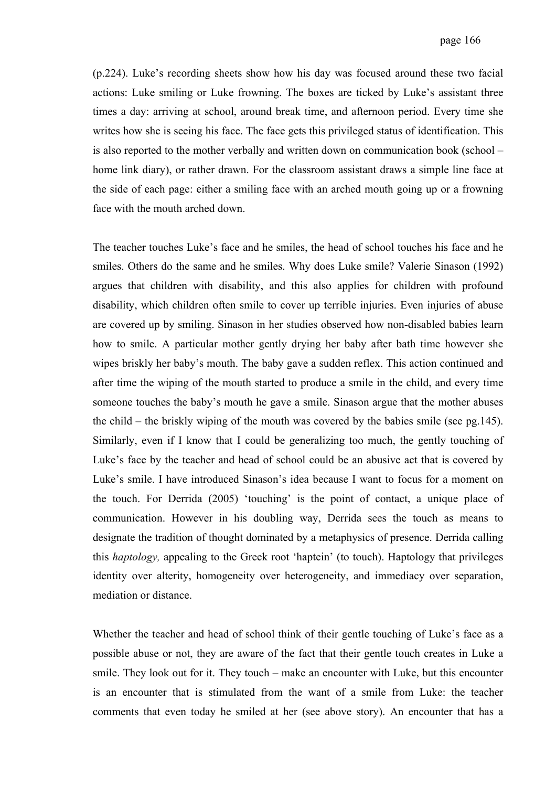(p.224). Luke's recording sheets show how his day was focused around these two facial actions: Luke smiling or Luke frowning. The boxes are ticked by Luke's assistant three times a day: arriving at school, around break time, and afternoon period. Every time she writes how she is seeing his face. The face gets this privileged status of identification. This is also reported to the mother verbally and written down on communication book (school – home link diary), or rather drawn. For the classroom assistant draws a simple line face at the side of each page: either a smiling face with an arched mouth going up or a frowning face with the mouth arched down.

The teacher touches Luke's face and he smiles, the head of school touches his face and he smiles. Others do the same and he smiles. Why does Luke smile? Valerie Sinason (1992) argues that children with disability, and this also applies for children with profound disability, which children often smile to cover up terrible injuries. Even injuries of abuse are covered up by smiling. Sinason in her studies observed how non-disabled babies learn how to smile. A particular mother gently drying her baby after bath time however she wipes briskly her baby's mouth. The baby gave a sudden reflex. This action continued and after time the wiping of the mouth started to produce a smile in the child, and every time someone touches the baby's mouth he gave a smile. Sinason argue that the mother abuses the child – the briskly wiping of the mouth was covered by the babies smile (see pg.145). Similarly, even if I know that I could be generalizing too much, the gently touching of Luke's face by the teacher and head of school could be an abusive act that is covered by Luke's smile. I have introduced Sinason's idea because I want to focus for a moment on the touch. For Derrida (2005) 'touching' is the point of contact, a unique place of communication. However in his doubling way, Derrida sees the touch as means to designate the tradition of thought dominated by a metaphysics of presence. Derrida calling this *haptology,* appealing to the Greek root 'haptein' (to touch). Haptology that privileges identity over alterity, homogeneity over heterogeneity, and immediacy over separation, mediation or distance.

Whether the teacher and head of school think of their gentle touching of Luke's face as a possible abuse or not, they are aware of the fact that their gentle touch creates in Luke a smile. They look out for it. They touch – make an encounter with Luke, but this encounter is an encounter that is stimulated from the want of a smile from Luke: the teacher comments that even today he smiled at her (see above story). An encounter that has a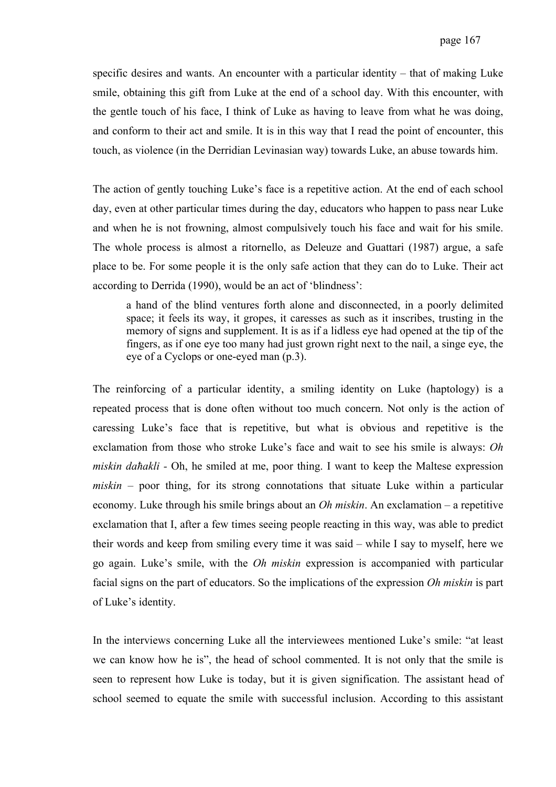specific desires and wants. An encounter with a particular identity – that of making Luke smile, obtaining this gift from Luke at the end of a school day. With this encounter, with the gentle touch of his face, I think of Luke as having to leave from what he was doing, and conform to their act and smile. It is in this way that I read the point of encounter, this touch, as violence (in the Derridian Levinasian way) towards Luke, an abuse towards him.

The action of gently touching Luke's face is a repetitive action. At the end of each school day, even at other particular times during the day, educators who happen to pass near Luke and when he is not frowning, almost compulsively touch his face and wait for his smile. The whole process is almost a ritornello, as Deleuze and Guattari (1987) argue, a safe place to be. For some people it is the only safe action that they can do to Luke. Their act according to Derrida (1990), would be an act of 'blindness':

a hand of the blind ventures forth alone and disconnected, in a poorly delimited space; it feels its way, it gropes, it caresses as such as it inscribes, trusting in the memory of signs and supplement. It is as if a lidless eye had opened at the tip of the fingers, as if one eye too many had just grown right next to the nail, a singe eye, the eye of a Cyclops or one-eyed man (p.3).

The reinforcing of a particular identity, a smiling identity on Luke (haptology) is a repeated process that is done often without too much concern. Not only is the action of caressing Luke's face that is repetitive, but what is obvious and repetitive is the exclamation from those who stroke Luke's face and wait to see his smile is always: *Oh miskin daħakli -* Oh, he smiled at me, poor thing. I want to keep the Maltese expression *miskin* – poor thing, for its strong connotations that situate Luke within a particular economy. Luke through his smile brings about an *Oh miskin*. An exclamation – a repetitive exclamation that I, after a few times seeing people reacting in this way, was able to predict their words and keep from smiling every time it was said – while I say to myself, here we go again. Luke's smile, with the *Oh miskin* expression is accompanied with particular facial signs on the part of educators. So the implications of the expression *Oh miskin* is part of Luke's identity.

In the interviews concerning Luke all the interviewees mentioned Luke's smile: "at least we can know how he is", the head of school commented. It is not only that the smile is seen to represent how Luke is today, but it is given signification. The assistant head of school seemed to equate the smile with successful inclusion. According to this assistant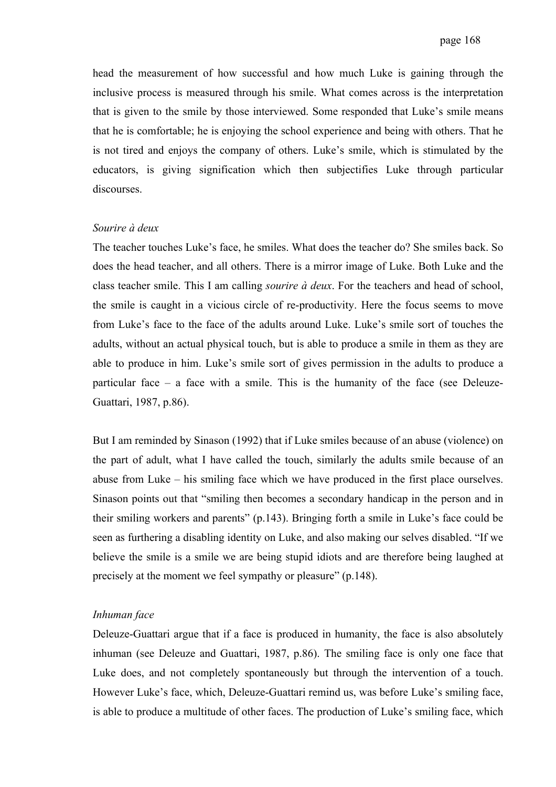head the measurement of how successful and how much Luke is gaining through the inclusive process is measured through his smile. What comes across is the interpretation that is given to the smile by those interviewed. Some responded that Luke's smile means that he is comfortable; he is enjoying the school experience and being with others. That he is not tired and enjoys the company of others. Luke's smile, which is stimulated by the educators, is giving signification which then subjectifies Luke through particular discourses.

#### *Sourire à deux*

The teacher touches Luke's face, he smiles. What does the teacher do? She smiles back. So does the head teacher, and all others. There is a mirror image of Luke. Both Luke and the class teacher smile. This I am calling *sourire à deux*. For the teachers and head of school, the smile is caught in a vicious circle of re-productivity. Here the focus seems to move from Luke's face to the face of the adults around Luke. Luke's smile sort of touches the adults, without an actual physical touch, but is able to produce a smile in them as they are able to produce in him. Luke's smile sort of gives permission in the adults to produce a particular face – a face with a smile. This is the humanity of the face (see Deleuze-Guattari, 1987, p.86).

But I am reminded by Sinason (1992) that if Luke smiles because of an abuse (violence) on the part of adult, what I have called the touch, similarly the adults smile because of an abuse from Luke – his smiling face which we have produced in the first place ourselves. Sinason points out that "smiling then becomes a secondary handicap in the person and in their smiling workers and parents" (p.143). Bringing forth a smile in Luke's face could be seen as furthering a disabling identity on Luke, and also making our selves disabled. "If we believe the smile is a smile we are being stupid idiots and are therefore being laughed at precisely at the moment we feel sympathy or pleasure" (p.148).

### *Inhuman face*

Deleuze-Guattari argue that if a face is produced in humanity, the face is also absolutely inhuman (see Deleuze and Guattari, 1987, p.86). The smiling face is only one face that Luke does, and not completely spontaneously but through the intervention of a touch. However Luke's face, which, Deleuze-Guattari remind us, was before Luke's smiling face, is able to produce a multitude of other faces. The production of Luke's smiling face, which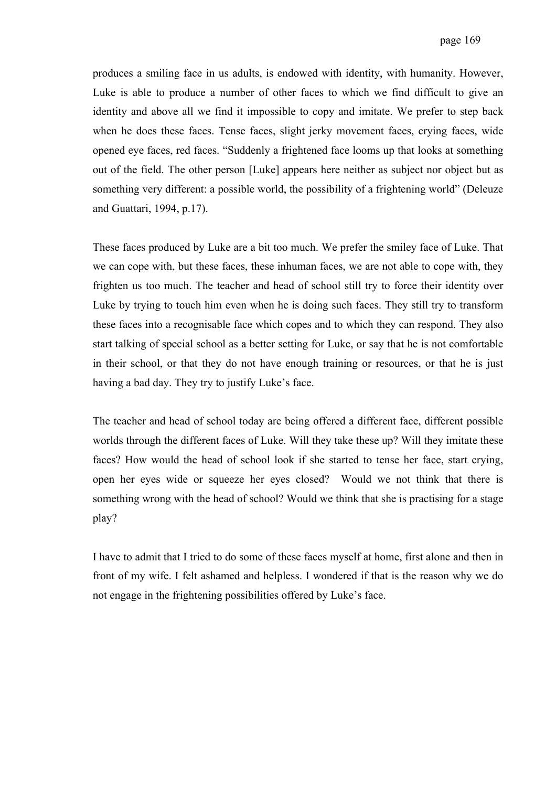produces a smiling face in us adults, is endowed with identity, with humanity. However, Luke is able to produce a number of other faces to which we find difficult to give an identity and above all we find it impossible to copy and imitate. We prefer to step back when he does these faces. Tense faces, slight jerky movement faces, crying faces, wide opened eye faces, red faces. "Suddenly a frightened face looms up that looks at something out of the field. The other person [Luke] appears here neither as subject nor object but as something very different: a possible world, the possibility of a frightening world" (Deleuze and Guattari, 1994, p.17).

These faces produced by Luke are a bit too much. We prefer the smiley face of Luke. That we can cope with, but these faces, these inhuman faces, we are not able to cope with, they frighten us too much. The teacher and head of school still try to force their identity over Luke by trying to touch him even when he is doing such faces. They still try to transform these faces into a recognisable face which copes and to which they can respond. They also start talking of special school as a better setting for Luke, or say that he is not comfortable in their school, or that they do not have enough training or resources, or that he is just having a bad day. They try to justify Luke's face.

The teacher and head of school today are being offered a different face, different possible worlds through the different faces of Luke. Will they take these up? Will they imitate these faces? How would the head of school look if she started to tense her face, start crying, open her eyes wide or squeeze her eyes closed? Would we not think that there is something wrong with the head of school? Would we think that she is practising for a stage play?

I have to admit that I tried to do some of these faces myself at home, first alone and then in front of my wife. I felt ashamed and helpless. I wondered if that is the reason why we do not engage in the frightening possibilities offered by Luke's face.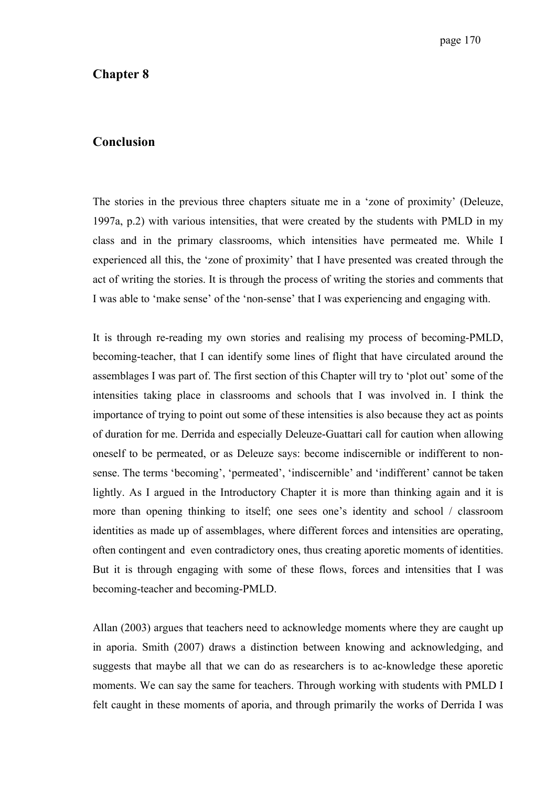# **Chapter 8**

# **Conclusion**

The stories in the previous three chapters situate me in a 'zone of proximity' (Deleuze, 1997a, p.2) with various intensities, that were created by the students with PMLD in my class and in the primary classrooms, which intensities have permeated me. While I experienced all this, the 'zone of proximity' that I have presented was created through the act of writing the stories. It is through the process of writing the stories and comments that I was able to 'make sense' of the 'non-sense' that I was experiencing and engaging with.

It is through re-reading my own stories and realising my process of becoming-PMLD, becoming-teacher, that I can identify some lines of flight that have circulated around the assemblages I was part of. The first section of this Chapter will try to 'plot out' some of the intensities taking place in classrooms and schools that I was involved in. I think the importance of trying to point out some of these intensities is also because they act as points of duration for me. Derrida and especially Deleuze-Guattari call for caution when allowing oneself to be permeated, or as Deleuze says: become indiscernible or indifferent to nonsense. The terms 'becoming', 'permeated', 'indiscernible' and 'indifferent' cannot be taken lightly. As I argued in the Introductory Chapter it is more than thinking again and it is more than opening thinking to itself; one sees one's identity and school / classroom identities as made up of assemblages, where different forces and intensities are operating, often contingent and even contradictory ones, thus creating aporetic moments of identities. But it is through engaging with some of these flows, forces and intensities that I was becoming-teacher and becoming-PMLD.

Allan (2003) argues that teachers need to acknowledge moments where they are caught up in aporia. Smith (2007) draws a distinction between knowing and acknowledging, and suggests that maybe all that we can do as researchers is to ac-knowledge these aporetic moments. We can say the same for teachers. Through working with students with PMLD I felt caught in these moments of aporia, and through primarily the works of Derrida I was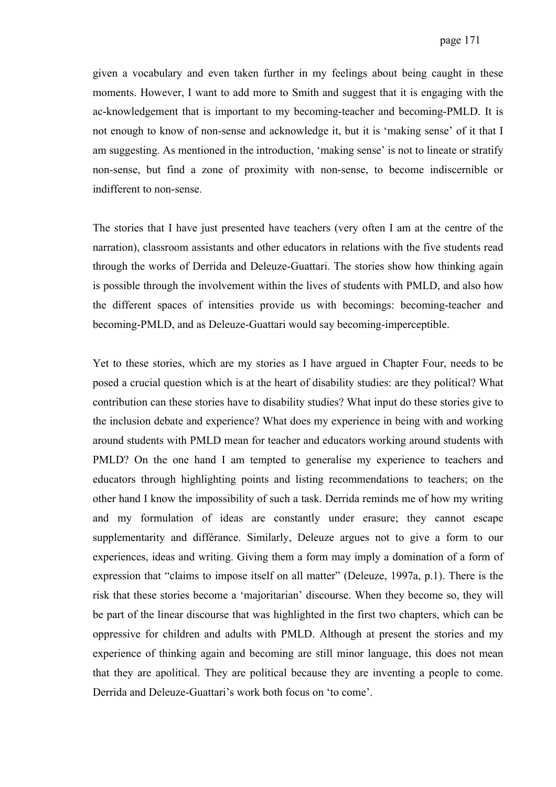given a vocabulary and even taken further in my feelings about being caught in these moments. However, I want to add more to Smith and suggest that it is engaging with the ac-knowledgement that is important to my becoming-teacher and becoming-PMLD. It is not enough to know of non-sense and acknowledge it, but it is 'making sense' of it that I am suggesting. As mentioned in the introduction, 'making sense' is not to lineate or stratify non-sense, but find a zone of proximity with non-sense, to become indiscernible or indifferent to non-sense.

The stories that I have just presented have teachers (very often I am at the centre of the narration), classroom assistants and other educators in relations with the five students read through the works of Derrida and Deleuze-Guattari. The stories show how thinking again is possible through the involvement within the lives of students with PMLD, and also how the different spaces of intensities provide us with becomings: becoming-teacher and becoming-PMLD, and as Deleuze-Guattari would say becoming-imperceptible.

Yet to these stories, which are my stories as I have argued in Chapter Four, needs to be posed a crucial question which is at the heart of disability studies: are they political? What contribution can these stories have to disability studies? What input do these stories give to the inclusion debate and experience? What does my experience in being with and working around students with PMLD mean for teacher and educators working around students with PMLD? On the one hand I am tempted to generalise my experience to teachers and educators through highlighting points and listing recommendations to teachers; on the other hand I know the impossibility of such a task. Derrida reminds me of how my writing and my formulation of ideas are constantly under erasure; they cannot escape supplementarity and différance. Similarly, Deleuze argues not to give a form to our experiences, ideas and writing. Giving them a form may imply a domination of a form of expression that "claims to impose itself on all matter" (Deleuze, 1997a, p.1). There is the risk that these stories become a 'majoritarian' discourse. When they become so, they will be part of the linear discourse that was highlighted in the first two chapters, which can be oppressive for children and adults with PMLD. Although at present the stories and my experience of thinking again and becoming are still minor language, this does not mean that they are apolitical. They are political because they are inventing a people to come. Derrida and Deleuze-Guattari's work both focus on 'to come'.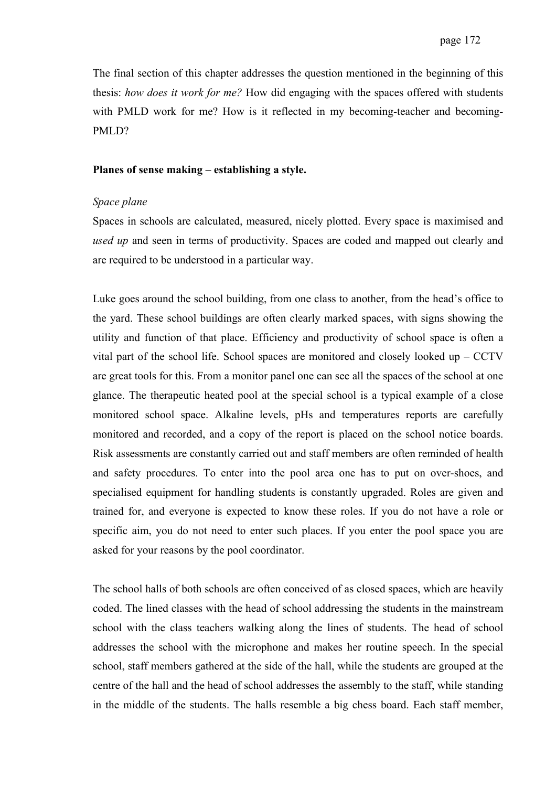The final section of this chapter addresses the question mentioned in the beginning of this thesis: *how does it work for me?* How did engaging with the spaces offered with students with PMLD work for me? How is it reflected in my becoming-teacher and becoming-PMLD?

### **Planes of sense making – establishing a style.**

#### *Space plane*

Spaces in schools are calculated, measured, nicely plotted. Every space is maximised and *used up* and seen in terms of productivity. Spaces are coded and mapped out clearly and are required to be understood in a particular way.

Luke goes around the school building, from one class to another, from the head's office to the yard. These school buildings are often clearly marked spaces, with signs showing the utility and function of that place. Efficiency and productivity of school space is often a vital part of the school life. School spaces are monitored and closely looked up – CCTV are great tools for this. From a monitor panel one can see all the spaces of the school at one glance. The therapeutic heated pool at the special school is a typical example of a close monitored school space. Alkaline levels, pHs and temperatures reports are carefully monitored and recorded, and a copy of the report is placed on the school notice boards. Risk assessments are constantly carried out and staff members are often reminded of health and safety procedures. To enter into the pool area one has to put on over-shoes, and specialised equipment for handling students is constantly upgraded. Roles are given and trained for, and everyone is expected to know these roles. If you do not have a role or specific aim, you do not need to enter such places. If you enter the pool space you are asked for your reasons by the pool coordinator.

The school halls of both schools are often conceived of as closed spaces, which are heavily coded. The lined classes with the head of school addressing the students in the mainstream school with the class teachers walking along the lines of students. The head of school addresses the school with the microphone and makes her routine speech. In the special school, staff members gathered at the side of the hall, while the students are grouped at the centre of the hall and the head of school addresses the assembly to the staff, while standing in the middle of the students. The halls resemble a big chess board. Each staff member,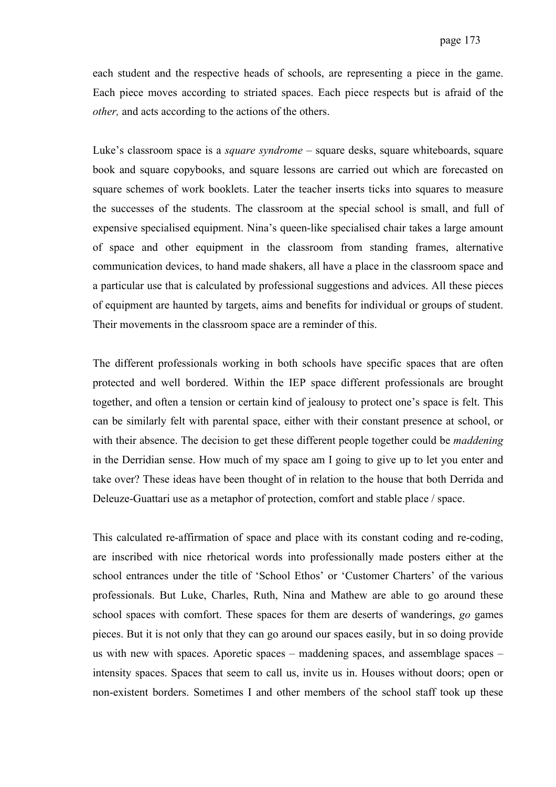each student and the respective heads of schools, are representing a piece in the game. Each piece moves according to striated spaces. Each piece respects but is afraid of the *other,* and acts according to the actions of the others.

Luke's classroom space is a *square syndrome* – square desks, square whiteboards, square book and square copybooks, and square lessons are carried out which are forecasted on square schemes of work booklets. Later the teacher inserts ticks into squares to measure the successes of the students. The classroom at the special school is small, and full of expensive specialised equipment. Nina's queen-like specialised chair takes a large amount of space and other equipment in the classroom from standing frames, alternative communication devices, to hand made shakers, all have a place in the classroom space and a particular use that is calculated by professional suggestions and advices. All these pieces of equipment are haunted by targets, aims and benefits for individual or groups of student. Their movements in the classroom space are a reminder of this.

The different professionals working in both schools have specific spaces that are often protected and well bordered. Within the IEP space different professionals are brought together, and often a tension or certain kind of jealousy to protect one's space is felt. This can be similarly felt with parental space, either with their constant presence at school, or with their absence. The decision to get these different people together could be *maddening* in the Derridian sense. How much of my space am I going to give up to let you enter and take over? These ideas have been thought of in relation to the house that both Derrida and Deleuze-Guattari use as a metaphor of protection, comfort and stable place / space.

This calculated re-affirmation of space and place with its constant coding and re-coding, are inscribed with nice rhetorical words into professionally made posters either at the school entrances under the title of 'School Ethos' or 'Customer Charters' of the various professionals. But Luke, Charles, Ruth, Nina and Mathew are able to go around these school spaces with comfort. These spaces for them are deserts of wanderings, *go* games pieces. But it is not only that they can go around our spaces easily, but in so doing provide us with new with spaces. Aporetic spaces – maddening spaces, and assemblage spaces – intensity spaces. Spaces that seem to call us, invite us in. Houses without doors; open or non-existent borders. Sometimes I and other members of the school staff took up these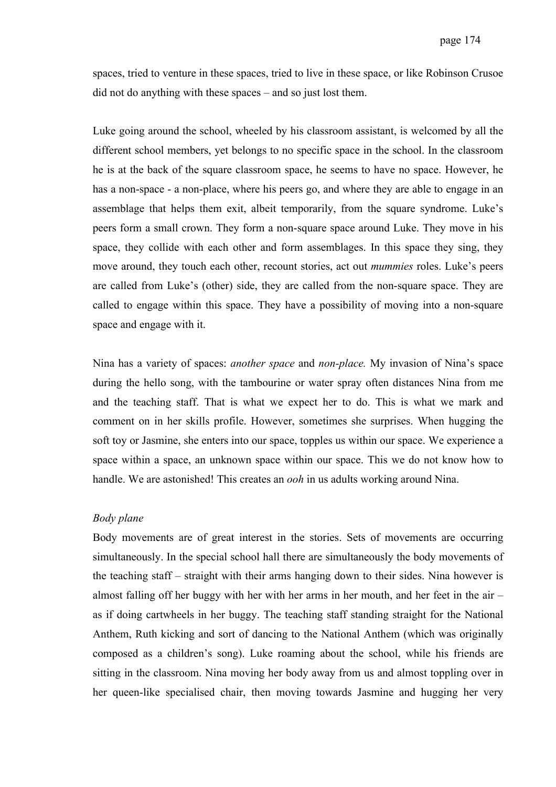spaces, tried to venture in these spaces, tried to live in these space, or like Robinson Crusoe did not do anything with these spaces – and so just lost them.

Luke going around the school, wheeled by his classroom assistant, is welcomed by all the different school members, yet belongs to no specific space in the school. In the classroom he is at the back of the square classroom space, he seems to have no space. However, he has a non-space - a non-place, where his peers go, and where they are able to engage in an assemblage that helps them exit, albeit temporarily, from the square syndrome. Luke's peers form a small crown. They form a non-square space around Luke. They move in his space, they collide with each other and form assemblages. In this space they sing, they move around, they touch each other, recount stories, act out *mummies* roles. Luke's peers are called from Luke's (other) side, they are called from the non-square space. They are called to engage within this space. They have a possibility of moving into a non-square space and engage with it.

Nina has a variety of spaces: *another space* and *non-place.* My invasion of Nina's space during the hello song, with the tambourine or water spray often distances Nina from me and the teaching staff. That is what we expect her to do. This is what we mark and comment on in her skills profile. However, sometimes she surprises. When hugging the soft toy or Jasmine, she enters into our space, topples us within our space. We experience a space within a space, an unknown space within our space. This we do not know how to handle. We are astonished! This creates an *ooh* in us adults working around Nina.

# *Body plane*

Body movements are of great interest in the stories. Sets of movements are occurring simultaneously. In the special school hall there are simultaneously the body movements of the teaching staff – straight with their arms hanging down to their sides. Nina however is almost falling off her buggy with her with her arms in her mouth, and her feet in the air – as if doing cartwheels in her buggy. The teaching staff standing straight for the National Anthem, Ruth kicking and sort of dancing to the National Anthem (which was originally composed as a children's song). Luke roaming about the school, while his friends are sitting in the classroom. Nina moving her body away from us and almost toppling over in her queen-like specialised chair, then moving towards Jasmine and hugging her very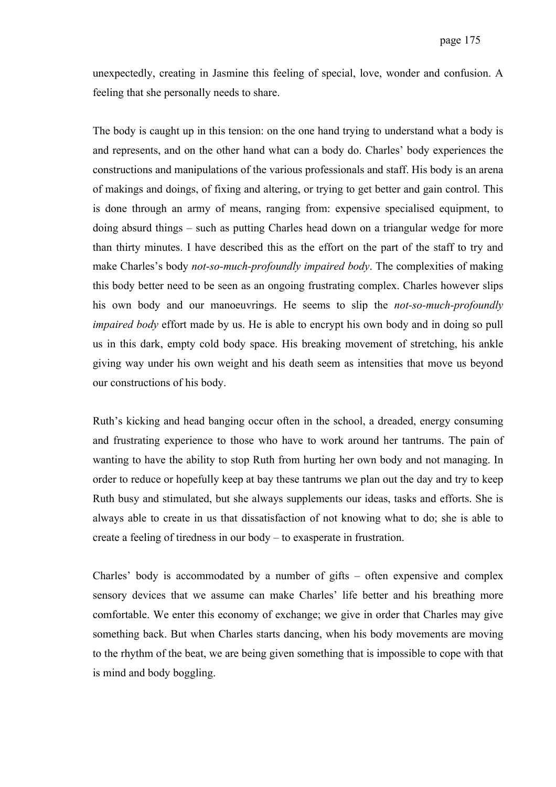unexpectedly, creating in Jasmine this feeling of special, love, wonder and confusion. A feeling that she personally needs to share.

The body is caught up in this tension: on the one hand trying to understand what a body is and represents, and on the other hand what can a body do. Charles' body experiences the constructions and manipulations of the various professionals and staff. His body is an arena of makings and doings, of fixing and altering, or trying to get better and gain control. This is done through an army of means, ranging from: expensive specialised equipment, to doing absurd things – such as putting Charles head down on a triangular wedge for more than thirty minutes. I have described this as the effort on the part of the staff to try and make Charles's body *not-so-much-profoundly impaired body*. The complexities of making this body better need to be seen as an ongoing frustrating complex. Charles however slips his own body and our manoeuvrings. He seems to slip the *not-so-much-profoundly impaired body* effort made by us. He is able to encrypt his own body and in doing so pull us in this dark, empty cold body space. His breaking movement of stretching, his ankle giving way under his own weight and his death seem as intensities that move us beyond our constructions of his body.

Ruth's kicking and head banging occur often in the school, a dreaded, energy consuming and frustrating experience to those who have to work around her tantrums. The pain of wanting to have the ability to stop Ruth from hurting her own body and not managing. In order to reduce or hopefully keep at bay these tantrums we plan out the day and try to keep Ruth busy and stimulated, but she always supplements our ideas, tasks and efforts. She is always able to create in us that dissatisfaction of not knowing what to do; she is able to create a feeling of tiredness in our body – to exasperate in frustration.

Charles' body is accommodated by a number of gifts – often expensive and complex sensory devices that we assume can make Charles' life better and his breathing more comfortable. We enter this economy of exchange; we give in order that Charles may give something back. But when Charles starts dancing, when his body movements are moving to the rhythm of the beat, we are being given something that is impossible to cope with that is mind and body boggling.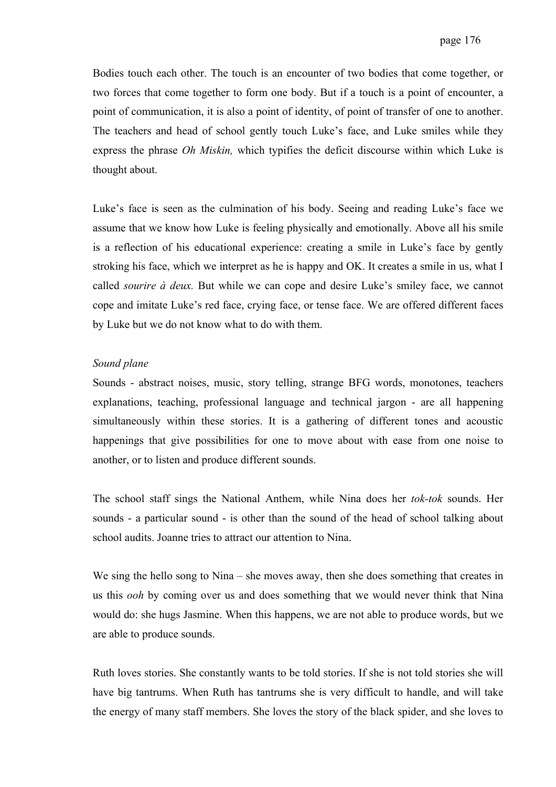Bodies touch each other. The touch is an encounter of two bodies that come together, or two forces that come together to form one body. But if a touch is a point of encounter, a point of communication, it is also a point of identity, of point of transfer of one to another. The teachers and head of school gently touch Luke's face, and Luke smiles while they express the phrase *Oh Miskin,* which typifies the deficit discourse within which Luke is thought about.

Luke's face is seen as the culmination of his body. Seeing and reading Luke's face we assume that we know how Luke is feeling physically and emotionally. Above all his smile is a reflection of his educational experience: creating a smile in Luke's face by gently stroking his face, which we interpret as he is happy and OK. It creates a smile in us, what I called *sourire à deux.* But while we can cope and desire Luke's smiley face, we cannot cope and imitate Luke's red face, crying face, or tense face. We are offered different faces by Luke but we do not know what to do with them.

# *Sound plane*

Sounds - abstract noises, music, story telling, strange BFG words, monotones, teachers explanations, teaching, professional language and technical jargon - are all happening simultaneously within these stories. It is a gathering of different tones and acoustic happenings that give possibilities for one to move about with ease from one noise to another, or to listen and produce different sounds.

The school staff sings the National Anthem, while Nina does her *tok-tok* sounds. Her sounds - a particular sound - is other than the sound of the head of school talking about school audits. Joanne tries to attract our attention to Nina.

We sing the hello song to Nina – she moves away, then she does something that creates in us this *ooh* by coming over us and does something that we would never think that Nina would do: she hugs Jasmine. When this happens, we are not able to produce words, but we are able to produce sounds.

Ruth loves stories. She constantly wants to be told stories. If she is not told stories she will have big tantrums. When Ruth has tantrums she is very difficult to handle, and will take the energy of many staff members. She loves the story of the black spider, and she loves to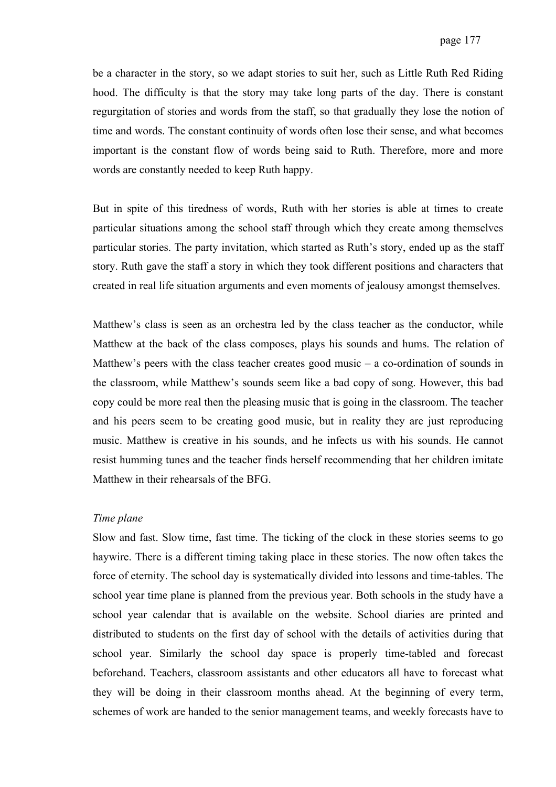be a character in the story, so we adapt stories to suit her, such as Little Ruth Red Riding hood. The difficulty is that the story may take long parts of the day. There is constant regurgitation of stories and words from the staff, so that gradually they lose the notion of time and words. The constant continuity of words often lose their sense, and what becomes important is the constant flow of words being said to Ruth. Therefore, more and more words are constantly needed to keep Ruth happy.

But in spite of this tiredness of words, Ruth with her stories is able at times to create particular situations among the school staff through which they create among themselves particular stories. The party invitation, which started as Ruth's story, ended up as the staff story. Ruth gave the staff a story in which they took different positions and characters that created in real life situation arguments and even moments of jealousy amongst themselves.

Matthew's class is seen as an orchestra led by the class teacher as the conductor, while Matthew at the back of the class composes, plays his sounds and hums. The relation of Matthew's peers with the class teacher creates good music – a co-ordination of sounds in the classroom, while Matthew's sounds seem like a bad copy of song. However, this bad copy could be more real then the pleasing music that is going in the classroom. The teacher and his peers seem to be creating good music, but in reality they are just reproducing music. Matthew is creative in his sounds, and he infects us with his sounds. He cannot resist humming tunes and the teacher finds herself recommending that her children imitate Matthew in their rehearsals of the BFG.

## *Time plane*

Slow and fast. Slow time, fast time. The ticking of the clock in these stories seems to go haywire. There is a different timing taking place in these stories. The now often takes the force of eternity. The school day is systematically divided into lessons and time-tables. The school year time plane is planned from the previous year. Both schools in the study have a school year calendar that is available on the website. School diaries are printed and distributed to students on the first day of school with the details of activities during that school year. Similarly the school day space is properly time-tabled and forecast beforehand. Teachers, classroom assistants and other educators all have to forecast what they will be doing in their classroom months ahead. At the beginning of every term, schemes of work are handed to the senior management teams, and weekly forecasts have to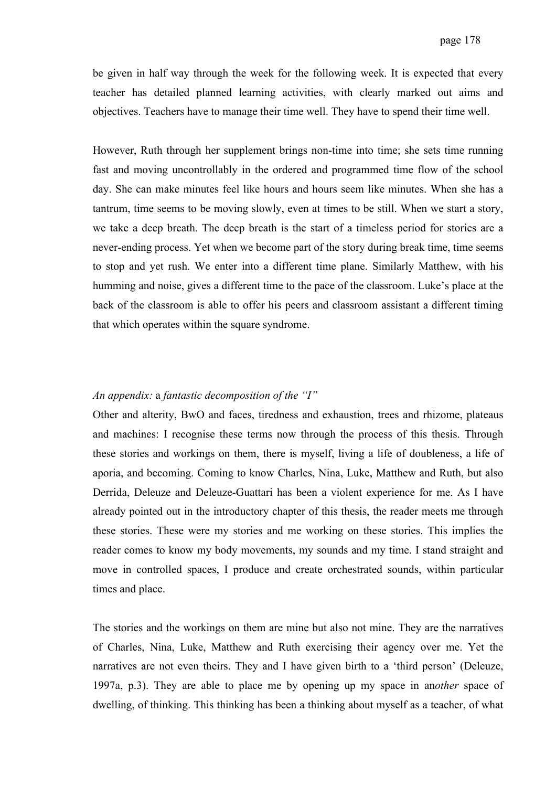be given in half way through the week for the following week. It is expected that every teacher has detailed planned learning activities, with clearly marked out aims and objectives. Teachers have to manage their time well. They have to spend their time well.

However, Ruth through her supplement brings non-time into time; she sets time running fast and moving uncontrollably in the ordered and programmed time flow of the school day. She can make minutes feel like hours and hours seem like minutes. When she has a tantrum, time seems to be moving slowly, even at times to be still. When we start a story, we take a deep breath. The deep breath is the start of a timeless period for stories are a never-ending process. Yet when we become part of the story during break time, time seems to stop and yet rush. We enter into a different time plane. Similarly Matthew, with his humming and noise, gives a different time to the pace of the classroom. Luke's place at the back of the classroom is able to offer his peers and classroom assistant a different timing that which operates within the square syndrome.

# *An appendix:* a *fantastic decomposition of the "I"*

Other and alterity, BwO and faces, tiredness and exhaustion, trees and rhizome, plateaus and machines: I recognise these terms now through the process of this thesis. Through these stories and workings on them, there is myself, living a life of doubleness, a life of aporia, and becoming. Coming to know Charles, Nina, Luke, Matthew and Ruth, but also Derrida, Deleuze and Deleuze-Guattari has been a violent experience for me. As I have already pointed out in the introductory chapter of this thesis, the reader meets me through these stories. These were my stories and me working on these stories. This implies the reader comes to know my body movements, my sounds and my time. I stand straight and move in controlled spaces, I produce and create orchestrated sounds, within particular times and place.

The stories and the workings on them are mine but also not mine. They are the narratives of Charles, Nina, Luke, Matthew and Ruth exercising their agency over me. Yet the narratives are not even theirs. They and I have given birth to a 'third person' (Deleuze, 1997a, p.3). They are able to place me by opening up my space in an*other* space of dwelling, of thinking. This thinking has been a thinking about myself as a teacher, of what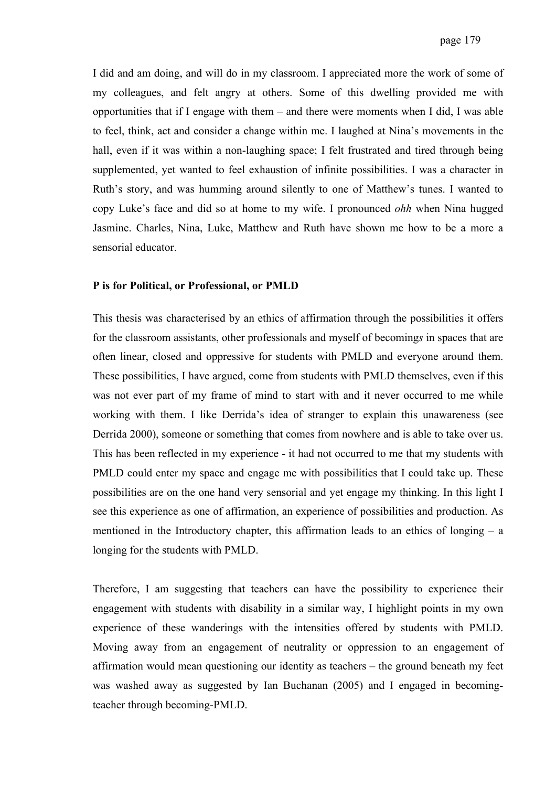I did and am doing, and will do in my classroom. I appreciated more the work of some of my colleagues, and felt angry at others. Some of this dwelling provided me with opportunities that if I engage with them – and there were moments when I did, I was able to feel, think, act and consider a change within me. I laughed at Nina's movements in the hall, even if it was within a non-laughing space; I felt frustrated and tired through being supplemented, yet wanted to feel exhaustion of infinite possibilities. I was a character in Ruth's story, and was humming around silently to one of Matthew's tunes. I wanted to copy Luke's face and did so at home to my wife. I pronounced *ohh* when Nina hugged Jasmine. Charles, Nina, Luke, Matthew and Ruth have shown me how to be a more a sensorial educator.

#### **P is for Political, or Professional, or PMLD**

This thesis was characterised by an ethics of affirmation through the possibilities it offers for the classroom assistants, other professionals and myself of becoming*s* in spaces that are often linear, closed and oppressive for students with PMLD and everyone around them. These possibilities, I have argued, come from students with PMLD themselves, even if this was not ever part of my frame of mind to start with and it never occurred to me while working with them. I like Derrida's idea of stranger to explain this unawareness (see Derrida 2000), someone or something that comes from nowhere and is able to take over us. This has been reflected in my experience - it had not occurred to me that my students with PMLD could enter my space and engage me with possibilities that I could take up. These possibilities are on the one hand very sensorial and yet engage my thinking. In this light I see this experience as one of affirmation, an experience of possibilities and production. As mentioned in the Introductory chapter, this affirmation leads to an ethics of longing – a longing for the students with PMLD.

Therefore, I am suggesting that teachers can have the possibility to experience their engagement with students with disability in a similar way, I highlight points in my own experience of these wanderings with the intensities offered by students with PMLD. Moving away from an engagement of neutrality or oppression to an engagement of affirmation would mean questioning our identity as teachers – the ground beneath my feet was washed away as suggested by Ian Buchanan (2005) and I engaged in becomingteacher through becoming-PMLD.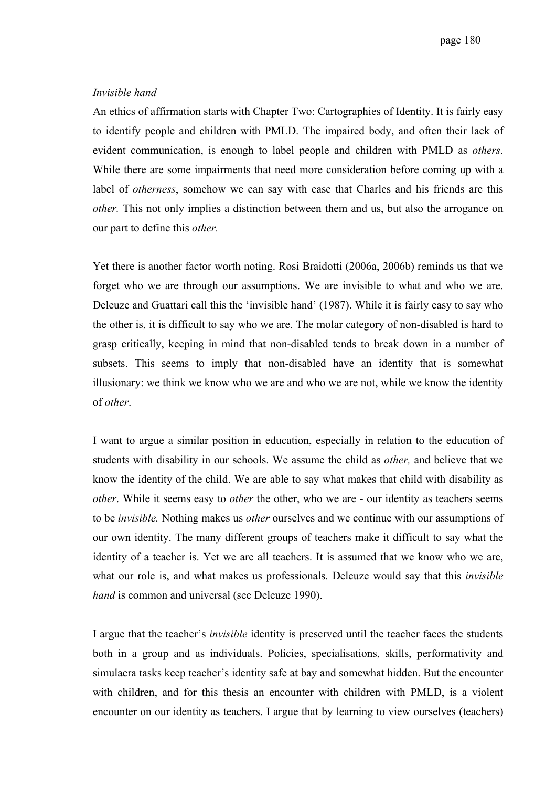## *Invisible hand*

An ethics of affirmation starts with Chapter Two: Cartographies of Identity. It is fairly easy to identify people and children with PMLD. The impaired body, and often their lack of evident communication, is enough to label people and children with PMLD as *others*. While there are some impairments that need more consideration before coming up with a label of *otherness*, somehow we can say with ease that Charles and his friends are this *other.* This not only implies a distinction between them and us, but also the arrogance on our part to define this *other.*

Yet there is another factor worth noting. Rosi Braidotti (2006a, 2006b) reminds us that we forget who we are through our assumptions. We are invisible to what and who we are. Deleuze and Guattari call this the 'invisible hand' (1987). While it is fairly easy to say who the other is, it is difficult to say who we are. The molar category of non-disabled is hard to grasp critically, keeping in mind that non-disabled tends to break down in a number of subsets. This seems to imply that non-disabled have an identity that is somewhat illusionary: we think we know who we are and who we are not, while we know the identity of *other*.

I want to argue a similar position in education, especially in relation to the education of students with disability in our schools. We assume the child as *other,* and believe that we know the identity of the child. We are able to say what makes that child with disability as *other*. While it seems easy to *other* the other, who we are - our identity as teachers seems to be *invisible.* Nothing makes us *other* ourselves and we continue with our assumptions of our own identity. The many different groups of teachers make it difficult to say what the identity of a teacher is. Yet we are all teachers. It is assumed that we know who we are, what our role is, and what makes us professionals. Deleuze would say that this *invisible hand* is common and universal (see Deleuze 1990).

I argue that the teacher's *invisible* identity is preserved until the teacher faces the students both in a group and as individuals. Policies, specialisations, skills, performativity and simulacra tasks keep teacher's identity safe at bay and somewhat hidden. But the encounter with children, and for this thesis an encounter with children with PMLD, is a violent encounter on our identity as teachers. I argue that by learning to view ourselves (teachers)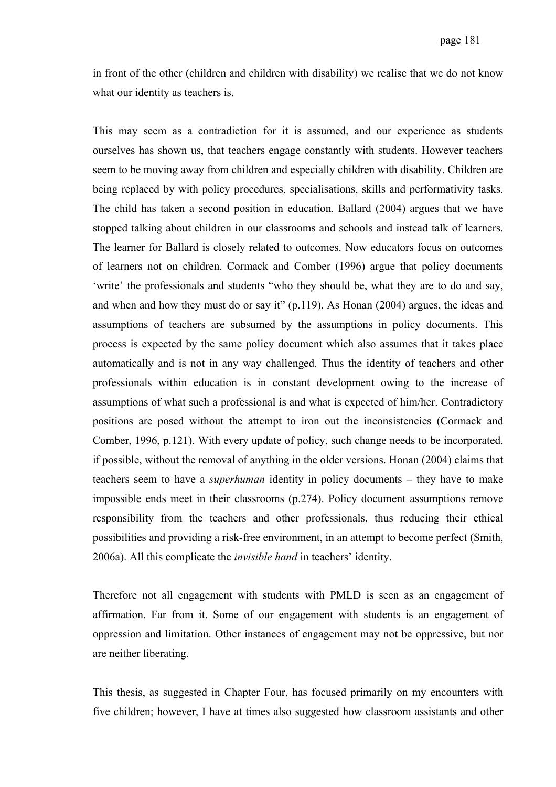in front of the other (children and children with disability) we realise that we do not know what our identity as teachers is.

This may seem as a contradiction for it is assumed, and our experience as students ourselves has shown us, that teachers engage constantly with students. However teachers seem to be moving away from children and especially children with disability. Children are being replaced by with policy procedures, specialisations, skills and performativity tasks. The child has taken a second position in education. Ballard (2004) argues that we have stopped talking about children in our classrooms and schools and instead talk of learners. The learner for Ballard is closely related to outcomes. Now educators focus on outcomes of learners not on children. Cormack and Comber (1996) argue that policy documents 'write' the professionals and students "who they should be, what they are to do and say, and when and how they must do or say it" (p.119). As Honan (2004) argues, the ideas and assumptions of teachers are subsumed by the assumptions in policy documents. This process is expected by the same policy document which also assumes that it takes place automatically and is not in any way challenged. Thus the identity of teachers and other professionals within education is in constant development owing to the increase of assumptions of what such a professional is and what is expected of him/her. Contradictory positions are posed without the attempt to iron out the inconsistencies (Cormack and Comber, 1996, p.121). With every update of policy, such change needs to be incorporated, if possible, without the removal of anything in the older versions. Honan (2004) claims that teachers seem to have a *superhuman* identity in policy documents – they have to make impossible ends meet in their classrooms (p.274). Policy document assumptions remove responsibility from the teachers and other professionals, thus reducing their ethical possibilities and providing a risk-free environment, in an attempt to become perfect (Smith, 2006a). All this complicate the *invisible hand* in teachers' identity.

Therefore not all engagement with students with PMLD is seen as an engagement of affirmation. Far from it. Some of our engagement with students is an engagement of oppression and limitation. Other instances of engagement may not be oppressive, but nor are neither liberating.

This thesis, as suggested in Chapter Four, has focused primarily on my encounters with five children; however, I have at times also suggested how classroom assistants and other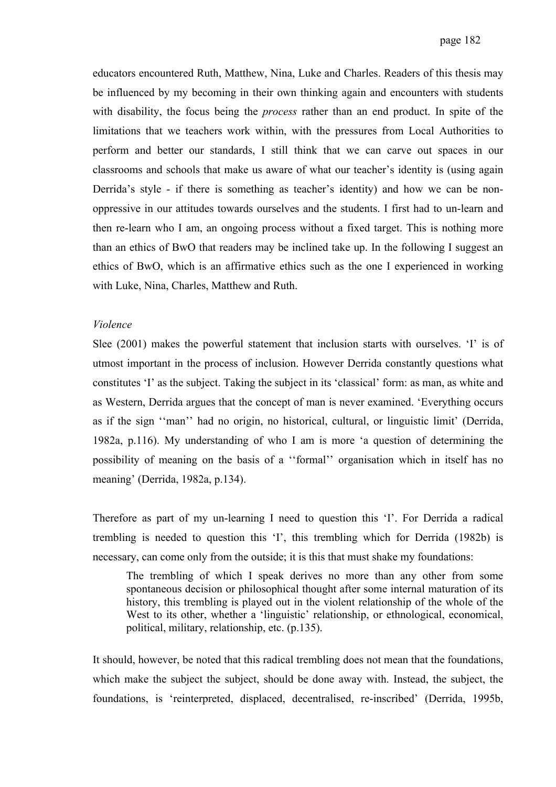educators encountered Ruth, Matthew, Nina, Luke and Charles. Readers of this thesis may be influenced by my becoming in their own thinking again and encounters with students with disability, the focus being the *process* rather than an end product. In spite of the limitations that we teachers work within, with the pressures from Local Authorities to perform and better our standards, I still think that we can carve out spaces in our classrooms and schools that make us aware of what our teacher's identity is (using again Derrida's style - if there is something as teacher's identity) and how we can be nonoppressive in our attitudes towards ourselves and the students. I first had to un-learn and then re-learn who I am, an ongoing process without a fixed target. This is nothing more than an ethics of BwO that readers may be inclined take up. In the following I suggest an ethics of BwO, which is an affirmative ethics such as the one I experienced in working with Luke, Nina, Charles, Matthew and Ruth.

## *Violence*

Slee (2001) makes the powerful statement that inclusion starts with ourselves. 'I' is of utmost important in the process of inclusion. However Derrida constantly questions what constitutes 'I' as the subject. Taking the subject in its 'classical' form: as man, as white and as Western, Derrida argues that the concept of man is never examined. 'Everything occurs as if the sign ''man'' had no origin, no historical, cultural, or linguistic limit' (Derrida, 1982a, p.116). My understanding of who I am is more 'a question of determining the possibility of meaning on the basis of a ''formal'' organisation which in itself has no meaning' (Derrida, 1982a, p.134).

Therefore as part of my un-learning I need to question this 'I'. For Derrida a radical trembling is needed to question this 'I', this trembling which for Derrida (1982b) is necessary, can come only from the outside; it is this that must shake my foundations:

The trembling of which I speak derives no more than any other from some spontaneous decision or philosophical thought after some internal maturation of its history, this trembling is played out in the violent relationship of the whole of the West to its other, whether a 'linguistic' relationship, or ethnological, economical, political, military, relationship, etc. (p.135).

It should, however, be noted that this radical trembling does not mean that the foundations, which make the subject the subject, should be done away with. Instead, the subject, the foundations, is 'reinterpreted, displaced, decentralised, re-inscribed' (Derrida, 1995b,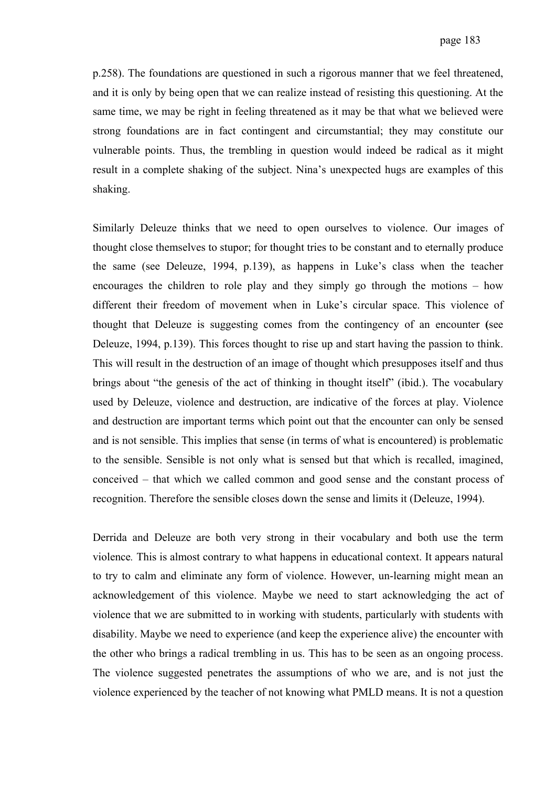p.258). The foundations are questioned in such a rigorous manner that we feel threatened, and it is only by being open that we can realize instead of resisting this questioning. At the same time, we may be right in feeling threatened as it may be that what we believed were strong foundations are in fact contingent and circumstantial; they may constitute our vulnerable points. Thus, the trembling in question would indeed be radical as it might result in a complete shaking of the subject. Nina's unexpected hugs are examples of this shaking.

Similarly Deleuze thinks that we need to open ourselves to violence. Our images of thought close themselves to stupor; for thought tries to be constant and to eternally produce the same (see Deleuze, 1994, p.139), as happens in Luke's class when the teacher encourages the children to role play and they simply go through the motions – how different their freedom of movement when in Luke's circular space. This violence of thought that Deleuze is suggesting comes from the contingency of an encounter **(**see Deleuze, 1994, p.139). This forces thought to rise up and start having the passion to think. This will result in the destruction of an image of thought which presupposes itself and thus brings about "the genesis of the act of thinking in thought itself" (ibid.). The vocabulary used by Deleuze, violence and destruction, are indicative of the forces at play. Violence and destruction are important terms which point out that the encounter can only be sensed and is not sensible. This implies that sense (in terms of what is encountered) is problematic to the sensible. Sensible is not only what is sensed but that which is recalled, imagined, conceived – that which we called common and good sense and the constant process of recognition. Therefore the sensible closes down the sense and limits it (Deleuze, 1994).

Derrida and Deleuze are both very strong in their vocabulary and both use the term violence*.* This is almost contrary to what happens in educational context. It appears natural to try to calm and eliminate any form of violence. However, un-learning might mean an acknowledgement of this violence. Maybe we need to start acknowledging the act of violence that we are submitted to in working with students, particularly with students with disability. Maybe we need to experience (and keep the experience alive) the encounter with the other who brings a radical trembling in us. This has to be seen as an ongoing process. The violence suggested penetrates the assumptions of who we are, and is not just the violence experienced by the teacher of not knowing what PMLD means. It is not a question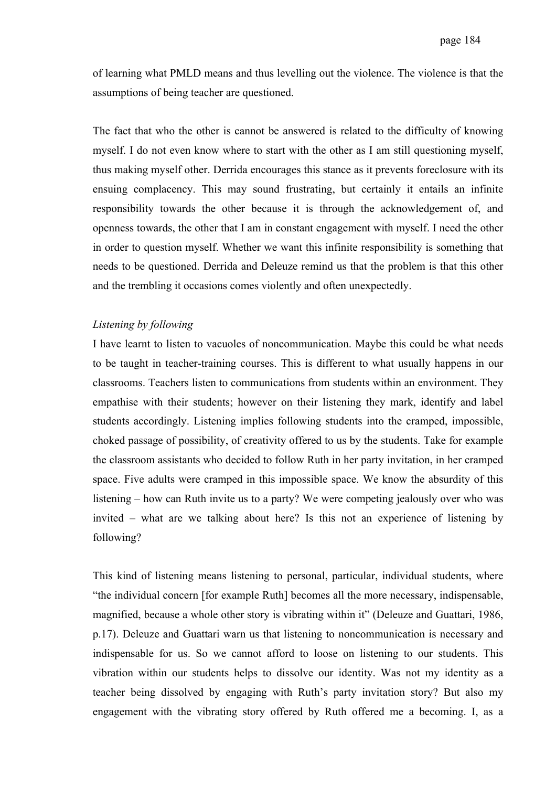of learning what PMLD means and thus levelling out the violence. The violence is that the assumptions of being teacher are questioned.

The fact that who the other is cannot be answered is related to the difficulty of knowing myself. I do not even know where to start with the other as I am still questioning myself, thus making myself other. Derrida encourages this stance as it prevents foreclosure with its ensuing complacency. This may sound frustrating, but certainly it entails an infinite responsibility towards the other because it is through the acknowledgement of, and openness towards, the other that I am in constant engagement with myself. I need the other in order to question myself. Whether we want this infinite responsibility is something that needs to be questioned. Derrida and Deleuze remind us that the problem is that this other and the trembling it occasions comes violently and often unexpectedly.

## *Listening by following*

I have learnt to listen to vacuoles of noncommunication. Maybe this could be what needs to be taught in teacher-training courses. This is different to what usually happens in our classrooms. Teachers listen to communications from students within an environment. They empathise with their students; however on their listening they mark, identify and label students accordingly. Listening implies following students into the cramped, impossible, choked passage of possibility, of creativity offered to us by the students. Take for example the classroom assistants who decided to follow Ruth in her party invitation, in her cramped space. Five adults were cramped in this impossible space. We know the absurdity of this listening – how can Ruth invite us to a party? We were competing jealously over who was invited – what are we talking about here? Is this not an experience of listening by following?

This kind of listening means listening to personal, particular, individual students, where "the individual concern [for example Ruth] becomes all the more necessary, indispensable, magnified, because a whole other story is vibrating within it" (Deleuze and Guattari, 1986, p.17). Deleuze and Guattari warn us that listening to noncommunication is necessary and indispensable for us. So we cannot afford to loose on listening to our students. This vibration within our students helps to dissolve our identity. Was not my identity as a teacher being dissolved by engaging with Ruth's party invitation story? But also my engagement with the vibrating story offered by Ruth offered me a becoming. I, as a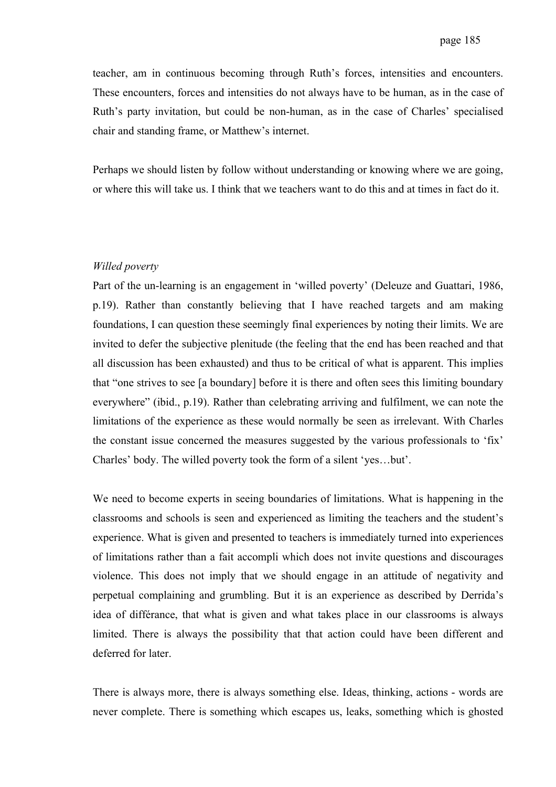teacher, am in continuous becoming through Ruth's forces, intensities and encounters. These encounters, forces and intensities do not always have to be human, as in the case of Ruth's party invitation, but could be non-human, as in the case of Charles' specialised chair and standing frame, or Matthew's internet.

Perhaps we should listen by follow without understanding or knowing where we are going, or where this will take us. I think that we teachers want to do this and at times in fact do it.

## *Willed poverty*

Part of the un-learning is an engagement in 'willed poverty' (Deleuze and Guattari, 1986, p.19). Rather than constantly believing that I have reached targets and am making foundations, I can question these seemingly final experiences by noting their limits. We are invited to defer the subjective plenitude (the feeling that the end has been reached and that all discussion has been exhausted) and thus to be critical of what is apparent. This implies that "one strives to see [a boundary] before it is there and often sees this limiting boundary everywhere" (ibid., p.19). Rather than celebrating arriving and fulfilment, we can note the limitations of the experience as these would normally be seen as irrelevant. With Charles the constant issue concerned the measures suggested by the various professionals to 'fix' Charles' body. The willed poverty took the form of a silent 'yes…but'.

We need to become experts in seeing boundaries of limitations. What is happening in the classrooms and schools is seen and experienced as limiting the teachers and the student's experience. What is given and presented to teachers is immediately turned into experiences of limitations rather than a fait accompli which does not invite questions and discourages violence. This does not imply that we should engage in an attitude of negativity and perpetual complaining and grumbling. But it is an experience as described by Derrida's idea of différance, that what is given and what takes place in our classrooms is always limited. There is always the possibility that that action could have been different and deferred for later

There is always more, there is always something else. Ideas, thinking, actions - words are never complete. There is something which escapes us, leaks, something which is ghosted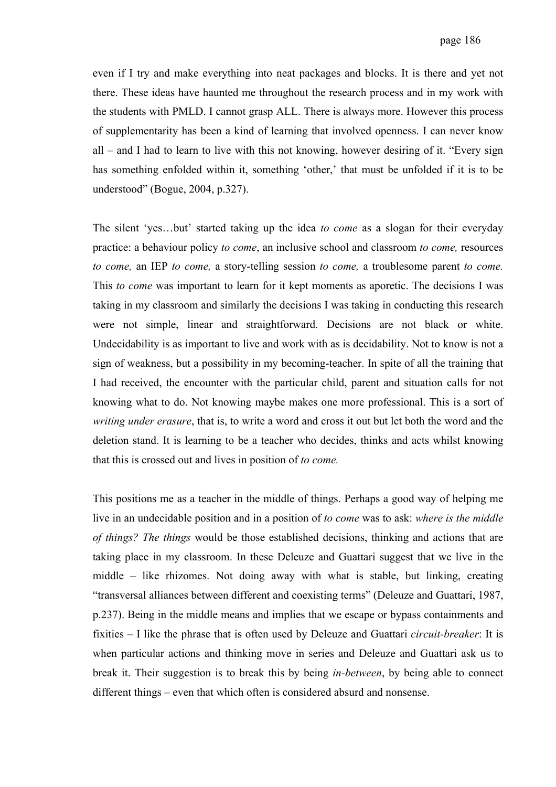even if I try and make everything into neat packages and blocks. It is there and yet not there. These ideas have haunted me throughout the research process and in my work with the students with PMLD. I cannot grasp ALL. There is always more. However this process of supplementarity has been a kind of learning that involved openness. I can never know all – and I had to learn to live with this not knowing, however desiring of it. "Every sign has something enfolded within it, something 'other,' that must be unfolded if it is to be understood" (Bogue, 2004, p.327).

The silent 'yes…but' started taking up the idea *to come* as a slogan for their everyday practice: a behaviour policy *to come*, an inclusive school and classroom *to come,* resources *to come,* an IEP *to come,* a story-telling session *to come,* a troublesome parent *to come.* This *to come* was important to learn for it kept moments as aporetic. The decisions I was taking in my classroom and similarly the decisions I was taking in conducting this research were not simple, linear and straightforward. Decisions are not black or white. Undecidability is as important to live and work with as is decidability. Not to know is not a sign of weakness, but a possibility in my becoming-teacher. In spite of all the training that I had received, the encounter with the particular child, parent and situation calls for not knowing what to do. Not knowing maybe makes one more professional. This is a sort of *writing under erasure*, that is, to write a word and cross it out but let both the word and the deletion stand. It is learning to be a teacher who decides, thinks and acts whilst knowing that this is crossed out and lives in position of *to come.*

This positions me as a teacher in the middle of things. Perhaps a good way of helping me live in an undecidable position and in a position of *to come* was to ask: *where is the middle of things? The things* would be those established decisions, thinking and actions that are taking place in my classroom. In these Deleuze and Guattari suggest that we live in the middle – like rhizomes. Not doing away with what is stable, but linking, creating "transversal alliances between different and coexisting terms" (Deleuze and Guattari, 1987, p.237). Being in the middle means and implies that we escape or bypass containments and fixities – I like the phrase that is often used by Deleuze and Guattari *circuit-breaker*: It is when particular actions and thinking move in series and Deleuze and Guattari ask us to break it. Their suggestion is to break this by being *in-between*, by being able to connect different things – even that which often is considered absurd and nonsense.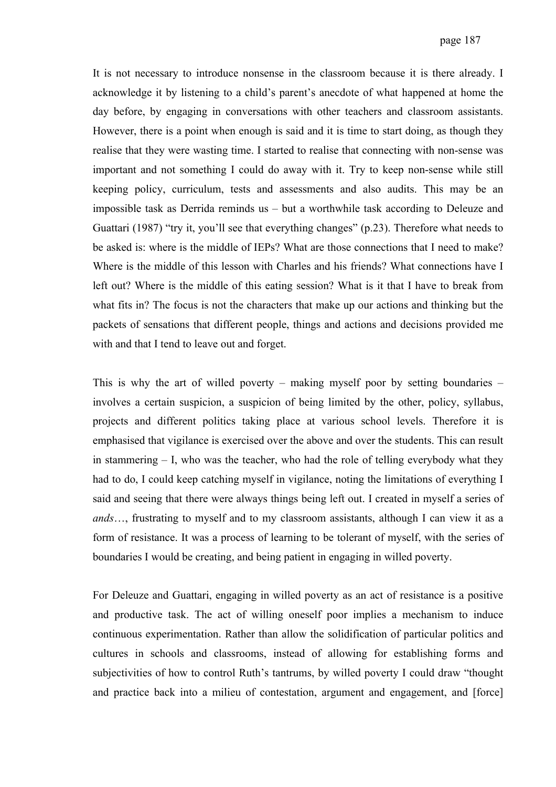It is not necessary to introduce nonsense in the classroom because it is there already. I acknowledge it by listening to a child's parent's anecdote of what happened at home the day before, by engaging in conversations with other teachers and classroom assistants. However, there is a point when enough is said and it is time to start doing, as though they realise that they were wasting time. I started to realise that connecting with non-sense was important and not something I could do away with it. Try to keep non-sense while still keeping policy, curriculum, tests and assessments and also audits. This may be an impossible task as Derrida reminds us – but a worthwhile task according to Deleuze and Guattari (1987) "try it, you'll see that everything changes" (p.23). Therefore what needs to be asked is: where is the middle of IEPs? What are those connections that I need to make? Where is the middle of this lesson with Charles and his friends? What connections have I left out? Where is the middle of this eating session? What is it that I have to break from what fits in? The focus is not the characters that make up our actions and thinking but the packets of sensations that different people, things and actions and decisions provided me with and that I tend to leave out and forget.

This is why the art of willed poverty – making myself poor by setting boundaries – involves a certain suspicion, a suspicion of being limited by the other, policy, syllabus, projects and different politics taking place at various school levels. Therefore it is emphasised that vigilance is exercised over the above and over the students. This can result in stammering – I, who was the teacher, who had the role of telling everybody what they had to do, I could keep catching myself in vigilance, noting the limitations of everything I said and seeing that there were always things being left out. I created in myself a series of *ands*…, frustrating to myself and to my classroom assistants, although I can view it as a form of resistance. It was a process of learning to be tolerant of myself, with the series of boundaries I would be creating, and being patient in engaging in willed poverty.

For Deleuze and Guattari, engaging in willed poverty as an act of resistance is a positive and productive task. The act of willing oneself poor implies a mechanism to induce continuous experimentation. Rather than allow the solidification of particular politics and cultures in schools and classrooms, instead of allowing for establishing forms and subjectivities of how to control Ruth's tantrums, by willed poverty I could draw "thought and practice back into a milieu of contestation, argument and engagement, and [force]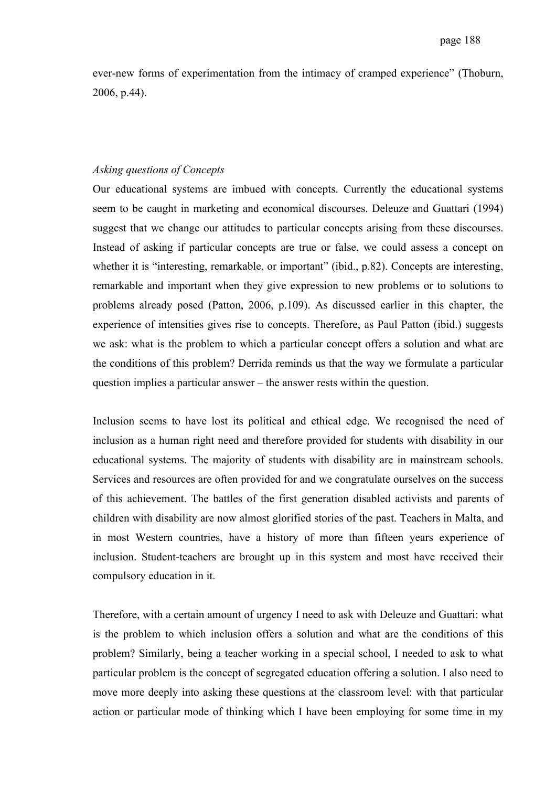ever-new forms of experimentation from the intimacy of cramped experience" (Thoburn, 2006, p.44).

# *Asking questions of Concepts*

Our educational systems are imbued with concepts. Currently the educational systems seem to be caught in marketing and economical discourses. Deleuze and Guattari (1994) suggest that we change our attitudes to particular concepts arising from these discourses. Instead of asking if particular concepts are true or false, we could assess a concept on whether it is "interesting, remarkable, or important" (ibid., p.82). Concepts are interesting, remarkable and important when they give expression to new problems or to solutions to problems already posed (Patton, 2006, p.109). As discussed earlier in this chapter, the experience of intensities gives rise to concepts. Therefore, as Paul Patton (ibid.) suggests we ask: what is the problem to which a particular concept offers a solution and what are the conditions of this problem? Derrida reminds us that the way we formulate a particular question implies a particular answer – the answer rests within the question.

Inclusion seems to have lost its political and ethical edge. We recognised the need of inclusion as a human right need and therefore provided for students with disability in our educational systems. The majority of students with disability are in mainstream schools. Services and resources are often provided for and we congratulate ourselves on the success of this achievement. The battles of the first generation disabled activists and parents of children with disability are now almost glorified stories of the past. Teachers in Malta, and in most Western countries, have a history of more than fifteen years experience of inclusion. Student-teachers are brought up in this system and most have received their compulsory education in it.

Therefore, with a certain amount of urgency I need to ask with Deleuze and Guattari: what is the problem to which inclusion offers a solution and what are the conditions of this problem? Similarly, being a teacher working in a special school, I needed to ask to what particular problem is the concept of segregated education offering a solution. I also need to move more deeply into asking these questions at the classroom level: with that particular action or particular mode of thinking which I have been employing for some time in my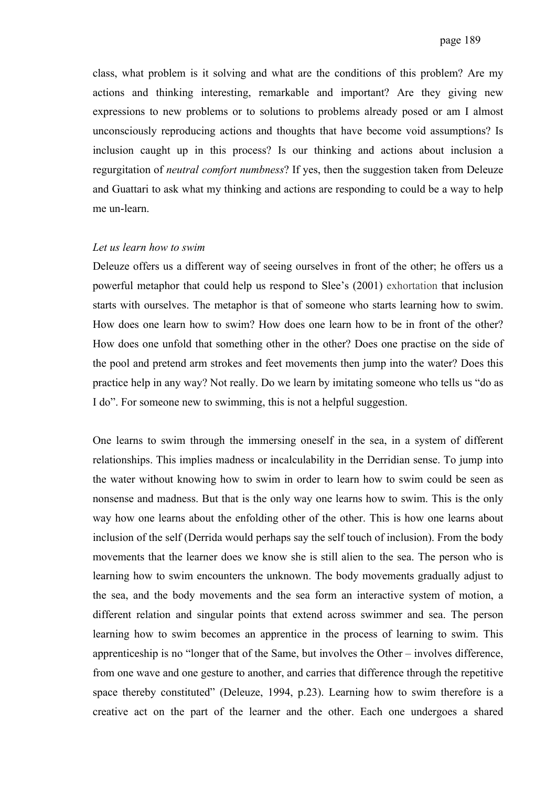class, what problem is it solving and what are the conditions of this problem? Are my actions and thinking interesting, remarkable and important? Are they giving new expressions to new problems or to solutions to problems already posed or am I almost unconsciously reproducing actions and thoughts that have become void assumptions? Is inclusion caught up in this process? Is our thinking and actions about inclusion a regurgitation of *neutral comfort numbness*? If yes, then the suggestion taken from Deleuze and Guattari to ask what my thinking and actions are responding to could be a way to help me un-learn.

#### *Let us learn how to swim*

Deleuze offers us a different way of seeing ourselves in front of the other; he offers us a powerful metaphor that could help us respond to Slee's (2001) exhortation that inclusion starts with ourselves. The metaphor is that of someone who starts learning how to swim. How does one learn how to swim? How does one learn how to be in front of the other? How does one unfold that something other in the other? Does one practise on the side of the pool and pretend arm strokes and feet movements then jump into the water? Does this practice help in any way? Not really. Do we learn by imitating someone who tells us "do as I do". For someone new to swimming, this is not a helpful suggestion.

One learns to swim through the immersing oneself in the sea, in a system of different relationships. This implies madness or incalculability in the Derridian sense. To jump into the water without knowing how to swim in order to learn how to swim could be seen as nonsense and madness. But that is the only way one learns how to swim. This is the only way how one learns about the enfolding other of the other. This is how one learns about inclusion of the self (Derrida would perhaps say the self touch of inclusion). From the body movements that the learner does we know she is still alien to the sea. The person who is learning how to swim encounters the unknown. The body movements gradually adjust to the sea, and the body movements and the sea form an interactive system of motion, a different relation and singular points that extend across swimmer and sea. The person learning how to swim becomes an apprentice in the process of learning to swim. This apprenticeship is no "longer that of the Same, but involves the Other – involves difference, from one wave and one gesture to another, and carries that difference through the repetitive space thereby constituted" (Deleuze, 1994, p.23). Learning how to swim therefore is a creative act on the part of the learner and the other. Each one undergoes a shared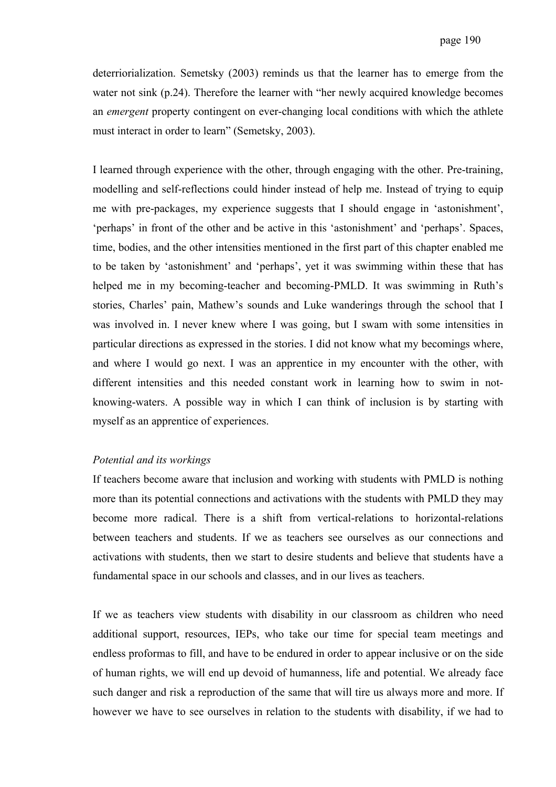deterriorialization. Semetsky (2003) reminds us that the learner has to emerge from the water not sink (p.24). Therefore the learner with "her newly acquired knowledge becomes an *emergent* property contingent on ever-changing local conditions with which the athlete must interact in order to learn" (Semetsky, 2003).

I learned through experience with the other, through engaging with the other. Pre-training, modelling and self-reflections could hinder instead of help me. Instead of trying to equip me with pre-packages, my experience suggests that I should engage in 'astonishment', 'perhaps' in front of the other and be active in this 'astonishment' and 'perhaps'. Spaces, time, bodies, and the other intensities mentioned in the first part of this chapter enabled me to be taken by 'astonishment' and 'perhaps', yet it was swimming within these that has helped me in my becoming-teacher and becoming-PMLD. It was swimming in Ruth's stories, Charles' pain, Mathew's sounds and Luke wanderings through the school that I was involved in. I never knew where I was going, but I swam with some intensities in particular directions as expressed in the stories. I did not know what my becomings where, and where I would go next. I was an apprentice in my encounter with the other, with different intensities and this needed constant work in learning how to swim in notknowing-waters. A possible way in which I can think of inclusion is by starting with myself as an apprentice of experiences.

# *Potential and its workings*

If teachers become aware that inclusion and working with students with PMLD is nothing more than its potential connections and activations with the students with PMLD they may become more radical. There is a shift from vertical-relations to horizontal-relations between teachers and students. If we as teachers see ourselves as our connections and activations with students, then we start to desire students and believe that students have a fundamental space in our schools and classes, and in our lives as teachers.

If we as teachers view students with disability in our classroom as children who need additional support, resources, IEPs, who take our time for special team meetings and endless proformas to fill, and have to be endured in order to appear inclusive or on the side of human rights, we will end up devoid of humanness, life and potential. We already face such danger and risk a reproduction of the same that will tire us always more and more. If however we have to see ourselves in relation to the students with disability, if we had to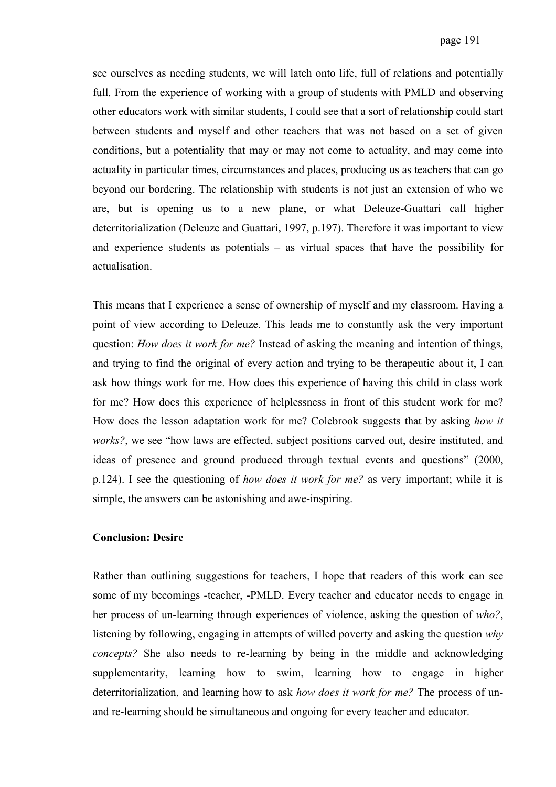see ourselves as needing students, we will latch onto life, full of relations and potentially full. From the experience of working with a group of students with PMLD and observing other educators work with similar students, I could see that a sort of relationship could start between students and myself and other teachers that was not based on a set of given conditions, but a potentiality that may or may not come to actuality, and may come into actuality in particular times, circumstances and places, producing us as teachers that can go beyond our bordering. The relationship with students is not just an extension of who we are, but is opening us to a new plane, or what Deleuze-Guattari call higher deterritorialization (Deleuze and Guattari, 1997, p.197). Therefore it was important to view and experience students as potentials – as virtual spaces that have the possibility for actualisation.

This means that I experience a sense of ownership of myself and my classroom. Having a point of view according to Deleuze. This leads me to constantly ask the very important question: *How does it work for me?* Instead of asking the meaning and intention of things, and trying to find the original of every action and trying to be therapeutic about it, I can ask how things work for me. How does this experience of having this child in class work for me? How does this experience of helplessness in front of this student work for me? How does the lesson adaptation work for me? Colebrook suggests that by asking *how it works?*, we see "how laws are effected, subject positions carved out, desire instituted, and ideas of presence and ground produced through textual events and questions" (2000, p.124). I see the questioning of *how does it work for me?* as very important; while it is simple, the answers can be astonishing and awe-inspiring.

# **Conclusion: Desire**

Rather than outlining suggestions for teachers, I hope that readers of this work can see some of my becomings *-*teacher, -PMLD. Every teacher and educator needs to engage in her process of un-learning through experiences of violence, asking the question of *who?*, listening by following, engaging in attempts of willed poverty and asking the question *why concepts?* She also needs to re-learning by being in the middle and acknowledging supplementarity, learning how to swim, learning how to engage in higher deterritorialization, and learning how to ask *how does it work for me?* The process of unand re-learning should be simultaneous and ongoing for every teacher and educator.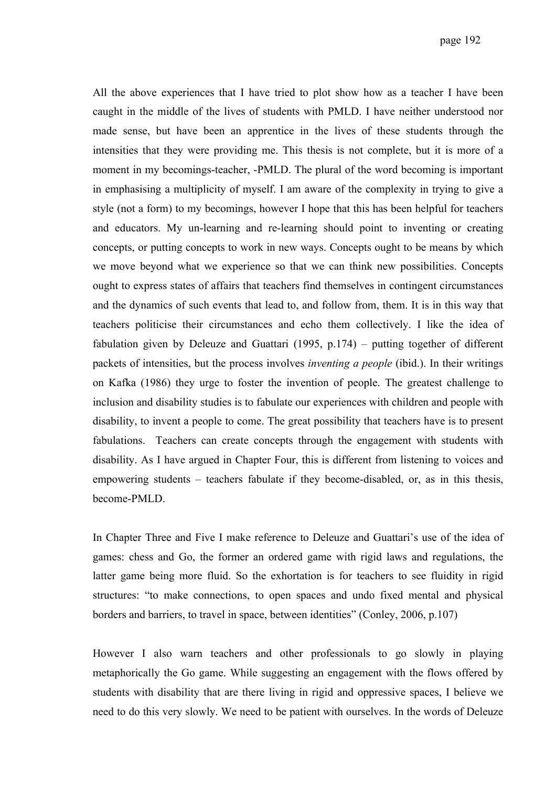All the above experiences that I have tried to plot show how as a teacher I have been caught in the middle of the lives of students with PMLD. I have neither understood nor made sense, but have been an apprentice in the lives of these students through the intensities that they were providing me. This thesis is not complete, but it is more of a moment in my becomings-teacher, -PMLD. The plural of the word becoming is important in emphasising a multiplicity of myself. I am aware of the complexity in trying to give a style (not a form) to my becomings, however I hope that this has been helpful for teachers and educators. My un-learning and re-learning should point to inventing or creating concepts, or putting concepts to work in new ways. Concepts ought to be means by which we move beyond what we experience so that we can think new possibilities. Concepts ought to express states of affairs that teachers find themselves in contingent circumstances and the dynamics of such events that lead to, and follow from, them. It is in this way that teachers politicise their circumstances and echo them collectively. I like the idea of fabulation given by Deleuze and Guattari (1995, p.174) – putting together of different packets of intensities, but the process involves *inventing a people* (ibid.). In their writings on Kafka (1986) they urge to foster the invention of people. The greatest challenge to inclusion and disability studies is to fabulate our experiences with children and people with disability, to invent a people to come. The great possibility that teachers have is to present fabulations. Teachers can create concepts through the engagement with students with disability. As I have argued in Chapter Four, this is different from listening to voices and empowering students – teachers fabulate if they become-disabled, or, as in this thesis, become-PMLD.

In Chapter Three and Five I make reference to Deleuze and Guattari's use of the idea of games: chess and Go, the former an ordered game with rigid laws and regulations, the latter game being more fluid. So the exhortation is for teachers to see fluidity in rigid structures: "to make connections, to open spaces and undo fixed mental and physical borders and barriers, to travel in space, between identities" (Conley, 2006, p.107)

However I also warn teachers and other professionals to go slowly in playing metaphorically the Go game. While suggesting an engagement with the flows offered by students with disability that are there living in rigid and oppressive spaces, I believe we need to do this very slowly. We need to be patient with ourselves. In the words of Deleuze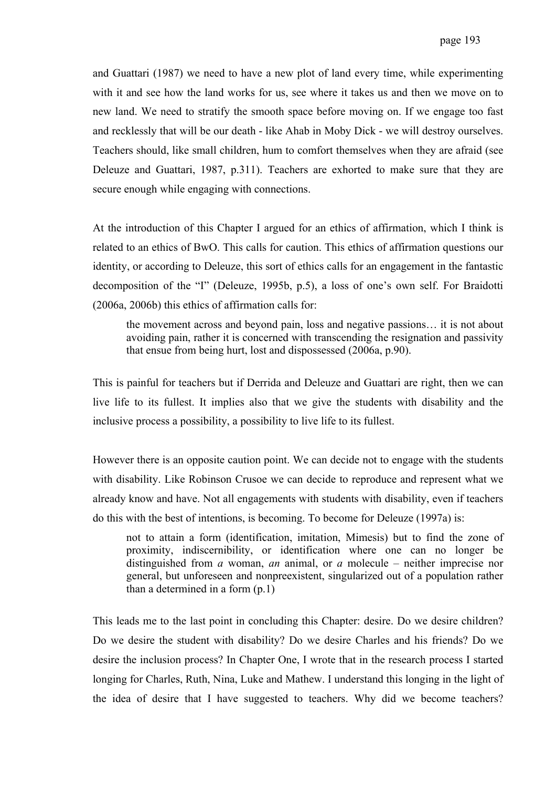and Guattari (1987) we need to have a new plot of land every time, while experimenting with it and see how the land works for us, see where it takes us and then we move on to new land. We need to stratify the smooth space before moving on. If we engage too fast and recklessly that will be our death - like Ahab in Moby Dick - we will destroy ourselves. Teachers should, like small children, hum to comfort themselves when they are afraid (see Deleuze and Guattari, 1987, p.311). Teachers are exhorted to make sure that they are secure enough while engaging with connections.

At the introduction of this Chapter I argued for an ethics of affirmation, which I think is related to an ethics of BwO. This calls for caution. This ethics of affirmation questions our identity, or according to Deleuze, this sort of ethics calls for an engagement in the fantastic decomposition of the "I" (Deleuze, 1995b, p.5), a loss of one's own self. For Braidotti (2006a, 2006b) this ethics of affirmation calls for:

the movement across and beyond pain, loss and negative passions… it is not about avoiding pain, rather it is concerned with transcending the resignation and passivity that ensue from being hurt, lost and dispossessed (2006a, p.90).

This is painful for teachers but if Derrida and Deleuze and Guattari are right, then we can live life to its fullest. It implies also that we give the students with disability and the inclusive process a possibility, a possibility to live life to its fullest.

However there is an opposite caution point. We can decide not to engage with the students with disability. Like Robinson Crusoe we can decide to reproduce and represent what we already know and have. Not all engagements with students with disability, even if teachers do this with the best of intentions, is becoming. To become for Deleuze (1997a) is:

not to attain a form (identification, imitation, Mimesis) but to find the zone of proximity, indiscernibility, or identification where one can no longer be distinguished from *a* woman, *an* animal, or *a* molecule – neither imprecise nor general, but unforeseen and nonpreexistent, singularized out of a population rather than a determined in a form (p.1)

This leads me to the last point in concluding this Chapter: desire. Do we desire children? Do we desire the student with disability? Do we desire Charles and his friends? Do we desire the inclusion process? In Chapter One, I wrote that in the research process I started longing for Charles, Ruth, Nina, Luke and Mathew. I understand this longing in the light of the idea of desire that I have suggested to teachers. Why did we become teachers?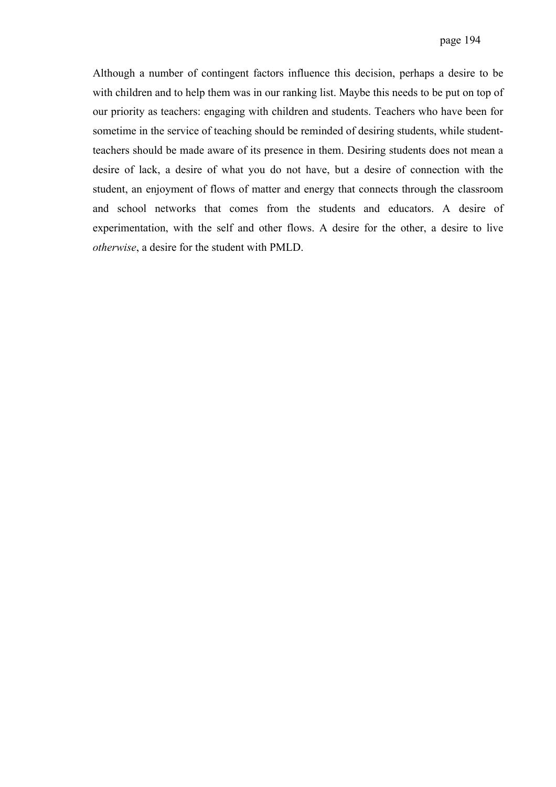Although a number of contingent factors influence this decision, perhaps a desire to be with children and to help them was in our ranking list. Maybe this needs to be put on top of our priority as teachers: engaging with children and students. Teachers who have been for sometime in the service of teaching should be reminded of desiring students, while studentteachers should be made aware of its presence in them. Desiring students does not mean a desire of lack, a desire of what you do not have, but a desire of connection with the student, an enjoyment of flows of matter and energy that connects through the classroom and school networks that comes from the students and educators. A desire of experimentation, with the self and other flows. A desire for the other, a desire to live *otherwise*, a desire for the student with PMLD.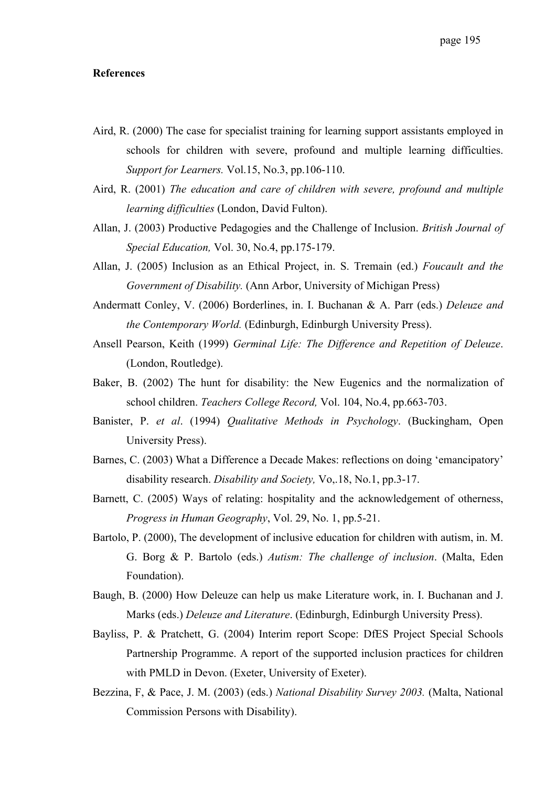## **References**

- Aird, R. (2000) The case for specialist training for learning support assistants employed in schools for children with severe, profound and multiple learning difficulties. *Support for Learners.* Vol.15, No.3, pp.106-110.
- Aird, R. (2001) *The education and care of children with severe, profound and multiple learning difficulties* (London, David Fulton).
- Allan, J. (2003) Productive Pedagogies and the Challenge of Inclusion. *British Journal of Special Education,* Vol. 30, No.4, pp.175-179.
- Allan, J. (2005) Inclusion as an Ethical Project, in. S. Tremain (ed.) *Foucault and the Government of Disability.* (Ann Arbor, University of Michigan Press)
- Andermatt Conley, V. (2006) Borderlines, in. I. Buchanan & A. Parr (eds.) *Deleuze and the Contemporary World.* (Edinburgh, Edinburgh University Press).
- Ansell Pearson, Keith (1999) *Germinal Life: The Difference and Repetition of Deleuze*. (London, Routledge).
- Baker, B. (2002) The hunt for disability: the New Eugenics and the normalization of school children. *Teachers College Record,* Vol. 104, No.4, pp.663-703.
- Banister, P. *et al*. (1994) *Qualitative Methods in Psychology*. (Buckingham, Open University Press).
- Barnes, C. (2003) What a Difference a Decade Makes: reflections on doing 'emancipatory' disability research. *Disability and Society,* Vo,.18, No.1, pp.3-17.
- Barnett, C. (2005) Ways of relating: hospitality and the acknowledgement of otherness, *Progress in Human Geography*, Vol. 29, No. 1, pp.5-21.
- Bartolo, P. (2000), The development of inclusive education for children with autism, in. M. G. Borg & P. Bartolo (eds.) *Autism: The challenge of inclusion*. (Malta, Eden Foundation).
- Baugh, B. (2000) How Deleuze can help us make Literature work, in. I. Buchanan and J. Marks (eds.) *Deleuze and Literature*. (Edinburgh, Edinburgh University Press).
- Bayliss, P. & Pratchett, G. (2004) Interim report Scope: DfES Project Special Schools Partnership Programme. A report of the supported inclusion practices for children with PMLD in Devon. (Exeter, University of Exeter).
- Bezzina, F, & Pace, J. M. (2003) (eds.) *National Disability Survey 2003.* (Malta, National Commission Persons with Disability).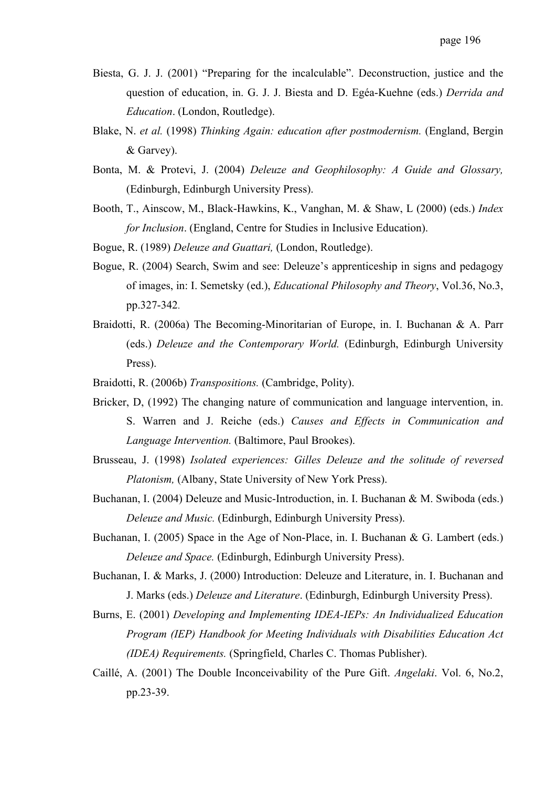- Biesta, G. J. J. (2001) "Preparing for the incalculable". Deconstruction, justice and the question of education, in. G. J. J. Biesta and D. Egéa-Kuehne (eds.) *Derrida and Education*. (London, Routledge).
- Blake, N. *et al.* (1998) *Thinking Again: education after postmodernism.* (England, Bergin & Garvey).
- Bonta, M. & Protevi, J. (2004) *Deleuze and Geophilosophy: A Guide and Glossary,*  (Edinburgh, Edinburgh University Press).
- Booth, T., Ainscow, M., Black-Hawkins, K., Vanghan, M. & Shaw, L (2000) (eds.) *Index for Inclusion*. (England, Centre for Studies in Inclusive Education).
- Bogue, R. (1989) *Deleuze and Guattari,* (London, Routledge).
- Bogue, R. (2004) Search, Swim and see: Deleuze's apprenticeship in signs and pedagogy of images, in: I. Semetsky (ed.), *Educational Philosophy and Theory*, Vol.36, No.3, pp.327-342.
- Braidotti, R. (2006a) The Becoming-Minoritarian of Europe, in. I. Buchanan & A. Parr (eds.) *Deleuze and the Contemporary World.* (Edinburgh, Edinburgh University Press).
- Braidotti, R. (2006b) *Transpositions.* (Cambridge, Polity).
- Bricker, D, (1992) The changing nature of communication and language intervention, in. S. Warren and J. Reiche (eds.) *Causes and Effects in Communication and Language Intervention.* (Baltimore, Paul Brookes).
- Brusseau, J. (1998) *Isolated experiences: Gilles Deleuze and the solitude of reversed Platonism,* (Albany, State University of New York Press).
- Buchanan, I. (2004) Deleuze and Music-Introduction, in. I. Buchanan & M. Swiboda (eds.) *Deleuze and Music.* (Edinburgh, Edinburgh University Press).
- Buchanan, I. (2005) Space in the Age of Non-Place, in. I. Buchanan & G. Lambert (eds.) *Deleuze and Space.* (Edinburgh, Edinburgh University Press).
- Buchanan, I. & Marks, J. (2000) Introduction: Deleuze and Literature, in. I. Buchanan and J. Marks (eds.) *Deleuze and Literature*. (Edinburgh, Edinburgh University Press).
- Burns, E. (2001) *Developing and Implementing IDEA-IEPs: An Individualized Education Program (IEP) Handbook for Meeting Individuals with Disabilities Education Act (IDEA) Requirements.* (Springfield, Charles C. Thomas Publisher).
- Caillé, A. (2001) The Double Inconceivability of the Pure Gift. *Angelaki*. Vol. 6, No.2, pp.23-39.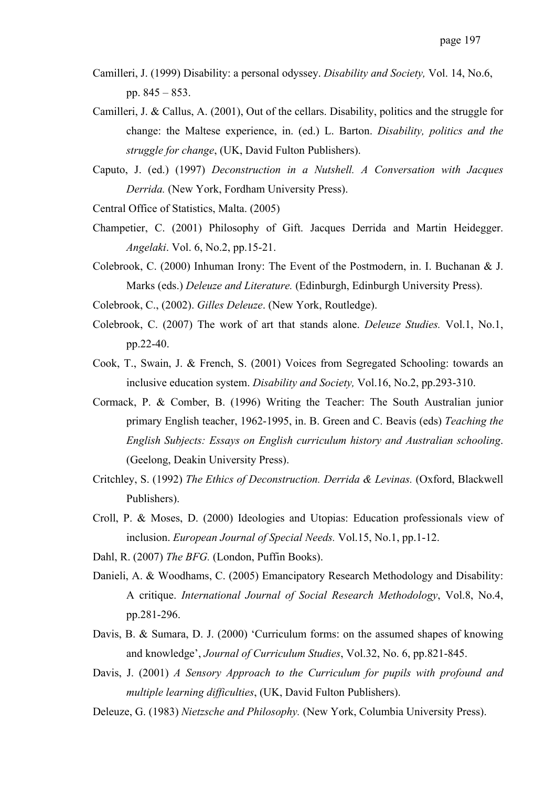- Camilleri, J. (1999) Disability: a personal odyssey. *Disability and Society,* Vol. 14, No.6, pp. 845 – 853.
- Camilleri, J. & Callus, A. (2001), Out of the cellars. Disability, politics and the struggle for change: the Maltese experience, in. (ed.) L. Barton. *Disability, politics and the struggle for change*, (UK, David Fulton Publishers).
- Caputo, J. (ed.) (1997) *Deconstruction in a Nutshell. A Conversation with Jacques Derrida.* (New York, Fordham University Press).
- Central Office of Statistics, Malta. (2005)
- Champetier, C. (2001) Philosophy of Gift. Jacques Derrida and Martin Heidegger. *Angelaki*. Vol. 6, No.2, pp.15-21.
- Colebrook, C. (2000) Inhuman Irony: The Event of the Postmodern, in. I. Buchanan & J. Marks (eds.) *Deleuze and Literature.* (Edinburgh, Edinburgh University Press).
- Colebrook, C., (2002). *Gilles Deleuze*. (New York, Routledge).
- Colebrook, C. (2007) The work of art that stands alone. *Deleuze Studies.* Vol.1, No.1, pp.22-40.
- Cook, T., Swain, J. & French, S. (2001) Voices from Segregated Schooling: towards an inclusive education system. *Disability and Society,* Vol.16, No.2, pp.293-310.
- Cormack, P. & Comber, B. (1996) Writing the Teacher: The South Australian junior primary English teacher, 1962-1995, in. B. Green and C. Beavis (eds) *Teaching the English Subjects: Essays on English curriculum history and Australian schooling*. (Geelong, Deakin University Press).
- Critchley, S. (1992) *The Ethics of Deconstruction. Derrida & Levinas.* (Oxford, Blackwell Publishers).
- Croll, P. & Moses, D. (2000) Ideologies and Utopias: Education professionals view of inclusion. *European Journal of Special Needs.* Vol.15, No.1, pp.1-12.
- Dahl, R. (2007) *The BFG.* (London, Puffin Books).
- Danieli, A. & Woodhams, C. (2005) Emancipatory Research Methodology and Disability: A critique. *International Journal of Social Research Methodology*, Vol.8, No.4, pp.281-296.
- Davis, B. & Sumara, D. J. (2000) 'Curriculum forms: on the assumed shapes of knowing and knowledge', *Journal of Curriculum Studies*, Vol.32, No. 6, pp.821-845.
- Davis, J. (2001) *A Sensory Approach to the Curriculum for pupils with profound and multiple learning difficulties*, (UK, David Fulton Publishers).
- Deleuze, G. (1983) *Nietzsche and Philosophy.* (New York, Columbia University Press).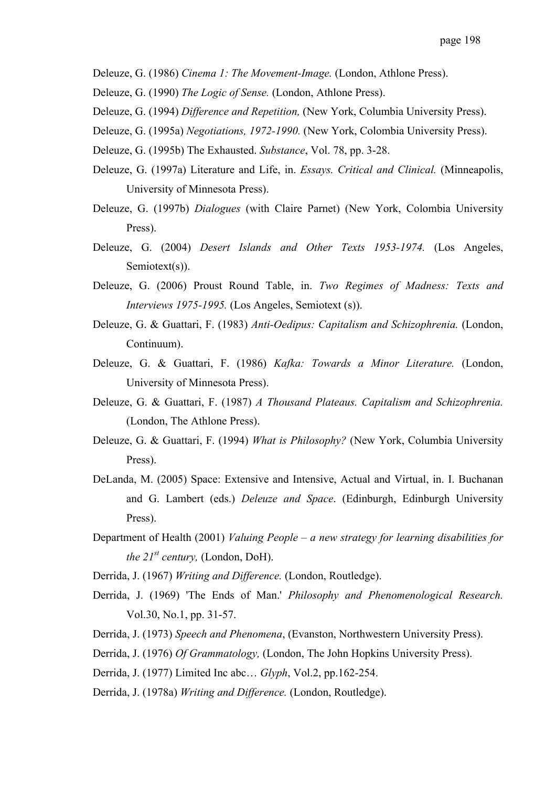Deleuze, G. (1986) *Cinema 1: The Movement-Image.* (London, Athlone Press).

- Deleuze, G. (1990) *The Logic of Sense.* (London, Athlone Press).
- Deleuze, G. (1994) *Difference and Repetition,* (New York, Columbia University Press).
- Deleuze, G. (1995a) *Negotiations, 1972-1990.* (New York, Colombia University Press).
- Deleuze, G. (1995b) The Exhausted. *Substance*, Vol. 78, pp. 3-28.
- Deleuze, G. (1997a) Literature and Life, in. *Essays. Critical and Clinical.* (Minneapolis, University of Minnesota Press).
- Deleuze, G. (1997b) *Dialogues* (with Claire Parnet) (New York, Colombia University Press).
- Deleuze, G. (2004) *Desert Islands and Other Texts 1953-1974.* (Los Angeles, Semiotext(s)).
- Deleuze, G. (2006) Proust Round Table, in. *Two Regimes of Madness: Texts and Interviews 1975-1995.* (Los Angeles, Semiotext (s)).
- Deleuze, G. & Guattari, F. (1983) *Anti-Oedipus: Capitalism and Schizophrenia.* (London, Continuum).
- Deleuze, G. & Guattari, F. (1986) *Kafka: Towards a Minor Literature.* (London, University of Minnesota Press).
- Deleuze, G. & Guattari, F. (1987) *A Thousand Plateaus. Capitalism and Schizophrenia.* (London, The Athlone Press).
- Deleuze, G. & Guattari, F. (1994) *What is Philosophy?* (New York, Columbia University Press).
- DeLanda, M. (2005) Space: Extensive and Intensive, Actual and Virtual, in. I. Buchanan and G. Lambert (eds.) *Deleuze and Space*. (Edinburgh, Edinburgh University Press).
- Department of Health (2001) *Valuing People a new strategy for learning disabilities for the 21st century,* (London, DoH).

Derrida, J. (1967) *Writing and Difference.* (London, Routledge).

- Derrida, J. (1969) 'The Ends of Man.' *Philosophy and Phenomenological Research.* Vol.30, No.1, pp. 31-57.
- Derrida, J. (1973) *Speech and Phenomena*, (Evanston, Northwestern University Press).
- Derrida, J. (1976) *Of Grammatology,* (London, The John Hopkins University Press).
- Derrida, J. (1977) Limited Inc abc… *Glyph*, Vol.2, pp.162-254.
- Derrida, J. (1978a) *Writing and Difference.* (London, Routledge).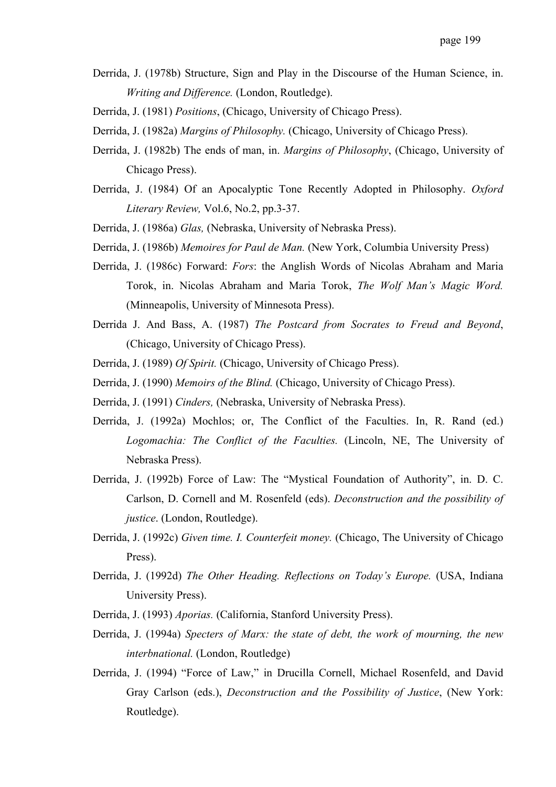- Derrida, J. (1978b) Structure, Sign and Play in the Discourse of the Human Science, in. *Writing and Difference.* (London, Routledge).
- Derrida, J. (1981) *Positions*, (Chicago, University of Chicago Press).
- Derrida, J. (1982a) *Margins of Philosophy.* (Chicago, University of Chicago Press).
- Derrida, J. (1982b) The ends of man, in. *Margins of Philosophy*, (Chicago, University of Chicago Press).
- Derrida, J. (1984) Of an Apocalyptic Tone Recently Adopted in Philosophy. *Oxford Literary Review,* Vol.6, No.2, pp.3-37.
- Derrida, J. (1986a) *Glas,* (Nebraska, University of Nebraska Press).
- Derrida, J. (1986b) *Memoires for Paul de Man.* (New York, Columbia University Press)
- Derrida, J. (1986c) Forward: *Fors*: the Anglish Words of Nicolas Abraham and Maria Torok, in. Nicolas Abraham and Maria Torok, *The Wolf Man's Magic Word.* (Minneapolis, University of Minnesota Press).
- Derrida J. And Bass, A. (1987) *The Postcard from Socrates to Freud and Beyond*, (Chicago, University of Chicago Press).
- Derrida, J. (1989) *Of Spirit.* (Chicago, University of Chicago Press).
- Derrida, J. (1990) *Memoirs of the Blind.* (Chicago, University of Chicago Press).
- Derrida, J. (1991) *Cinders,* (Nebraska, University of Nebraska Press).
- Derrida, J. (1992a) Mochlos; or, The Conflict of the Faculties. In, R. Rand (ed.) *Logomachia: The Conflict of the Faculties.* (Lincoln, NE, The University of Nebraska Press).
- Derrida, J. (1992b) Force of Law: The "Mystical Foundation of Authority", in. D. C. Carlson, D. Cornell and M. Rosenfeld (eds). *Deconstruction and the possibility of justice*. (London, Routledge).
- Derrida, J. (1992c) *Given time. I. Counterfeit money.* (Chicago, The University of Chicago Press).
- Derrida, J. (1992d) *The Other Heading. Reflections on Today's Europe.* (USA, Indiana University Press).
- Derrida, J. (1993) *Aporias.* (California, Stanford University Press).
- Derrida, J. (1994a) *Specters of Marx: the state of debt, the work of mourning, the new interbnational.* (London, Routledge)
- Derrida, J. (1994) "Force of Law," in Drucilla Cornell, Michael Rosenfeld, and David Gray Carlson (eds.), *Deconstruction and the Possibility of Justice*, (New York: Routledge).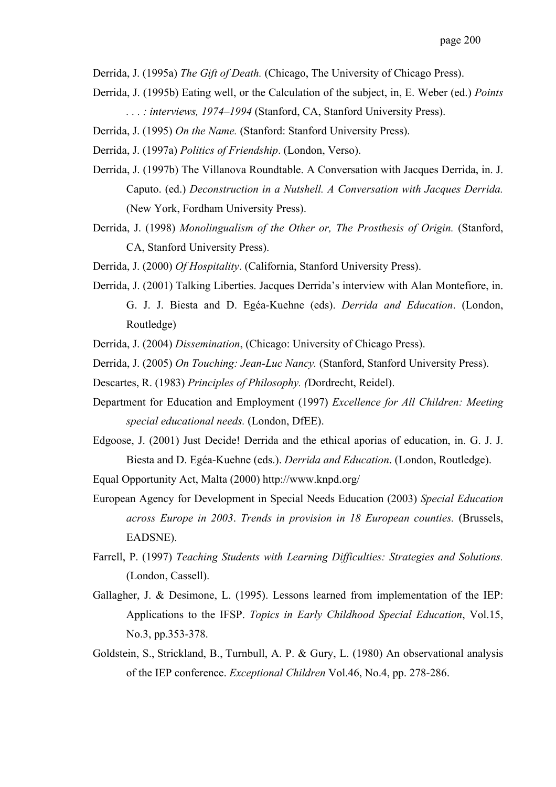Derrida, J. (1995a) *The Gift of Death.* (Chicago, The University of Chicago Press).

- Derrida, J. (1995b) Eating well, or the Calculation of the subject, in, E. Weber (ed.) *Points . . . : interviews, 1974–1994* (Stanford, CA, Stanford University Press).
- Derrida, J. (1995) *On the Name.* (Stanford: Stanford University Press).
- Derrida, J. (1997a) *Politics of Friendship*. (London, Verso).
- Derrida, J. (1997b) The Villanova Roundtable. A Conversation with Jacques Derrida, in. J. Caputo. (ed.) *Deconstruction in a Nutshell. A Conversation with Jacques Derrida.* (New York, Fordham University Press).
- Derrida, J. (1998) *Monolingualism of the Other or, The Prosthesis of Origin.* (Stanford, CA, Stanford University Press).
- Derrida, J. (2000) *Of Hospitality*. (California, Stanford University Press).
- Derrida, J. (2001) Talking Liberties. Jacques Derrida's interview with Alan Montefiore, in. G. J. J. Biesta and D. Egéa-Kuehne (eds). *Derrida and Education*. (London, Routledge)
- Derrida, J. (2004) *Dissemination*, (Chicago: University of Chicago Press).
- Derrida, J. (2005) *On Touching: Jean-Luc Nancy.* (Stanford, Stanford University Press).
- Descartes, R. (1983) *Principles of Philosophy. (*Dordrecht, Reidel).
- Department for Education and Employment (1997) *Excellence for All Children: Meeting special educational needs.* (London, DfEE).
- Edgoose, J. (2001) Just Decide! Derrida and the ethical aporias of education, in. G. J. J. Biesta and D. Egéa-Kuehne (eds.). *Derrida and Education*. (London, Routledge).

Equal Opportunity Act, Malta (2000) http://www.knpd.org/

- European Agency for Development in Special Needs Education (2003) *Special Education across Europe in 2003*. *Trends in provision in 18 European counties.* (Brussels, EADSNE).
- Farrell, P. (1997) *Teaching Students with Learning Difficulties: Strategies and Solutions.* (London, Cassell).
- Gallagher, J. & Desimone, L. (1995). Lessons learned from implementation of the IEP: Applications to the IFSP. *Topics in Early Childhood Special Education*, Vol.15, No.3, pp.353-378.
- Goldstein, S., Strickland, B., Turnbull, A. P. & Gury, L. (1980) An observational analysis of the IEP conference. *Exceptional Children* Vol.46, No.4, pp. 278-286.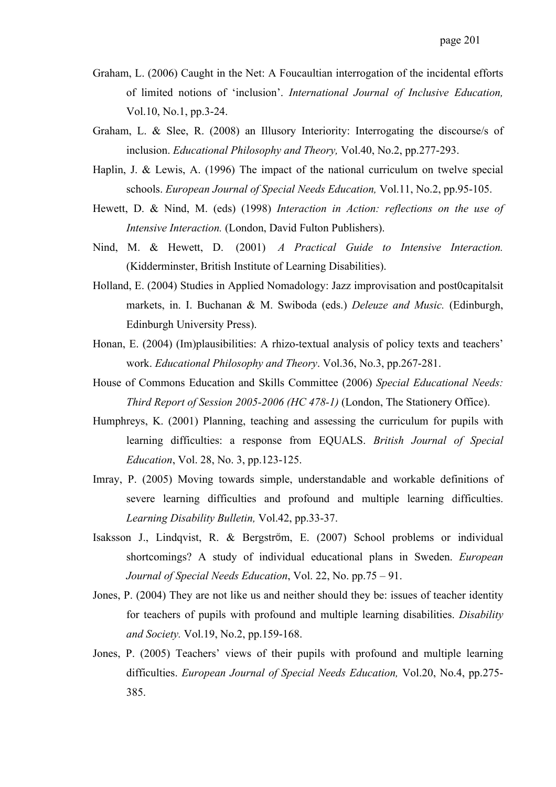- Graham, L. (2006) Caught in the Net: A Foucaultian interrogation of the incidental efforts of limited notions of 'inclusion'. *International Journal of Inclusive Education,*  Vol.10, No.1, pp.3-24.
- Graham, L. & Slee, R. (2008) an Illusory Interiority: Interrogating the discourse/s of inclusion. *Educational Philosophy and Theory,* Vol.40, No.2, pp.277-293.
- Haplin, J. & Lewis, A. (1996) The impact of the national curriculum on twelve special schools. *European Journal of Special Needs Education,* Vol.11, No.2, pp.95-105.
- Hewett, D. & Nind, M. (eds) (1998) *Interaction in Action: reflections on the use of Intensive Interaction.* (London, David Fulton Publishers).
- Nind, M. & Hewett, D. (2001) *A Practical Guide to Intensive Interaction.* (Kidderminster, British Institute of Learning Disabilities).
- Holland, E. (2004) Studies in Applied Nomadology: Jazz improvisation and post0capitalsit markets, in. I. Buchanan & M. Swiboda (eds.) *Deleuze and Music.* (Edinburgh, Edinburgh University Press).
- Honan, E. (2004) (Im)plausibilities: A rhizo-textual analysis of policy texts and teachers' work. *Educational Philosophy and Theory*. Vol.36, No.3, pp.267-281.
- House of Commons Education and Skills Committee (2006) *Special Educational Needs: Third Report of Session 2005-2006 (HC 478-1)* (London, The Stationery Office).
- Humphreys, K. (2001) Planning, teaching and assessing the curriculum for pupils with learning difficulties: a response from EQUALS. *British Journal of Special Education*, Vol. 28, No. 3, pp.123-125.
- Imray, P. (2005) Moving towards simple, understandable and workable definitions of severe learning difficulties and profound and multiple learning difficulties. *Learning Disability Bulletin,* Vol.42, pp.33-37.
- Isaksson J., Lindqvist, R. & Bergström, E. (2007) School problems or individual shortcomings? A study of individual educational plans in Sweden. *European Journal of Special Needs Education*, Vol. 22, No. pp.75 – 91.
- Jones, P. (2004) They are not like us and neither should they be: issues of teacher identity for teachers of pupils with profound and multiple learning disabilities. *Disability and Society.* Vol.19, No.2, pp.159-168.
- Jones, P. (2005) Teachers' views of their pupils with profound and multiple learning difficulties. *European Journal of Special Needs Education,* Vol.20, No.4, pp.275- 385.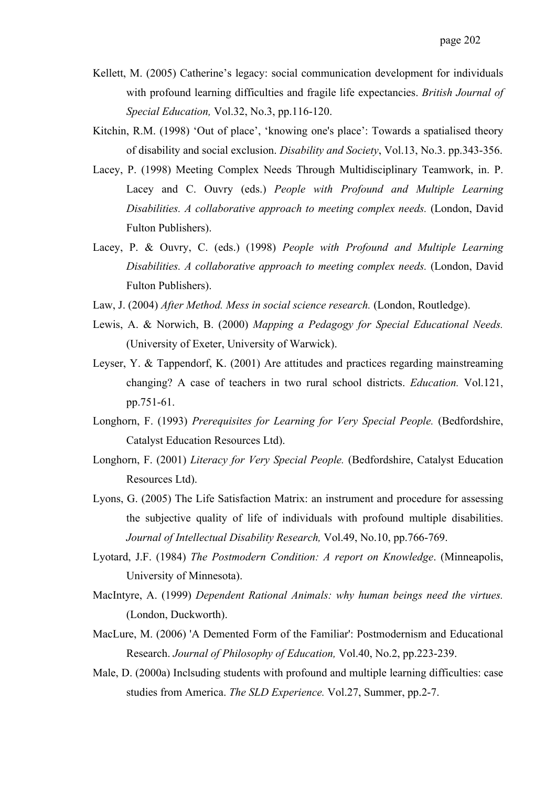- Kellett, M. (2005) Catherine's legacy: social communication development for individuals with profound learning difficulties and fragile life expectancies. *British Journal of Special Education,* Vol.32, No.3, pp.116-120.
- Kitchin, R.M. (1998) 'Out of place', 'knowing one's place': Towards a spatialised theory of disability and social exclusion. *Disability and Society*, Vol.13, No.3. pp.343-356.
- Lacey, P. (1998) Meeting Complex Needs Through Multidisciplinary Teamwork, in. P. Lacey and C. Ouvry (eds.) *People with Profound and Multiple Learning Disabilities. A collaborative approach to meeting complex needs.* (London, David Fulton Publishers).
- Lacey, P. & Ouvry, C. (eds.) (1998) *People with Profound and Multiple Learning Disabilities. A collaborative approach to meeting complex needs.* (London, David Fulton Publishers).
- Law, J. (2004) *After Method. Mess in social science research.* (London, Routledge).
- Lewis, A. & Norwich, B. (2000) *Mapping a Pedagogy for Special Educational Needs.* (University of Exeter, University of Warwick).
- Leyser, Y. & Tappendorf, K. (2001) Are attitudes and practices regarding mainstreaming changing? A case of teachers in two rural school districts. *Education.* Vol.121, pp.751-61.
- Longhorn, F. (1993) *Prerequisites for Learning for Very Special People.* (Bedfordshire, Catalyst Education Resources Ltd).
- Longhorn, F. (2001) *Literacy for Very Special People.* (Bedfordshire, Catalyst Education Resources Ltd).
- Lyons, G. (2005) The Life Satisfaction Matrix: an instrument and procedure for assessing the subjective quality of life of individuals with profound multiple disabilities. *Journal of Intellectual Disability Research,* Vol.49, No.10, pp.766-769.
- Lyotard, J.F. (1984) *The Postmodern Condition: A report on Knowledge*. (Minneapolis, University of Minnesota).
- MacIntyre, A. (1999) *Dependent Rational Animals: why human beings need the virtues.* (London, Duckworth).
- MacLure, M. (2006) 'A Demented Form of the Familiar': Postmodernism and Educational Research. *Journal of Philosophy of Education,* Vol.40, No.2, pp.223-239.
- Male, D. (2000a) Inclsuding students with profound and multiple learning difficulties: case studies from America. *The SLD Experience.* Vol.27, Summer, pp.2-7.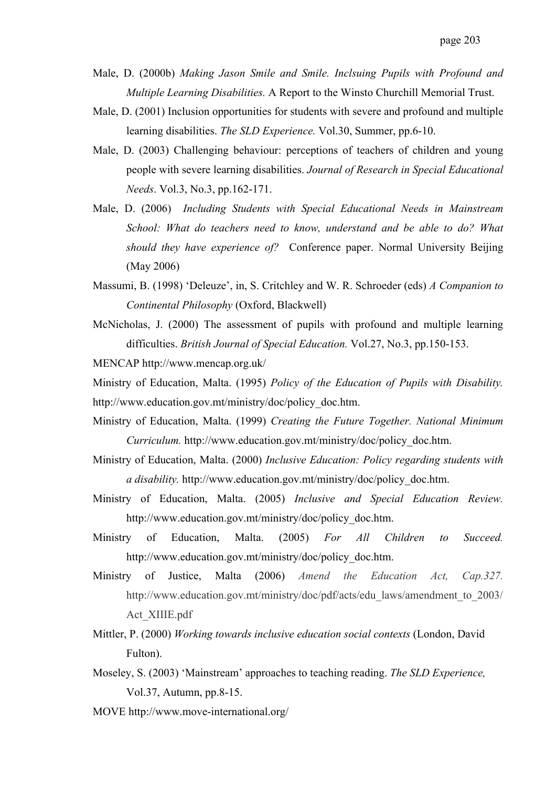- Male, D. (2000b) *Making Jason Smile and Smile. Inclsuing Pupils with Profound and Multiple Learning Disabilities.* A Report to the Winsto Churchill Memorial Trust.
- Male, D. (2001) Inclusion opportunities for students with severe and profound and multiple learning disabilities. *The SLD Experience.* Vol.30, Summer, pp.6-10.
- Male, D. (2003) Challenging behaviour: perceptions of teachers of children and young people with severe learning disabilities. *Journal of Research in Special Educational Needs*. Vol.3, No.3, pp.162-171.
- Male, D. (2006) *Including Students with Special Educational Needs in Mainstream School: What do teachers need to know, understand and be able to do? What should they have experience of?* Conference paper. Normal University Beijing (May 2006)
- Massumi, B. (1998) 'Deleuze', in, S. Critchley and W. R. Schroeder (eds) *A Companion to Continental Philosophy* (Oxford, Blackwell)
- McNicholas, J. (2000) The assessment of pupils with profound and multiple learning difficulties. *British Journal of Special Education.* Vol.27, No.3, pp.150-153.
- MENCAP http://www.mencap.org.uk/

Ministry of Education, Malta. (1995) *Policy of the Education of Pupils with Disability.* http://www.education.gov.mt/ministry/doc/policy\_doc.htm.

- Ministry of Education, Malta. (1999) *Creating the Future Together. National Minimum Curriculum.* http://www.education.gov.mt/ministry/doc/policy\_doc.htm.
- Ministry of Education, Malta. (2000) *Inclusive Education: Policy regarding students with a disability.* http://www.education.gov.mt/ministry/doc/policy\_doc.htm.
- Ministry of Education, Malta. (2005) *Inclusive and Special Education Review.* http://www.education.gov.mt/ministry/doc/policy\_doc.htm.
- Ministry of Education, Malta. (2005) *For All Children to Succeed.* http://www.education.gov.mt/ministry/doc/policy\_doc.htm.
- Ministry of Justice, Malta (2006) *Amend the Education Act, Cap.327.* http://www.education.gov.mt/ministry/doc/pdf/acts/edu\_laws/amendment\_to\_2003/ Act\_XIIIE.pdf
- Mittler, P. (2000) *Working towards inclusive education social contexts* (London, David Fulton).
- Moseley, S. (2003) 'Mainstream' approaches to teaching reading. *The SLD Experience,*  Vol.37, Autumn, pp.8-15.

MOVE http://www.move-international.org/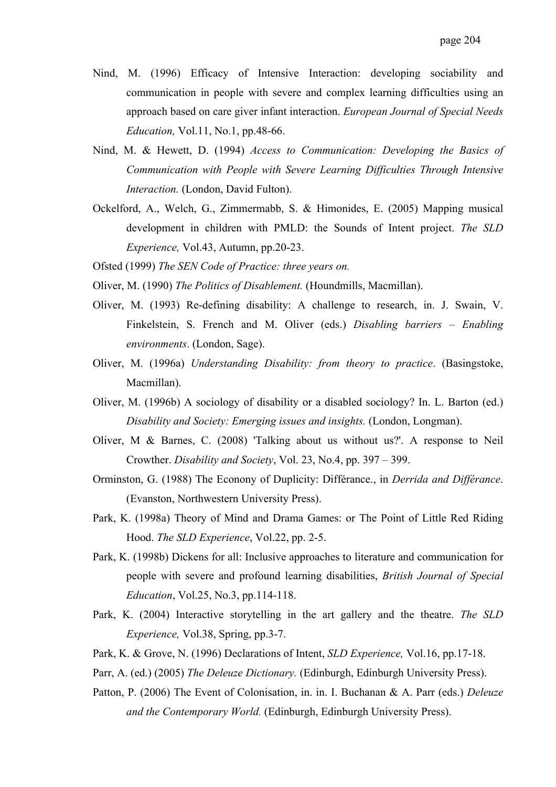- Nind, M. (1996) Efficacy of Intensive Interaction: developing sociability and communication in people with severe and complex learning difficulties using an approach based on care giver infant interaction. *European Journal of Special Needs Education,* Vol.11, No.1, pp.48-66.
- Nind, M. & Hewett, D. (1994) *Access to Communication: Developing the Basics of Communication with People with Severe Learning Difficulties Through Intensive Interaction.* (London, David Fulton).
- Ockelford, A., Welch, G., Zimmermabb, S. & Himonides, E. (2005) Mapping musical development in children with PMLD: the Sounds of Intent project. *The SLD Experience,* Vol.43, Autumn, pp.20-23.
- Ofsted (1999) *The SEN Code of Practice: three years on.*
- Oliver, M. (1990) *The Politics of Disablement.* (Houndmills, Macmillan).
- Oliver, M. (1993) Re-defining disability: A challenge to research, in. J. Swain, V. Finkelstein, S. French and M. Oliver (eds.) *Disabling barriers – Enabling environments*. (London, Sage).
- Oliver, M. (1996a) *Understanding Disability: from theory to practice*. (Basingstoke, Macmillan).
- Oliver, M. (1996b) A sociology of disability or a disabled sociology? In. L. Barton (ed.) *Disability and Society: Emerging issues and insights.* (London, Longman).
- Oliver, M & Barnes, C. (2008) 'Talking about us without us?'. A response to Neil Crowther. *Disability and Society*, Vol. 23, No.4, pp. 397 – 399.
- Orminston, G. (1988) The Econony of Duplicity: Différance., in *Derrida and Différance*. (Evanston, Northwestern University Press).
- Park, K. (1998a) Theory of Mind and Drama Games: or The Point of Little Red Riding Hood. *The SLD Experience*, Vol.22, pp. 2-5.
- Park, K. (1998b) Dickens for all: Inclusive approaches to literature and communication for people with severe and profound learning disabilities, *British Journal of Special Education*, Vol.25, No.3, pp.114-118.
- Park, K. (2004) Interactive storytelling in the art gallery and the theatre. *The SLD Experience,* Vol.38, Spring, pp.3-7.
- Park, K. & Grove, N. (1996) Declarations of Intent, *SLD Experience,* Vol.16, pp.17-18.
- Parr, A. (ed.) (2005) *The Deleuze Dictionary.* (Edinburgh, Edinburgh University Press).
- Patton, P. (2006) The Event of Colonisation, in. in. I. Buchanan & A. Parr (eds.) *Deleuze and the Contemporary World.* (Edinburgh, Edinburgh University Press).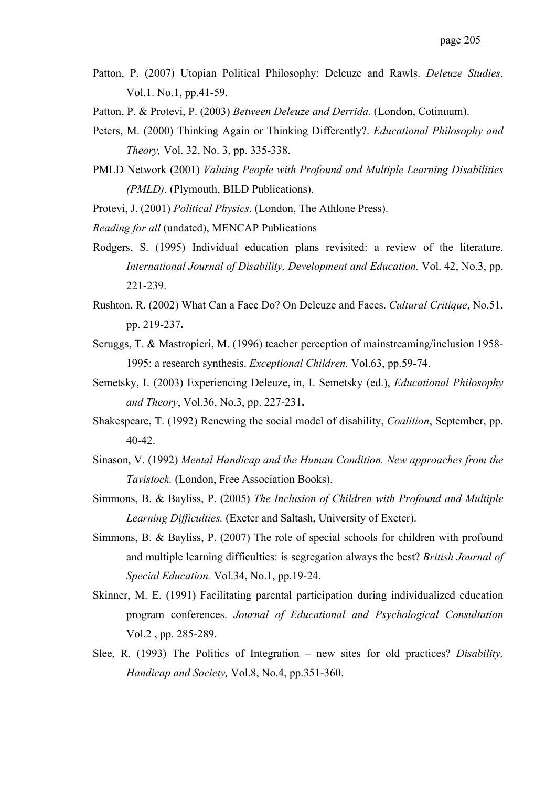- Patton, P. (2007) Utopian Political Philosophy: Deleuze and Rawls. *Deleuze Studies*, Vol.1. No.1, pp.41-59.
- Patton, P. & Protevi, P. (2003) *Between Deleuze and Derrida.* (London, Cotinuum).
- Peters, M. (2000) Thinking Again or Thinking Differently?. *Educational Philosophy and Theory,* Vol. 32, No. 3, pp. 335-338.
- PMLD Network (2001) *Valuing People with Profound and Multiple Learning Disabilities (PMLD).* (Plymouth, BILD Publications).
- Protevi, J. (2001) *Political Physics*. (London, The Athlone Press).
- *Reading for all* (undated), MENCAP Publications
- Rodgers, S. (1995) Individual education plans revisited: a review of the literature. *International Journal of Disability, Development and Education.* Vol. 42, No.3, pp. 221-239.
- Rushton, R. (2002) What Can a Face Do? On Deleuze and Faces. *Cultural Critique*, No.51, pp. 219-237**.**
- Scruggs, T. & Mastropieri, M. (1996) teacher perception of mainstreaming/inclusion 1958- 1995: a research synthesis. *Exceptional Children.* Vol.63, pp.59-74.
- Semetsky, I. (2003) Experiencing Deleuze, in, I. Semetsky (ed.), *Educational Philosophy and Theory*, Vol.36, No.3, pp. 227-231**.**
- Shakespeare, T. (1992) Renewing the social model of disability, *Coalition*, September, pp. 40-42.
- Sinason, V. (1992) *Mental Handicap and the Human Condition. New approaches from the Tavistock.* (London, Free Association Books).
- Simmons, B. & Bayliss, P. (2005) *The Inclusion of Children with Profound and Multiple Learning Difficulties.* (Exeter and Saltash, University of Exeter).
- Simmons, B. & Bayliss, P. (2007) The role of special schools for children with profound and multiple learning difficulties: is segregation always the best? *British Journal of Special Education.* Vol.34, No.1, pp.19-24.
- Skinner, M. E. (1991) Facilitating parental participation during individualized education program conferences. *Journal of Educational and Psychological Consultation* Vol.2 , pp. 285-289.
- Slee, R. (1993) The Politics of Integration new sites for old practices? *Disability, Handicap and Society,* Vol.8, No.4, pp.351-360.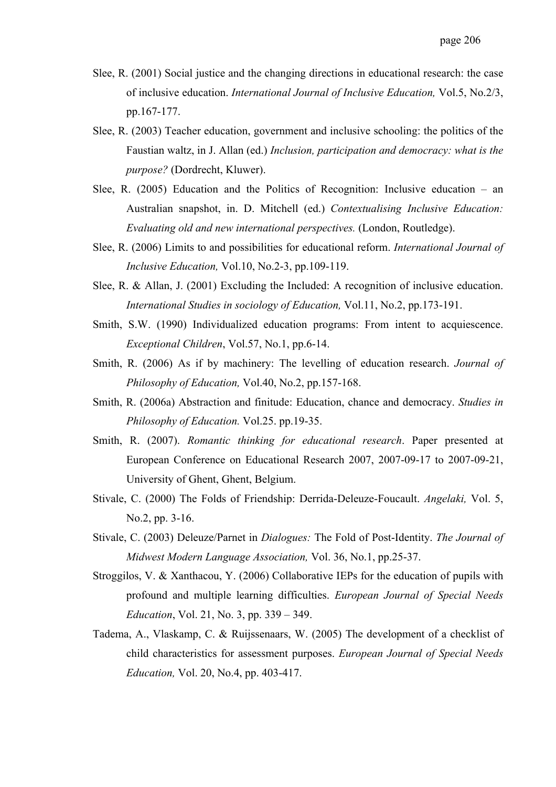- Slee, R. (2001) Social justice and the changing directions in educational research: the case of inclusive education. *International Journal of Inclusive Education,* Vol.5, No.2/3, pp.167-177.
- Slee, R. (2003) Teacher education, government and inclusive schooling: the politics of the Faustian waltz, in J. Allan (ed.) *Inclusion, participation and democracy: what is the purpose?* (Dordrecht, Kluwer).
- Slee, R. (2005) Education and the Politics of Recognition: Inclusive education an Australian snapshot, in. D. Mitchell (ed.) *Contextualising Inclusive Education: Evaluating old and new international perspectives.* (London, Routledge).
- Slee, R. (2006) Limits to and possibilities for educational reform. *International Journal of Inclusive Education,* Vol.10, No.2-3, pp.109-119.
- Slee, R. & Allan, J. (2001) Excluding the Included: A recognition of inclusive education. *International Studies in sociology of Education,* Vol.11, No.2, pp.173-191.
- Smith, S.W. (1990) Individualized education programs: From intent to acquiescence. *Exceptional Children*, Vol.57, No.1, pp.6-14.
- Smith, R. (2006) As if by machinery: The levelling of education research. *Journal of Philosophy of Education,* Vol.40, No.2, pp.157-168.
- Smith, R. (2006a) Abstraction and finitude: Education, chance and democracy. *Studies in Philosophy of Education.* Vol.25. pp.19-35.
- Smith, R. (2007). *Romantic thinking for educational research*. Paper presented at European Conference on Educational Research 2007, 2007-09-17 to 2007-09-21, University of Ghent, Ghent, Belgium.
- Stivale, C. (2000) The Folds of Friendship: Derrida-Deleuze-Foucault. *Angelaki,* Vol. 5, No.2, pp. 3-16.
- Stivale, C. (2003) Deleuze/Parnet in *Dialogues:* The Fold of Post-Identity. *The Journal of Midwest Modern Language Association,* Vol. 36, No.1, pp.25-37.
- Stroggilos, V. & Xanthacou, Y. (2006) Collaborative IEPs for the education of pupils with profound and multiple learning difficulties. *European Journal of Special Needs Education*, Vol. 21, No. 3, pp. 339 – 349.
- Tadema, A., Vlaskamp, C. & Ruijssenaars, W. (2005) The development of a checklist of child characteristics for assessment purposes. *European Journal of Special Needs Education,* Vol. 20, No.4, pp. 403-417.